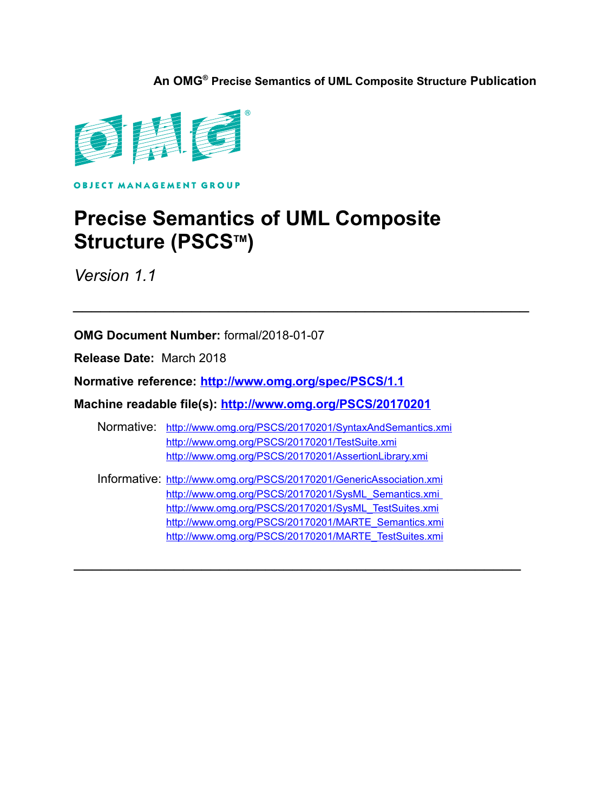**An OMG® Precise Semantics of UML Composite Structure Publication**



**OBJECT MANAGEMENT GROUP** 

# **Precise Semantics of UML Composite Structure (PSCSTM)**

*Version 1.1*

**OMG Document Number:** formal/2018-01-07

**Release Date:** March 2018

**Normative reference:<http://www.omg.org/spec/PSCS/1.1>**

**Machine readable file(s):<http://www.omg.org/PSCS/20170201>**

Normative: <http://www.omg.org/PSCS/20170201/SyntaxAndSemantics.xmi> <http://www.omg.org/PSCS/20170201/TestSuite.xmi> <http://www.omg.org/PSCS/20170201/AssertionLibrary.xmi>

*\_\_\_\_\_\_\_\_\_\_\_\_\_\_\_\_\_\_\_\_\_\_\_\_\_\_\_\_\_\_\_\_\_\_\_\_\_\_\_\_\_\_\_\_\_\_\_\_\_\_*

Informative: <http://www.omg.org/PSCS/20170201/GenericAssociation.xmi> http://www.omg.org/PSCS/20170201/SysML\_Semantics.xmi [http://www.omg.org/PSCS/20170201/SysML\\_TestSuites.xmi](http://www.omg.org/PSCS/20170201/SysML_TestSuites.xmi) [http://www.omg.org/PSCS/20170201/MARTE\\_Semantics.xmi](http://www.omg.org/PSCS/20170201/MARTE_Semantics.xmi) [http://www.omg.org/PSCS/20170201/MARTE\\_TestSuites.xmi](http://www.omg.org/PSCS/20170201/MARTE_TestSuites.xmi)

 $\mathcal{L}_\text{G}$  , and the contribution of the contribution of the contribution of the contribution of the contribution of the contribution of the contribution of the contribution of the contribution of the contribution of t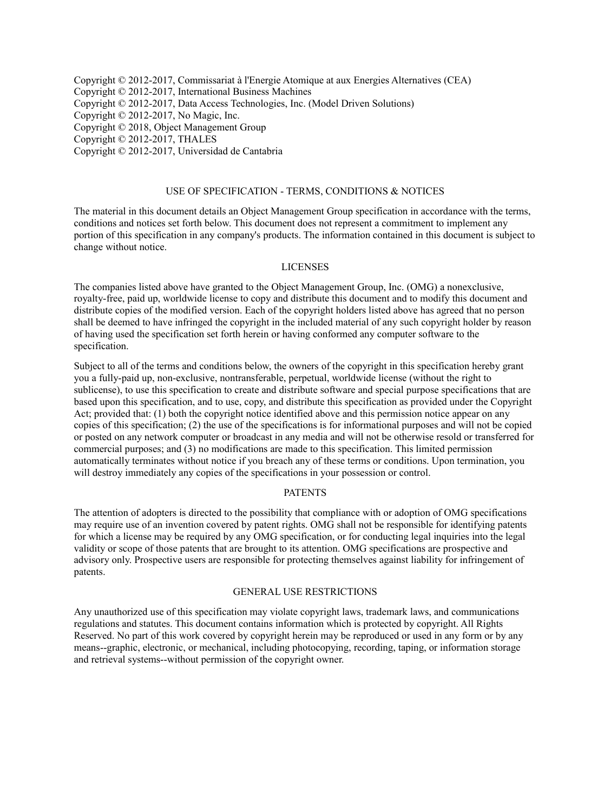Copyright © 2012-2017, Commissariat à l'Energie Atomique at aux Energies Alternatives (CEA) Copyright © 2012-2017, International Business Machines Copyright © 2012-2017, Data Access Technologies, Inc. (Model Driven Solutions) Copyright © 2012-2017, No Magic, Inc. Copyright © 2018, Object Management Group Copyright © 2012-2017, THALES Copyright © 2012-2017, Universidad de Cantabria

#### USE OF SPECIFICATION - TERMS, CONDITIONS & NOTICES

The material in this document details an Object Management Group specification in accordance with the terms, conditions and notices set forth below. This document does not represent a commitment to implement any portion of this specification in any company's products. The information contained in this document is subject to change without notice.

#### LICENSES

The companies listed above have granted to the Object Management Group, Inc. (OMG) a nonexclusive, royalty-free, paid up, worldwide license to copy and distribute this document and to modify this document and distribute copies of the modified version. Each of the copyright holders listed above has agreed that no person shall be deemed to have infringed the copyright in the included material of any such copyright holder by reason of having used the specification set forth herein or having conformed any computer software to the specification.

Subject to all of the terms and conditions below, the owners of the copyright in this specification hereby grant you a fully-paid up, non-exclusive, nontransferable, perpetual, worldwide license (without the right to sublicense), to use this specification to create and distribute software and special purpose specifications that are based upon this specification, and to use, copy, and distribute this specification as provided under the Copyright Act; provided that: (1) both the copyright notice identified above and this permission notice appear on any copies of this specification; (2) the use of the specifications is for informational purposes and will not be copied or posted on any network computer or broadcast in any media and will not be otherwise resold or transferred for commercial purposes; and (3) no modifications are made to this specification. This limited permission automatically terminates without notice if you breach any of these terms or conditions. Upon termination, you will destroy immediately any copies of the specifications in your possession or control.

#### PATENTS

The attention of adopters is directed to the possibility that compliance with or adoption of OMG specifications may require use of an invention covered by patent rights. OMG shall not be responsible for identifying patents for which a license may be required by any OMG specification, or for conducting legal inquiries into the legal validity or scope of those patents that are brought to its attention. OMG specifications are prospective and advisory only. Prospective users are responsible for protecting themselves against liability for infringement of patents.

#### GENERAL USE RESTRICTIONS

Any unauthorized use of this specification may violate copyright laws, trademark laws, and communications regulations and statutes. This document contains information which is protected by copyright. All Rights Reserved. No part of this work covered by copyright herein may be reproduced or used in any form or by any means--graphic, electronic, or mechanical, including photocopying, recording, taping, or information storage and retrieval systems--without permission of the copyright owner.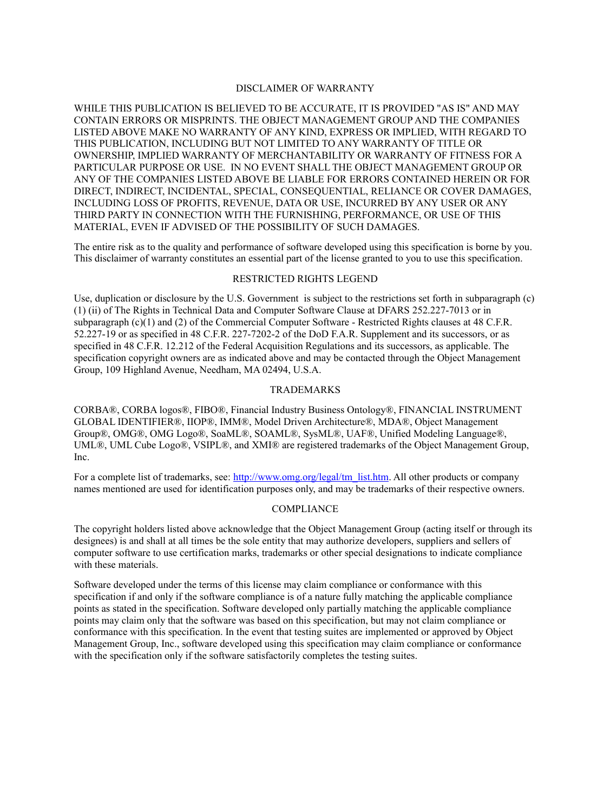#### DISCLAIMER OF WARRANTY

WHILE THIS PUBLICATION IS BELIEVED TO BE ACCURATE, IT IS PROVIDED "AS IS" AND MAY CONTAIN ERRORS OR MISPRINTS. THE OBJECT MANAGEMENT GROUP AND THE COMPANIES LISTED ABOVE MAKE NO WARRANTY OF ANY KIND, EXPRESS OR IMPLIED, WITH REGARD TO THIS PUBLICATION, INCLUDING BUT NOT LIMITED TO ANY WARRANTY OF TITLE OR OWNERSHIP, IMPLIED WARRANTY OF MERCHANTABILITY OR WARRANTY OF FITNESS FOR A PARTICULAR PURPOSE OR USE. IN NO EVENT SHALL THE OBJECT MANAGEMENT GROUP OR ANY OF THE COMPANIES LISTED ABOVE BE LIABLE FOR ERRORS CONTAINED HEREIN OR FOR DIRECT, INDIRECT, INCIDENTAL, SPECIAL, CONSEQUENTIAL, RELIANCE OR COVER DAMAGES, INCLUDING LOSS OF PROFITS, REVENUE, DATA OR USE, INCURRED BY ANY USER OR ANY THIRD PARTY IN CONNECTION WITH THE FURNISHING, PERFORMANCE, OR USE OF THIS MATERIAL, EVEN IF ADVISED OF THE POSSIBILITY OF SUCH DAMAGES.

The entire risk as to the quality and performance of software developed using this specification is borne by you. This disclaimer of warranty constitutes an essential part of the license granted to you to use this specification.

#### RESTRICTED RIGHTS LEGEND

Use, duplication or disclosure by the U.S. Government is subject to the restrictions set forth in subparagraph (c) (1) (ii) of The Rights in Technical Data and Computer Software Clause at DFARS 252.227-7013 or in subparagraph  $(c)(1)$  and (2) of the Commercial Computer Software - Restricted Rights clauses at 48 C.F.R. 52.227-19 or as specified in 48 C.F.R. 227-7202-2 of the DoD F.A.R. Supplement and its successors, or as specified in 48 C.F.R. 12.212 of the Federal Acquisition Regulations and its successors, as applicable. The specification copyright owners are as indicated above and may be contacted through the Object Management Group, 109 Highland Avenue, Needham, MA 02494, U.S.A.

#### TRADEMARKS

CORBA®, CORBA logos®, FIBO®, Financial Industry Business Ontology®, FINANCIAL INSTRUMENT GLOBAL IDENTIFIER®, IIOP®, IMM®, Model Driven Architecture®, MDA®, Object Management Group®, OMG®, OMG Logo®, SoaML®, SOAML®, SysML®, UAF®, Unified Modeling Language®, UML®, UML Cube Logo®, VSIPL®, and XMI® are registered trademarks of the Object Management Group, Inc.

For a complete list of trademarks, see: [http://www.omg.org/legal/tm\\_list.htm.](http://www.omg.org/legal/tm_list.htm) All other products or company names mentioned are used for identification purposes only, and may be trademarks of their respective owners.

#### COMPLIANCE

The copyright holders listed above acknowledge that the Object Management Group (acting itself or through its designees) is and shall at all times be the sole entity that may authorize developers, suppliers and sellers of computer software to use certification marks, trademarks or other special designations to indicate compliance with these materials.

Software developed under the terms of this license may claim compliance or conformance with this specification if and only if the software compliance is of a nature fully matching the applicable compliance points as stated in the specification. Software developed only partially matching the applicable compliance points may claim only that the software was based on this specification, but may not claim compliance or conformance with this specification. In the event that testing suites are implemented or approved by Object Management Group, Inc., software developed using this specification may claim compliance or conformance with the specification only if the software satisfactorily completes the testing suites.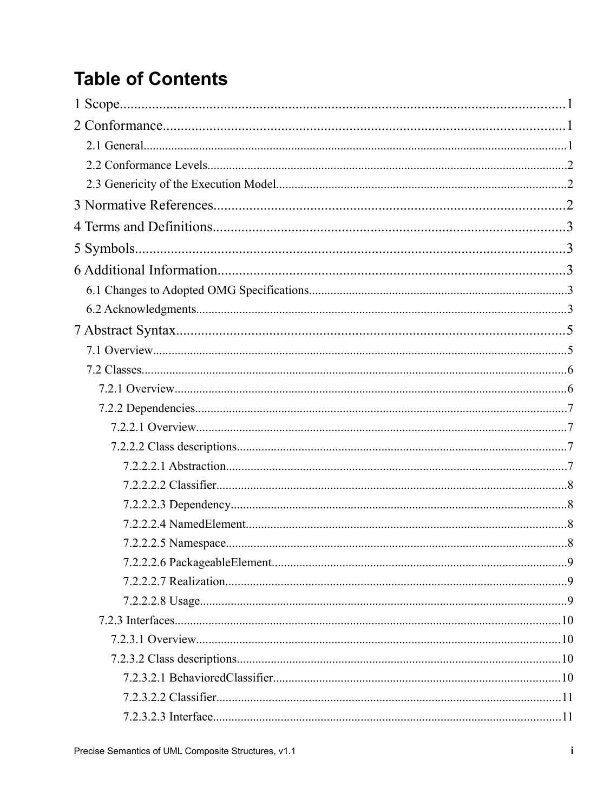# **Table of Contents**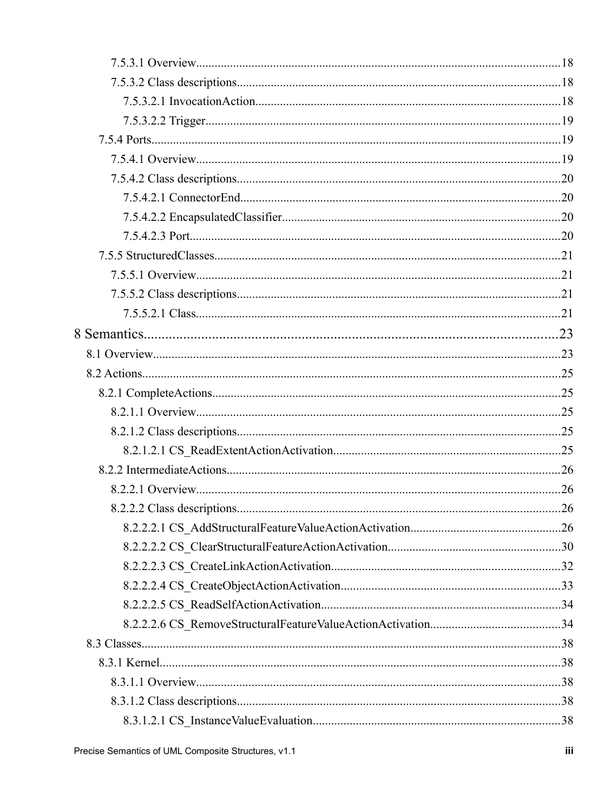| .26 |
|-----|
|     |
|     |
|     |
|     |
|     |
|     |
|     |
|     |
|     |
|     |
|     |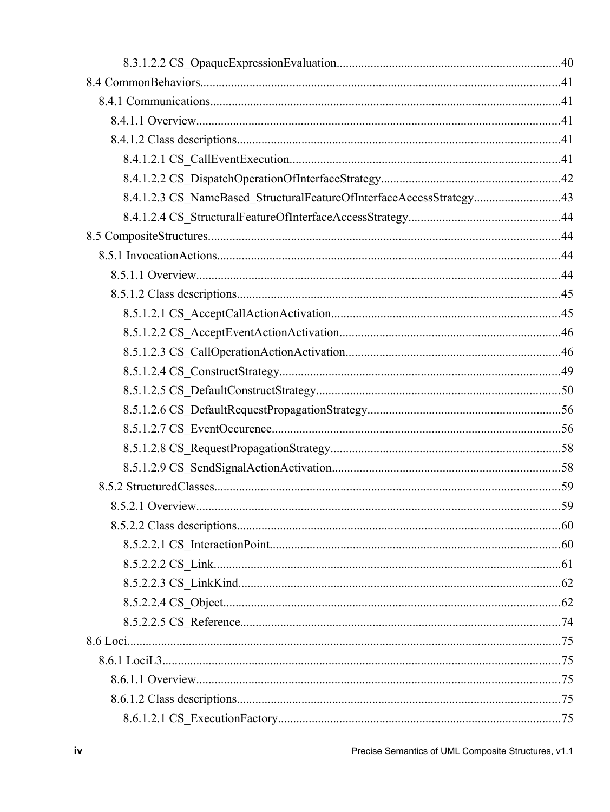| 8.4.1.2.3 CS NameBased StructuralFeatureOfInterfaceAccessStrategy43 |  |
|---------------------------------------------------------------------|--|
|                                                                     |  |
|                                                                     |  |
|                                                                     |  |
|                                                                     |  |
|                                                                     |  |
|                                                                     |  |
|                                                                     |  |
|                                                                     |  |
|                                                                     |  |
|                                                                     |  |
|                                                                     |  |
|                                                                     |  |
|                                                                     |  |
|                                                                     |  |
|                                                                     |  |
|                                                                     |  |
|                                                                     |  |
|                                                                     |  |
|                                                                     |  |
|                                                                     |  |
|                                                                     |  |
|                                                                     |  |
|                                                                     |  |
|                                                                     |  |
|                                                                     |  |
|                                                                     |  |
|                                                                     |  |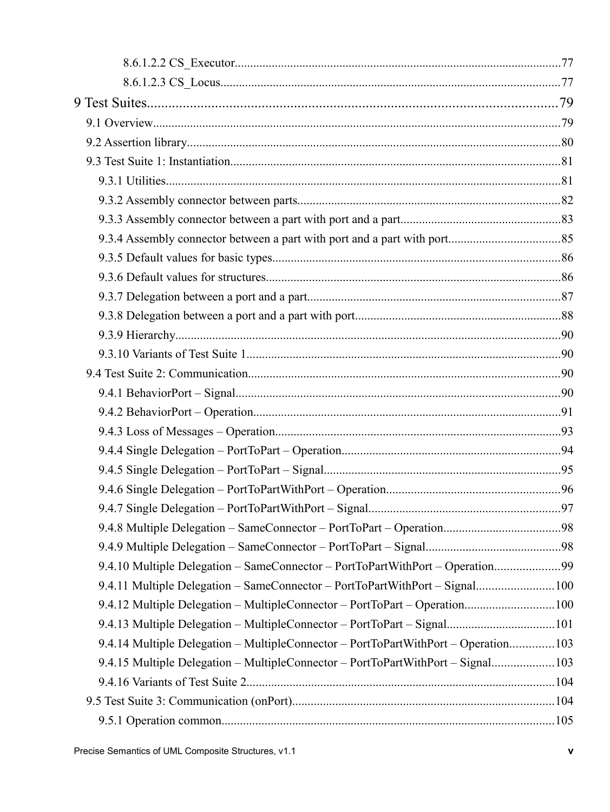|                                                                                    | .97 |
|------------------------------------------------------------------------------------|-----|
|                                                                                    |     |
|                                                                                    |     |
| 9.4.10 Multiple Delegation - SameConnector - PortToPartWithPort - Operation99      |     |
| 9.4.11 Multiple Delegation - SameConnector - PortToPartWithPort - Signal 100       |     |
| 9.4.12 Multiple Delegation - MultipleConnector - PortToPart - Operation100         |     |
| 9.4.13 Multiple Delegation - MultipleConnector - PortToPart - Signal101            |     |
| 9.4.14 Multiple Delegation - MultipleConnector - PortToPartWithPort - Operation103 |     |
| 9.4.15 Multiple Delegation - MultipleConnector - PortToPartWithPort - Signal103    |     |
|                                                                                    |     |
|                                                                                    |     |
|                                                                                    |     |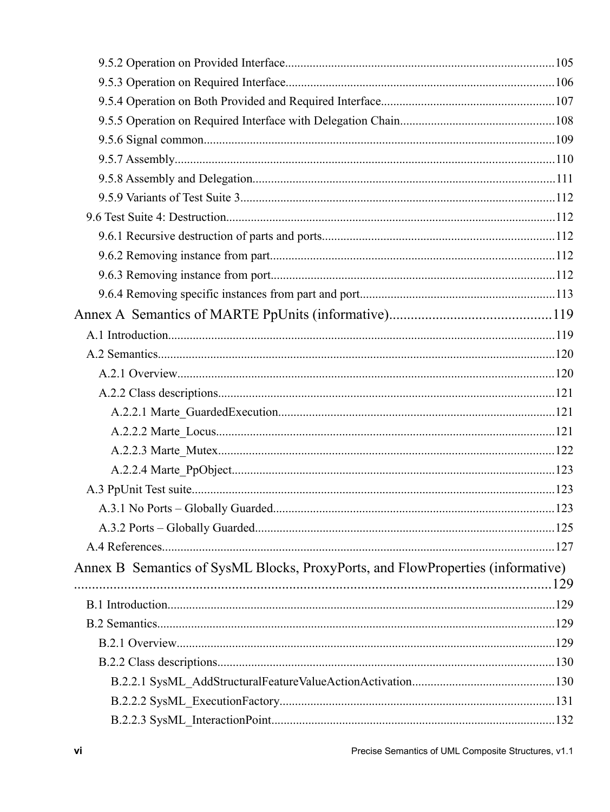<span id="page-8-0"></span>

| Annex B Semantics of SysML Blocks, ProxyPorts, and FlowProperties (informative) |  |
|---------------------------------------------------------------------------------|--|
|                                                                                 |  |
|                                                                                 |  |
|                                                                                 |  |
|                                                                                 |  |
|                                                                                 |  |
|                                                                                 |  |
|                                                                                 |  |
|                                                                                 |  |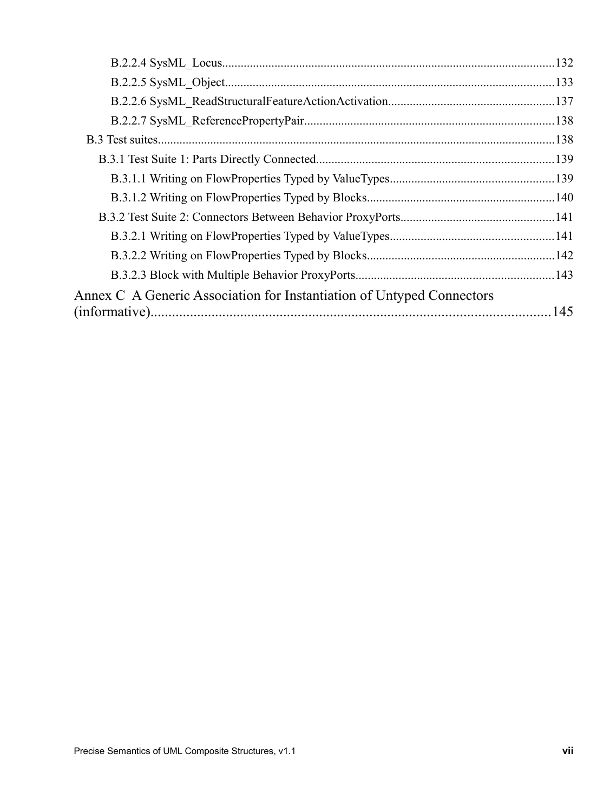| Annex C A Generic Association for Instantiation of Untyped Connectors |  |
|-----------------------------------------------------------------------|--|
|                                                                       |  |
|                                                                       |  |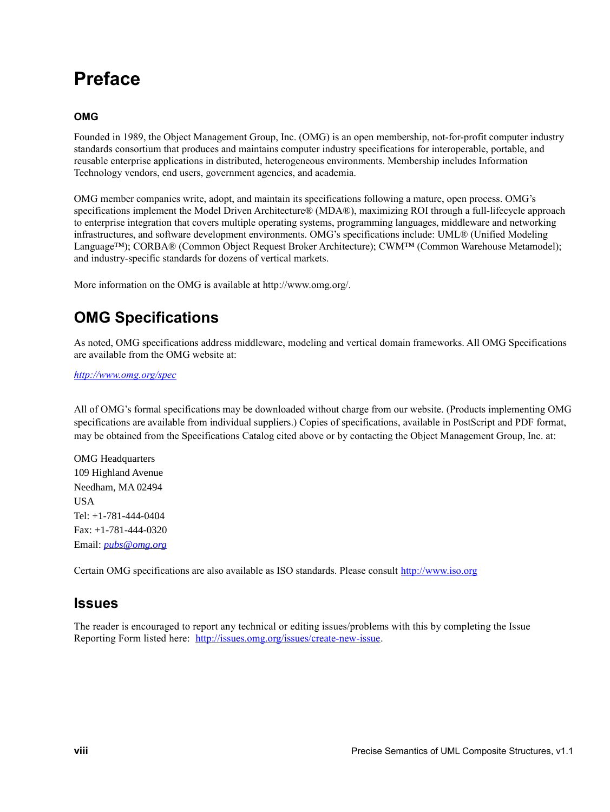# **Preface**

#### **OMG**

Founded in 1989, the Object Management Group, Inc. (OMG) is an open membership, not-for-profit computer industry standards consortium that produces and maintains computer industry specifications for interoperable, portable, and reusable enterprise applications in distributed, heterogeneous environments. Membership includes Information Technology vendors, end users, government agencies, and academia.

OMG member companies write, adopt, and maintain its specifications following a mature, open process. OMG's specifications implement the Model Driven Architecture® (MDA®), maximizing ROI through a full-lifecycle approach to enterprise integration that covers multiple operating systems, programming languages, middleware and networking infrastructures, and software development environments. OMG's specifications include: UML® (Unified Modeling Language™); CORBA® (Common Object Request Broker Architecture); CWM™ (Common Warehouse Metamodel); and industry-specific standards for dozens of vertical markets.

More information on the OMG is available at http://www.omg.org/.

# **OMG Specifications**

As noted, OMG specifications address middleware, modeling and vertical domain frameworks. All OMG Specifications are available from the OMG website at:

*<http://www.omg.org/spec>*

All of OMG's formal specifications may be downloaded without charge from our website. (Products implementing OMG specifications are available from individual suppliers.) Copies of specifications, available in PostScript and PDF format, may be obtained from the Specifications Catalog cited above or by contacting the Object Management Group, Inc. at:

OMG Headquarters 109 Highland Avenue Needham, MA 02494 USA Tel: +1-781-444-0404 Fax: +1-781-444-0320 Email: *pubs@omg.org*

Certain OMG specifications are also available as ISO standards. Please consult [http://www.iso.org](http://www.iso.org/)

## **Issues**

The reader is encouraged to report any technical or editing issues/problems with this by completing the Issue Reporting Form listed here: [http://issues.omg.org/issues/create-new-issue.](http://issues.omg.org/issues/create-new-issue)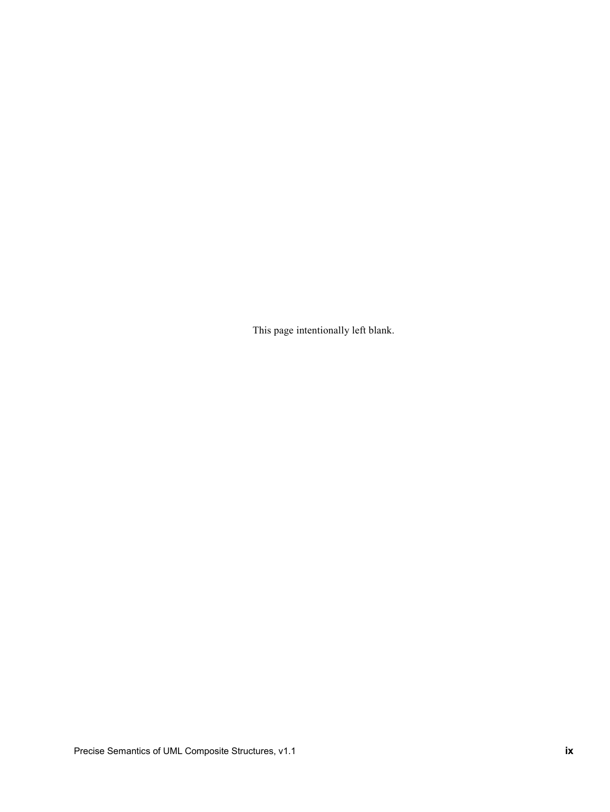This page intentionally left blank.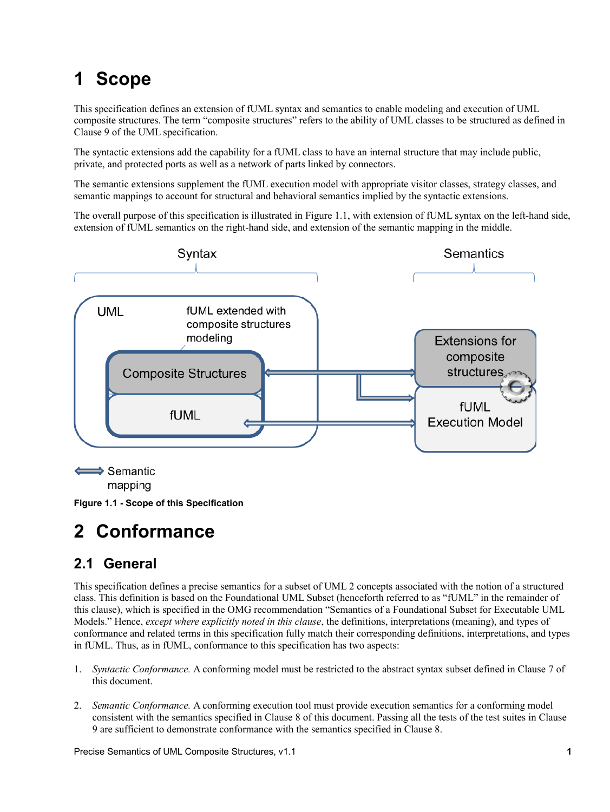# <span id="page-12-2"></span>**1 Scope**

This specification defines an extension of fUML syntax and semantics to enable modeling and execution of UML composite structures. The term "composite structures" refers to the ability of UML classes to be structured as defined in Clause 9 of the UML specification.

The syntactic extensions add the capability for a fUML class to have an internal structure that may include public, private, and protected ports as well as a network of parts linked by connectors.

The semantic extensions supplement the fUML execution model with appropriate visitor classes, strategy classes, and semantic mappings to account for structural and behavioral semantics implied by the syntactic extensions.

The overall purpose of this specification is illustrated in [Figure 1.1,](#page-12-3) with extension of fUML syntax on the left-hand side, extension of fUML semantics on the right-hand side, and extension of the semantic mapping in the middle.



<span id="page-12-3"></span>mapping

**Figure 1.1 - Scope of this Specification**

# <span id="page-12-1"></span>**2 Conformance**

# <span id="page-12-0"></span>**2.1 General**

This specification defines a precise semantics for a subset of UML 2 concepts associated with the notion of a structured class. This definition is based on the Foundational UML Subset (henceforth referred to as "fUML" in the remainder of this clause), which is specified in the OMG recommendation "Semantics of a Foundational Subset for Executable UML Models." Hence, *except where explicitly noted in this clause*, the definitions, interpretations (meaning), and types of conformance and related terms in this specification fully match their corresponding definitions, interpretations, and types in fUML. Thus, as in fUML, conformance to this specification has two aspects:

- 1. *Syntactic Conformance.* A conforming model must be restricted to the abstract syntax subset defined in Clause [7](#page-16-1) of this document.
- 2. *Semantic Conformance.* A conforming execution tool must provide execution semantics for a conforming model consistent with the semantics specified in Clause [8](#page-34-1) of this document. Passing all the tests of the test suites in Clause 9 are sufficient to demonstrate conformance with the semantics specified in Clause 8.

Precise Semantics of UML Composite Structures, v1.1 **1**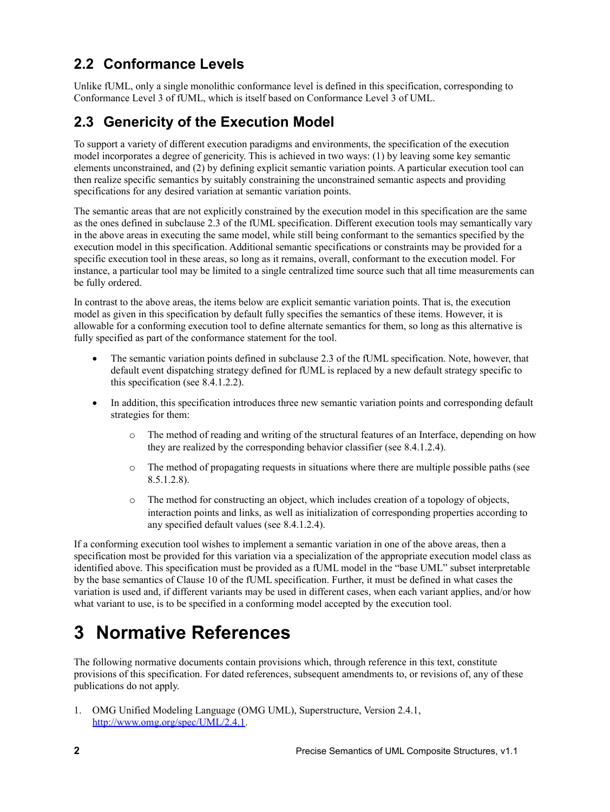## <span id="page-13-2"></span>**2.2 Conformance Levels**

Unlike fUML, only a single monolithic conformance level is defined in this specification, corresponding to Conformance Level 3 of fUML, which is itself based on Conformance Level 3 of UML.

## <span id="page-13-1"></span>**2.3 Genericity of the Execution Model**

To support a variety of different execution paradigms and environments, the specification of the execution model incorporates a degree of genericity. This is achieved in two ways: (1) by leaving some key semantic elements unconstrained, and (2) by defining explicit semantic variation points. A particular execution tool can then realize specific semantics by suitably constraining the unconstrained semantic aspects and providing specifications for any desired variation at semantic variation points.

The semantic areas that are not explicitly constrained by the execution model in this specification are the same as the ones defined in subclause 2.3 of the fUML specification. Different execution tools may semantically vary in the above areas in executing the same model, while still being conformant to the semantics specified by the execution model in this specification. Additional semantic specifications or constraints may be provided for a specific execution tool in these areas, so long as it remains, overall, conformant to the execution model. For instance, a particular tool may be limited to a single centralized time source such that all time measurements can be fully ordered.

In contrast to the above areas, the items below are explicit semantic variation points. That is, the execution model as given in this specification by default fully specifies the semantics of these items. However, it is allowable for a conforming execution tool to define alternate semantics for them, so long as this alternative is fully specified as part of the conformance statement for the tool.

- The semantic variation points defined in subclause 2.3 of the fUML specification. Note, however, that default event dispatching strategy defined for fUML is replaced by a new default strategy specific to this specification (see [8.4.1.2.2\)](#page-53-0).
- In addition, this specification introduces three new semantic variation points and corresponding default strategies for them:
	- o The method of reading and writing of the structural features of an Interface, depending on how they are realized by the corresponding behavior classifier (see [8.4.1.2.4\)](#page-55-3).
	- o The method of propagating requests in situations where there are multiple possible paths (se[e](#page-69-1) [8.5.1.2.8\)](#page-69-1).
	- The method for constructing an object, which includes creation of a topology of objects, interaction points and links, as well as initialization of corresponding properties according to any specified default values (see [8.4.1.2.4\)](#page-55-3).

If a conforming execution tool wishes to implement a semantic variation in one of the above areas, then a specification most be provided for this variation via a specialization of the appropriate execution model class as identified above. This specification must be provided as a fUML model in the "base UML" subset interpretable by the base semantics of Clause 10 of the fUML specification. Further, it must be defined in what cases the variation is used and, if different variants may be used in different cases, when each variant applies, and/or how what variant to use, is to be specified in a conforming model accepted by the execution tool.

# <span id="page-13-0"></span>**3 Normative References**

The following normative documents contain provisions which, through reference in this text, constitute provisions of this specification. For dated references, subsequent amendments to, or revisions of, any of these publications do not apply.

1. OMG Unified Modeling Language (OMG UML), Superstructure, Version 2.4.1, [http://www.omg.org/spec/UML/2.4.1.](http://www.omg.org/spec/UML/2.4.1)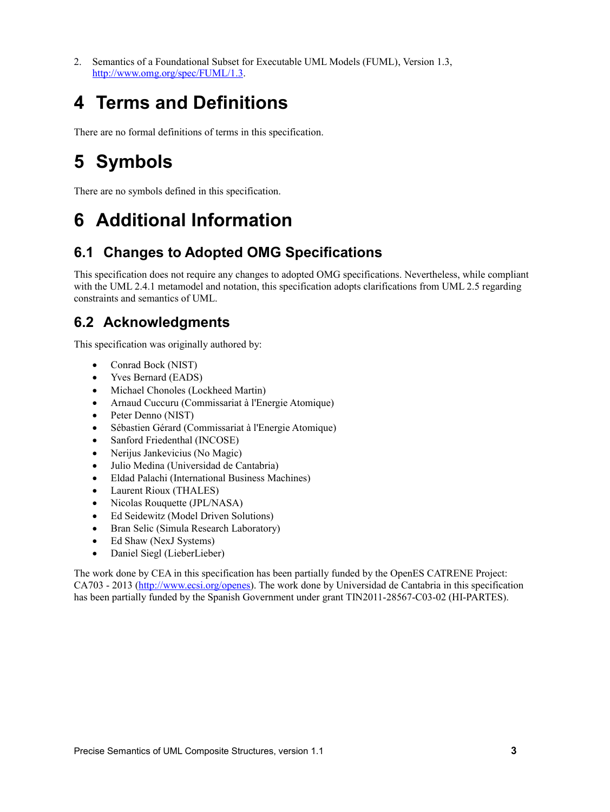2. Semantics of a Foundational Subset for Executable UML Models (FUML), Version 1.3, [http://www.omg.org/spec/FUML/1.3.](http://www.omg.org/spec/FUML/1.3)

# <span id="page-14-4"></span>**4 Terms and Definitions**

There are no formal definitions of terms in this specification.

# <span id="page-14-3"></span>**5 Symbols**

There are no symbols defined in this specification.

# <span id="page-14-2"></span>**6 Additional Information**

# <span id="page-14-1"></span>**6.1 Changes to Adopted OMG Specifications**

This specification does not require any changes to adopted OMG specifications. Nevertheless, while compliant with the UML 2.4.1 metamodel and notation, this specification adopts clarifications from UML 2.5 regarding constraints and semantics of UML.

# <span id="page-14-0"></span>**6.2 Acknowledgments**

This specification was originally authored by:

- Conrad Bock (NIST)
- Yves Bernard (EADS)
- Michael Chonoles (Lockheed Martin)
- Arnaud Cuccuru (Commissariat à l'Energie Atomique)
- Peter Denno (NIST)
- Sébastien Gérard (Commissariat à l'Energie Atomique)
- Sanford Friedenthal (INCOSE)
- Nerijus Jankevicius (No Magic)
- Julio Medina (Universidad de Cantabria)
- Eldad Palachi (International Business Machines)
- Laurent Rioux (THALES)
- Nicolas Rouquette (JPL/NASA)
- Ed Seidewitz (Model Driven Solutions)
- Bran Selic (Simula Research Laboratory)
- Ed Shaw (NexJ Systems)
- Daniel Siegl (LieberLieber)

The work done by CEA in this specification has been partially funded by the OpenES CATRENE Project: CA703 - 2013 [\(http://www.ecsi.org/openes\)](http://www.ecsi.org/openes). The work done by Universidad de Cantabria in this specification has been partially funded by the Spanish Government under grant TIN2011-28567-C03-02 (HI-PARTES).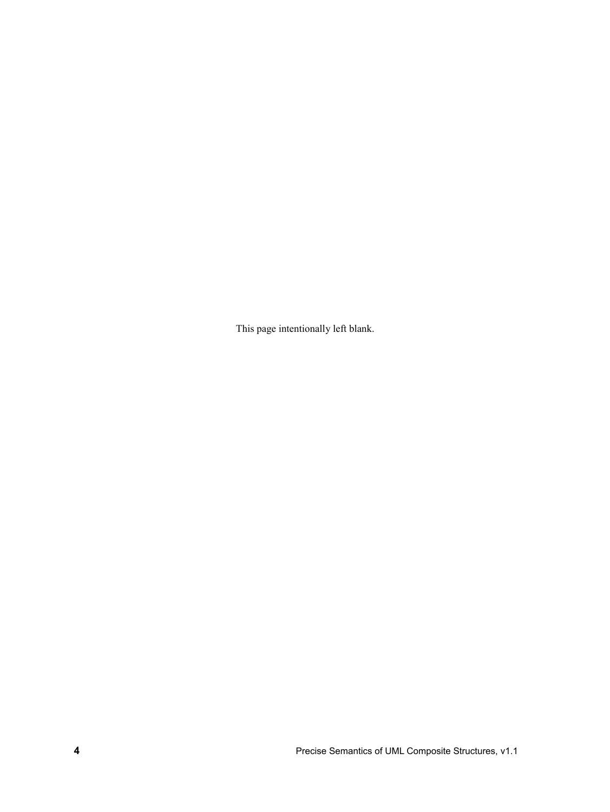This page intentionally left blank.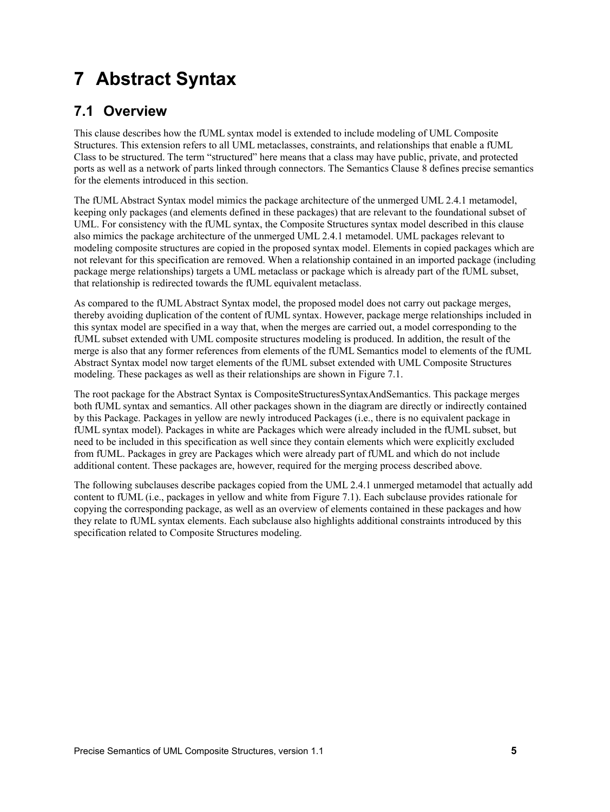# <span id="page-16-1"></span>**7 Abstract Syntax**

## <span id="page-16-0"></span>**7.1 Overview**

This clause describes how the fUML syntax model is extended to include modeling of UML Composite Structures. This extension refers to all UML metaclasses, constraints, and relationships that enable a fUML Class to be structured. The term "structured" here means that a class may have public, private, and protected ports as well as a network of parts linked through connectors. The Semantics Clause [8](#page-34-1) defines precise semantics for the elements introduced in this section.

The fUML Abstract Syntax model mimics the package architecture of the unmerged UML 2.4.1 metamodel, keeping only packages (and elements defined in these packages) that are relevant to the foundational subset of UML. For consistency with the fUML syntax, the Composite Structures syntax model described in this clause also mimics the package architecture of the unmerged UML 2.4.1 metamodel. UML packages relevant to modeling composite structures are copied in the proposed syntax model. Elements in copied packages which are not relevant for this specification are removed. When a relationship contained in an imported package (including package merge relationships) targets a UML metaclass or package which is already part of the fUML subset, that relationship is redirected towards the fUML equivalent metaclass.

As compared to the fUML Abstract Syntax model, the proposed model does not carry out package merges, thereby avoiding duplication of the content of fUML syntax. However, package merge relationships included in this syntax model are specified in a way that, when the merges are carried out, a model corresponding to the fUML subset extended with UML composite structures modeling is produced. In addition, the result of the merge is also that any former references from elements of the fUML Semantics model to elements of the fUML Abstract Syntax model now target elements of the fUML subset extended with UML Composite Structures modeling. These packages as well as their relationships are shown in [Figure 7.1.](#page-17-2)

The root package for the Abstract Syntax is CompositeStructuresSyntaxAndSemantics. This package merges both fUML syntax and semantics. All other packages shown in the diagram are directly or indirectly contained by this Package. Packages in yellow are newly introduced Packages (i.e., there is no equivalent package in fUML syntax model). Packages in white are Packages which were already included in the fUML subset, but need to be included in this specification as well since they contain elements which were explicitly excluded from fUML. Packages in grey are Packages which were already part of fUML and which do not include additional content. These packages are, however, required for the merging process described above.

The following subclauses describe packages copied from the UML 2.4.1 unmerged metamodel that actually add content to fUML (i.e., packages in yellow and white from [Figure 7.1\)](#page-17-2). Each subclause provides rationale for copying the corresponding package, as well as an overview of elements contained in these packages and how they relate to fUML syntax elements. Each subclause also highlights additional constraints introduced by this specification related to Composite Structures modeling.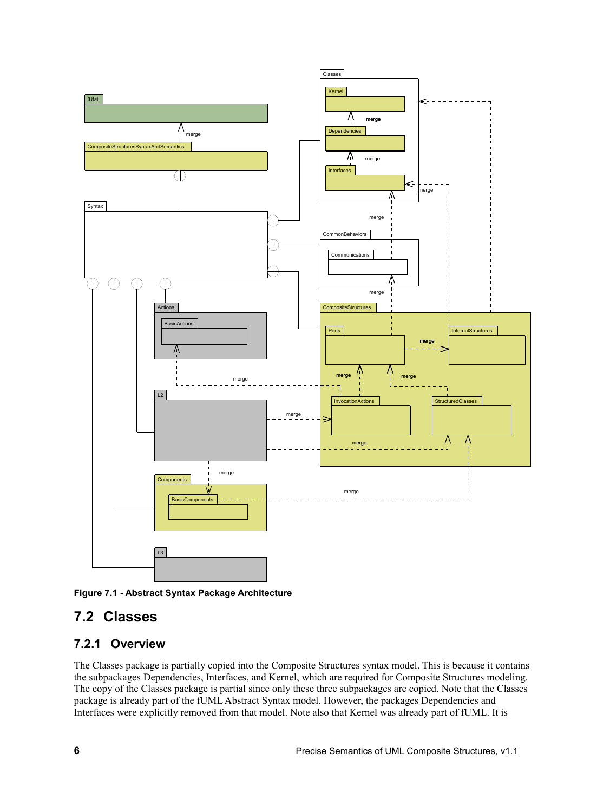

<span id="page-17-2"></span>**Figure 7.1 - Abstract Syntax Package Architecture**

## <span id="page-17-1"></span>**7.2 Classes**

### <span id="page-17-0"></span>**7.2.1 Overview**

The Classes package is partially copied into the Composite Structures syntax model. This is because it contains the subpackages Dependencies, Interfaces, and Kernel, which are required for Composite Structures modeling. The copy of the Classes package is partial since only these three subpackages are copied. Note that the Classes package is already part of the fUML Abstract Syntax model. However, the packages Dependencies and Interfaces were explicitly removed from that model. Note also that Kernel was already part of fUML. It is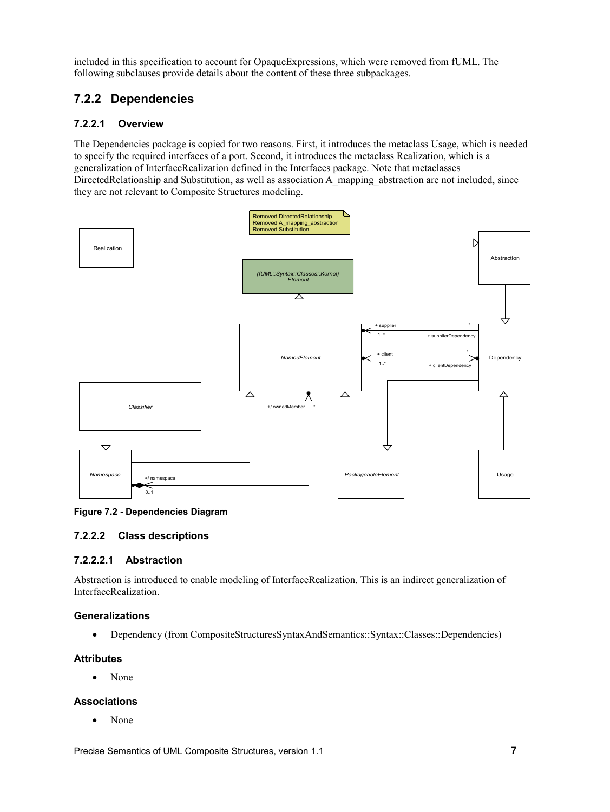included in this specification to account for OpaqueExpressions, which were removed from fUML. The following subclauses provide details about the content of these three subpackages.

### <span id="page-18-3"></span>**7.2.2 Dependencies**

#### <span id="page-18-2"></span>**7.2.2.1 Overview**

The Dependencies package is copied for two reasons. First, it introduces the metaclass Usage, which is needed to specify the required interfaces of a port. Second, it introduces the metaclass Realization, which is a generalization of InterfaceRealization defined in the Interfaces package. Note that metaclasses DirectedRelationship and Substitution, as well as association A\_mapping\_abstraction are not included, since they are not relevant to Composite Structures modeling.





#### <span id="page-18-1"></span>**7.2.2.2 Class descriptions**

#### <span id="page-18-0"></span>**7.2.2.2.1 Abstraction**

Abstraction is introduced to enable modeling of InterfaceRealization. This is an indirect generalization of InterfaceRealization.

#### **Generalizations**

Dependency (from CompositeStructuresSyntaxAndSemantics::Syntax::Classes::Dependencies)

#### **Attributes**

• None

#### **Associations**

• None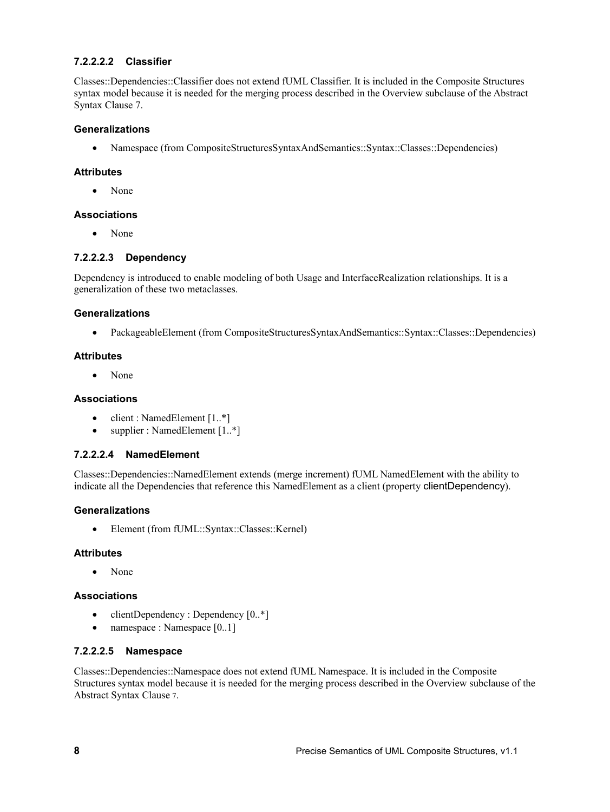#### <span id="page-19-3"></span>**7.2.2.2.2 Classifier**

Classes::Dependencies::Classifier does not extend fUML Classifier. It is included in the Composite Structures syntax model because it is needed for the merging process described in the Overview subclause of the Abstract Syntax Clause [7.](#page-16-1)

#### **Generalizations**

Namespace (from CompositeStructuresSyntaxAndSemantics::Syntax::Classes::Dependencies)

#### **Attributes**

• None

#### **Associations**

<span id="page-19-2"></span>• None

#### **7.2.2.2.3 Dependency**

Dependency is introduced to enable modeling of both Usage and InterfaceRealization relationships. It is a generalization of these two metaclasses.

#### **Generalizations**

PackageableElement (from CompositeStructuresSyntaxAndSemantics::Syntax::Classes::Dependencies)

#### **Attributes**

• None

#### **Associations**

- client : NamedElement [1..\*]
- <span id="page-19-1"></span>supplier : NamedElement [1..\*]

#### **7.2.2.2.4 NamedElement**

Classes::Dependencies::NamedElement extends (merge increment) fUML NamedElement with the ability to indicate all the Dependencies that reference this NamedElement as a client (property clientDependency).

#### **Generalizations**

Element (from fUML::Syntax::Classes::Kernel)

#### **Attributes**

• None

#### **Associations**

- clientDependency : Dependency  $[0.*]$
- <span id="page-19-0"></span>• namespace : Namespace  $[0, 1]$

#### **7.2.2.2.5 Namespace**

Classes::Dependencies::Namespace does not extend fUML Namespace. It is included in the Composite Structures syntax model because it is needed for the merging process described in the Overview subclause of the Abstract Syntax Clause [7](#page-16-1).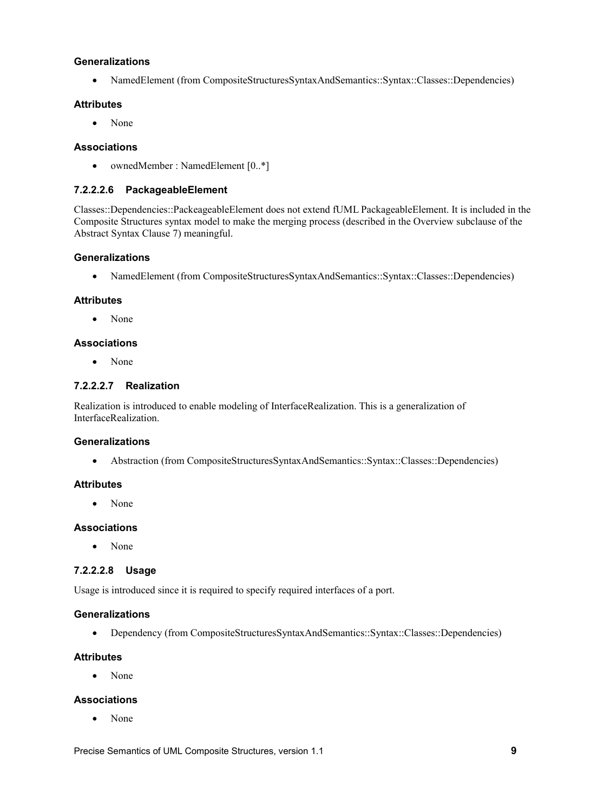#### **Generalizations**

NamedElement (from CompositeStructuresSyntaxAndSemantics::Syntax::Classes::Dependencies)

#### **Attributes**

None

#### **Associations**

<span id="page-20-2"></span>• ownedMember : NamedElement [0..\*]

#### **7.2.2.2.6 PackageableElement**

Classes::Dependencies::PackeageableElement does not extend fUML PackageableElement. It is included in the Composite Structures syntax model to make the merging process (described in the Overview subclause of the Abstract Syntax Clause [7\)](#page-16-1) meaningful.

#### **Generalizations**

NamedElement (from CompositeStructuresSyntaxAndSemantics::Syntax::Classes::Dependencies)

#### **Attributes**

• None

#### **Associations**

<span id="page-20-1"></span>• None

#### **7.2.2.2.7 Realization**

Realization is introduced to enable modeling of InterfaceRealization. This is a generalization of InterfaceRealization.

#### **Generalizations**

Abstraction (from CompositeStructuresSyntaxAndSemantics::Syntax::Classes::Dependencies)

#### **Attributes**

• None

#### **Associations**

<span id="page-20-0"></span>• None

#### **7.2.2.2.8 Usage**

Usage is introduced since it is required to specify required interfaces of a port.

#### **Generalizations**

Dependency (from CompositeStructuresSyntaxAndSemantics::Syntax::Classes::Dependencies)

#### **Attributes**

• None

#### **Associations**

• None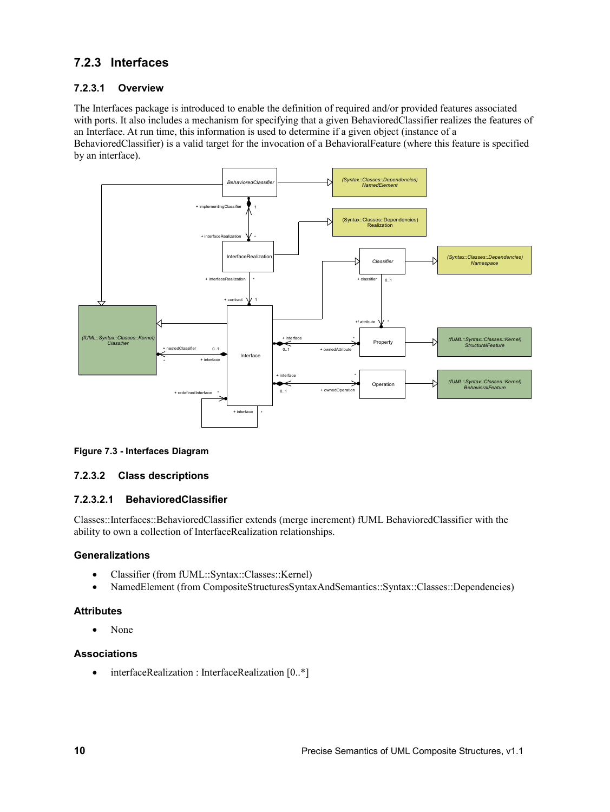## <span id="page-21-3"></span>**7.2.3 Interfaces**

#### <span id="page-21-2"></span>**7.2.3.1 Overview**

The Interfaces package is introduced to enable the definition of required and/or provided features associated with ports. It also includes a mechanism for specifying that a given BehavioredClassifier realizes the features of an Interface. At run time, this information is used to determine if a given object (instance of a BehavioredClassifier) is a valid target for the invocation of a BehavioralFeature (where this feature is specified by an interface).



#### **Figure 7.3 - Interfaces Diagram**

#### <span id="page-21-1"></span>**7.2.3.2 Class descriptions**

#### <span id="page-21-0"></span>**7.2.3.2.1 BehavioredClassifier**

Classes::Interfaces::BehavioredClassifier extends (merge increment) fUML BehavioredClassifier with the ability to own a collection of InterfaceRealization relationships.

#### **Generalizations**

- Classifier (from fUML::Syntax::Classes::Kernel)
- NamedElement (from CompositeStructuresSyntaxAndSemantics::Syntax::Classes::Dependencies)

#### **Attributes**

• None

#### **Associations**

• interfaceRealization : InterfaceRealization [0..\*]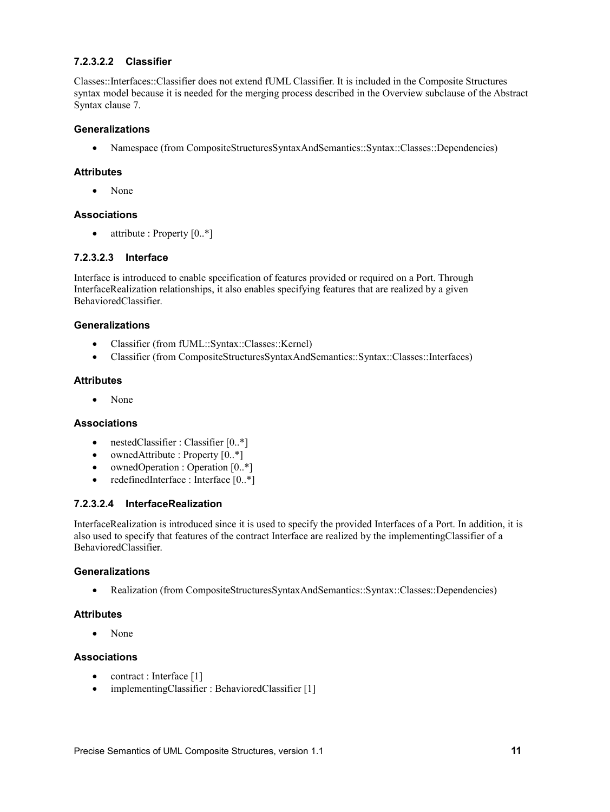#### <span id="page-22-1"></span>**7.2.3.2.2 Classifier**

Classes::Interfaces::Classifier does not extend fUML Classifier. It is included in the Composite Structures syntax model because it is needed for the merging process described in the Overview subclause of the Abstract Syntax clause [7.](#page-16-1)

#### **Generalizations**

Namespace (from CompositeStructuresSyntaxAndSemantics::Syntax::Classes::Dependencies)

#### **Attributes**

• None

#### **Associations**

<span id="page-22-0"></span>• attribute : Property  $[0, *]$ 

#### **7.2.3.2.3 Interface**

Interface is introduced to enable specification of features provided or required on a Port. Through InterfaceRealization relationships, it also enables specifying features that are realized by a given BehavioredClassifier.

#### **Generalizations**

- Classifier (from fUML::Syntax::Classes::Kernel)
- Classifier (from CompositeStructuresSyntaxAndSemantics::Syntax::Classes::Interfaces)

#### **Attributes**

• None

#### **Associations**

- nestedClassifier : Classifier [0..\*]
- ownedAttribute : Property  $[0.*]$
- ownedOperation : Operation  $[0, *]$
- <span id="page-22-2"></span>• redefinedInterface : Interface [0..\*]

#### **7.2.3.2.4 InterfaceRealization**

InterfaceRealization is introduced since it is used to specify the provided Interfaces of a Port. In addition, it is also used to specify that features of the contract Interface are realized by the implementingClassifier of a BehavioredClassifier.

#### **Generalizations**

Realization (from CompositeStructuresSyntaxAndSemantics::Syntax::Classes::Dependencies)

#### **Attributes**

None

#### **Associations**

- contract : Interface [1]
- implementingClassifier : BehavioredClassifier [1]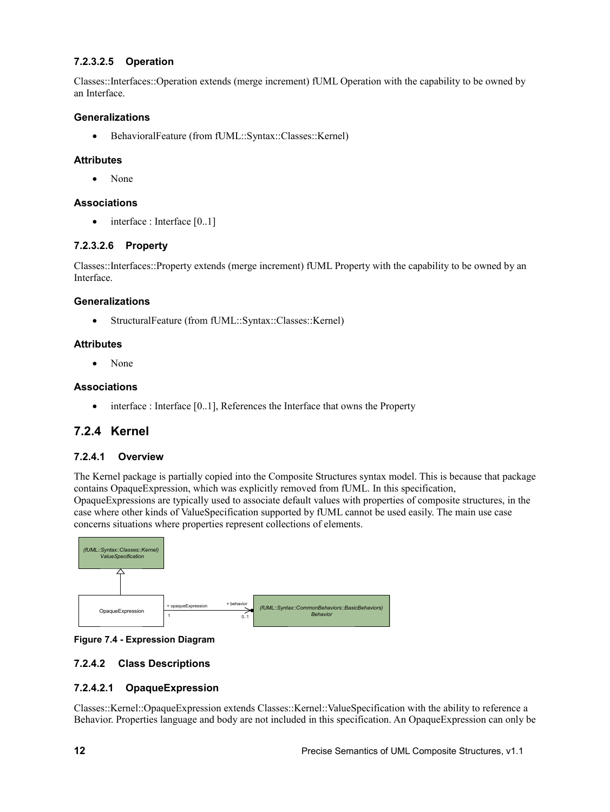#### <span id="page-23-5"></span>**7.2.3.2.5 Operation**

Classes::Interfaces::Operation extends (merge increment) fUML Operation with the capability to be owned by an Interface.

#### **Generalizations**

BehavioralFeature (from fUML::Syntax::Classes::Kernel)

#### **Attributes**

• None

#### **Associations**

<span id="page-23-4"></span> $\bullet$  interface : Interface [0..1]

#### **7.2.3.2.6 Property**

Classes::Interfaces::Property extends (merge increment) fUML Property with the capability to be owned by an Interface.

#### **Generalizations**

StructuralFeature (from fUML::Syntax::Classes::Kernel)

#### **Attributes**

• None

#### **Associations**

<span id="page-23-3"></span> $\bullet$  interface : Interface [0..1], References the Interface that owns the Property

### **7.2.4 Kernel**

#### <span id="page-23-2"></span>**7.2.4.1 Overview**

The Kernel package is partially copied into the Composite Structures syntax model. This is because that package contains OpaqueExpression, which was explicitly removed from fUML. In this specification, OpaqueExpressions are typically used to associate default values with properties of composite structures, in the case where other kinds of ValueSpecification supported by fUML cannot be used easily. The main use case concerns situations where properties represent collections of elements.



#### **Figure 7.4 - Expression Diagram**

#### <span id="page-23-1"></span>**7.2.4.2 Class Descriptions**

#### <span id="page-23-0"></span>**7.2.4.2.1 OpaqueExpression**

Classes::Kernel::OpaqueExpression extends Classes::Kernel::ValueSpecification with the ability to reference a Behavior. Properties language and body are not included in this specification. An OpaqueExpression can only be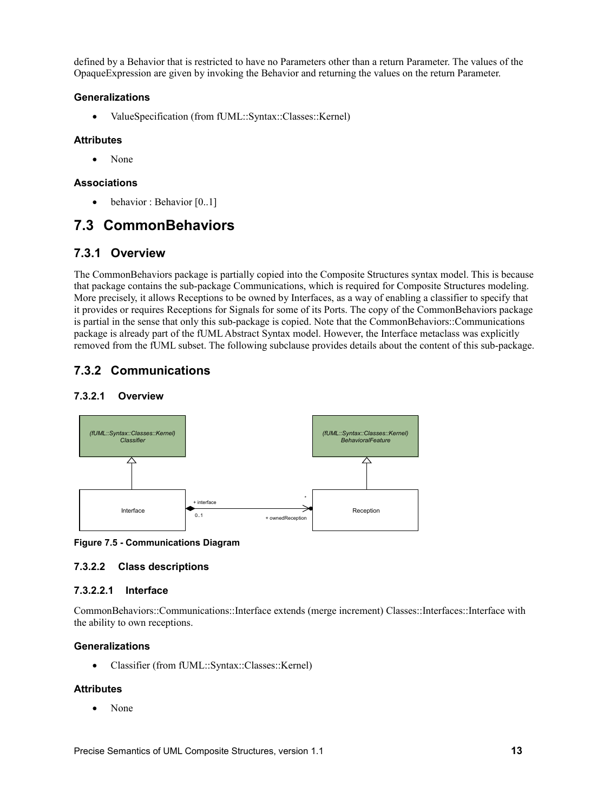defined by a Behavior that is restricted to have no Parameters other than a return Parameter. The values of the OpaqueExpression are given by invoking the Behavior and returning the values on the return Parameter.

#### **Generalizations**

ValueSpecification (from fUML::Syntax::Classes::Kernel)

#### **Attributes**

• None

#### **Associations**

<span id="page-24-5"></span> $\bullet$  behavior : Behavior [0..1]

## **7.3 CommonBehaviors**

### <span id="page-24-4"></span>**7.3.1 Overview**

The CommonBehaviors package is partially copied into the Composite Structures syntax model. This is because that package contains the sub-package Communications, which is required for Composite Structures modeling. More precisely, it allows Receptions to be owned by Interfaces, as a way of enabling a classifier to specify that it provides or requires Receptions for Signals for some of its Ports. The copy of the CommonBehaviors package is partial in the sense that only this sub-package is copied. Note that the CommonBehaviors::Communications package is already part of the fUML Abstract Syntax model. However, the Interface metaclass was explicitly removed from the fUML subset. The following subclause provides details about the content of this sub-package.

### <span id="page-24-3"></span>**7.3.2 Communications**

#### <span id="page-24-2"></span>**7.3.2.1 Overview**



#### **Figure 7.5 - Communications Diagram**

#### <span id="page-24-1"></span>**7.3.2.2 Class descriptions**

#### <span id="page-24-0"></span>**7.3.2.2.1 Interface**

CommonBehaviors::Communications::Interface extends (merge increment) Classes::Interfaces::Interface with the ability to own receptions.

#### **Generalizations**

Classifier (from fUML::Syntax::Classes::Kernel)

#### **Attributes**

• None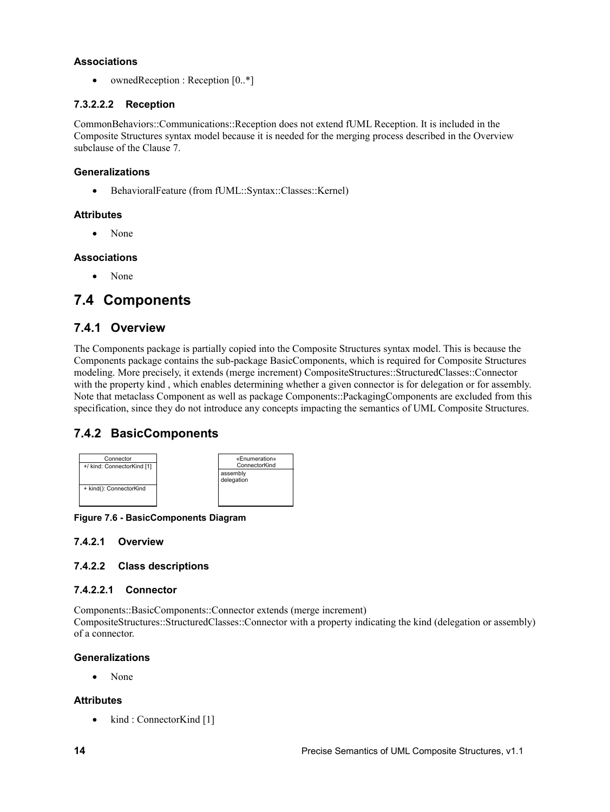#### **Associations**

<span id="page-25-6"></span>• ownedReception : Reception  $[0, *]$ 

#### **7.3.2.2.2 Reception**

CommonBehaviors::Communications::Reception does not extend fUML Reception. It is included in the Composite Structures syntax model because it is needed for the merging process described in the Overview subclause of the Clause [7.](#page-16-1)

#### **Generalizations**

BehavioralFeature (from fUML::Syntax::Classes::Kernel)

#### **Attributes**

• None

#### **Associations**

<span id="page-25-5"></span>• None

## **7.4 Components**

### <span id="page-25-4"></span>**7.4.1 Overview**

The Components package is partially copied into the Composite Structures syntax model. This is because the Components package contains the sub-package BasicComponents, which is required for Composite Structures modeling. More precisely, it extends (merge increment) CompositeStructures::StructuredClasses::Connector with the property kind, which enables determining whether a given connector is for delegation or for assembly. Note that metaclass Component as well as package Components::PackagingComponents are excluded from this specification, since they do not introduce any concepts impacting the semantics of UML Composite Structures.

## <span id="page-25-3"></span>**7.4.2 BasicComponents**



**Figure 7.6 - BasicComponents Diagram**

#### <span id="page-25-2"></span>**7.4.2.1 Overview**

#### <span id="page-25-1"></span>**7.4.2.2 Class descriptions**

#### <span id="page-25-0"></span>**7.4.2.2.1 Connector**

Components::BasicComponents::Connector extends (merge increment) CompositeStructures::StructuredClasses::Connector with a property indicating the kind (delegation or assembly) of a connector.

#### **Generalizations**

• None

#### **Attributes**

 $\bullet$  kind : ConnectorKind [1]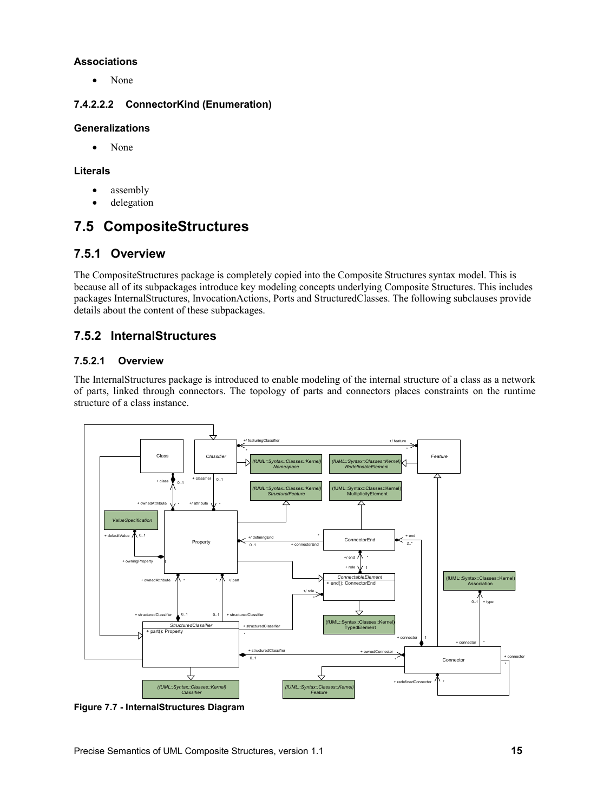#### **Associations**

<span id="page-26-4"></span>• None

#### **7.4.2.2.2 ConnectorKind (Enumeration)**

#### **Generalizations**

• None

#### **Literals**

- assembly
- <span id="page-26-3"></span>delegation

## **7.5 CompositeStructures**

### <span id="page-26-2"></span>**7.5.1 Overview**

The CompositeStructures package is completely copied into the Composite Structures syntax model. This is because all of its subpackages introduce key modeling concepts underlying Composite Structures. This includes packages InternalStructures, InvocationActions, Ports and StructuredClasses. The following subclauses provide details about the content of these subpackages.

### <span id="page-26-1"></span>**7.5.2 InternalStructures**

#### <span id="page-26-0"></span>**7.5.2.1 Overview**

The InternalStructures package is introduced to enable modeling of the internal structure of a class as a network of parts, linked through connectors. The topology of parts and connectors places constraints on the runtime structure of a class instance.



**Figure 7.7 - InternalStructures Diagram**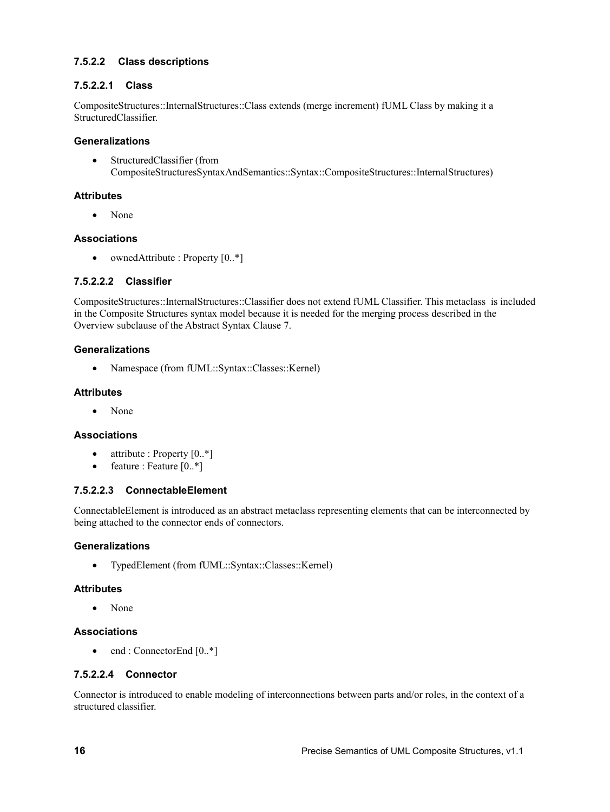#### <span id="page-27-4"></span>**7.5.2.2 Class descriptions**

#### <span id="page-27-3"></span>**7.5.2.2.1 Class**

CompositeStructures::InternalStructures::Class extends (merge increment) fUML Class by making it a StructuredClassifier.

#### **Generalizations**

• StructuredClassifier (from CompositeStructuresSyntaxAndSemantics::Syntax::CompositeStructures::InternalStructures)

#### **Attributes**

• None

#### **Associations**

<span id="page-27-2"></span>• ownedAttribute : Property  $[0, *]$ 

#### **7.5.2.2.2 Classifier**

CompositeStructures::InternalStructures::Classifier does not extend fUML Classifier. This metaclass is included in the Composite Structures syntax model because it is needed for the merging process described in the Overview subclause of the Abstract Syntax Clause [7.](#page-16-1)

#### **Generalizations**

• Namespace (from fUML::Syntax::Classes::Kernel)

#### **Attributes**

• None

#### **Associations**

- attribute : Property  $[0, *]$
- <span id="page-27-1"></span>• feature : Feature  $[0, *]$

#### **7.5.2.2.3 ConnectableElement**

ConnectableElement is introduced as an abstract metaclass representing elements that can be interconnected by being attached to the connector ends of connectors.

#### **Generalizations**

• TypedElement (from fUML::Syntax::Classes::Kernel)

#### **Attributes**

• None

#### **Associations**

<span id="page-27-0"></span>• end : ConnectorEnd  $[0.*]$ 

#### **7.5.2.2.4 Connector**

Connector is introduced to enable modeling of interconnections between parts and/or roles, in the context of a structured classifier.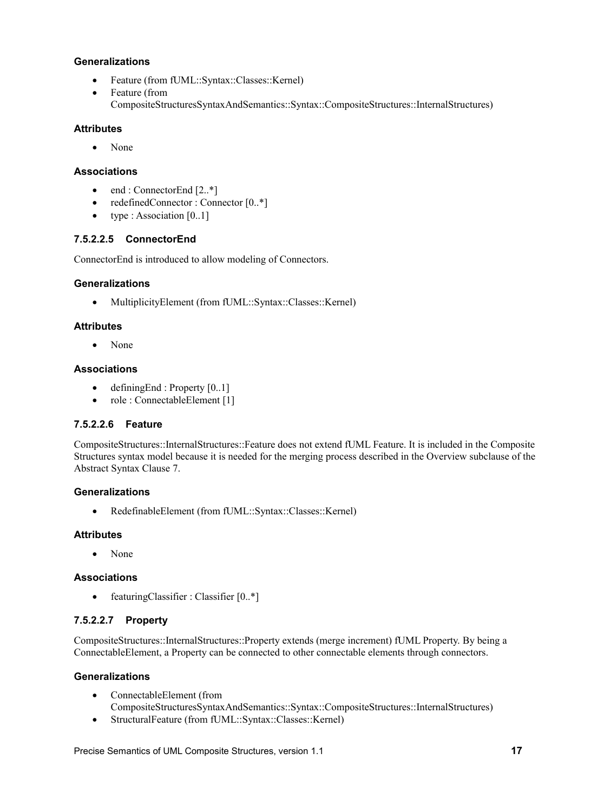#### **Generalizations**

- Feature (from fUML::Syntax::Classes::Kernel)
- Feature (from CompositeStructuresSyntaxAndSemantics::Syntax::CompositeStructures::InternalStructures)

#### **Attributes**

• None

#### **Associations**

- end : ConnectorEnd  $[2.*]$
- redefinedConnector : Connector [0..\*]
- <span id="page-28-2"></span>• type : Association  $[0..1]$

#### **7.5.2.2.5 ConnectorEnd**

ConnectorEnd is introduced to allow modeling of Connectors.

#### **Generalizations**

MultiplicityElement (from fUML::Syntax::Classes::Kernel)

#### **Attributes**

None

#### **Associations**

- $\bullet$  definingEnd : Property [0..1]
- <span id="page-28-1"></span>• role : ConnectableElement [1]

#### **7.5.2.2.6 Feature**

CompositeStructures::InternalStructures::Feature does not extend fUML Feature. It is included in the Composite Structures syntax model because it is needed for the merging process described in the Overview subclause of the Abstract Syntax Clause [7.](#page-16-1)

#### **Generalizations**

RedefinableElement (from fUML::Syntax::Classes::Kernel)

#### **Attributes**

• None

#### **Associations**

<span id="page-28-0"></span>• featuringClassifier : Classifier [0..\*]

#### **7.5.2.2.7 Property**

CompositeStructures::InternalStructures::Property extends (merge increment) fUML Property. By being a ConnectableElement, a Property can be connected to other connectable elements through connectors.

#### **Generalizations**

- ConnectableElement (from CompositeStructuresSyntaxAndSemantics::Syntax::CompositeStructures::InternalStructures)
- StructuralFeature (from fUML::Syntax::Classes::Kernel)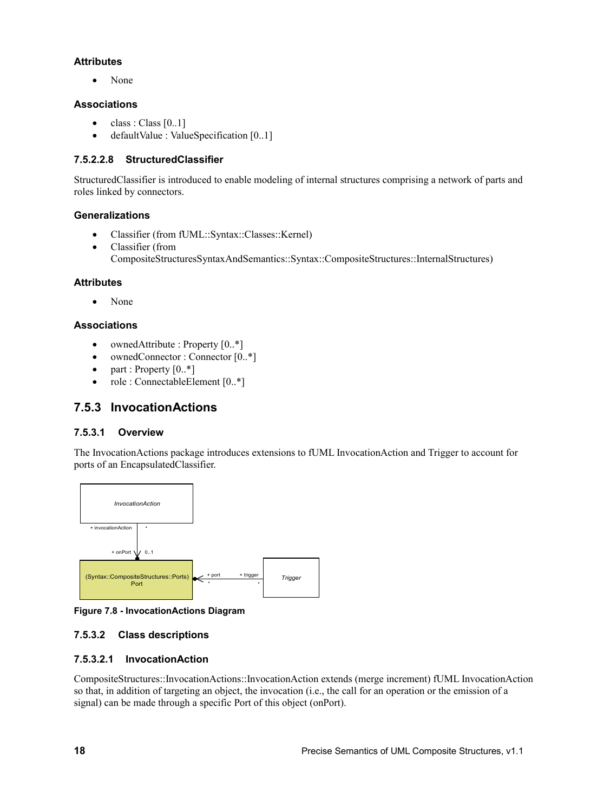#### **Attributes**

• None

#### **Associations**

- $\bullet$  class : Class  $[0..1]$
- <span id="page-29-0"></span>defaultValue : ValueSpecification [0..1]

#### **7.5.2.2.8 StructuredClassifier**

StructuredClassifier is introduced to enable modeling of internal structures comprising a network of parts and roles linked by connectors.

#### **Generalizations**

- Classifier (from fUML::Syntax::Classes::Kernel)
- Classifier (from CompositeStructuresSyntaxAndSemantics::Syntax::CompositeStructures::InternalStructures)

#### **Attributes**

• None

#### **Associations**

- ownedAttribute : Property  $[0, *]$
- ownedConnector : Connector  $[0.*]$
- part : Property  $[0, *]$
- <span id="page-29-1"></span>• role : ConnectableElement [0..\*]

### **7.5.3 InvocationActions**

#### <span id="page-29-4"></span>**7.5.3.1 Overview**

The InvocationActions package introduces extensions to fUML InvocationAction and Trigger to account for ports of an EncapsulatedClassifier.



**Figure 7.8 - InvocationActions Diagram**

#### <span id="page-29-3"></span>**7.5.3.2 Class descriptions**

#### <span id="page-29-2"></span>**7.5.3.2.1 InvocationAction**

CompositeStructures::InvocationActions::InvocationAction extends (merge increment) fUML InvocationAction so that, in addition of targeting an object, the invocation (i.e., the call for an operation or the emission of a signal) can be made through a specific Port of this object (onPort).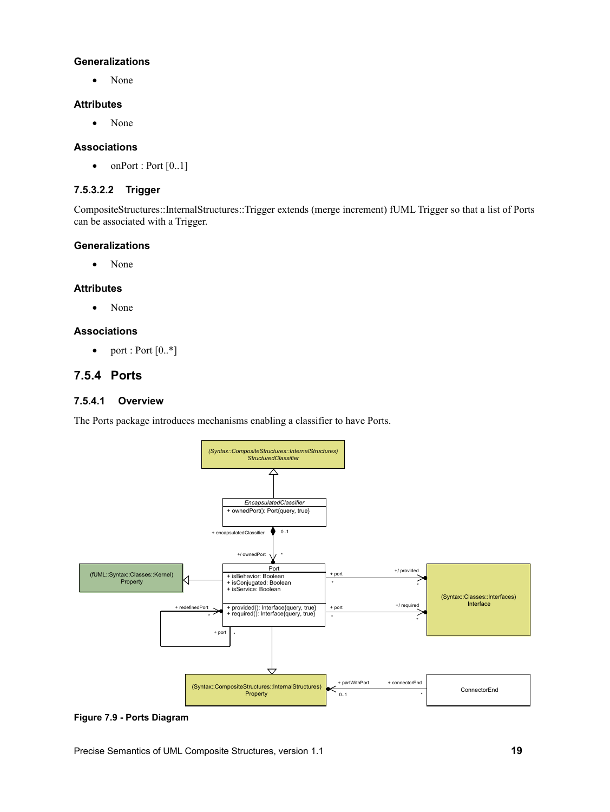#### **Generalizations**

• None

#### **Attributes**

• None

#### **Associations**

<span id="page-30-2"></span> $\bullet$  onPort : Port  $[0..1]$ 

#### **7.5.3.2.2 Trigger**

CompositeStructures::InternalStructures::Trigger extends (merge increment) fUML Trigger so that a list of Ports can be associated with a Trigger.

#### **Generalizations**

• None

#### **Attributes**

• None

#### **Associations**

<span id="page-30-1"></span>• port : Port  $[0, *]$ 

### **7.5.4 Ports**

#### <span id="page-30-0"></span>**7.5.4.1 Overview**

The Ports package introduces mechanisms enabling a classifier to have Ports.



#### **Figure 7.9 - Ports Diagram**

Precise Semantics of UML Composite Structures, version 1.1 **19**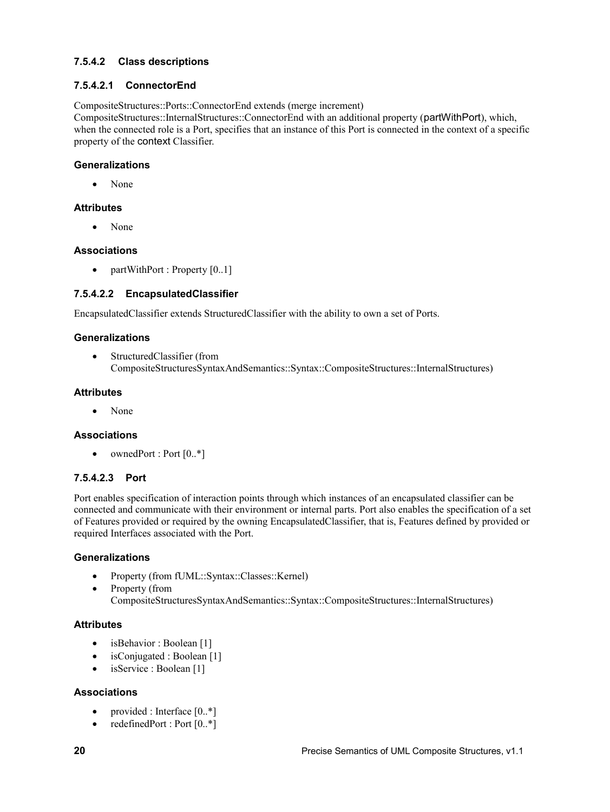#### <span id="page-31-3"></span>**7.5.4.2 Class descriptions**

#### <span id="page-31-2"></span>**7.5.4.2.1 ConnectorEnd**

CompositeStructures::Ports::ConnectorEnd extends (merge increment)

CompositeStructures::InternalStructures::ConnectorEnd with an additional property (partWithPort), which, when the connected role is a Port, specifies that an instance of this Port is connected in the context of a specific property of the context Classifier.

#### **Generalizations**

None

#### **Attributes**

• None

#### **Associations**

<span id="page-31-1"></span>• partWithPort : Property  $[0..1]$ 

#### **7.5.4.2.2 EncapsulatedClassifier**

EncapsulatedClassifier extends StructuredClassifier with the ability to own a set of Ports.

#### **Generalizations**

 StructuredClassifier (from CompositeStructuresSyntaxAndSemantics::Syntax::CompositeStructures::InternalStructures)

#### **Attributes**

None

#### **Associations**

<span id="page-31-0"></span>• ownedPort : Port  $[0.*]$ 

#### **7.5.4.2.3 Port**

Port enables specification of interaction points through which instances of an encapsulated classifier can be connected and communicate with their environment or internal parts. Port also enables the specification of a set of Features provided or required by the owning EncapsulatedClassifier, that is, Features defined by provided or required Interfaces associated with the Port.

#### **Generalizations**

- Property (from fUML::Syntax::Classes::Kernel)
- Property (from CompositeStructuresSyntaxAndSemantics::Syntax::CompositeStructures::InternalStructures)

#### **Attributes**

- isBehavior : Boolean [1]
- isConjugated : Boolean [1]
- isService : Boolean [1]

#### **Associations**

- provided : Interface  $[0, *]$
- redefinedPort : Port  $[0.*]$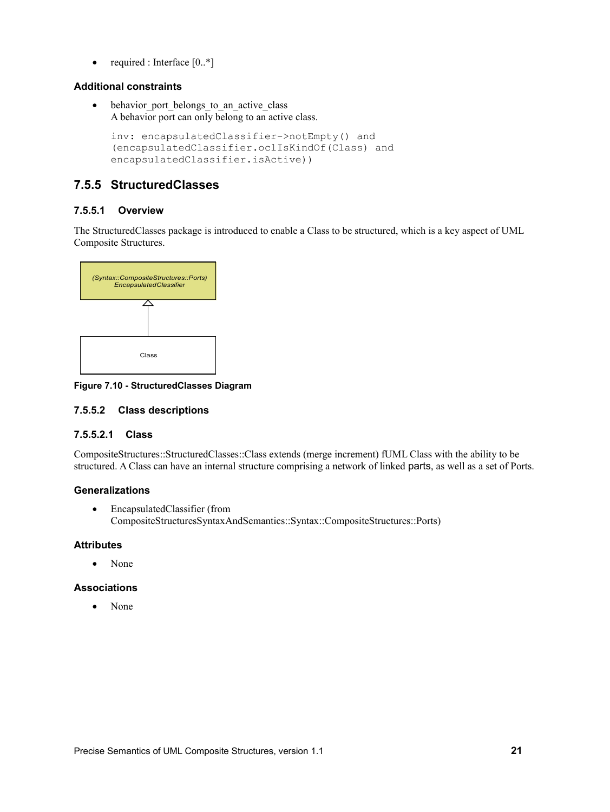• required : Interface  $[0, *]$ 

#### **Additional constraints**

• behavior port belongs to an active class A behavior port can only belong to an active class.

```
inv: encapsulatedClassifier->notEmpty() and 
(encapsulatedClassifier.oclIsKindOf(Class) and 
encapsulatedClassifier.isActive))
```
### <span id="page-32-3"></span>**7.5.5 StructuredClasses**

#### <span id="page-32-2"></span>**7.5.5.1 Overview**

The StructuredClasses package is introduced to enable a Class to be structured, which is a key aspect of UML Composite Structures.



**Figure 7.10 - StructuredClasses Diagram**

#### <span id="page-32-1"></span>**7.5.5.2 Class descriptions**

#### <span id="page-32-0"></span>**7.5.5.2.1 Class**

CompositeStructures::StructuredClasses::Class extends (merge increment) fUML Class with the ability to be structured. A Class can have an internal structure comprising a network of linked parts, as well as a set of Ports.

#### **Generalizations**

 EncapsulatedClassifier (from CompositeStructuresSyntaxAndSemantics::Syntax::CompositeStructures::Ports)

#### **Attributes**

• None

#### **Associations**

• None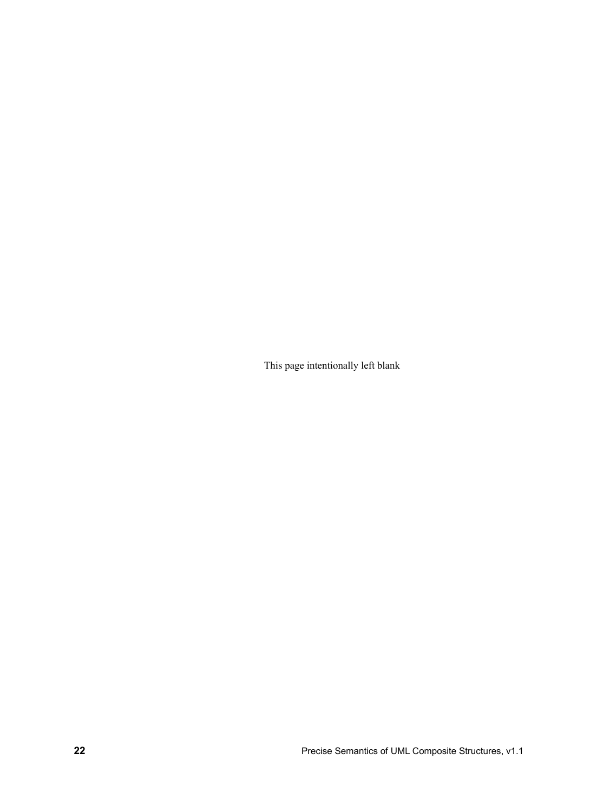This page intentionally left blank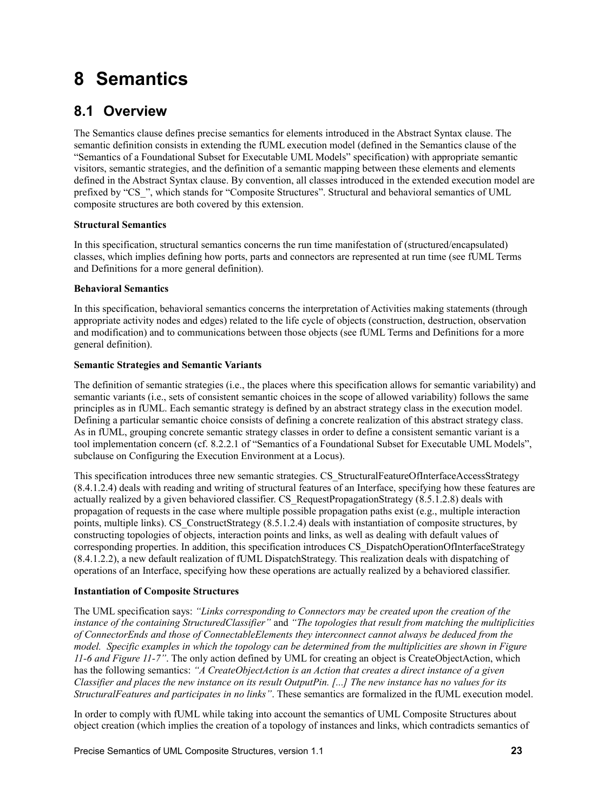# <span id="page-34-1"></span>**8 Semantics**

## <span id="page-34-0"></span>**8.1 Overview**

The Semantics clause defines precise semantics for elements introduced in the Abstract Syntax clause. The semantic definition consists in extending the fUML execution model (defined in the Semantics clause of the "Semantics of a Foundational Subset for Executable UML Models" specification) with appropriate semantic visitors, semantic strategies, and the definition of a semantic mapping between these elements and elements defined in the Abstract Syntax clause. By convention, all classes introduced in the extended execution model are prefixed by "CS\_", which stands for "Composite Structures". Structural and behavioral semantics of UML composite structures are both covered by this extension.

#### **Structural Semantics**

In this specification, structural semantics concerns the run time manifestation of (structured/encapsulated) classes, which implies defining how ports, parts and connectors are represented at run time (see fUML Terms and Definitions for a more general definition).

#### **Behavioral Semantics**

In this specification, behavioral semantics concerns the interpretation of Activities making statements (through appropriate activity nodes and edges) related to the life cycle of objects (construction, destruction, observation and modification) and to communications between those objects (see fUML Terms and Definitions for a more general definition).

#### **Semantic Strategies and Semantic Variants**

The definition of semantic strategies (i.e., the places where this specification allows for semantic variability) and semantic variants (i.e., sets of consistent semantic choices in the scope of allowed variability) follows the same principles as in fUML. Each semantic strategy is defined by an abstract strategy class in the execution model. Defining a particular semantic choice consists of defining a concrete realization of this abstract strategy class. As in fUML, grouping concrete semantic strategy classes in order to define a consistent semantic variant is a tool implementation concern (cf. 8.2.2.1 of "Semantics of a Foundational Subset for Executable UML Models", subclause on Configuring the Execution Environment at a Locus).

This specification introduces three new semantic strategies. CS\_StructuralFeatureOfInterfaceAccessStrategy [\(8.4.1.2.4\)](#page-55-3) deals with reading and writing of structural features of an Interface, specifying how these features are actually realized by a given behaviored classifier. CS\_RequestPropagationStrategy [\(8.5.1.2.8\)](#page-69-1) deals with propagation of requests in the case where multiple possible propagation paths exist (e.g., multiple interaction points, multiple links). CS\_ConstructStrategy [\(8.5.1.2.4\)](#page-60-0) deals with instantiation of composite structures, by constructing topologies of objects, interaction points and links, as well as dealing with default values of corresponding properties. In addition, this specification introduces CS\_DispatchOperationOfInterfaceStrategy [\(8.4.1.2.2\)](#page-53-0), a new default realization of fUML DispatchStrategy. This realization deals with dispatching of operations of an Interface, specifying how these operations are actually realized by a behaviored classifier.

#### **Instantiation of Composite Structures**

The UML specification says: *"Links corresponding to Connectors may be created upon the creation of the instance of the containing StructuredClassifier"* and *"The topologies that result from matching the multiplicities of ConnectorEnds and those of ConnectableElements they interconnect cannot always be deduced from the model. Specific examples in which the topology can be determined from the multiplicities are shown in Figure 11-6 and Figure 11-7"*. The only action defined by UML for creating an object is CreateObjectAction, which has the following semantics: *"A CreateObjectAction is an Action that creates a direct instance of a given Classifier and places the new instance on its result OutputPin. [...] The new instance has no values for its StructuralFeatures and participates in no links"*. These semantics are formalized in the fUML execution model.

In order to comply with fUML while taking into account the semantics of UML Composite Structures about object creation (which implies the creation of a topology of instances and links, which contradicts semantics of

Precise Semantics of UML Composite Structures, version 1.1 **23**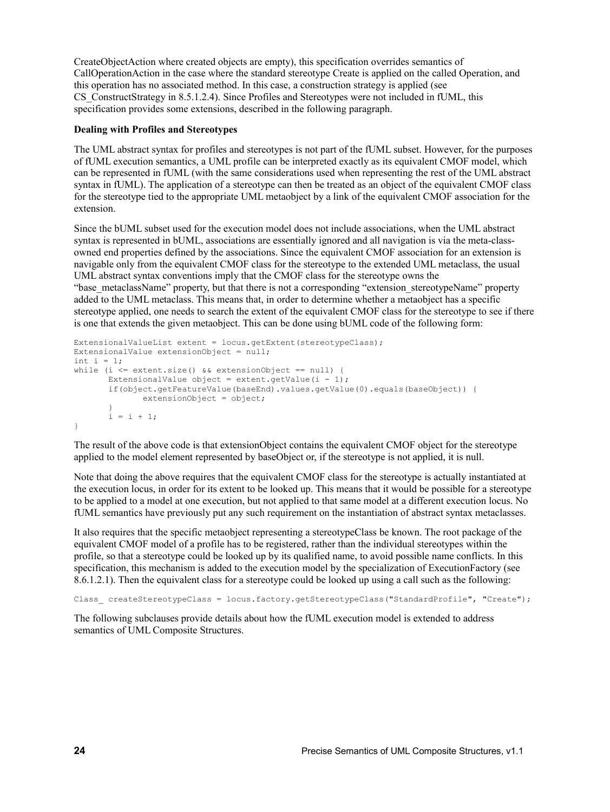CreateObjectAction where created objects are empty), this specification overrides semantics of CallOperationAction in the case where the standard stereotype Create is applied on the called Operation, and this operation has no associated method. In this case, a construction strategy is applied (see CS ConstructStrategy in [8.5.1.2.4\)](#page-60-0). Since Profiles and Stereotypes were not included in fUML, this specification provides some extensions, described in the following paragraph.

#### **Dealing with Profiles and Stereotypes**

The UML abstract syntax for profiles and stereotypes is not part of the fUML subset. However, for the purposes of fUML execution semantics, a UML profile can be interpreted exactly as its equivalent CMOF model, which can be represented in fUML (with the same considerations used when representing the rest of the UML abstract syntax in fUML). The application of a stereotype can then be treated as an object of the equivalent CMOF class for the stereotype tied to the appropriate UML metaobject by a link of the equivalent CMOF association for the extension.

Since the bUML subset used for the execution model does not include associations, when the UML abstract syntax is represented in bUML, associations are essentially ignored and all navigation is via the meta-classowned end properties defined by the associations. Since the equivalent CMOF association for an extension is navigable only from the equivalent CMOF class for the stereotype to the extended UML metaclass, the usual UML abstract syntax conventions imply that the CMOF class for the stereotype owns the "base\_metaclassName" property, but that there is not a corresponding "extension\_stereotypeName" property added to the UML metaclass. This means that, in order to determine whether a metaobject has a specific

stereotype applied, one needs to search the extent of the equivalent CMOF class for the stereotype to see if there is one that extends the given metaobject. This can be done using bUML code of the following form:

```
ExtensionalValueList extent = locus.getExtent(stereotypeClass);
ExtensionalValue extensionObject = null;int i = 1;
while (i \leq extent.size() \& extensionObject == null)ExtensionalValue object = extent.getValue(i - 1);
        if(object.getFeatureValue(baseEnd).values.getValue(0).equals(baseObject)) {
              extensionObject = object;
 }
       i = i + 1;}
```
The result of the above code is that extensionObject contains the equivalent CMOF object for the stereotype applied to the model element represented by baseObject or, if the stereotype is not applied, it is null.

Note that doing the above requires that the equivalent CMOF class for the stereotype is actually instantiated at the execution locus, in order for its extent to be looked up. This means that it would be possible for a stereotype to be applied to a model at one execution, but not applied to that same model at a different execution locus. No fUML semantics have previously put any such requirement on the instantiation of abstract syntax metaclasses.

It also requires that the specific metaobject representing a stereotypeClass be known. The root package of the equivalent CMOF model of a profile has to be registered, rather than the individual stereotypes within the profile, so that a stereotype could be looked up by its qualified name, to avoid possible name conflicts. In this specification, this mechanism is added to the execution model by the specialization of ExecutionFactory (se[e](#page-86-4) [8.6.1.2.1\)](#page-86-4). Then the equivalent class for a stereotype could be looked up using a call such as the following:

Class createStereotypeClass = locus.factory.getStereotypeClass("StandardProfile", "Create");

The following subclauses provide details about how the fUML execution model is extended to address semantics of UML Composite Structures.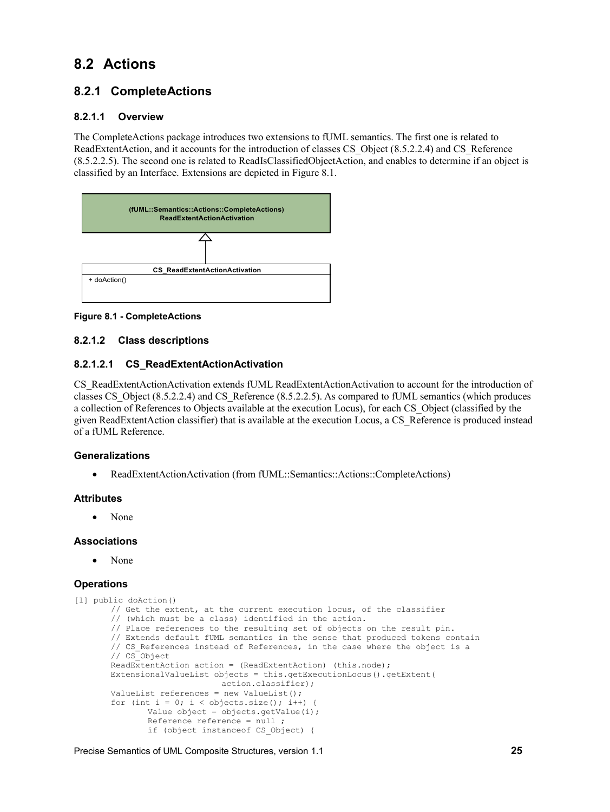# **8.2 Actions**

# **8.2.1 CompleteActions**

# **8.2.1.1 Overview**

The CompleteActions package introduces two extensions to fUML semantics. The first one is related to ReadExtentAction, and it accounts for the introduction of classes CS\_Object [\(8.5.2.2.4\)](#page-73-0) and CS\_Reference [\(8.5.2.2.5\)](#page-85-0). The second one is related to ReadIsClassifiedObjectAction, and enables to determine if an object is classified by an Interface. Extensions are depicted in [Figure 8.1.](#page-36-0)



# <span id="page-36-0"></span>**Figure 8.1 - CompleteActions**

# **8.2.1.2 Class descriptions**

# **8.2.1.2.1 CS\_ReadExtentActionActivation**

CS\_ReadExtentActionActivation extends fUML ReadExtentActionActivation to account for the introduction of classes CS\_Object [\(8.5.2.2.4\)](#page-73-0) and CS\_Reference [\(8.5.2.2.5\)](#page-85-0). As compared to fUML semantics (which produces a collection of References to Objects available at the execution Locus), for each CS\_Object (classified by the given ReadExtentAction classifier) that is available at the execution Locus, a CS\_Reference is produced instead of a fUML Reference.

# **Generalizations**

ReadExtentActionActivation (from fUML::Semantics::Actions::CompleteActions)

# **Attributes**

None

#### **Associations**

None

```
[1] public doAction()
       // Get the extent, at the current execution locus, of the classifier
       // (which must be a class) identified in the action.
       // Place references to the resulting set of objects on the result pin.
       // Extends default fUML semantics in the sense that produced tokens contain
       // CS References instead of References, in the case where the object is a
       // CS_Object
       ReadExtentAction action = (ReadExtentAction) (this.node);
       ExtensionalValueList objects = this.getExecutionLocus().getExtent(
                             action.classifier);
       ValueList references = new ValueList();
       for (int i = 0; i < objects.size(); i++)
              Value object = objects.getValue(i);
              Reference reference = null ;
              if (object instanceof CS_Object) {
```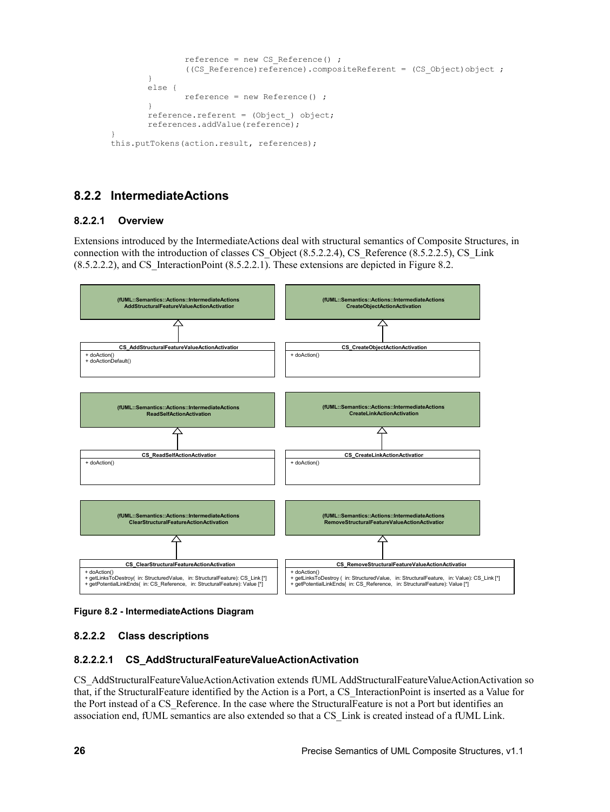```
reference = new CS Reference() ;
               ((CS Reference)reference).compositeReferent = (CS Object)object ;
       }
       else {
               reference = new Reference() ;
       }
       reference.referent = (Object_) object;
       references.addValue(reference);
}
this.putTokens(action.result, references);
```
# **8.2.2 IntermediateActions**

# **8.2.2.1 Overview**

Extensions introduced by the IntermediateActions deal with structural semantics of Composite Structures, in connection with the introduction of classes CS\_Object [\(8.5.2.2.4\)](#page-73-0), CS\_Reference [\(8.5.2.2.5\)](#page-85-0), CS\_Link  $(8.5.2.2.2)$ , and CS InteractionPoint  $(8.5.2.2.1)$ . These extensions are depicted in [Figure 8.2.](#page-37-0)



<span id="page-37-0"></span>**Figure 8.2 - IntermediateActions Diagram**

# **8.2.2.2 Class descriptions**

# **8.2.2.2.1 CS\_AddStructuralFeatureValueActionActivation**

CS\_AddStructuralFeatureValueActionActivation extends fUML AddStructuralFeatureValueActionActivation so that, if the StructuralFeature identified by the Action is a Port, a [CS\\_InteractionPoint](#page-71-0) is inserted as a Value for the Port instead of a [CS\\_Reference.](#page-85-0) In the case where the StructuralFeature is not a Port but identifies an association end, fUML semantics are also extended so that a [CS\\_Link](#page-72-0) is created instead of a fUML Link.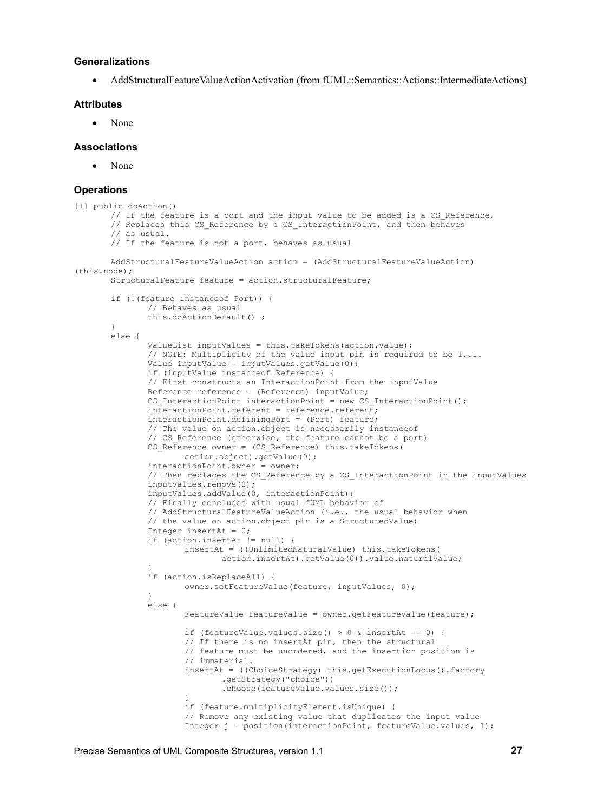#### **Generalizations**

AddStructuralFeatureValueActionActivation (from fUML::Semantics::Actions::IntermediateActions)

#### **Attributes**

None

### **Associations**

• None

```
[1] public doAction()
       // If the feature is a port and the input value to be added is a CS Reference,
       // Replaces this CS Reference by a CS InteractionPoint, and then behaves
       // as usual.
       // If the feature is not a port, behaves as usual
       AddStructuralFeatureValueAction action = (AddStructuralFeatureValueAction) 
(this.node);
       StructuralFeature feature = action.structuralFeature;
       if (!(feature instanceof Port)) {
               // Behaves as usual
              this.doActionDefault() ;
       } 
       else {
              ValueList inputValues = this.takeTokens(action.value);
              // NOTE: Multiplicity of the value input pin is required to be 1..1.
              Value inputValue = inputValues.getValue(0);
              if (inputValue instanceof Reference) {
              // First constructs an InteractionPoint from the inputValue
              Reference reference = (Reference) inputValue;
              CS InteractionPoint interactionPoint = new CS InteractionPoint();
              interactionPoint.referent = reference.referent;
              interactionPoint.definingPort = (Port) feature;
              // The value on action.object is necessarily instanceof
               // CS Reference (otherwise, the feature cannot be a port)
              CS Reference owner = (CS Reference) this.takeTokens(
                      action.object).getValue(0);
              interactionPoint.owner = owner;
              // Then replaces the CS Reference by a CS InteractionPoint in the inputValues
              inputValues.remove(0);
              inputValues.addValue(0, interactionPoint);
               // Finally concludes with usual fUML behavior of
              // AddStructuralFeatureValueAction (i.e., the usual behavior when
              // the value on action.object pin is a StructuredValue)
              Integer insertAt = 0;
              if (action.insertAt != null) {
                      insertAt = ((UnlimitedNaturalValue) this.takeTokens(
                              action.insertAt).getValue(0)).value.naturalValue;
               }
              if (action.isReplaceAll) {
                      owner.setFeatureValue(feature, inputValues, 0);
               } 
              else {
                      FeatureValue featureValue = owner.getFeatureValue(feature);
                      if (featureValue.values.size() > 0 \times 1 insertAt == 0) {
                      // If there is no insertAt pin, then the structural
                      // feature must be unordered, and the insertion position is
                      // immaterial.
                      insertAt = ((ChoiceStrategy) this.getExecutionLocus().factory
                              .getStrategy("choice"))
                              .choose(featureValue.values.size());
                      }
                      if (feature.multiplicityElement.isUnique) {
                      // Remove any existing value that duplicates the input value
                      Integer j = position(interactionPoint, featureValue.values, 1);
```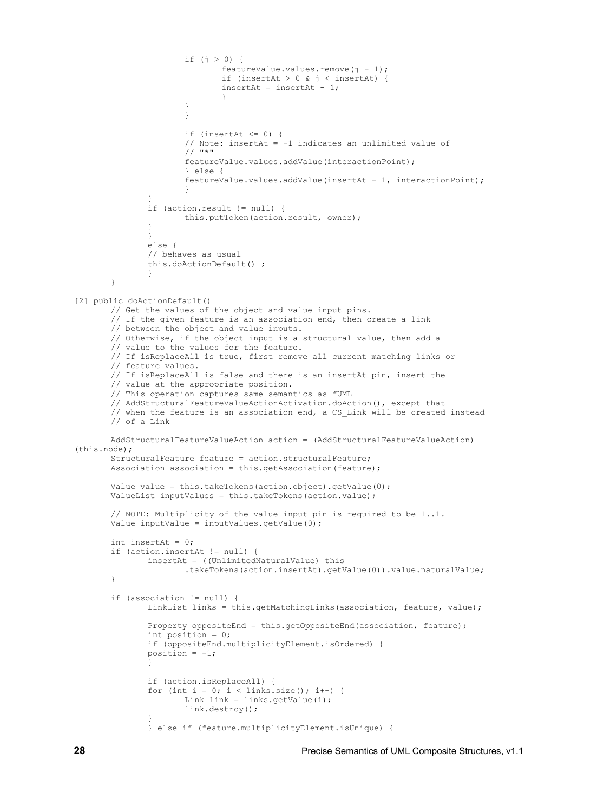```
if (j > 0) {
                              featureValue.values.remove(j - 1);
                              if (insertAt > 0 \le j \le insertAt) {
                              insertAt = insertAt - 1;}
                       }
                      }
                      if (insertAt \leq 0) {
                      // Note: insertAt = -1 indicates an unlimited value of
                      // "*"
                      featureValue.values.addValue(interactionPoint);
                      } else {
                      featureValue.values.addValue(insertAt - 1, interactionPoint);
                       }
               }
               if (action.result != null) {
                      this.putToken(action.result, owner);
               }
               } 
               else {
               // behaves as usual
               this.doActionDefault() ;
               }
       }
[2] public doActionDefault()
       // Get the values of the object and value input pins.
       // If the given feature is an association end, then create a link
       // between the object and value inputs.
       // Otherwise, if the object input is a structural value, then add a
       // value to the values for the feature.
       // If isReplaceAll is true, first remove all current matching links or
       // feature values.
       // If isReplaceAll is false and there is an insertAt pin, insert the
       // value at the appropriate position.
       // This operation captures same semantics as fUML 
       // AddStructuralFeatureValueActionActivation.doAction(), except that
       // when the feature is an association end, a CS_Link will be created instead
       // of a Link
       AddStructuralFeatureValueAction action = (AddStructuralFeatureValueAction) 
(this.node);
       StructuralFeature feature = action.structuralFeature;
       Association association = this.getAssociation(feature);
       Value value = this.takeTokens(action.object).getValue(0);
       ValueList inputValues = this.takeTokens(action.value);
       // NOTE: Multiplicity of the value input pin is required to be 1..1.
       Value inputValue = inputValues.getValue(0);
       int insertAt = 0;
       if (action.insertAt != null) {
               insertAt = ((UnlimitedNaturalValue) this
                      .takeTokens(action.insertAt).getValue(0)).value.naturalValue;
       }
       if (association != null) {
               LinkList links = this.getMatchingLinks(association, feature, value);
               Property oppositeEnd = this.getOppositeEnd(association, feature);
               int position = 0;
               if (oppositeEnd.multiplicityElement.isOrdered) {
               position = -1;
               }
               if (action.isReplaceAll) {
               for (int i = 0; i < links.size(); i++) {
                      Link link = links.getValue(i);
                      link.destroy();
               }
               } else if (feature.multiplicityElement.isUnique) {
```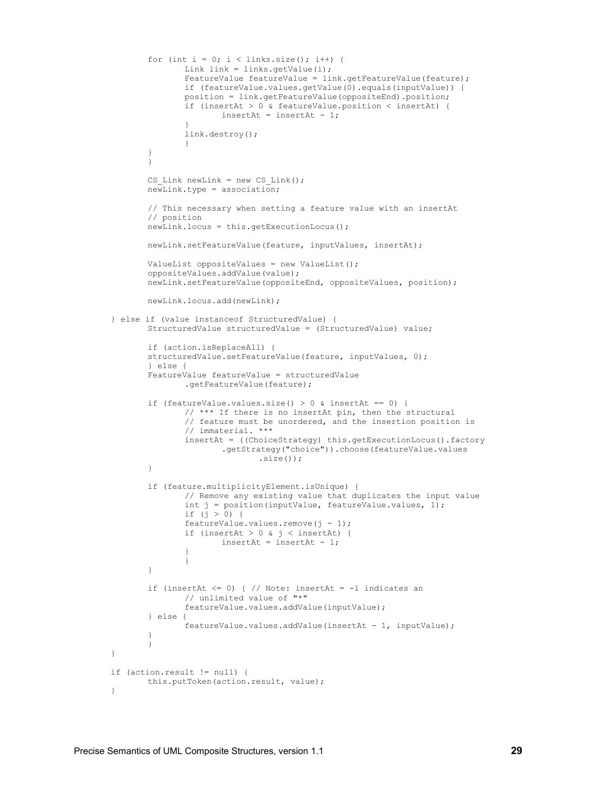```
for (int i = 0; i < links.size(); i++) {
               Link link = links.getValue(i);
               FeatureValue featureValue = link.getFeatureValue(feature);
               if (featureValue.values.getValue(0).equals(inputValue)) {
               position = link.getFeatureValue(oppositeEnd).position;
               if (insertAt > 0 & featureValue.position < insertAt) {
                      insertAt = insertAt - 1;
               }
               link.destroy();
               }
       }
       }
       CS Link newLink = new CS Link();
       newLink.type = association;
       // This necessary when setting a feature value with an insertAt
       // position
       newLink.locus = this.getExecutionLocus();
       newLink.setFeatureValue(feature, inputValues, insertAt);
       ValueList oppositeValues = new ValueList();
       oppositeValues.addValue(value);
       newLink.setFeatureValue(oppositeEnd, oppositeValues, position);
       newLink.locus.add(newLink);
} else if (value instanceof StructuredValue) {
       StructuredValue structuredValue = (StructuredValue) value;
       if (action.isReplaceAll) {
       structuredValue.setFeatureValue(feature, inputValues, 0);
       } else {
       FeatureValue featureValue = structuredValue
               .getFeatureValue(feature);
       if (featureValue.values.size() > 0 & insertAt == 0) {
               // *** If there is no insertAt pin, then the structural
               // feature must be unordered, and the insertion position is
               // immaterial. ***
               insertAt = ((ChoiceStrategy) this.getExecutionLocus().factory
                       .getStrategy("choice")).choose(featureValue.values
                              .size();
       }
       if (feature.multiplicityElement.isUnique) {
               // Remove any existing value that duplicates the input value
               int j = position (inputValue, featureValue.value, values, 1);if (j > 0) {
               featureValue.values.remove(j - 1);
               if (insertAt > 0 \le j \le insertAt) {
                      insertAt = insertAt - 1;
               }
               }
       }
       if (insertAt \leq 0) { // Note: insertAt = -1 indicates an
               // unlimited value of "*"
               featureValue.values.addValue(inputValue);
       } else {
               featureValue.values.addValue(insertAt - 1, inputValue);
       }
       }
if (action.result != null) {
       this.putToken(action.result, value);
```
}

}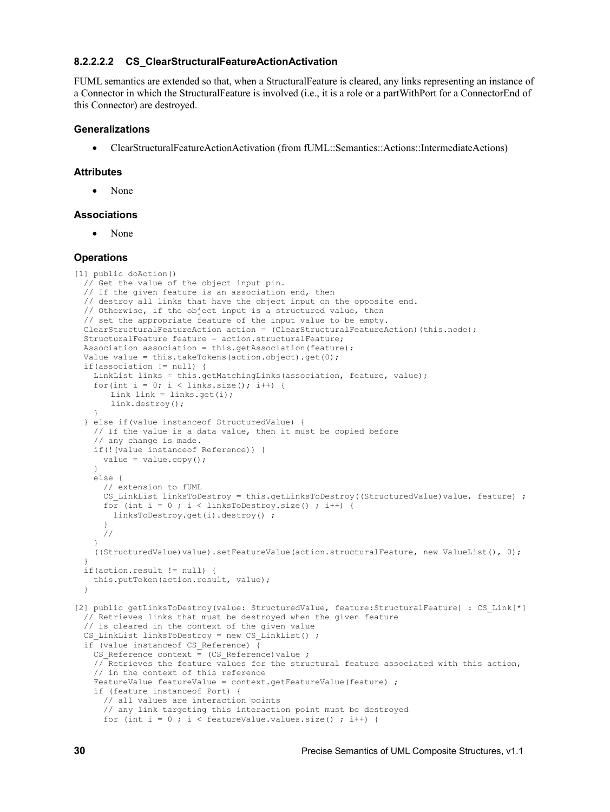### **8.2.2.2.2 CS\_ClearStructuralFeatureActionActivation**

FUML semantics are extended so that, when a StructuralFeature is cleared, any links representing an instance of a Connector in which the StructuralFeature is involved (i.e., it is a role or a partWithPort for a ConnectorEnd of this Connector) are destroyed.

### **Generalizations**

ClearStructuralFeatureActionActivation (from fUML::Semantics::Actions::IntermediateActions)

#### **Attributes**

• None

### **Associations**

• None

```
[1] public doAction()
  // Get the value of the object input pin.
  // If the given feature is an association end, then
  // destroy all links that have the object input on the opposite end.
  // Otherwise, if the object input is a structured value, then
  // set the appropriate feature of the input value to be empty.
  ClearStructuralFeatureAction action = (ClearStructuralFeatureAction)(this.node);
  StructuralFeature feature = action.structuralFeature;
 Association association = this.getAssociation(feature);
 Value value = this.takeTokens(action.object).get(0);
  if(association != null) {
    LinkList links = this.getMatchingLinks(association, feature, value);
   for(int i = 0; i < links.size(); i++) {
       Link link = links.get(i);
       link.destroy();
 }
  } else if(value instanceof StructuredValue) {
    // If the value is a data value, then it must be copied before
    // any change is made.
    if(!(value instanceof Reference)) {
     value = value.copy();
 }
    else {
      // extension to fUML
     CS LinkList linksToDestroy = this.getLinksToDestroy((StructuredValue)value, feature) ;
     for (int i = 0; i < linksToDestroy.size(); i++) {
        linksToDestroy.get(i).destroy() ;
 }
      //
    }
   ((StructuredValue)value).setFeatureValue(action.structuralFeature, new ValueList(), 0);
 }
  if(action.result != null) {
    this.putToken(action.result, value);
 }
[2] public getLinksToDestroy(value: StructuredValue, feature:StructuralFeature) : CS_Link[*]
  // Retrieves links that must be destroyed when the given feature
  // is cleared in the context of the given value
 CS LinkList linksToDestroy = new CS LinkList() ;
  if (value instanceof CS_Reference) {
   CS Reference context = (CS Reference)value ;
    // Retrieves the feature values for the structural feature associated with this action,
    // in the context of this reference
   FeatureValue featureValue = context.getFeatureValue(feature) ;
    if (feature instanceof Port) {
       // all values are interaction points
      // any link targeting this interaction point must be destroyed
     for (int i = 0; i < featureValue.values.size(); i++) {
```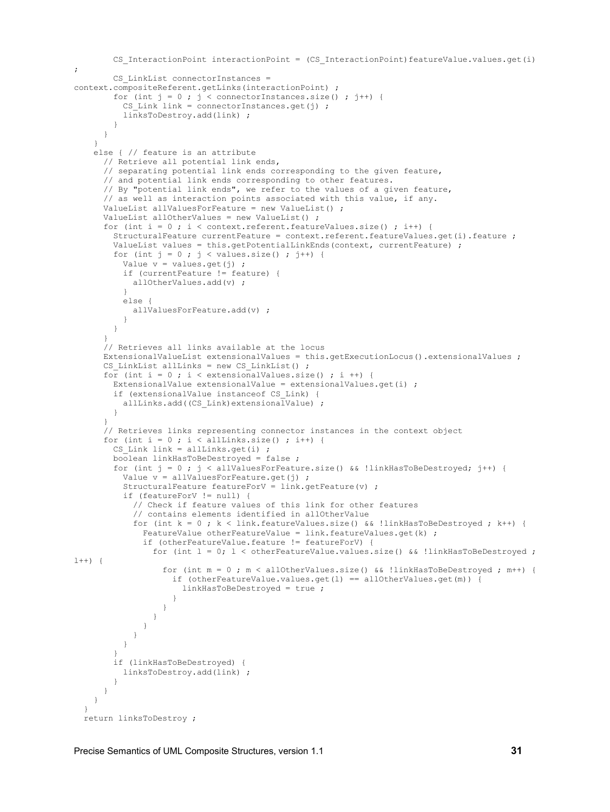```
CS InteractionPoint interactionPoint = (CS InteractionPoint)featureValue.values.get(i)
;
       CS LinkList connectorInstances =
context.compositeReferent.getLinks(interactionPoint) ;
       for (int j = 0; j < connectorInstances.size(); j++) {
         CS Link link = connectorInstances.get(j) ;
          linksToDestroy.add(link) ;
        }
      }
     }
    else { // feature is an attribute
      // Retrieve all potential link ends,
      // separating potential link ends corresponding to the given feature,
      // and potential link ends corresponding to other features.
       // By "potential link ends", we refer to the values of a given feature,
      // as well as interaction points associated with this value, if any.
      ValueList allValuesForFeature = new ValueList() ;
      ValueList allOtherValues = new ValueList() ;
     for (int i = 0 ; i < context.referent.featureValues.size() ; i++) {
       StructuralFeature currentFeature = context.referent.featureValues.qet(i).feature ;
       ValueList values = this.getPotentialLinkEnds(context, currentFeature) ;
       for (int j = 0; j < values.size(); j++) {
         Value v = values.get(j) ;
          if (currentFeature != feature) {
            allOtherValues.add(v) ;
 }
          else {
            allValuesForFeature.add(v) ;
          }
        }
 }
       // Retrieves all links available at the locus
     ExtensionalValueList extensionalValues = this.getExecutionLocus().extensionalValues ;
     CS LinkList allLinks = new CS LinkList() ;
     for (int i = 0; i < extensionalValues.size(); i ++) {
       ExtensionalValue extensionalValue = extensionalValues.get(i) ;
        if (extensionalValue instanceof CS_Link) {
         allLinks.add((CS_Link)extensionalValue) ;
        }
       }
       // Retrieves links representing connector instances in the context object
      for (int i = 0; i < all Links.size(); i++) {
       CS Link link = allLinks.get(i) ;
        boolean linkHasToBeDestroyed = false ;
       for (int j = 0; j < allValuesForFeature.size() && !linkHasToBeDestroyed; j++) {
         Value v = \text{allValuesForFeature.get}(j) ;
          StructuralFeature featureForV = link.getFeature(v) ;
          if (featureForV != null) {
             // Check if feature values of this link for other features
             // contains elements identified in allOtherValue
           for (int k = 0; k < link.featureValues.size() && !linkHasToBeDestroyed; k++) {
             FeatureValue otherFeatureValue = link.featureValues.get(k) ;
              if (otherFeatureValue.feature != featureForV) {
                for (int l = 0; l < otherFeatureValue.values.size() && !linkHasToBeDestroyed;
1++) {
                  for (int m = 0; m < allOtherValues.size() && !linkHasToBeDestroyed; m++) {
                    if (otherFeatureValue.values.get(l) == allOtherValues.get(m)) {
                      linkHasToBeDestroyed = true ;
 }
 }
 }
 }
            }
          }
 }
        if (linkHasToBeDestroyed) {
          linksToDestroy.add(link) ;
         }
      }
    }
 }
   return linksToDestroy ;
```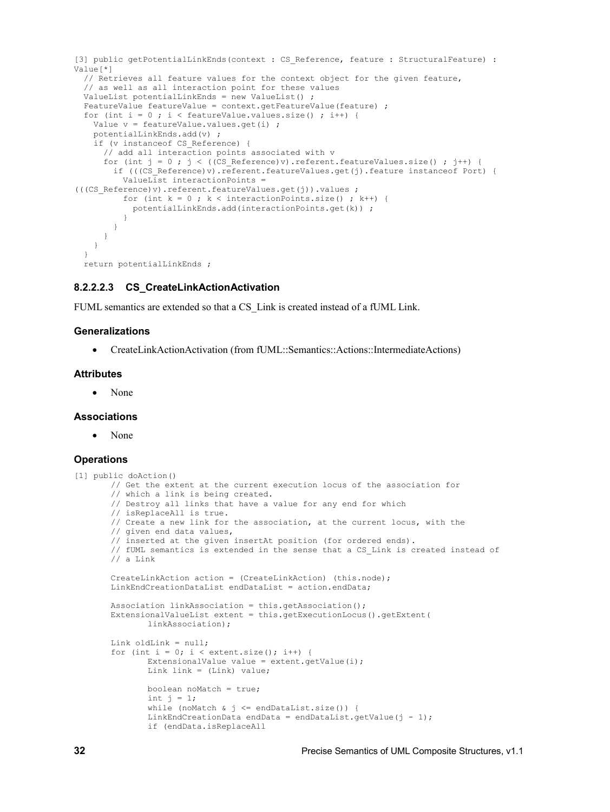```
[3] public getPotentialLinkEnds(context : CS Reference, feature : StructuralFeature) :
Value[*]
   // Retrieves all feature values for the context object for the given feature,
   // as well as all interaction point for these values
   ValueList potentialLinkEnds = new ValueList() ;
  FeatureValue featureValue = context.getFeatureValue(feature) ;
  for (int i = 0; i < featureValue.values.size(); i^{++}) {
   Value v = featureValue.values.get(i) ;
   potentialLinkEnds.add(v) ;
    if (v instanceof CS_Reference) {
       // add all interaction points associated with v
      for (int j = 0; j < ((CS Reference)v).referent.featureValues.size(); j++) {
       if (((CS Reference)v).referent.featureValues.get(j).feature instanceof Port) {
          ValueList interactionPoints = 
(((CS_Reference)v).referent.featureValues.get(j)).values ;
          for (int k = 0; k < interactionPoints.size(); k++) {
             potentialLinkEnds.add(interactionPoints.get(k)) ;
 }
         }
      }
    }
 }
   return potentialLinkEnds ;
```
### **8.2.2.2.3 CS\_CreateLinkActionActivation**

FUML semantics are extended so that a [CS\\_Link](#page-72-0) is created instead of a fUML Link.

#### **Generalizations**

CreateLinkActionActivation (from fUML::Semantics::Actions::IntermediateActions)

#### **Attributes**

None

#### **Associations**

None

```
[1] public doAction()
       // Get the extent at the current execution locus of the association for
       // which a link is being created.
       // Destroy all links that have a value for any end for which
       // isReplaceAll is true.
       // Create a new link for the association, at the current locus, with the
       // given end data values,
       // inserted at the given insertAt position (for ordered ends).
       // fUML semantics is extended in the sense that a CS_Link is created instead of
       // a Link
       CreateLinkAction action = (CreateLinkAction) (this.node);
       LinkEndCreationDataList endDataList = action.endData;
       Association linkAssociation = this.getAssociation();
       ExtensionalValueList extent = this.getExecutionLocus().getExtent(
              linkAssociation);
       Link oldLink = null;
       for (int i = 0; i < extent.size(); i++) {
              ExtensionalValue value = extent.getValue(i);
              Link link = (Link) value;
              boolean noMatch = true;
              int j = 1;
              while (noMatch & j \le endDataList.size()) {
              LinkEndCreationData endData = endDataList.getValue(j - 1);
              if (endData.isReplaceAll
```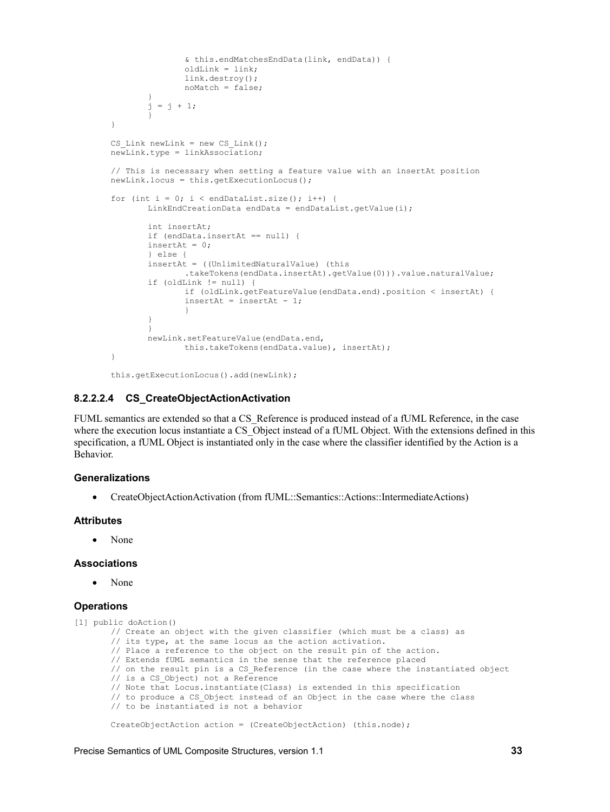```
& this.endMatchesEndData(link, endData)) {
               oldLink = link;
               link.destroy();
               noMatch = false;
        }
       j = j + 1;}
}
CS Link newLink = new CS Link();
newLink.type = linkAssociation;
// This is necessary when setting a feature value with an insertAt position
newLink.locus = this.getExecutionLocus();
for (int i = 0; i < endDataList.size(); i++) {
       LinkEndCreationData endData = endDataList.getValue(i);
       int insertAt;
       if (endData.insertAt == null) {
       insertAt = 0;
       } else {
       insertAt = ((UnlimitedNaturalValue) (this
               .takeTokens(endData.insertAt).getValue(0))).value.naturalValue;
       if (oldLink != null) {
               if (oldLink.getFeatureValue(endData.end).position < insertAt) {
               insertAt = insertAt - 1;}
       }
        }
       newLink.setFeatureValue(endData.end,
               this.takeTokens(endData.value), insertAt);
}
```
this.getExecutionLocus().add(newLink);

### **8.2.2.2.4 CS\_CreateObjectActionActivation**

FUML semantics are extended so that a [CS\\_Reference](#page-85-0) is produced instead of a fUML Reference, in the case where the execution locus instantiate a CS. Object instead of a fUML Object. With the extensions defined in this specification, a fUML Object is instantiated only in the case where the classifier identified by the Action is a Behavior.

#### **Generalizations**

CreateObjectActionActivation (from fUML::Semantics::Actions::IntermediateActions)

#### **Attributes**

• None

### **Associations**

None

```
[1] public doAction()
       // Create an object with the given classifier (which must be a class) as
       // its type, at the same locus as the action activation.
       // Place a reference to the object on the result pin of the action.
       // Extends fUML semantics in the sense that the reference placed
       // on the result pin is a CS Reference (in the case where the instantiated object
       // is a CS_Object) not a Reference
       // Note that Locus.instantiate(Class) is extended in this specification
       // to produce a CS_Object instead of an Object in the case where the class
       // to be instantiated is not a behavior
       CreateObjectAction action = (CreateObjectAction) (this.node);
```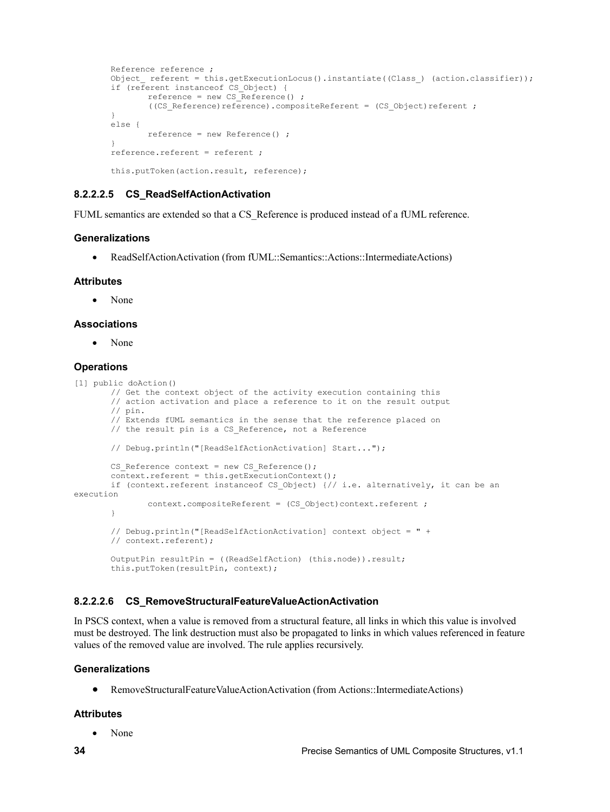```
Reference reference ;
Object referent = this.getExecutionLocus().instantiate((Class ) (action.classifier));
if (referent instanceof CS_Object) {
       reference = new CS Reference() ;
       ((CS Reference)reference).compositeReferent = (CS Object)referent ;
}
else {
       reference = new Reference() ;
}
reference.referent = referent ;
this.putToken(action.result, reference);
```
# **8.2.2.2.5 CS\_ReadSelfActionActivation**

FUML semantics are extended so that a [CS\\_Reference](#page-85-0) is produced instead of a fUML reference.

### **Generalizations**

ReadSelfActionActivation (from fUML::Semantics::Actions::IntermediateActions)

### **Attributes**

None

### **Associations**

• None

# **Operations**

```
[1] public doAction()
       // Get the context object of the activity execution containing this
       // action activation and place a reference to it on the result output
       // pin.
       // Extends fUML semantics in the sense that the reference placed on
       // the result pin is a CS Reference, not a Reference
       // Debug.println("[ReadSelfActionActivation] Start...");
       CS Reference context = new CS Reference();
       context.referent = this.getExecutionContext();
       if (context.referent instanceof CS_Object) {// i.e. alternatively, it can be an 
execution
               context.compositeReferent = (CS_Object)context.referent ;
       }
       // Debug.println("[ReadSelfActionActivation] context object = " +
       // context.referent);
       OutputPin resultPin = ((ReadSelfAction) (this.node)).result;
       this.putToken(resultPin, context);
```
# **8.2.2.2.6 CS\_RemoveStructuralFeatureValueActionActivation**

In PSCS context, when a value is removed from a structural feature, all links in which this value is involved must be destroyed. The link destruction must also be propagated to links in which values referenced in feature values of the removed value are involved. The rule applies recursively.

# **Generalizations**

RemoveStructuralFeatureValueActionActivation (from Actions::IntermediateActions)

# **Attributes**

None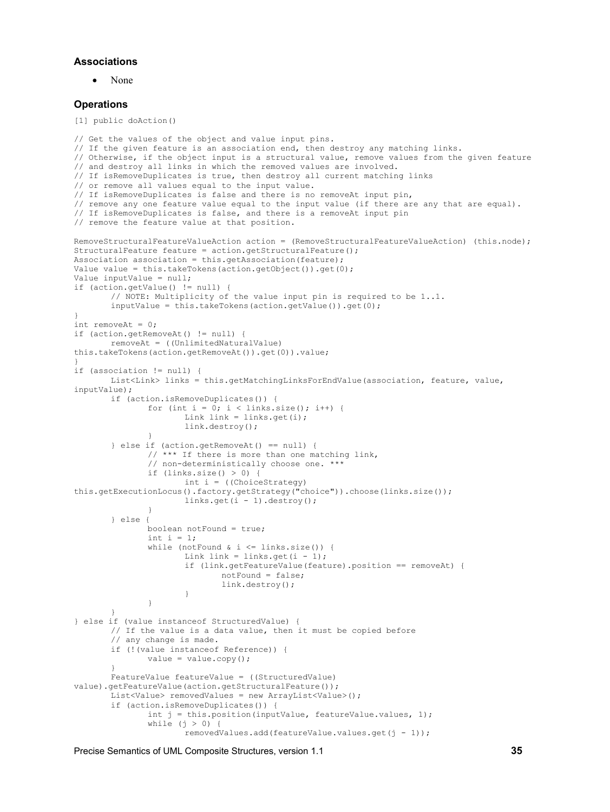### **Associations**

• None

```
[1] public doAction()
```

```
// Get the values of the object and value input pins. 
// If the given feature is an association end, then destroy any matching links. 
// Otherwise, if the object input is a structural value, remove values from the given feature
// and destroy all links in which the removed values are involved. 
// If isRemoveDuplicates is true, then destroy all current matching links 
// or remove all values equal to the input value. 
// If isRemoveDuplicates is false and there is no removeAt input pin, 
// remove any one feature value equal to the input value (if there are any that are equal). 
// If isRemoveDuplicates is false, and there is a removeAt input pin 
// remove the feature value at that position.
RemoveStructuralFeatureValueAction action = (RemoveStructuralFeatureValueAction) (this.node);
StructuralFeature feature = action.getStructuralFeature();
Association association = this.getAssociation(feature);
Value value = this.takeTokens(action.getObject()).get(0);
Value inputValue = null;
if (action.getValue() != null) {
       // NOTE: Multiplicity of the value input pin is required to be 1..1.
       inputValue = this.takeTokens(action.getValue()).get(0);
\overline{1}int removeAt = 0;
if (action.getRemoveAt() != null) {
       removeAt = ((UnlimitedNaturalValue) 
this.takeTokens(action.getRemoveAt()).get(0)).value;
}
if (association != null) {
       List<Link> links = this.getMatchingLinksForEndValue(association, feature, value,
inputValue);
       if (action.isRemoveDuplicates()) {
               for (int i = 0; i < links.size(); i++) {
                       Link link = links.get(i);
                       link.destroy();
               }
       } else if (action.getRemoveAt() == null) {
               // *** If there is more than one matching link,
               // non-deterministically choose one. ***
               if (links.size() > 0) {
                      int i = ((ChoiceStrategy)
this.getExecutionLocus().factory.getStrategy("choice")).choose(links.size());
                      links.get(i - 1).destroy();
               }
       } else {
               boolean notFound = true;
               int i = 1;
               while (notFound \& i \leq links.size()) {
                       Link link = links.get(i - 1);
                       if (link.getFeatureValue(feature).position == removeAt) {
                              notFound = false;
                              link.destroy();
                       }
               }
        }
} else if (value instanceof StructuredValue) {
       // If the value is a data value, then it must be copied before
       // any change is made.
       if (!(value instanceof Reference)) {
               value = value.copy();
        }
       FeatureValue featureValue = ((StructuredValue) 
value).getFeatureValue(action.getStructuralFeature());
       List<Value> removedValues = new ArrayList<Value>();
       if (action.isRemoveDuplicates()) {
               int j = this.position(inputValue, featureValue.values, 1);
               while (j > 0) {
                       removedValues.add(featureValue.values.get(j - 1));
```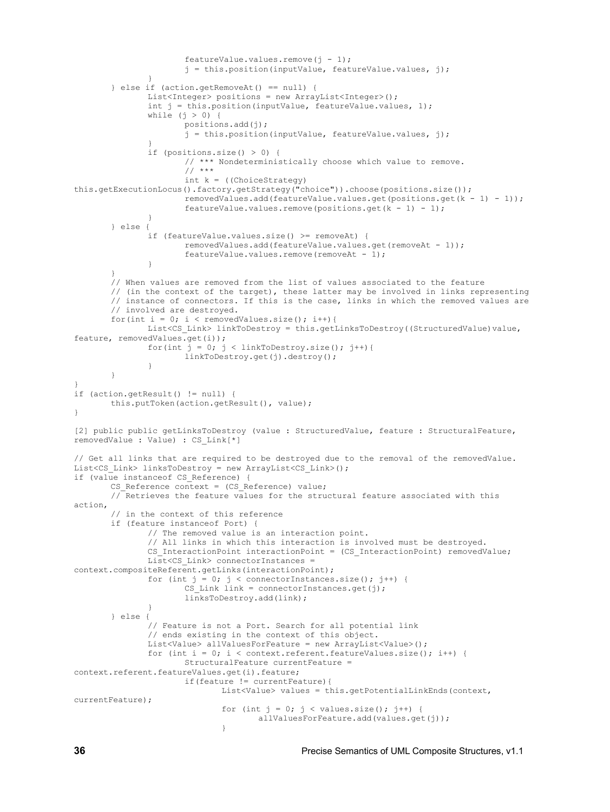```
featureValue.values.remove(j - 1);
                       j = this.position(inputValue, featureValue.values, j);
               }
       } else if (action.getRemoveAt() == null) {
               List<Integer> positions = new ArrayList<Integer>();
               int j = this.position(inputValue, featureValue.values, 1);
               while (j > 0) {
                      positions.add(j);
                      \bar{i} = this.position(inputValue, featureValue.values, \bar{i});
               }
               if (positions.size() > 0) {
                       // *** Nondeterministically choose which value to remove.
                       // ***
                       int k = ((ChoiceStrategy) 
this.getExecutionLocus().factory.getStrategy("choice")).choose(positions.size());
                       removedValues.add(featureValue.values.get(positions.get(k - 1) - 1));
                       featureValue.values.remove(positions.get(k - 1) - 1);
               }
       } else {
               if (featureValue.values.size() >= removeAt) {
                      removedValues.add(featureValue.values.get(removeAt - 1));
                      featureValue.values.remove(removeAt - 1);
               }
        }
       // When values are removed from the list of values associated to the feature 
       // (in the context of the target), these latter may be involved in links representing
       // instance of connectors. If this is the case, links in which the removed values are
       // involved are destroyed.
       for(int i = 0; i < removedValues.size(); i++){
               List<CS Link> linkToDestroy = this.getLinksToDestroy((StructuredValue)value,
feature, removedValues.get(i));
               for(int j = 0; j < linkToDestroy.size(); j++){
                      linkToDestroy.get(j).destroy();
               }
       }
}
if (action.getResult() != null) {
       this.putToken(action.getResult(), value);
}
[2] public public getLinksToDestroy (value : StructuredValue, feature : StructuralFeature, 
removedValue : Value) : CS_Link[*]
// Get all links that are required to be destroyed due to the removal of the removedValue. 
List<CS Link> linksToDestroy = new ArrayList<CS Link>();
if (value instanceof CS_Reference) {
       CS Reference context = (CS Reference) value;
       1/(2) Retrieves the feature values for the structural feature associated with this
action,
       // in the context of this reference
       if (feature instanceof Port) {
               // The removed value is an interaction point.
               // All links in which this interaction is involved must be destroyed.
               CS InteractionPoint interactionPoint = (CS InteractionPoint) removedValue;
               List<CS Link> connectorInstances =
context.compositeReferent.getLinks(interactionPoint);
               for (int j = 0; j < connectorInstances.size(); j++) {
                       CS Link link = connectorInstances.get(j);
                      linksToDestroy.add(link);
               }
       } else { 
               // Feature is not a Port. Search for all potential link
               // ends existing in the context of this object.
               List<Value> allValuesForFeature = new ArrayList<Value>();
               for (int i = 0; i < context.referent.featureValues.size(); i++) {
                      StructuralFeature currentFeature = 
context.referent.featureValues.get(i).feature;
                      if(feature != currentFeature){
                              List<Value> values = this.getPotentialLinkEnds(context, 
currentFeature);
                              for (int j = 0; j < values.size(); j++) {
                                      allValuesForFeature.add(values.get(j));
                              }
```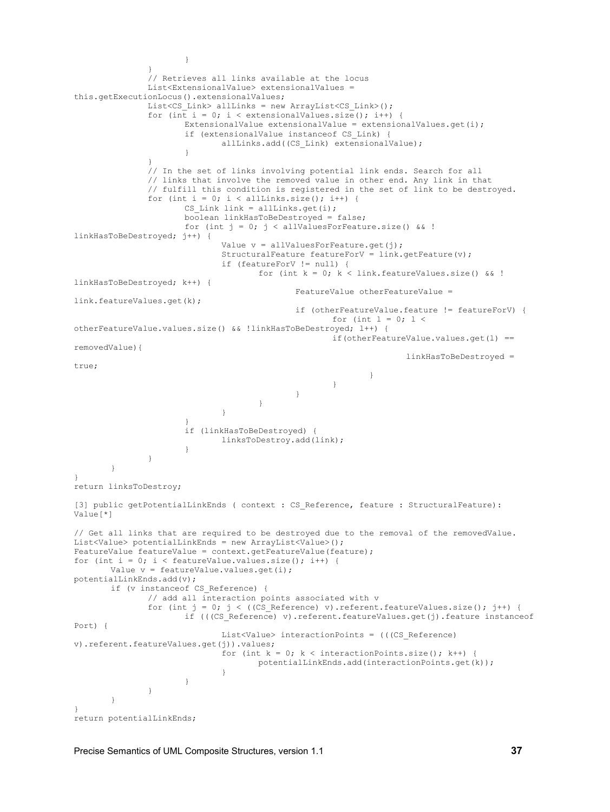```
}
               }
               // Retrieves all links available at the locus
               List<ExtensionalValue> extensionalValues = 
this.getExecutionLocus().extensionalValues;
               List<CS Link> allLinks = new ArrayList<CS Link>();
               for (int i = 0; i < extensionalValues.size(); i++) {
                       ExtensionalValue extensionalValue = extensionalValues.get(i);
                       if (extensionalValue instanceof CS_Link) {
                              allLinks.add((CS_Link) extensionalValue);
                       }
               }
               // In the set of links involving potential link ends. Search for all
               // links that involve the removed value in other end. Any link in that
               // fulfill this condition is registered in the set of link to be destroyed.
               for (int i = 0; i < allLinks.size(); i++) {
                       CS Link link = allLinks.get(i);
                       boolean linkHasToBeDestroyed = false;
                       for (int j = 0; j < allValuesForFeature.size() && !
linkHasToBeDestroyed; j++) {
                               Value v = \text{allValuesForFeature.get}(j);StructuralFeature featureForV = link.getFeature(v);
                              if (featureForV != null) {
                                      for (int k = 0; k < 1ink.featureValues.size() & & !
linkHasToBeDestroyed; k++) {
                                              FeatureValue otherFeatureValue = 
link.featureValues.get(k);
                                              if (otherFeatureValue.feature != featureForV) {
                                                     for (int l = 0; l <otherFeatureValue.values.size() && !linkHasToBeDestroyed; l++) {
                                                     if(otherFeatureValue.values.get(l) == 
removedValue){
                                                                     linkHasToBeDestroyed = 
true;
                                                             }
                                                     }
                                             }
                                      }
                               }
                       }
                       if (linkHasToBeDestroyed) {
                              linksToDestroy.add(link);
                       }
               }
       }
}
return linksToDestroy;
[3] public getPotentialLinkEnds ( context : CS Reference, feature : StructuralFeature):
Value[*]
// Get all links that are required to be destroyed due to the removal of the removedValue.
List<Value> potentialLinkEnds = new ArrayList<Value>();
FeatureValue featureValue = context.getFeatureValue(feature);
for (int i = 0; i < featureValue.values.size(); i++) {
       Value v = featureValue.values.get(i);
potentialLinkEnds.add(v);
       if (v instanceof CS_Reference) {
               // add all interaction points associated with v
               for (int j = 0; j < ((CS_{\text{Reference}}) v).referent.featureValues.size(); j++) {
                       if (((CS Reference) v).referent.featureValues.get(j).feature instanceof
Port) {
                              List<Value> interactionPoints = (((CS_Reference) 
v).referent.featureValues.get(j)).values;
                               for (int k = 0; k < interactionPoints.size(); k++) {
                                      potentialLinkEnds.add(interactionPoints.get(k));
                               }
                       }
               }
       }
}
return potentialLinkEnds;
```

```
Precise Semantics of UML Composite Structures, version 1.1 37
```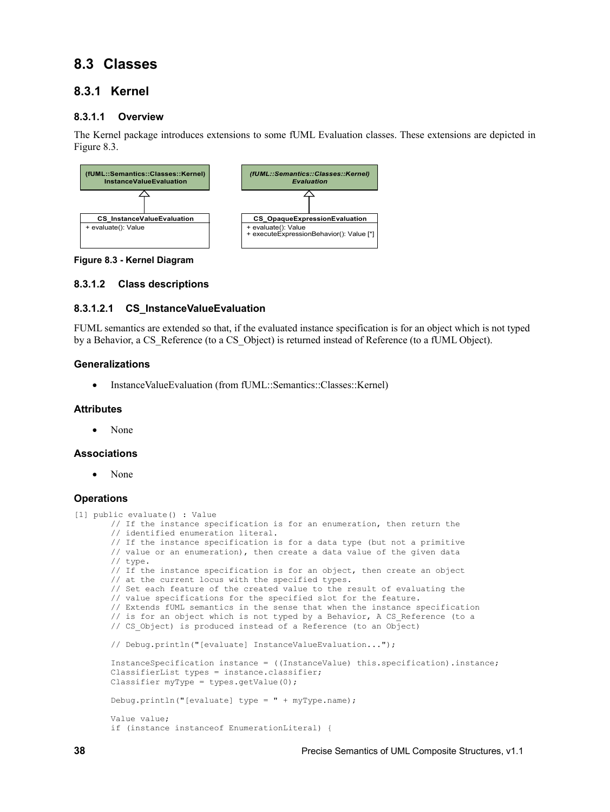# **8.3 Classes**

# **8.3.1 Kernel**

# **8.3.1.1 Overview**

The Kernel package introduces extensions to some fUML Evaluation classes. These extensions are depicted in [Figure 8.3.](#page-49-0)



#### <span id="page-49-0"></span>**Figure 8.3 - Kernel Diagram**

# **8.3.1.2 Class descriptions**

### **8.3.1.2.1 CS\_InstanceValueEvaluation**

FUML semantics are extended so that, if the evaluated instance specification is for an object which is not typed by a Behavior, a [CS\\_Reference](#page-85-0) (to a [CS\\_Object\)](#page-73-0) is returned instead of Reference (to a fUML Object).

### **Generalizations**

• InstanceValueEvaluation (from fUML::Semantics::Classes::Kernel)

#### **Attributes**

• None

#### **Associations**

None

```
[1] public evaluate() : Value
       // If the instance specification is for an enumeration, then return the
       // identified enumeration literal.
       // If the instance specification is for a data type (but not a primitive
       // value or an enumeration), then create a data value of the given data
       // type.
       // If the instance specification is for an object, then create an object
       // at the current locus with the specified types.
       // Set each feature of the created value to the result of evaluating the
       // value specifications for the specified slot for the feature.
       // Extends fUML semantics in the sense that when the instance specification
       // is for an object which is not typed by a Behavior, A CS Reference (to a
       // CS Object) is produced instead of a Reference (to an Object)
       // Debug.println("[evaluate] InstanceValueEvaluation...");
       InstanceSpecification instance = ((InstanceValue) this.specification).instance;
       ClassifierList types = instance.classifier;
       Classifier myType = types.getValue(0);
       Debug.println("[evaluate] type = " + myType.name);
       Value value;
       if (instance instanceof EnumerationLiteral) {
```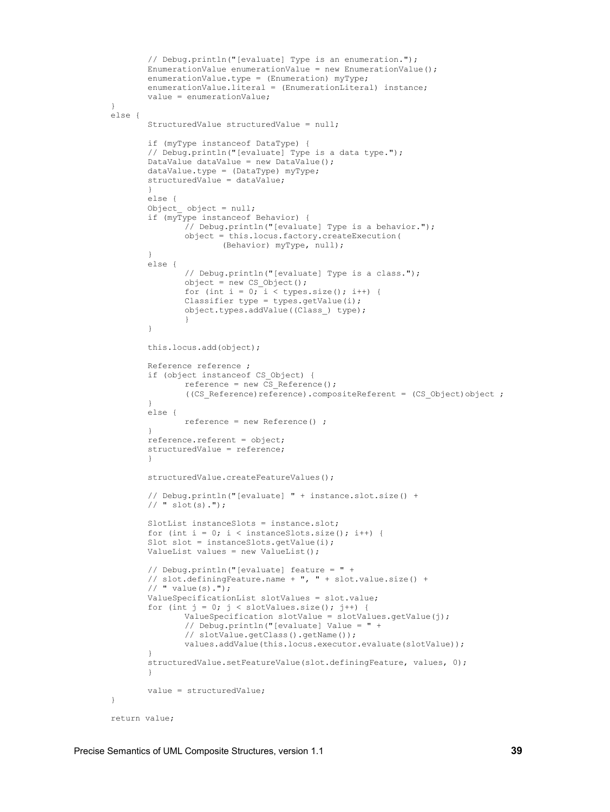```
// Debug.println("[evaluate] Type is an enumeration.");
       EnumerationValue enumerationValue = new EnumerationValue();
       enumerationValue.type = (Enumeration) myType;
       enumerationValue.literal = (EnumerationLiteral) instance;
       value = enumerationValue;
} 
else {
       StructuredValue structuredValue = null;
       if (myType instanceof DataType) {
       // Debug.println("[evaluate] Type is a data type.");
       DataValue dataValue = new DataValue();
       dataValue.type = (DataType) myType;
       structuredValue = dataValue;
       } 
       else {
       Object object = null;if (myType instanceof Behavior) {
               // Debug.println("[evaluate] Type is a behavior.");
               object = this.locus.factory.createExecution(
                      (Behavior) myType, null);
        } 
        else {
               // Debug.println("[evaluate] Type is a class.");
               object = new CS_Object();
               for (int i = 0; i < types.size(); i++) {
               Classifier type = types.getValue(i);
               object.types.addValue((Class_) type);
               }
       }
       this.locus.add(object);
       Reference reference ;
       if (object instanceof CS_Object) {
               reference = new \overline{C}S Reference();
               ((CS Reference) reference).compositeReferent = (CS Object)object ;
       }
       else {
               reference = new Reference() ;
       }
       reference.referent = object;
       structuredValue = reference;
       }
       structuredValue.createFeatureValues();
       // Debug.println("[evaluate] " + instance.slot.size() +
       // " slot(s) . ");SlotList instanceSlots = instance.slot;
       for (int i = 0; i < instanceSlots.size(); i++) {
       Slot slot = instanceSlots.getValue(i);
       ValueList values = new ValueList();
       // Debug.println("[evaluate] feature = " +
       // slot.definingFeature.name + ", " + slot.value.size() +
       // " value(s).");
       ValueSpecificationList slotValues = slot.value;
       for (int j = 0; j < slotValues.size(); j++) {
               ValueSpecification slotValue = slotValues.getValue(j);
               // Debug.println("[evaluate] Value = " +
               // slotValue.getClass().getName());
               values.addValue(this.locus.executor.evaluate(slotValue));
        }
       structuredValue.setFeatureValue(slot.definingFeature, values, 0);
       }
       value = structuredValue;
}
```

```
return value;
```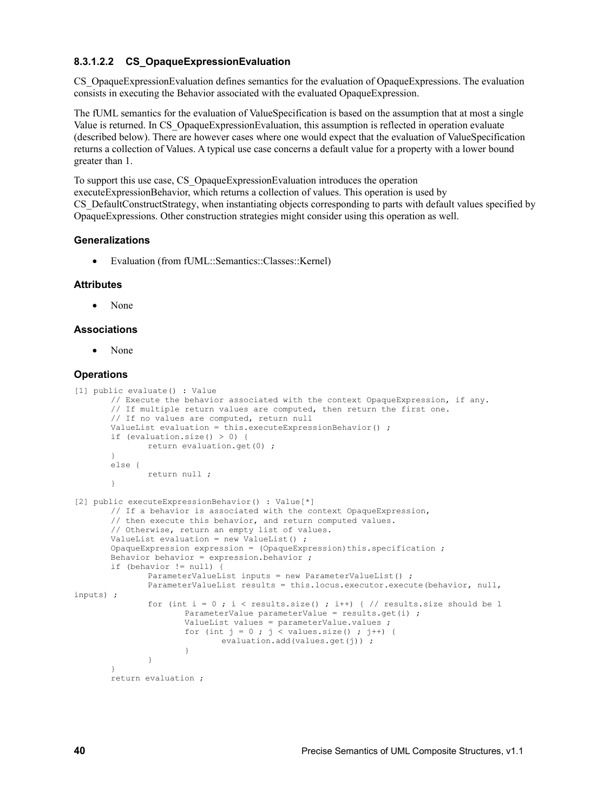# **8.3.1.2.2 CS\_OpaqueExpressionEvaluation**

CS\_OpaqueExpressionEvaluation defines semantics for the evaluation of OpaqueExpressions. The evaluation consists in executing the Behavior associated with the evaluated OpaqueExpression.

The fUML semantics for the evaluation of ValueSpecification is based on the assumption that at most a single Value is returned. In CS\_OpaqueExpressionEvaluation, this assumption is reflected in operation evaluate (described below). There are however cases where one would expect that the evaluation of ValueSpecification returns a collection of Values. A typical use case concerns a default value for a property with a lower bound greater than 1.

To support this use case, CS\_OpaqueExpressionEvaluation introduces the operation executeExpressionBehavior, which returns a collection of values. This operation is used b[y](#page-61-0) CS DefaultConstructStrategy, when instantiating objects corresponding to parts with default values specified by OpaqueExpressions. Other construction strategies might consider using this operation as well.

#### **Generalizations**

Evaluation (from fUML::Semantics::Classes::Kernel)

#### **Attributes**

None

#### **Associations**

None

```
[1] public evaluate() : Value
       // Execute the behavior associated with the context OpaqueExpression, if any.
       // If multiple return values are computed, then return the first one.
       // If no values are computed, return null
       ValueList evaluation = this.executeExpressionBehavior() ;
       if (evaluation.size() > 0) {
              return evaluation.get(0) ;
       }
       else {
              return null ;
       }
[2] public executeExpressionBehavior() : Value[*]
       // If a behavior is associated with the context OpaqueExpression,
       // then execute this behavior, and return computed values.
       // Otherwise, return an empty list of values.
       ValueList evaluation = new ValueList() ;
       OpaqueExpression expression = (OpaqueExpression)this.specification ;
       Behavior behavior = expression.behavior ;
       if (behavior != null) {
              ParameterValueList inputs = new ParameterValueList() ;
              ParameterValueList results = this.locus.executor.execute(behavior, null,
inputs) ;
              for (int i = 0 ; i < results.size() ; i++) { // results.size should be 1
                      ParameterValue parameterValue = results.get(i) ;
                      ValueList values = parameterValue.values ;
                      for (int j = 0; j < values.size(); j^{++}) {
                             evaluation.add(values.get(j)) ;
                      }
               }
       }
       return evaluation ;
```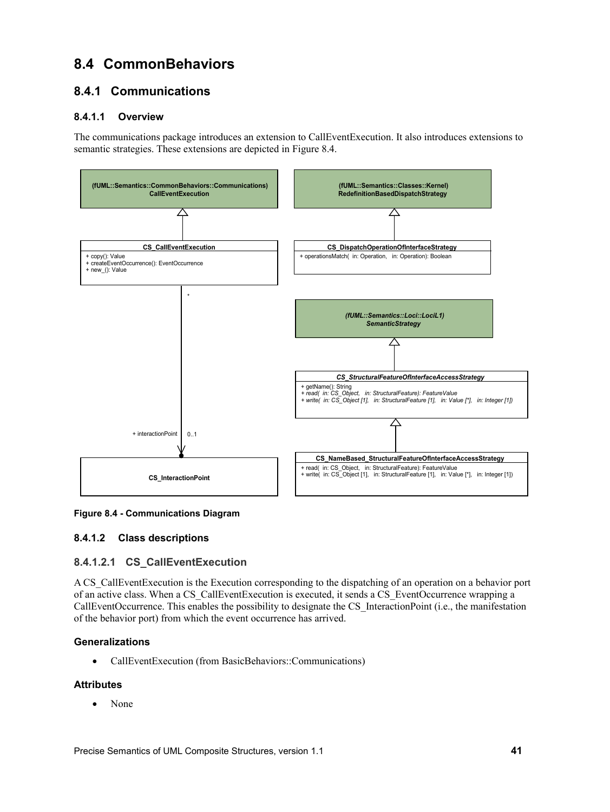# **8.4 CommonBehaviors**

# **8.4.1 Communications**

# **8.4.1.1 Overview**

The communications package introduces an extension to CallEventExecution. It also introduces extensions to semantic strategies. These extensions are depicted in [Figure 8.4.](#page-52-0)



<span id="page-52-0"></span>

# **8.4.1.2 Class descriptions**

# **8.4.1.2.1 CS\_CallEventExecution**

A CS\_CallEventExecution is the Execution corresponding to the dispatching of an operation on a behavior port of an active class. When a CS\_CallEventExecution is executed, it sends a CS\_EventOccurrence wrapping a CallEventOccurrence. This enables the possibility to designate the CS\_InteractionPoint (i.e., the manifestation of the behavior port) from which the event occurrence has arrived.

# **Generalizations**

CallEventExecution (from BasicBehaviors::Communications)

# **Attributes**

• None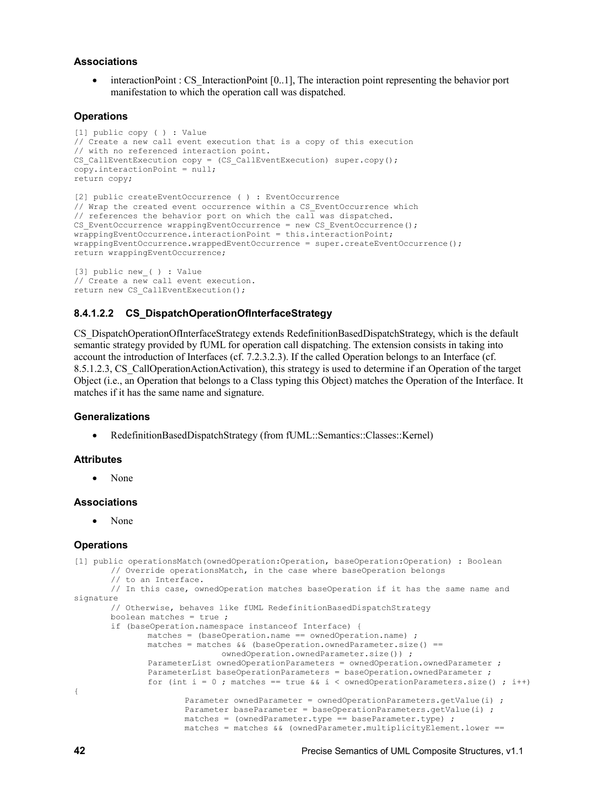### **Associations**

interactionPoint : CS InteractionPoint [0..1], The interaction point representing the behavior port manifestation to which the operation call was dispatched.

#### **Operations**

```
[1] public copy ( ) : Value
// Create a new call event execution that is a copy of this execution 
// with no referenced interaction point.
CS CallEventExecution copy = (CS CallEventExecution) super.copy();
copy.interactionPoint = null;
return copy;
[2] public createEventOccurrence ( ) : EventOccurrence
// Wrap the created event occurrence within a CS_EventOccurrence which
// references the behavior port on which the call was dispatched.
CS EventOccurrence wrappingEventOccurrence = new CS EventOccurrence();
wrappingEventOccurrence.interactionPoint = this.interactionPoint;
wrappingEventOccurrence.wrappedEventOccurrence = super.createEventOccurrence();
return wrappingEventOccurrence;
[3] public new ( ) : Value
```
// Create a new call event execution. return new CS CallEventExecution();

### **8.4.1.2.2 CS\_DispatchOperationOfInterfaceStrategy**

CS\_DispatchOperationOfInterfaceStrategy extends RedefinitionBasedDispatchStrategy, which is the default semantic strategy provided by fUML for operation call dispatching. The extension consists in taking into account the introduction of Interfaces (cf. [7.2.3.2.3\)](#page-22-0). If the called Operation belongs to an Interface (cf[.](#page-57-0) [8.5.1.2.3,](#page-57-0) CS\_CallOperationActionActivation), this strategy is used to determine if an Operation of the target Object (i.e., an Operation that belongs to a Class typing this Object) matches the Operation of the Interface. It matches if it has the same name and signature.

#### **Generalizations**

RedefinitionBasedDispatchStrategy (from fUML::Semantics::Classes::Kernel)

#### **Attributes**

None

#### **Associations**

• None

```
[1] public operationsMatch(ownedOperation:Operation, baseOperation:Operation) : Boolean
       // Override operationsMatch, in the case where baseOperation belongs 
       // to an Interface.
       // In this case, ownedOperation matches baseOperation if it has the same name and 
signature
       // Otherwise, behaves like fUML RedefinitionBasedDispatchStrategy
       boolean matches = true ;
       if (baseOperation.namespace instanceof Interface) {
              matches = (baseOperation.name == ownedOperation.name) ;
              matches = matches & (baseOperation. ownedParameter.size() ==ownedOperation.ownedParameter.size()) ;
              ParameterList ownedOperationParameters = ownedOperation.ownedParameter ;
              ParameterList baseOperationParameters = baseOperation.ownedParameter ;
              for (int i = 0; matches == true && i < ownedOperationParameters.size(); i++){
                      Parameter ownedParameter = ownedOperationParameters.getValue(i) ;
                      Parameter baseParameter = baseOperationParameters.getValue(i) ;
                      matches = (ownedParameter.type == baseParameter.type) ;
                      matches = matches && (ownedParameter.multiplicityElement.lower ==
```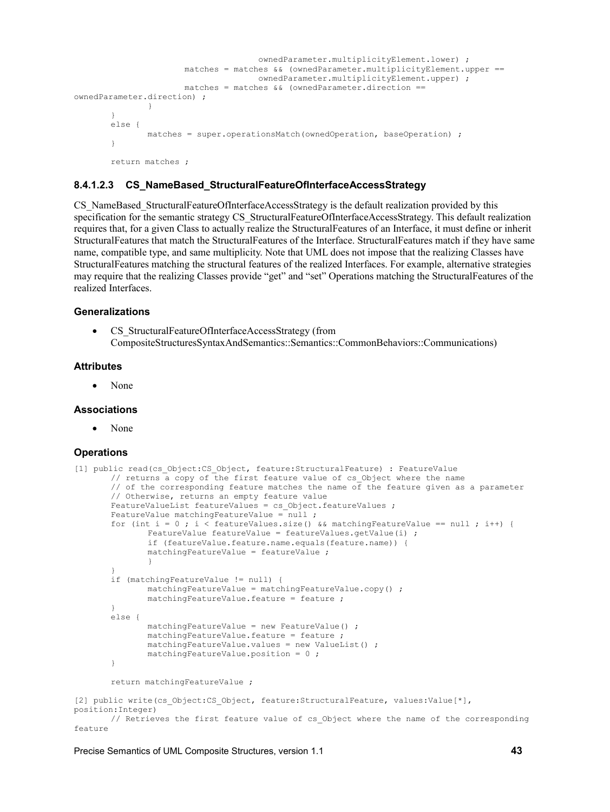```
ownedParameter.multiplicityElement.lower) ;
                      matches = matches && (ownedParameter.multiplicityElement.upper == 
                                     ownedParameter.multiplicityElement.upper) ;
                      matches = matches & (ownedParameter.direction ==ownedParameter.direction) ;
              }
       }
       else {
               matches = super.operationsMatch(ownedOperation, baseOperation) ;
       }
       return matches ;
```
# <span id="page-54-0"></span>**8.4.1.2.3 CS\_NameBased\_StructuralFeatureOfInterfaceAccessStrategy**

CS\_NameBased\_StructuralFeatureOfInterfaceAccessStrategy is the default realization provided by this specification for the semantic strategy [CS\\_StructuralFeatureOfInterfaceAccessStrategy.](#page-55-0) This default realization requires that, for a given Class to actually realize the StructuralFeatures of an Interface, it must define or inherit StructuralFeatures that match the StructuralFeatures of the Interface. StructuralFeatures match if they have same name, compatible type, and same multiplicity. Note that UML does not impose that the realizing Classes have StructuralFeatures matching the structural features of the realized Interfaces. For example, alternative strategies may require that the realizing Classes provide "get" and "set" Operations matching the StructuralFeatures of the realized Interfaces.

#### **Generalizations**

 CS\_StructuralFeatureOfInterfaceAccessStrategy (from CompositeStructuresSyntaxAndSemantics::Semantics::CommonBehaviors::Communications)

#### **Attributes**

• None

#### **Associations**

None

```
[1] public read(cs_Object:CS_Object, feature:StructuralFeature) : FeatureValue
       // returns a copy of the first feature value of cs_Object where the name
       // of the corresponding feature matches the name of the feature given as a parameter
       // Otherwise, returns an empty feature value
       FeatureValueList featureValues = cs Object.featureValues ;
       FeatureValue matchingFeatureValue = nu1;
       for (int i = 0 ; i < featureValues.size() && matchingFeatureValue == null ; i++) {
               FeatureValue featureValue = featureValues.getValue(i) ;
               if (featureValue.feature.name.equals(feature.name)) {
               matchingFeatureValue = featureValue ;
               }
       }
       if (matchingFeatureValue != null) {
               matchingFeatureValue = matchingFeatureValue.copy() ;
               matchingFeatureValue.feature = feature ;
       }
       else {
               matchingFeatureValue = new FeatureValue() ;
               matchingFeatureValue.feature = feature ;
               matchingFeatureValue.values = new ValueList() ;
               matchingFeatureValue.position = 0 ;
       }
       return matchingFeatureValue ;
[2] public write(cs Object:CS Object, feature:StructuralFeature, values:Value[*],
position:Integer)
```

```
// Retrieves the first feature value of cs_Object where the name of the corresponding 
feature
```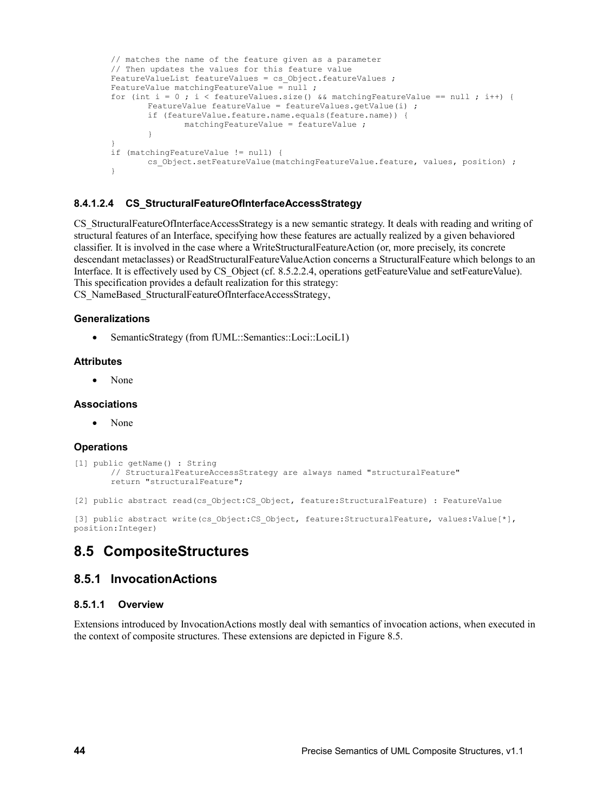```
// matches the name of the feature given as a parameter
// Then updates the values for this feature value
FeatureValueList featureValues = cs Object.featureValues ;
FeatureValue matchingFeatureValue = null ;
for (int i = 0 ; i < featureValues.size() && matchingFeatureValue == null ; i++) {
       FeatureValue featureValue = featureValues.getValue(i) ;
       if (featureValue.feature.name.equals(feature.name)) {
               matchingFeatureValue = featureValue ;
       }
}
if (matchingFeatureValue != null) {
       cs Object.setFeatureValue(matchingFeatureValue.feature, values, position) ;
}
```
# <span id="page-55-0"></span>**8.4.1.2.4 CS\_StructuralFeatureOfInterfaceAccessStrategy**

CS\_StructuralFeatureOfInterfaceAccessStrategy is a new semantic strategy. It deals with reading and writing of structural features of an Interface, specifying how these features are actually realized by a given behaviored classifier. It is involved in the case where a WriteStructuralFeatureAction (or, more precisely, its concrete descendant metaclasses) or ReadStructuralFeatureValueAction concerns a StructuralFeature which belongs to an Interface. It is effectively used by CS\_Object (cf. [8.5.2.2.4,](#page-73-0) operations getFeatureValue and setFeatureValue). This specification provides a default realization for this strategy[:](#page-54-0)

[CS\\_NameBased\\_StructuralFeatureOfInterfaceAccessStrategy,](#page-54-0)

### **Generalizations**

• SemanticStrategy (from fUML::Semantics::Loci::LociL1)

#### **Attributes**

• None

#### **Associations**

• None

# **Operations**

```
[1] public getName() : String
       // StructuralFeatureAccessStrategy are always named "structuralFeature"
       return "structuralFeature";
```

```
[2] public abstract read(cs_Object:CS_Object, feature:StructuralFeature) : FeatureValue
```

```
[3] public abstract write(cs Object:CS Object, feature:StructuralFeature, values:Value[*],
position:Integer)
```
# **8.5 CompositeStructures**

# **8.5.1 InvocationActions**

#### **8.5.1.1 Overview**

Extensions introduced by InvocationActions mostly deal with semantics of invocation actions, when executed in the context of composite structures. These extensions are depicted in [Figure 8.5.](#page-56-0)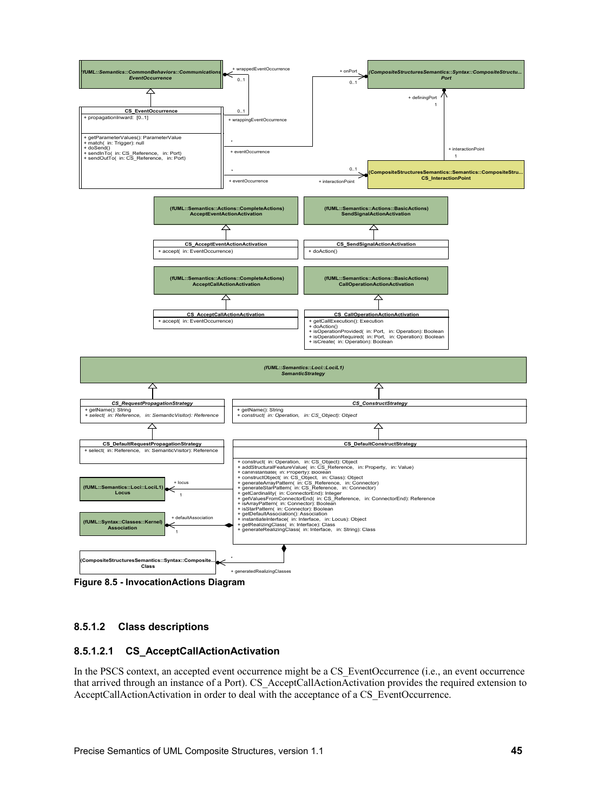



<span id="page-56-0"></span>**Figure 8.5 - InvocationActions Diagram**

# **8.5.1.2 Class descriptions**

# **8.5.1.2.1 CS\_AcceptCallActionActivation**

In the PSCS context, an accepted event occurrence might be a CS\_EventOccurrence (i.e., an event occurrence that arrived through an instance of a Port). CS\_AcceptCallActionActivation provides the required extension to AcceptCallActionActivation in order to deal with the acceptance of a CS\_EventOccurrence.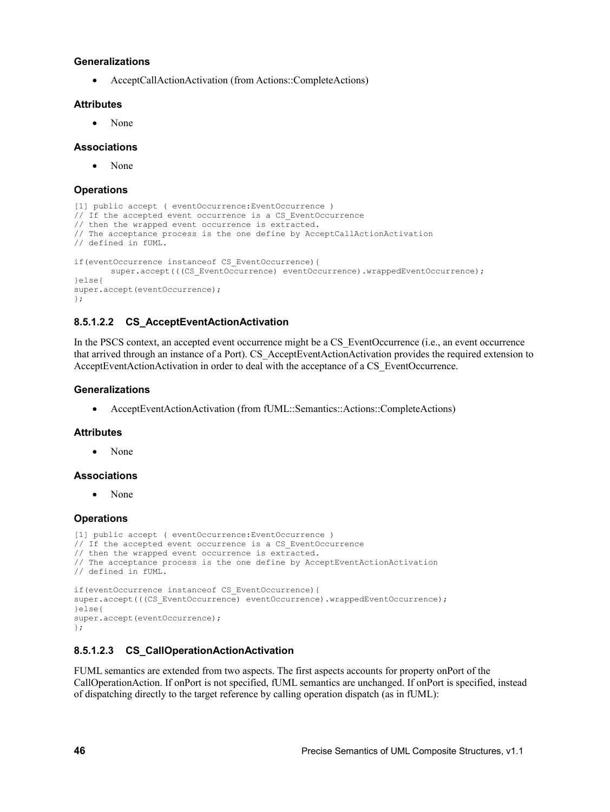### **Generalizations**

AcceptCallActionActivation (from Actions::CompleteActions)

# **Attributes**

None

### **Associations**

None

# **Operations**

```
[1] public accept ( eventOccurrence:EventOccurrence )
// If the accepted event occurrence is a CS EventOccurrence
// then the wrapped event occurrence is extracted. 
// The acceptance process is the one define by AcceptCallActionActivation 
// defined in fUML.
if(eventOccurrence instanceof CS_EventOccurrence){
       super.accept(((CS_EventOccurrence) eventOccurrence).wrappedEventOccurrence);
}else{
super.accept(eventOccurrence);
};
```
# **8.5.1.2.2 CS\_AcceptEventActionActivation**

In the PSCS context, an accepted event occurrence might be a CS\_EventOccurrence (i.e., an event occurrence that arrived through an instance of a Port). CS\_AcceptEventActionActivation provides the required extension to AcceptEventActionActivation in order to deal with the acceptance of a CS\_EventOccurrence.

# **Generalizations**

AcceptEventActionActivation (from fUML::Semantics::Actions::CompleteActions)

# **Attributes**

None

#### **Associations**

• None

# **Operations**

```
[1] public accept ( eventOccurrence:EventOccurrence )
// If the accepted event occurrence is a CS_EventOccurrence 
// then the wrapped event occurrence is extracted. 
// The acceptance process is the one define by AcceptEventActionActivation 
// defined in fUML.
if(eventOccurrence instanceof CS_EventOccurrence){
super.accept(((CS_EventOccurrence) eventOccurrence).wrappedEventOccurrence);
}else{
super.accept(eventOccurrence);
};
```
# <span id="page-57-0"></span>**8.5.1.2.3 CS\_CallOperationActionActivation**

FUML semantics are extended from two aspects. The first aspects accounts for property onPort of the CallOperationAction. If onPort is not specified, fUML semantics are unchanged. If onPort is specified, instead of dispatching directly to the target reference by calling operation dispatch (as in fUML):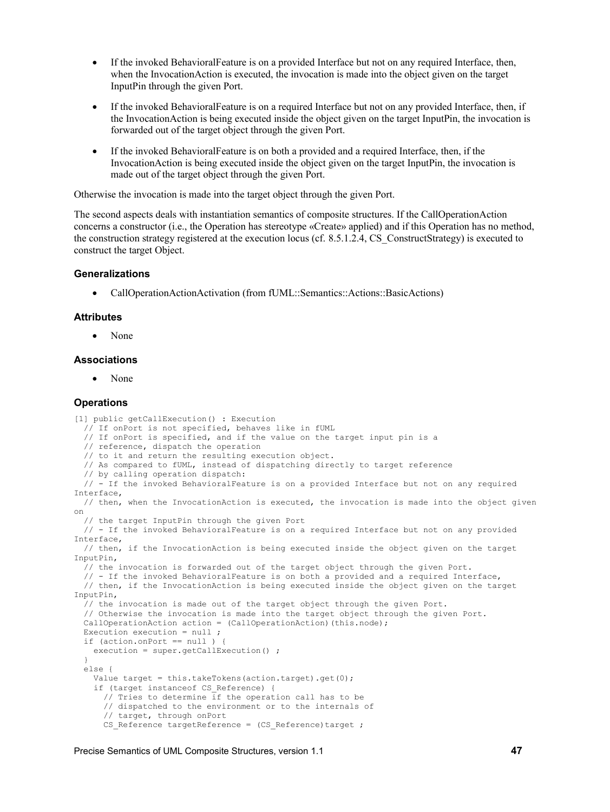- If the invoked BehavioralFeature is on a provided Interface but not on any required Interface, then, when the InvocationAction is executed, the invocation is made into the object given on the target InputPin through the given Port.
- If the invoked BehavioralFeature is on a required Interface but not on any provided Interface, then, if the InvocationAction is being executed inside the object given on the target InputPin, the invocation is forwarded out of the target object through the given Port.
- If the invoked BehavioralFeature is on both a provided and a required Interface, then, if the InvocationAction is being executed inside the object given on the target InputPin, the invocation is made out of the target object through the given Port.

Otherwise the invocation is made into the target object through the given Port.

The second aspects deals with instantiation semantics of composite structures. If the CallOperationAction concerns a constructor (i.e., the Operation has stereotype «Create» applied) and if this Operation has no method, the construction strategy registered at the execution locus (cf. [8.5.1.2.4,](#page-60-0) CS\_ConstructStrategy) is executed to construct the target Object.

#### **Generalizations**

CallOperationActionActivation (from fUML::Semantics::Actions::BasicActions)

#### **Attributes**

None

#### **Associations**

• None

```
[1] public getCallExecution() : Execution
 // If onPort is not specified, behaves like in fUML
 // If onPort is specified, and if the value on the target input pin is a
   // reference, dispatch the operation
   // to it and return the resulting execution object.
   // As compared to fUML, instead of dispatching directly to target reference
   // by calling operation dispatch:
   // - If the invoked BehavioralFeature is on a provided Interface but not on any required 
Interface,
  // then, when the InvocationAction is executed, the invocation is made into the object given
on
  // the target InputPin through the given Port
   // - If the invoked BehavioralFeature is on a required Interface but not on any provided 
Interface,
   // then, if the InvocationAction is being executed inside the object given on the target 
InputPin,
   // the invocation is forwarded out of the target object through the given Port.
   // - If the invoked BehavioralFeature is on both a provided and a required Interface,
   // then, if the InvocationAction is being executed inside the object given on the target 
InputPin,
   // the invocation is made out of the target object through the given Port.
   // Otherwise the invocation is made into the target object through the given Port.
  CallOperationAction action = (CallOperationAction) (this.node);
  Execution execution = null :
   if (action.onPort == null ) {
   execution = super.getCallExecution() ;
 }
   else {
    Value target = this.takeTokens(action.target).get(0);
     if (target instanceof CS_Reference) {
       // Tries to determine if the operation call has to be
       // dispatched to the environment or to the internals of
       // target, through onPort
      CS Reference targetReference = (CS Reference)target ;
```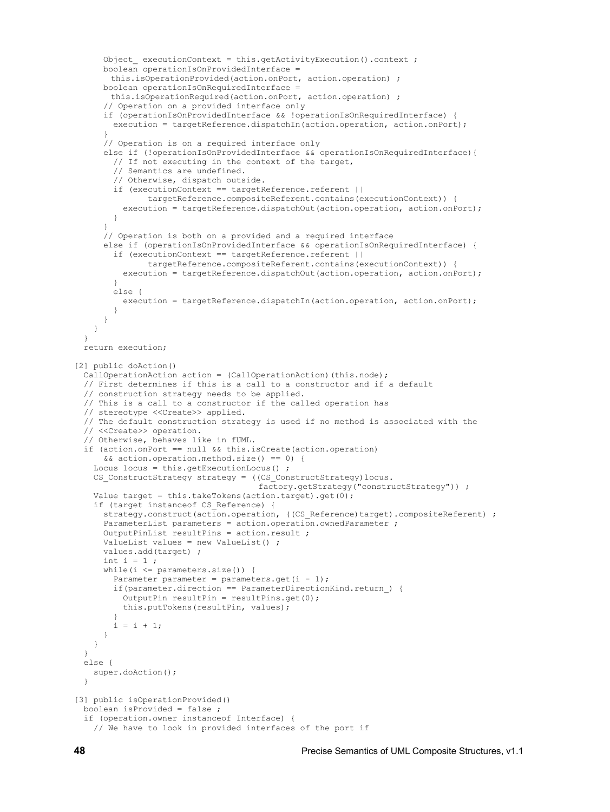```
Object executionContext = this.getActivityExecution().context ;
      boolean operationIsOnProvidedInterface =
       this.isOperationProvided(action.onPort, action.operation) ;
      boolean operationIsOnRequiredInterface =
       this.isOperationRequired(action.onPort, action.operation) ;
       // Operation on a provided interface only
      if (operationIsOnProvidedInterface && !operationIsOnRequiredInterface) {
         execution = targetReference.dispatchIn(action.operation, action.onPort);
 }
       // Operation is on a required interface only
      else if (!operationIsOnProvidedInterface && operationIsOnRequiredInterface){
         // If not executing in the context of the target,
        // Semantics are undefined.
        // Otherwise, dispatch outside.
        if (executionContext == targetReference.referent ||
               targetReference.compositeReferent.contains(executionContext)) {
           execution = targetReference.dispatchOut(action.operation, action.onPort);
        }
 }
       // Operation is both on a provided and a required interface
      else if (operationIsOnProvidedInterface && operationIsOnRequiredInterface) {
        if (executionContext == targetReference.referent ||
              targetReference.compositeReferent.contains(executionContext)) {
           execution = targetReference.dispatchOut(action.operation, action.onPort);
 }
        else {
          execution = targetReference.dispatchIn(action.operation, action.onPort);
        }
      }
    }
 }
  return execution;
[2] public doAction()
 CallOperationAction action = (CallOperationAction)(this.node);
   // First determines if this is a call to a constructor and if a default
  // construction strategy needs to be applied.
   // This is a call to a constructor if the called operation has
  // stereotype <<Create>> applied.
  // The default construction strategy is used if no method is associated with the
  // <<Create>> operation.
   // Otherwise, behaves like in fUML.
  if (action.onPort == null && this.isCreate(action.operation)
       && action.operation.method.size() == 0) {
     Locus locus = this.getExecutionLocus() ;
    CS_ConstructStrategy strategy = ((CS_ConstructStrategy)locus.
                                      factory.getStrategy("constructStrategy")) ;
    Value target = this.takeTokens(action.target).get(0);
    if (target instanceof CS_Reference) {
      strategy.construct(action.operation, ((CS Reference)target).compositeReferent) ;
     ParameterList parameters = action.operation.ownedParameter ;
      OutputPinList resultPins = action.result ;
     ValueList values = new ValueList() ;
      values.add(target) ;
     int i = 1;
      while(i <= parameters.size()) {
       Parameter parameter = parameters.get(i - 1);
       if(parameter.direction == ParameterDirectionKind.return ) {
           OutputPin resultPin = resultPins.get(0);
          this.putTokens(resultPin, values);
 }
       i = i + 1; }
    }
 }
  else {
   super.doAction();
   }
[3] public isOperationProvided()
  boolean isProvided = false ;
  if (operation.owner instanceof Interface) {
     // We have to look in provided interfaces of the port if
```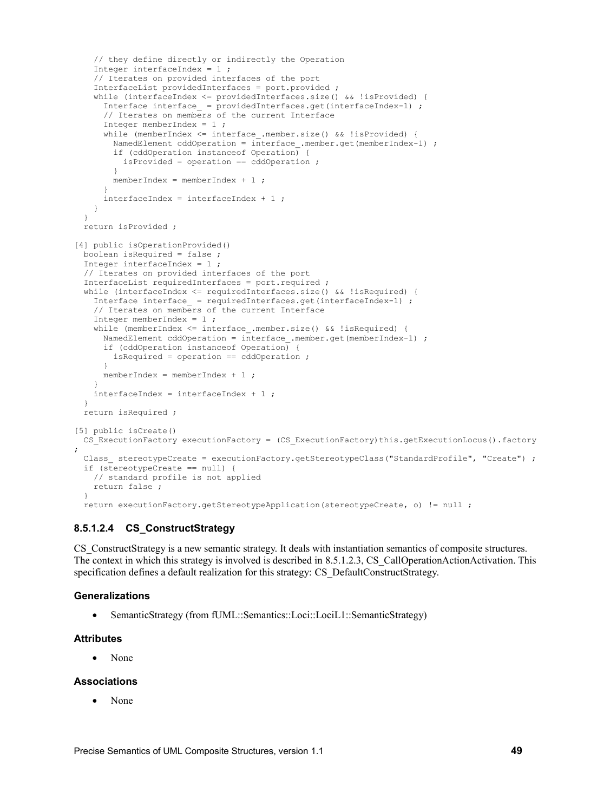```
 // they define directly or indirectly the Operation
   Integer interfaceIndex = 1;
    // Iterates on provided interfaces of the port
    InterfaceList providedInterfaces = port.provided ;
    while (interfaceIndex <= providedInterfaces.size() && !isProvided) {
     Interface interface = providedInterfaces.get(interfaceIndex-1) ;
      // Iterates on members of the current Interface
      Integer memberIndex = 1 ;
     while (memberIndex \leq interface .member.size() && !isProvided) {
       NamedElement cddOperation = interface .member.get(memberIndex-1) ;
        if (cddOperation instanceof Operation) {
          isProvided = operation == cddOperation ;
 }
        memberIndex = memberIndex + 1 ;
 }
     interfaceIndex = interfaceIndex + 1 ;
    }
  }
  return isProvided ;
[4] public isOperationProvided()
  boolean isRequired = false ;
  Integer interfaceIndex = 1 ;
  // Iterates on provided interfaces of the port
  InterfaceList requiredInterfaces = port.required ;
  while (interfaceIndex <= requiredInterfaces.size() && !isRequired) {
   Interface interface = requiredInterfaces.get(interfaceIndex-1) ;
    // Iterates on members of the current Interface
    Integer memberIndex = 1 ;
   while (memberIndex <= interface_.member.size() && !isRequired) {
     NamedElement cddOperation = interface .member.get(memberIndex-1) ;
      if (cddOperation instanceof Operation) {
        isRequired = operation == cddOperation ;
 }
     memberIndex = memberIndex + 1 ;
 }
   interfaceIndex = interfaceIndex + 1 ;
  }
  return isRequired ;
[5] public isCreate()
 CS ExecutionFactory executionFactory = (CS ExecutionFactory)this.getExecutionLocus().factory
;
 Class stereotypeCreate = executionFactory.getStereotypeClass("StandardProfile", "Create") ;
  if (stereotypeCreate == null) {
    // standard profile is not applied
    return false ;
 }
  return executionFactory.getStereotypeApplication(stereotypeCreate, o) != null ;
```
# <span id="page-60-0"></span>**8.5.1.2.4 CS\_ConstructStrategy**

CS ConstructStrategy is a new semantic strategy. It deals with instantiation semantics of composite structures. The context in which this strategy is involved is described in [8.5.1.2.3,](#page-57-0) CS\_CallOperationActionActivation. This specification defines a default realization for this strategy: [CS\\_DefaultConstructStrategy.](#page-61-0)

#### **Generalizations**

SemanticStrategy (from fUML::Semantics::Loci::LociL1::SemanticStrategy)

#### **Attributes**

None

#### **Associations**

• None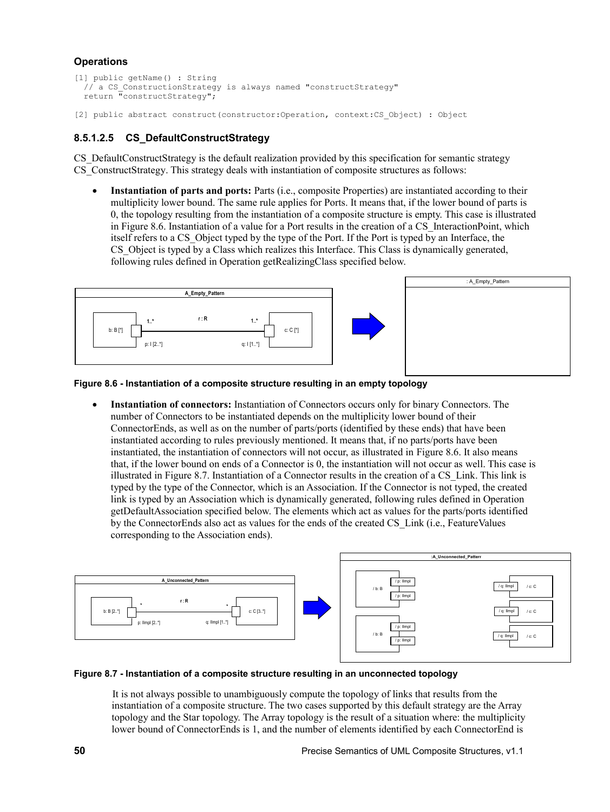# **Operations**

```
[1] public getName() : String
  // a CS_ConstructionStrategy is always named "constructStrategy"
  return "constructStrategy";
```
[2] public abstract construct(constructor:Operation, context:CS\_Object) : Object

# <span id="page-61-0"></span>**8.5.1.2.5 CS\_DefaultConstructStrategy**

CS DefaultConstructStrateg[y](#page-60-0) is the default realization provided by this specification for semantic strategy CS ConstructStrategy. This strategy deals with instantiation of composite structures as follows:

 **Instantiation of parts and ports:** Parts (i.e., composite Properties) are instantiated according to their multiplicity lower bound. The same rule applies for Ports. It means that, if the lower bound of parts is 0, the topology resulting from the instantiation of a composite structure is empty. This case is illustrated in [Figure 8.6.](#page-61-2) Instantiation of a value for a Port results in the creation of a [CS\\_InteractionPoint,](#page-71-0) which itself refers to a [CS\\_Object](#page-73-0) typed by the type of the Port. If the Port is typed by an Interface, the CS Object is typed by a Class which realizes this Interface. This Class is dynamically generated, following rules defined in Operation getRealizingClass specified below.



### **Figure 8.6 - Instantiation of a composite structure resulting in an empty topology**

<span id="page-61-2"></span> **Instantiation of connectors:** Instantiation of Connectors occurs only for binary Connectors. The number of Connectors to be instantiated depends on the multiplicity lower bound of their ConnectorEnds, as well as on the number of parts/ports (identified by these ends) that have been instantiated according to rules previously mentioned. It means that, if no parts/ports have been instantiated, the instantiation of connectors will not occur, as illustrated in [Figure 8.6.](#page-61-2) It also means that, if the lower bound on ends of a Connector is 0, the instantiation will not occur as well. This case is illustrated in [Figure 8.7.](#page-61-1) Instantiation of a Connector results in the creation of a [CS\\_Link.](#page-72-0) This link is typed by the type of the Connector, which is an Association. If the Connector is not typed, the created link is typed by an Association which is dynamically generated, following rules defined in Operation getDefaultAssociation specified below. The elements which act as values for the parts/ports identified by the ConnectorEnds also act as values for the ends of the created CS\_Link (i.e., FeatureValues corresponding to the Association ends).



# **Figure 8.7 - Instantiation of a composite structure resulting in an unconnected topology**

<span id="page-61-1"></span>It is not always possible to unambiguously compute the topology of links that results from the instantiation of a composite structure. The two cases supported by this default strategy are the Array topology and the Star topology. The Array topology is the result of a situation where: the multiplicity lower bound of ConnectorEnds is 1, and the number of elements identified by each ConnectorEnd is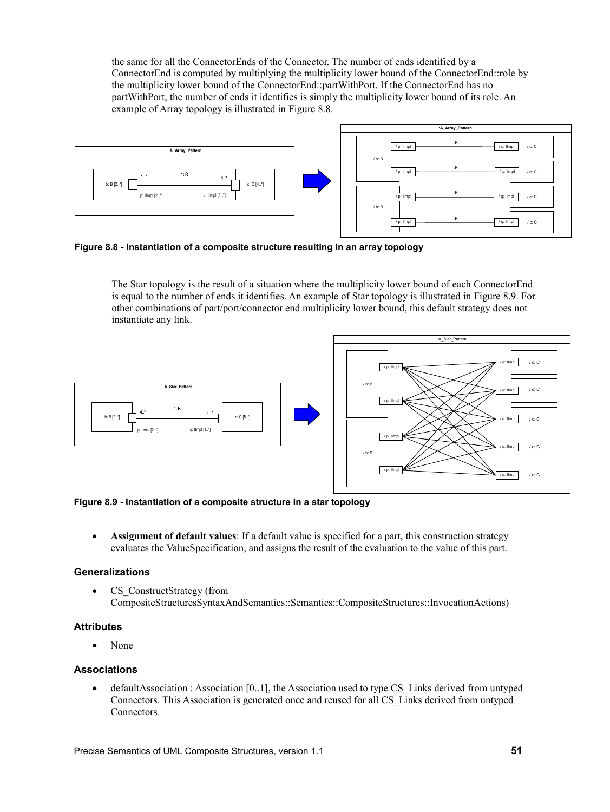the same for all the ConnectorEnds of the Connector. The number of ends identified by a ConnectorEnd is computed by multiplying the multiplicity lower bound of the ConnectorEnd::role by the multiplicity lower bound of the ConnectorEnd::partWithPort. If the ConnectorEnd has no partWithPort, the number of ends it identifies is simply the multiplicity lower bound of its role. An example of Array topology is illustrated in [Figure 8.8.](#page-62-1)



<span id="page-62-1"></span>**Figure 8.8 - Instantiation of a composite structure resulting in an array topology**

The Star topology is the result of a situation where the multiplicity lower bound of each ConnectorEnd is equal to the number of ends it identifies. An example of Star topology is illustrated in [Figure 8.9.](#page-62-0) For other combinations of part/port/connector end multiplicity lower bound, this default strategy does not instantiate any link.



<span id="page-62-0"></span>**Figure 8.9 - Instantiation of a composite structure in a star topology**

 **Assignment of default values**: If a default value is specified for a part, this construction strategy evaluates the ValueSpecification, and assigns the result of the evaluation to the value of this part.

# **Generalizations**

• CS ConstructStrategy (from CompositeStructuresSyntaxAndSemantics::Semantics::CompositeStructures::InvocationActions)

# **Attributes**

None

# **Associations**

• defaultAssociation : Association [0..1], the Association used to type CS\_Links derived from untyped Connectors. This Association is generated once and reused for all CS\_Links derived from untyped Connectors.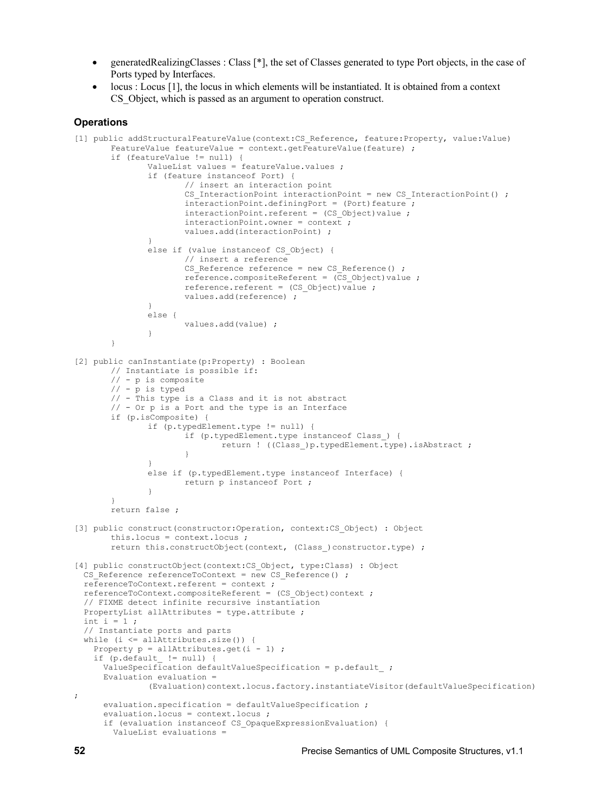- e generatedRealizingClasses : Class  $[*/]$ , the set of Classes generated to type Port objects, in the case of Ports typed by Interfaces.
- locus : Locus [1], the locus in which elements will be instantiated. It is obtained from a context CS\_Object, which is passed as an argument to operation construct.

```
[1] public addStructuralFeatureValue(context:CS Reference, feature:Property, value:Value)
       FeatureValue featureValue = context.getFeatureValue(feature) ;
       if (featureValue != null) {
               ValueList values = featureValue.values ;
               if (feature instanceof Port) {
                       // insert an interaction point
                       CS InteractionPoint interactionPoint = new CS InteractionPoint() ;
                       interactionPoint.definingPort = (Port) feature;
                       interactionPoint.referent = (CS Object)value ;
                       interactionPoint.owner = context ;
                       values.add(interactionPoint) ;
               }
               else if (value instanceof CS_Object) {
                       // insert a reference
                       CS Reference reference = new CS Reference() ;
                       reference.compositeReferent = (CS_Object)value ;
                       reference.referent = (CS Object)value ;
                      values.add(reference) ;
               }
               else {
                      values.add(value) ;
               }
       }
[2] public canInstantiate(p:Property) : Boolean
       // Instantiate is possible if:
       // - p is composite
       // - p is typed
       // - This type is a Class and it is not abstract
       // - Or p is a Port and the type is an Interface
       if (p.isComposite) {
               if (p.typedElement.type != null) {
                       if (p.typedElement.type instanceof Class_) {
                              return ! ((Class_)p.typedElement.type).isAbstract ;
                       }
               }
               else if (p.typedElement.type instanceof Interface) {
                       return p instanceof Port ;
               }
        }
       return false ;
[3] public construct(constructor:Operation, context:CS_Object) : Object
       this.locus = context.locus ;
       return this.constructObject(context, (Class_)constructor.type) ;
[4] public constructObject(context:CS_Object, type:Class) : Object
  CS Reference referenceToContext = new CS Reference() ;
   referenceToContext.referent = context ;
   referenceToContext.compositeReferent = (CS_Object)context ;
   // FIXME detect infinite recursive instantiation
   PropertyList allAttributes = type.attribute ;
  int i = 1 ;
   // Instantiate ports and parts
  while (i \leq allAttributes.size()) {
    Property p = allAttributes.get(i - 1);
    if (p,\text{default} = \text{null}) {
      ValueSpecification defaultValueSpecification = p.default ;
       Evaluation evaluation =
               (Evaluation)context.locus.factory.instantiateVisitor(defaultValueSpecification)
;
       evaluation.specification = defaultValueSpecification ;
       evaluation.locus = context.locus ;
       if (evaluation instanceof CS_OpaqueExpressionEvaluation) {
         ValueList evaluations =
```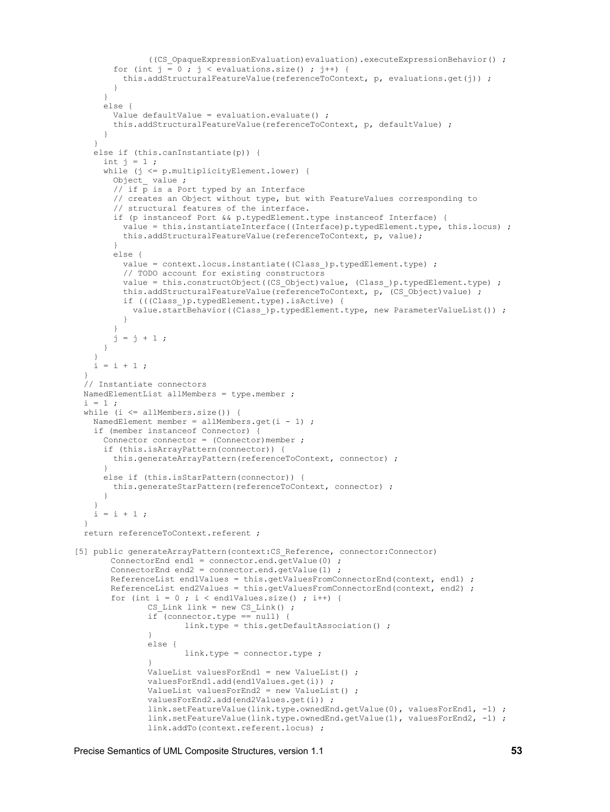```
((CS_OpaqueExpressionEvaluation)evaluation).executeExpressionBehavior() ;
        for (int j = 0; j < evaluations.size(); j++) {
          this.addStructuralFeatureValue(referenceToContext, p, evaluations.get(j)) ;
        }
 }
      else {
        Value defaultValue = evaluation.evaluate() ;
       this.addStructuralFeatureValue(referenceToContext, p, defaultValue) ;
      }
 }
    else if (this.canInstantiate(p)) {
     int j = 1;
     while (j \leq p.\text{multiplicityElement}.\text{lower}) {
        Object_ value ;
        // if \overline{p} is a Port typed by an Interface
        // creates an Object without type, but with FeatureValues corresponding to
         // structural features of the interface.
         if (p instanceof Port && p.typedElement.type instanceof Interface) {
         value = this.instantiateInterface((Interface)p.typedElement.type, this.locus) ;
          this.addStructuralFeatureValue(referenceToContext, p, value);
 }
        else {
         value = context.locus.instantiate((Class )p.typedElement.type) ;
          // TODO account for existing constructors
          value = this.constructObject((CS_Object)value, (Class_)p.typedElement.type) ;
         this.addStructuralFeatureValue(referenceToContext, p, (CS Object)value) ;
          if (((Class_)p.typedElement.type).isActive) {
           value.startBehavior((Class_)p.typedElement.type, new ParameterValueList()) ;
 }
 }
       j = j + 1; }
 }
   i = i + 1; }
   // Instantiate connectors
  NamedElementList allMembers = type.member ;
 i = 1;while (i \leq allMembers.size() {
   NamedElement member = allMembers.get(i - 1) ;
    if (member instanceof Connector) {
       Connector connector = (Connector)member ;
      if (this.isArrayPattern(connector)) {
        this.generateArrayPattern(referenceToContext, connector) ;
 }
      else if (this.isStarPattern(connector)) {
        this.generateStarPattern(referenceToContext, connector) ;
 }
 }
    i = i + 1; }
  return referenceToContext.referent ;
[5] public generateArrayPattern(context:CS_Reference, connector:Connector)
       ConnectorEnd end1 = connector.end.getValue(0) ;
       ConnectorEnd end2 = connector.end.getValue(1) ;
       ReferenceList end1Values = this.getValuesFromConnectorEnd(context, end1) ;
       ReferenceList end2Values = this.getValuesFromConnectorEnd(context, end2) ;
       for (int i = 0; i < endlValues.size(); i++) {
              CS Link link = new CS Link() ;
               if (connector.type == null) {
                      link.type = this.getDefaultAssociation() ;
               }
               else {
                      link.type = connector.type ;
               }
              ValueList valuesForEnd1 = new ValueList() ;
              valuesForEnd1.add(end1Values.get(i)) ;
              ValueList valuesForEnd2 = new ValueList() ;
              valuesForEnd2.add(end2Values.get(i)) ;
               link.setFeatureValue(link.type.ownedEnd.getValue(0), valuesForEnd1, -1) ;
              link.setFeatureValue(link.type.ownedEnd.getValue(1), valuesForEnd2, -1) ;
              link.addTo(context.referent.locus) ;
```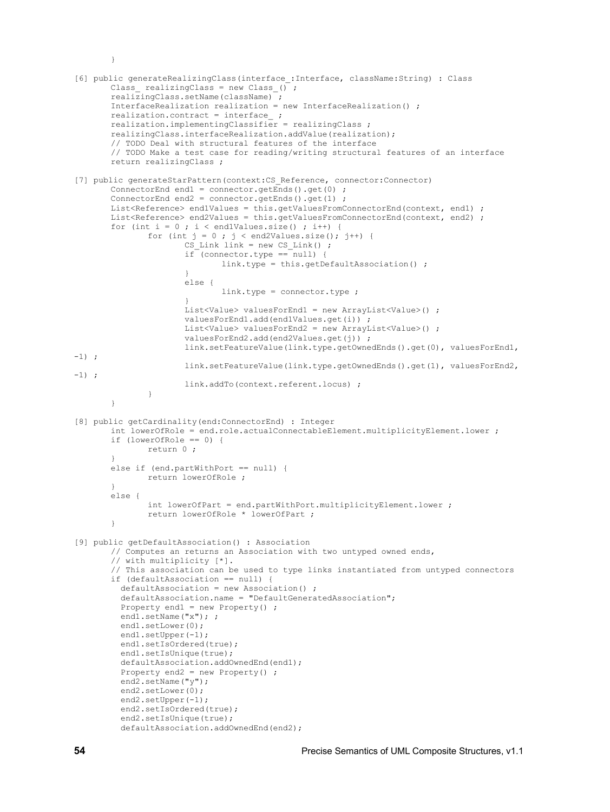```
[6] public generateRealizingClass(interface_:Interface, className:String) : Class
       Class realizingClass = new Class () ;
       realizingClass.setName(className) ;
       InterfaceRealization realization = new InterfaceRealization() ;
       realization.contract = interface_ ;
       realization.\text{implementingClassifier} = realizingClass;realizingClass.interfaceRealization.addValue(realization);
       // TODO Deal with structural features of the interface
       // TODO Make a test case for reading/writing structural features of an interface
       return realizingClass ;
[7] public generateStarPattern(context:CS_Reference, connector:Connector)
        ConnectorEnd end1 = connector.getEnds().get(0) ;
        ConnectorEnd end2 = connector.getEnds().get(1) ;
       List<Reference> end1Values = this.getValuesFromConnectorEnd(context, end1) ;
       List<Reference> end2Values = this.getValuesFromConnectorEnd(context, end2) ;
       for (int i = 0; i < endlValues.size(); i++) {
               for (int j = 0; j < end2Values.size(); j^{++}) {
                       CS Link link = new CS Link() ;
                       if (connector type == null) {
                              link.type = this.getDefaultAssociation() ;
                       }
                       else {
                              link.type = connector.type ;
                       }
                       List<Value> valuesForEnd1 = new ArrayList<Value>() ;
                       valuesForEnd1.add(end1Values.get(i)) ;
                       List<Value> valuesForEnd2 = new ArrayList<Value>() ;
                       valuesForEnd2.add(end2Values.get(j)) ;
                       link.setFeatureValue(link.type.getOwnedEnds().get(0), valuesForEnd1, 
-1);
                       link.setFeatureValue(link.type.getOwnedEnds().get(1), valuesForEnd2, 
-1);
                       link.addTo(context.referent.locus) ;
               }
       }
[8] public getCardinality(end:ConnectorEnd) : Integer
       int lowerOfRole = end.role.actualConnectableElement.multiplicityElement.lower ;
       if (lowerOfRole == 0) {
               return 0 ;
        }
       else if (end.partWithPort == null) {
               return lowerOfRole ;
        }
       else {
               int lowerOfPart = end.partWithPort.multiplicityElement.lower ;
               return lowerOfRole * lowerOfPart ;
       }
[9] public getDefaultAssociation() : Association
        // Computes an returns an Association with two untyped owned ends,
       // with multiplicity [*].
       // This association can be used to type links instantiated from untyped connectors
       if (defaultAssociation == null) {
          defaultAssociation = new Association() ;
          defaultAssociation.name = "DefaultGeneratedAssociation";
          Property end1 = new Property() ;
         end1.setName("x"); ;
          end1.setLower(0);
          end1.setUpper(-1);
          end1.setIsOrdered(true);
         end1.setIsUnique(true);
          defaultAssociation.addOwnedEnd(end1);
         Property end2 = new Property() ;
          end2.setName("y");
          end2.setLower(0);
          end2.setUpper(-1);
          end2.setIsOrdered(true);
          end2.setIsUnique(true);
          defaultAssociation.addOwnedEnd(end2);
```
}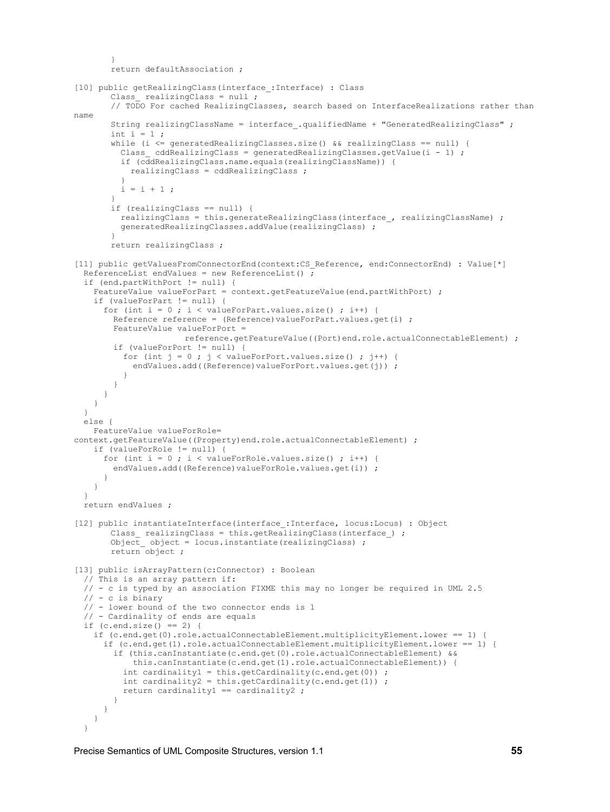```
}
       return defaultAssociation ;
[10] public qetRealizingClass(interface :Interface) : Class
       Class realizingClass = null ;
       // TODO For cached RealizingClasses, search based on InterfaceRealizations rather than
name
       String realizingClassName = interface_.qualifiedName + "GeneratedRealizingClass" ;
       int i = 1;
       while (i \leq generatedRealizingClasses.size() && realizingClass == null) {
         Class cddRealizingClass = generatedRealizingClasses.getValue(i - 1) ;
          if (cddRealizingClass.name.equals(realizingClassName)) {
            realizingClass = cddRealizingClass ;
         }
         i = i + 1;}
       if (realizingClass == null) {
         realizingClass = this.generateRealizingClass(interface, realizingClassName) ;
          generatedRealizingClasses.addValue(realizingClass) ;
       }
       return realizingClass ;
[11] public getValuesFromConnectorEnd(context:CS_Reference, end:ConnectorEnd) : Value[*]
  ReferenceList endValues = new ReferenceList() \overline{\cdot} if (end.partWithPort != null) {
    FeatureValue valueForPart = context.getFeatureValue(end.partWithPort) ;
     if (valueForPart != null) {
      for (int i = 0; i < valueForPart.values.size(); i++) {
         Reference reference = (Reference)valueForPart.values.get(i) ;
         FeatureValue valueForPort =
                      reference.getFeatureValue((Port)end.role.actualConnectableElement) ;
         if (valueForPort != null) {
          for (int j = 0; j < valueForPort.values.size(); j++) {
            endValues.add((Reference)valueForPort.values.get(j)) ;
 }
         }
      }
    }
   }
   else {
    FeatureValue valueForRole= 
context.getFeatureValue((Property)end.role.actualConnectableElement) ;
    if (valueForRole != null) {
      for (int i = 0; i < valueForRole.values.size(); i^{++}) {
        endValues.add((Reference)valueForRole.values.get(i)) ;
       }
     }
   }
   return endValues ;
[12] public instantiateInterface(interface_:Interface, locus:Locus) : Object
       Class realizingClass = this.getRealizingClass(interface) ;
       Object_ object = locus.instantiate(realizingClass) ;
       return object ;
[13] public isArrayPattern(c:Connector) : Boolean
   // This is an array pattern if:
   // - c is typed by an association FIXME this may no longer be required in UML 2.5
  // - c is binary
   // - lower bound of the two connector ends is 1
   // - Cardinality of ends are equals
  if (c.end.size() == 2) if (c.end.get(0).role.actualConnectableElement.multiplicityElement.lower == 1) {
       if (c.end.get(1).role.actualConnectableElement.multiplicityElement.lower == 1) {
         if (this.canInstantiate(c.end.get(0).role.actualConnectableElement) &&
             this.canInstantiate(c.end.get(1).role.actualConnectableElement)) {
          int cardinality1 = this.getCardinality(c.end.get(0)) ;
          int cardinality2 = this.getCardinality(c.end.get(1)) ;
          return cardinality1 == cardinality2 ;
         }
       }
     }
   }
```
Precise Semantics of UML Composite Structures, version 1.1 **55**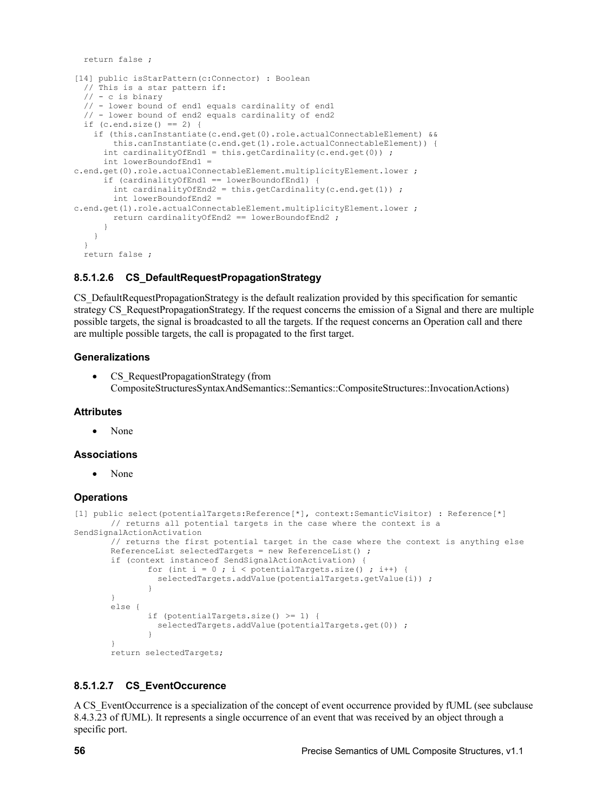```
 return false ;
[14] public isStarPattern(c:Connector) : Boolean
   // This is a star pattern if:
  // - c is binary
   // - lower bound of end1 equals cardinality of end1
   // - lower bound of end2 equals cardinality of end2
  if (c.end.size() == 2) if (this.canInstantiate(c.end.get(0).role.actualConnectableElement) &&
         this.canInstantiate(c.end.get(1).role.actualConnectableElement)) {
       int cardinalityOfEnd1 = this.getCardinality(c.end.get(0)) ;
       int lowerBoundofEnd1 = 
c.end.get(0).role.actualConnectableElement.multiplicityElement.lower ;
       if (cardinalityOfEnd1 == lowerBoundofEnd1) {
        int cardinalityOfEnd2 = this.getCardinality(c.end.get(1)) ;
         int lowerBoundofEnd2 = 
c.end.get(1).role.actualConnectableElement.multiplicityElement.lower ;
        return cardinalityOfEnd2 == lowerBoundofEnd2 ;
 }
     }
 }
   return false ;
```
# <span id="page-67-0"></span>**8.5.1.2.6 CS\_DefaultRequestPropagationStrategy**

CS\_DefaultRequestPropagationStrategy is the default realization provided by this specification for semantic strategy [CS\\_RequestPropagationStrategy.](#page-69-0) If the request concerns the emission of a Signal and there are multiple possible targets, the signal is broadcasted to all the targets. If the request concerns an Operation call and there are multiple possible targets, the call is propagated to the first target.

# **Generalizations**

 CS\_RequestPropagationStrategy (from CompositeStructuresSyntaxAndSemantics::Semantics::CompositeStructures::InvocationActions)

# **Attributes**

None

# **Associations**

None

# **Operations**

```
[1] public select(potentialTargets:Reference[*], context:SemanticVisitor) : Reference[*]
       // returns all potential targets in the case where the context is a 
SendSignalActionActivation
       // returns the first potential target in the case where the context is anything else
       ReferenceList selectedTargets = new ReferenceList() ;
       if (context instanceof SendSignalActionActivation) {
               for (int i = 0; i < potentialTargets.size(); i++) {
                 selectedTargets.addValue(potentialTargets.getValue(i)) ;
               }
       }
       else { 
               if (potentialTargets.size() >= 1) {
                 selectedTargets.addValue(potentialTargets.get(0)) ;
               }
       }
       return selectedTargets;
```
# **8.5.1.2.7 CS\_EventOccurence**

A CS EventOccurrence is a specialization of the concept of event occurrence provided by fUML (see subclause 8.4.3.23 of fUML). It represents a single occurrence of an event that was received by an object through a specific port.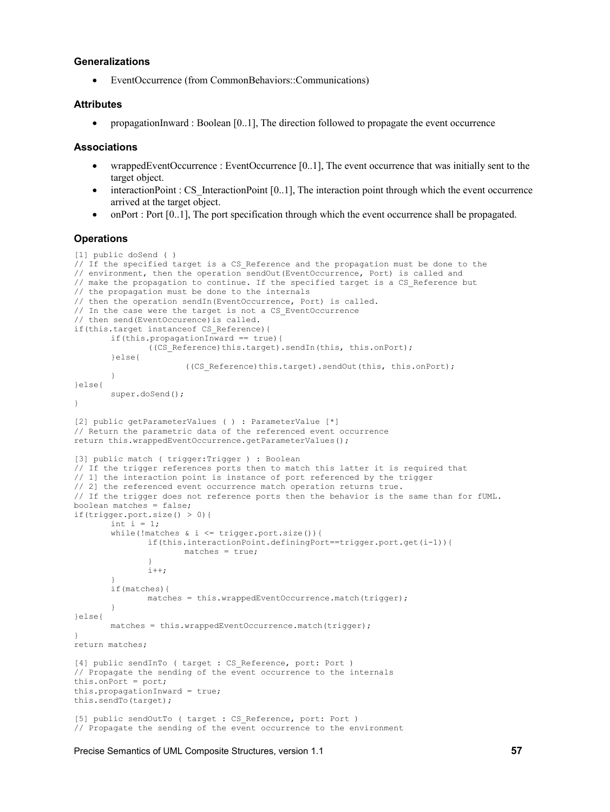#### **Generalizations**

EventOccurrence (from CommonBehaviors::Communications)

# **Attributes**

• propagationInward : Boolean  $[0..1]$ , The direction followed to propagate the event occurrence

#### **Associations**

- wrappedEventOccurrence : EventOccurrence [0..1], The event occurrence that was initially sent to the target object.
- $\bullet$  interactionPoint : CS InteractionPoint [0..1], The interaction point through which the event occurrence arrived at the target object.
- onPort : Port [0..1], The port specification through which the event occurrence shall be propagated.

```
[1] public doSend ( )
// If the specified target is a CS Reference and the propagation must be done to the
// environment, then the operation sendOut(EventOccurrence, Port) is called and 
// make the propagation to continue. If the specified target is a CS Reference but
// the propagation must be done to the internals 
// then the operation sendIn(EventOccurrence, Port) is called. 
// In the case were the target is not a CS EventOccurrence
// then send(EventOccurence)is called.
if(this.target instanceof CS_Reference){
       if(this.propagationInward == true){
               ((CS_Reference)this.target).sendIn(this, this.onPort);
       }else{
                       ((CS_Reference)this.target).sendOut(this, this.onPort);
        }
}else{
        super.doSend();
}
[2] public getParameterValues ( ) : ParameterValue [*]
// Return the parametric data of the referenced event occurrence
return this.wrappedEventOccurrence.getParameterValues();
[3] public match ( trigger:Trigger ) : Boolean
// If the trigger references ports then to match this latter it is required that 
// 1] the interaction point is instance of port referenced by the trigger
// 2] the referenced event occurrence match operation returns true.
// If the trigger does not reference ports then the behavior is the same than for fUML.
boolean matches = false;
if(trigger.port.size() > 0){
       int i = 1;while(!matches \&i \leq t \text{ trigger.port.size}()){
               if(this.interactionPoint.definingPort==trigger.port.get(i-1)){
                      matches = true;
               }
               i++;}
       if(matches){
               matches = this.wrappedEventOccurrence.match(trigger);
        }
}else{
       matches = this.wrappedEventOccurrence.match(trigger);
}
return matches;
[4] public sendInTo ( target : CS Reference, port: Port )
// Propagate the sending of the event occurrence to the internals
this.onPort = port;
this.propagationInward = true;
this.sendTo(target);
[5] public sendOutTo ( target : CS_Reference, port: Port )
// Propagate the sending of the event occurrence to the environment
```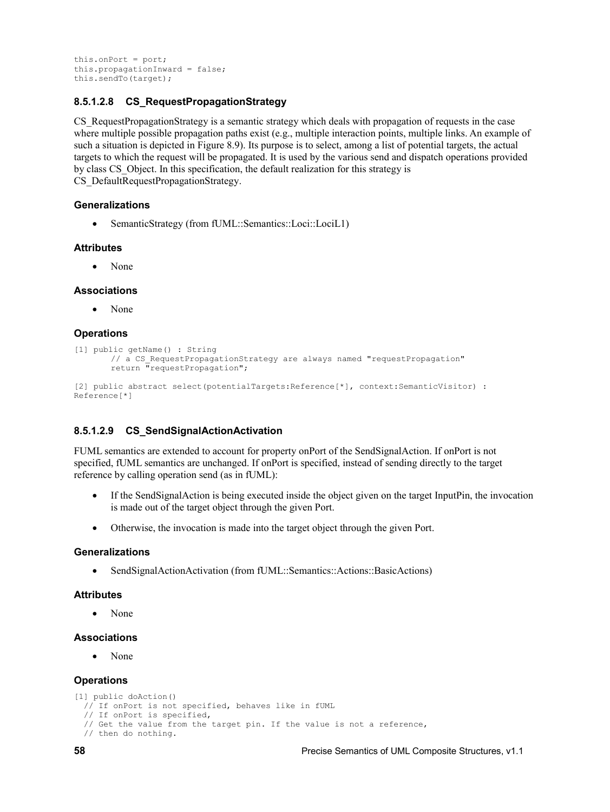```
this.onPort = port;
this.propagationInward = false;
this.sendTo(target);
```
# <span id="page-69-0"></span>**8.5.1.2.8 CS\_RequestPropagationStrategy**

CS RequestPropagationStrategy is a semantic strategy which deals with propagation of requests in the case where multiple possible propagation paths exist (e.g., multiple interaction points, multiple links. An example of such a situation is depicted in [Figure 8.9\)](#page-62-0). Its purpose is to select, among a list of potential targets, the actual targets to which the request will be propagated. It is used by the various send and dispatch operations provided by class [CS\\_Object.](#page-73-0) In this specification, the default realization for this strategy i[s](#page-67-0) [CS\\_DefaultRequestPropagationStrategy.](#page-67-0)

# **Generalizations**

SemanticStrategy (from fUML::Semantics::Loci::LociL1)

#### **Attributes**

• None

#### **Associations**

• None

### **Operations**

```
[1] public getName() : String
       // a CS_RequestPropagationStrategy are always named "requestPropagation"
       return "requestPropagation";
```

```
[2] public abstract select(potentialTargets:Reference[*], context:SemanticVisitor) : 
Reference[*]
```
# **8.5.1.2.9 CS\_SendSignalActionActivation**

FUML semantics are extended to account for property onPort of the SendSignalAction. If onPort is not specified, fUML semantics are unchanged. If onPort is specified, instead of sending directly to the target reference by calling operation send (as in fUML):

- If the SendSignalAction is being executed inside the object given on the target InputPin, the invocation is made out of the target object through the given Port.
- Otherwise, the invocation is made into the target object through the given Port.

#### **Generalizations**

SendSignalActionActivation (from fUML::Semantics::Actions::BasicActions)

#### **Attributes**

• None

#### **Associations**

• None

```
[1] public doAction()
  // If onPort is not specified, behaves like in fUML
  // If onPort is specified,
  // Get the value from the target pin. If the value is not a reference,
  // then do nothing.
```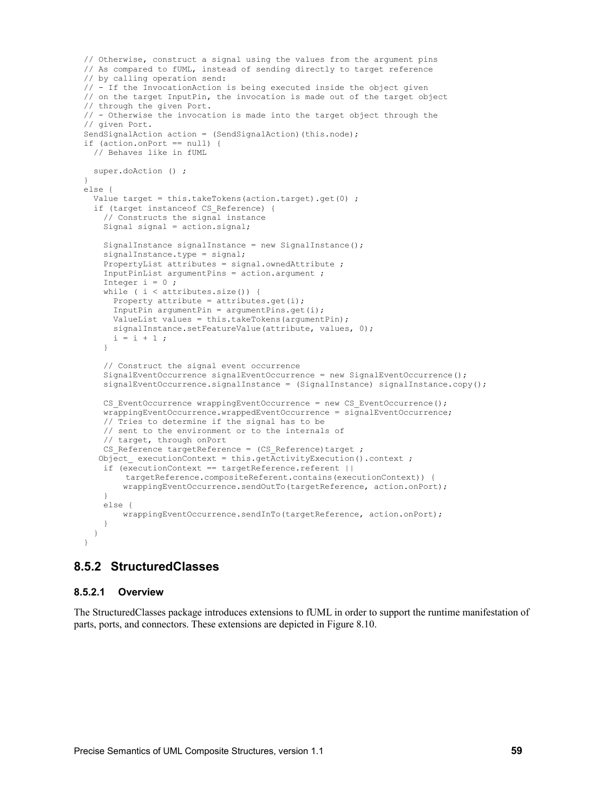```
 // Otherwise, construct a signal using the values from the argument pins
  // As compared to fUML, instead of sending directly to target reference
  // by calling operation send:
  // - If the InvocationAction is being executed inside the object given
  // on the target InputPin, the invocation is made out of the target object
  // through the given Port.
  // - Otherwise the invocation is made into the target object through the
  // given Port.
 SendSignalAction action = (SendSignalAction)(this.node);
  if (action.onPort == null) {
    // Behaves like in fUML
    super.doAction () ;
  }
  else {
   Value target = this.takeTokens(action.target).get(0) ;
    if (target instanceof CS_Reference) {
      // Constructs the signal instance
     Signal signal = action.signal;
     SignalInstance signalInstance = new SignalInstance();
     signalInstance.type = signal;
      PropertyList attributes = signal.ownedAttribute ;
      InputPinList argumentPins = action.argument ;
     Integer i = 0; while ( i < attributes.size()) {
       Property attribute = attributes.get(i);
        InputPin argumentPin = argumentPins.get(i);
        ValueList values = this.takeTokens(argumentPin);
       signalInstance.setFeatureValue(attribute, values, 0);
       i = i + 1; }
      // Construct the signal event occurrence
     SignalEventOccurrence signalEventOccurrence = new SignalEventOccurrence();
     signalEventOccurrence.signalInstance = (SignalInstance) signalInstance.copy();
     CS EventOccurrence wrappingEventOccurrence = new CS EventOccurrence();
     wrappingEventOccurrence.wrappedEventOccurrence = signalEventOccurrence;
      // Tries to determine if the signal has to be
      // sent to the environment or to the internals of
      // target, through onPort
     CS Reference targetReference = (CS Reference)target ;
    Object executionContext = this.getActivityExecution().context ;
      if (executionContext == targetReference.referent ||
           targetReference.compositeReferent.contains(executionContext)) {
          wrappingEventOccurrence.sendOutTo(targetReference, action.onPort);
      }
      else {
          wrappingEventOccurrence.sendInTo(targetReference, action.onPort);
 }
    }
  }
```
# **8.5.2 StructuredClasses**

#### **8.5.2.1 Overview**

The StructuredClasses package introduces extensions to fUML in order to support the runtime manifestation of parts, ports, and connectors. These extensions are depicted in [Figure 8.10.](#page-71-1)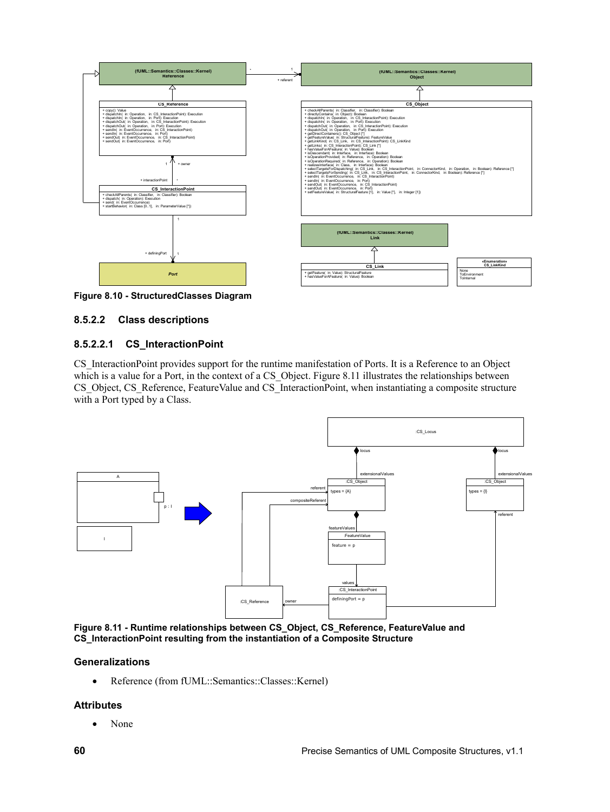

<span id="page-71-1"></span>**Figure 8.10 - StructuredClasses Diagram**

# **8.5.2.2 Class descriptions**

# <span id="page-71-0"></span>**8.5.2.2.1 CS\_InteractionPoint**

CS InteractionPoint provides support for the runtime manifestation of Ports. It is a Reference to an Object which is a value for a Port, in the context of a CS Object. [Figure 8.11](#page-71-2) illustrates the relationships between CS\_Object, CS\_Reference, FeatureValue and CS\_InteractionPoint, when instantiating a composite structure with a Port typed by a Class.



<span id="page-71-2"></span>**Figure 8.11 - Runtime relationships between CS\_Object, CS\_Reference, FeatureValue and CS\_InteractionPoint resulting from the instantiation of a Composite Structure**

# **Generalizations**

Reference (from fUML::Semantics::Classes::Kernel)

# **Attributes**

• None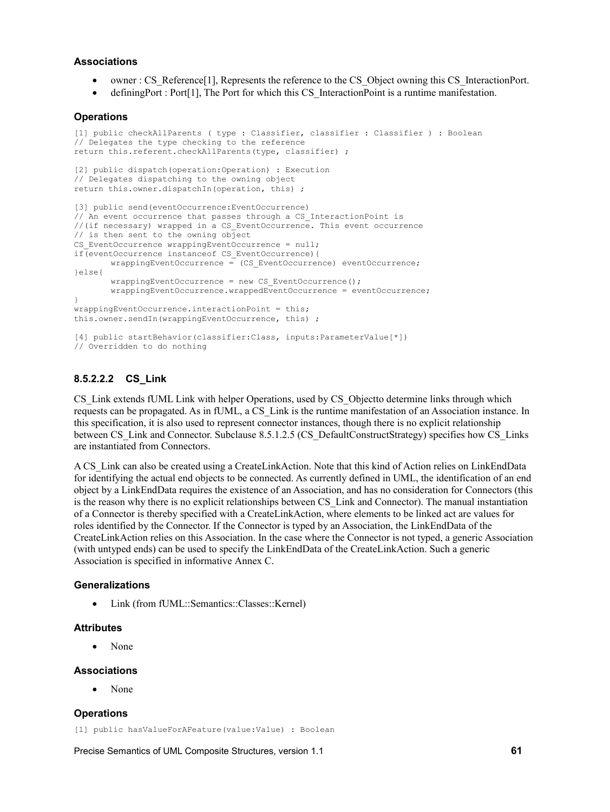### **Associations**

- owner : CS\_Reference[1], Represents the reference to the CS\_Object owning this CS\_InteractionPort.
- defining Port : Port [1], The Port for which this CS Interaction Point is a runtime manifestation.

### **Operations**

```
[1] public checkAllParents ( type : Classifier, classifier : Classifier ) : Boolean
// Delegates the type checking to the reference
return this.referent.checkAllParents(type, classifier) ;
[2] public dispatch(operation:Operation) : Execution
// Delegates dispatching to the owning object
return this.owner.dispatchIn(operation, this) ;
[3] public send(eventOccurrence:EventOccurrence)
// An event occurrence that passes through a CS_InteractionPoint is
//(if necessary) wrapped in a CS_EventOccurrence. This event occurrence
// is then sent to the owning object
CS EventOccurrence wrappingEventOccurrence = null;
if(eventOccurrence instanceof CS_EventOccurrence){
       wrappingEventOccurrence = (CS_EventOccurrence) eventOccurrence; 
}else{
       wrappingEventOccurrence = new CS EventOccurrence();
       wrappingEventOccurrence.wrappedEventOccurrence = eventOccurrence;
}
wrappingEventOccurrence.interactionPoint = this;
this.owner.sendIn(wrappingEventOccurrence, this) ;
[4] public startBehavior(classifier:Class, inputs:ParameterValue[*])
// Overridden to do nothing
```
### **8.5.2.2.2 CS\_Link**

CS\_Link extends fUML Link with helper Operations, used by [CS\\_Objectt](#page-73-0)o determine links through which requests can be propagated. As in fUML, a CS\_Link is the runtime manifestation of an Association instance. In this specification, it is also used to represent connector instances, though there is no explicit relationship between CS\_Link and Connector. Subclause [8.5.1.2.5](#page-61-0) (CS\_DefaultConstructStrategy) specifies how CS\_Links are instantiated from Connectors.

A CS\_Link can also be created using a CreateLinkAction. Note that this kind of Action relies on LinkEndData for identifying the actual end objects to be connected. As currently defined in UML, the identification of an end object by a LinkEndData requires the existence of an Association, and has no consideration for Connectors (this is the reason why there is no explicit relationships between CS\_Link and Connector). The manual instantiation of a Connector is thereby specified with a CreateLinkAction, where elements to be linked act are values for roles identified by the Connector. If the Connector is typed by an Association, the LinkEndData of the CreateLinkAction relies on this Association. In the case where the Connector is not typed, a generic Association (with untyped ends) can be used to specify the LinkEndData of the CreateLinkAction. Such a generic Association is specified in informative [Annex C.](#page-156-0)

### **Generalizations**

• Link (from fUML::Semantics::Classes::Kernel)

### **Attributes**

None

### **Associations**

None

### **Operations**

[1] public hasValueForAFeature(value:Value) : Boolean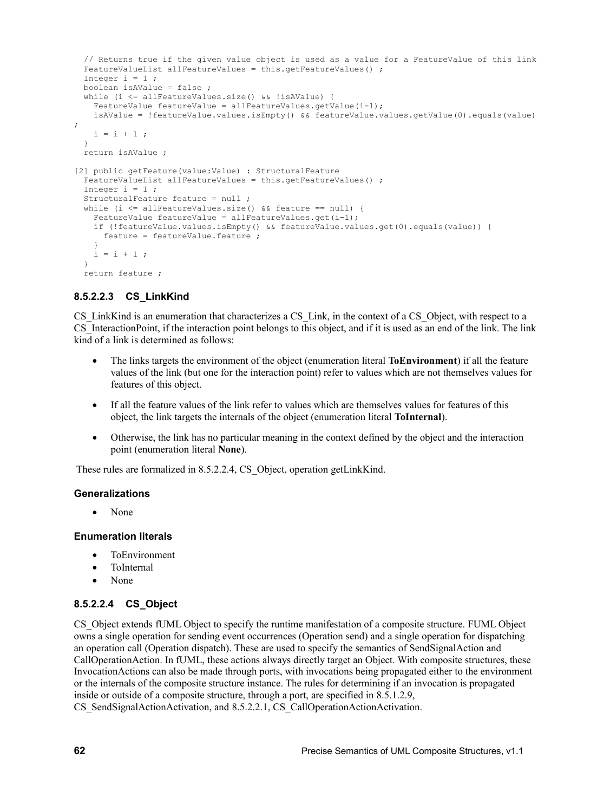```
 // Returns true if the given value object is used as a value for a FeatureValue of this link
  FeatureValueList allFeatureValues = this.getFeatureValues() ;
  Integer i = 1;
   boolean isAValue = false ;
   while (i <= allFeatureValues.size() && !isAValue) {
   FeatureValue featureValue = allFeatureValues.getValue(i-1);
     isAValue = !featureValue.values.isEmpty() && featureValue.values.getValue(0).equals(value)
;
   i = i + 1;
   }
   return isAValue ;
[2] public getFeature(value:Value) : StructuralFeature
   FeatureValueList allFeatureValues = this.getFeatureValues() ;
  Integer i = 1;
   StructuralFeature feature = null ;
  while (i \le allFeatureValues.size() && feature == null) {
   FeatureValue featureValue = allFeatureValues.qet(i-1);
     if (!featureValue.values.isEmpty() && featureValue.values.get(0).equals(value)) {
      feature = featureValue.feature ;
 }
    i = i + 1; }
   return feature ;
```
## **8.5.2.2.3 CS\_LinkKind**

CS LinkKind is an enumeration that characterizes a CS Link, in the context of a CS Object, with respect to a CS InteractionPoint, if the interaction point belongs to this object, and if it is used as an end of the link. The link kind of a link is determined as follows:

- The links targets the environment of the object (enumeration literal **ToEnvironment**) if all the feature values of the link (but one for the interaction point) refer to values which are not themselves values for features of this object.
- If all the feature values of the link refer to values which are themselves values for features of this object, the link targets the internals of the object (enumeration literal **ToInternal**).
- Otherwise, the link has no particular meaning in the context defined by the object and the interaction point (enumeration literal **None**).

These rules are formalized in [8.5.2.2.4,](#page-73-0) CS\_Object, operation getLinkKind.

### **Generalizations**

None

### **Enumeration literals**

- ToEnvironment
- ToInternal
- <span id="page-73-0"></span>• None

### **8.5.2.2.4 CS\_Object**

CS\_Object extends fUML Object to specify the runtime manifestation of a composite structure. FUML Object owns a single operation for sending event occurrences (Operation send) and a single operation for dispatching an operation call (Operation dispatch). These are used to specify the semantics of SendSignalAction and CallOperationAction. In fUML, these actions always directly target an Object. With composite structures, these InvocationActions can also be made through ports, with invocations being propagated either to the environment or the internals of the composite structure instance. The rules for determining if an invocation is propagated inside or outside of a composite structure, through a port, are specified in [8.5.1.2.9,](#page-69-0) CS\_SendSignalActionActivation, and [8.5.2.2.1,](#page-71-0) CS\_CallOperationActionActivation.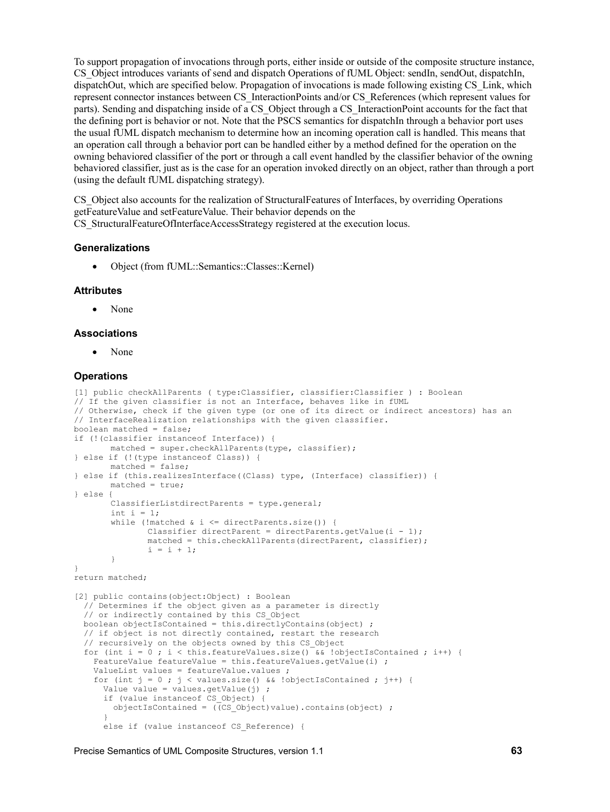To support propagation of invocations through ports, either inside or outside of the composite structure instance, CS Object introduces variants of send and dispatch Operations of fUML Object: sendIn, sendOut, dispatchIn, dispatchOut, which are specified below. Propagation of invocations is made following existing CS\_Link, which represent connector instances between CS\_InteractionPoints and/or CS\_References (which represent values for parts). Sending and dispatching inside of a CS\_Object through a CS\_InteractionPoint accounts for the fact that the defining port is behavior or not. Note that the PSCS semantics for dispatchIn through a behavior port uses the usual fUML dispatch mechanism to determine how an incoming operation call is handled. This means that an operation call through a behavior port can be handled either by a method defined for the operation on the owning behaviored classifier of the port or through a call event handled by the classifier behavior of the owning behaviored classifier, just as is the case for an operation invoked directly on an object, rather than through a port (using the default fUML dispatching strategy).

CS Object also accounts for the realization of StructuralFeatures of Interfaces, by overriding Operations getFeatureValue and setFeatureValue. Their behavior depends on the CS StructuralFeatureOfInterfaceAccessStrategy registered at the execution locus.

### **Generalizations**

Object (from fUML::Semantics::Classes::Kernel)

### **Attributes**

None

### **Associations**

None

### **Operations**

```
[1] public checkAllParents ( type:Classifier, classifier:Classifier ) : Boolean
// If the given classifier is not an Interface, behaves like in fUML
// Otherwise, check if the given type (or one of its direct or indirect ancestors) has an
// InterfaceRealization relationships with the given classifier.
boolean matched = false;
if (!(classifier instanceof Interface)) {
       matched = super.checkAllParents(type, classifier);
} else if (!(type instanceof Class)) {
       matched = false;
} else if (this.realizesInterface((Class) type, (Interface) classifier)) {
       matched = true;
} else {
       ClassifierListdirectParents = type.general;
       int i = 1;
       while (!matched \& i \leq directParents.size()) {
               Classifier directParent = directParents.getValue(i - 1);
               matched = this.checkAllParents(directParent, classifier);
               i = i + 1;}
}
return matched;
[2] public contains(object:Object) : Boolean
    // Determines if the object given as a parameter is directly
   // or indirectly contained by this CS_Object
   boolean objectIsContained = this.directlyContains(object) ;
   // if object is not directly contained, restart the research
   // recursively on the objects owned by this CS_Object
  for (int i = 0 ; i < this.featureValues.size() && !objectIsContained ; i++) {
   FeatureValue featureValue = this.featureValues.getValue(i) ;
     ValueList values = featureValue.values ;
    for (int j = 0; j < values.size() && !objectIsContained; j^{++}) {
       Value value = values.getValue(j) ;
       if (value instanceof CS_Object) {
         objectIsContained = ((CS_Object)value).contains(object) ;
 }
       else if (value instanceof CS_Reference) {
```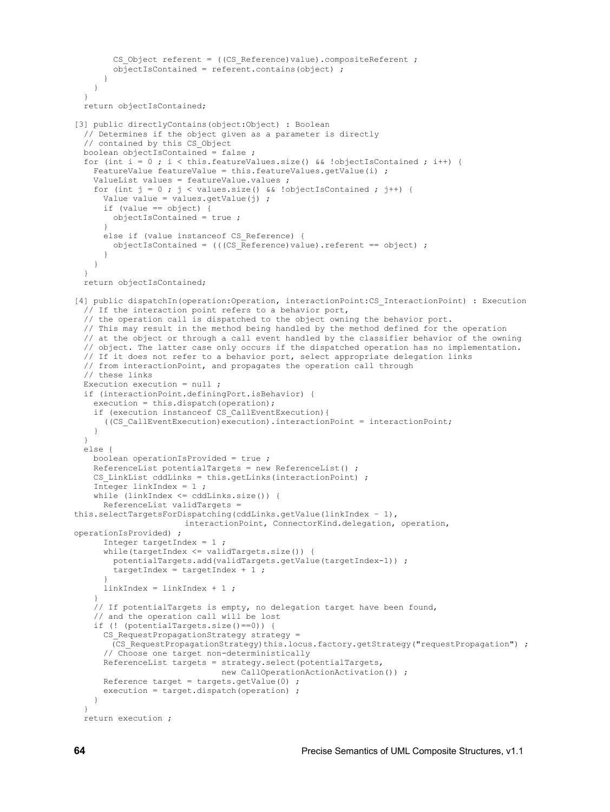```
CS Object referent = ((CS Reference)value).compositeReferent ;
        objectIsContained = referent.contains(object) ;
      }
    }
  }
  return objectIsContained;
[3] public directlyContains(object:Object) : Boolean
   // Determines if the object given as a parameter is directly
  // contained by this CS_Object
  boolean objectIsContained = false ;
  for (int i = 0 ; i < this.featureValues.size() && !objectIsContained ; i++) {
   FeatureValue featureValue = this.featureValues.getValue(i) ;
    ValueList values = featureValue.values ;
    for (int j = 0; j < values.size() && !objectIsContained; j++) {
     Value value = values.getValue(j) ;
      if (value == object) {
        objectIsContained = true ;
 }
      else if (value instanceof CS_Reference) {
       objectIsContained = (((CS \nReference) value) \nreferent == object) ; }
    }
  }
  return objectIsContained;
[4] public dispatchIn(operation:Operation, interactionPoint:CS_InteractionPoint) : Execution
   // If the interaction point refers to a behavior port, 
   // the operation call is dispatched to the object owning the behavior port. 
  // This may result in the method being handled by the method defined for the operation 
  // at the object or through a call event handled by the classifier behavior of the owning
  // object. The latter case only occurs if the dispatched operation has no implementation.
  // If it does not refer to a behavior port, select appropriate delegation links 
  // from interactionPoint, and propagates the operation call through 
  // these links
  Execution execution = null ;
  if (interactionPoint.definingPort.isBehavior) {
    execution = this.dispatch(operation);
    if (execution instanceof CS_CallEventExecution){
       ((CS_CallEventExecution)execution).interactionPoint = interactionPoint;
     }
 }
  else {
    boolean operationIsProvided = true ;
    ReferenceList potentialTargets = new ReferenceList() ;
   CS LinkList cddLinks = this.getLinks(interactionPoint) ;
     Integer linkIndex = 1 ;
    while (linkIndex \leq cddLinks.size()) {
      ReferenceList validTargets = 
this.selectTargetsForDispatching(cddLinks.getValue(linkIndex - 1),
                      interactionPoint, ConnectorKind.delegation, operation, 
operationIsProvided) ;
     Integer targetIndex = 1;
     while(targetIndex <= validTargets.size()) {
        potentialTargets.add(validTargets.getValue(targetIndex-1)) ;
         targetIndex = targetIndex + 1 ;
 }
      linkIndex = linkIndex + 1 ;
 }
     // If potentialTargets is empty, no delegation target have been found, 
     // and the operation call will be lost
    if (! (potentialTargets.size()==0)) {
     CS RequestPropagationStrategy strategy =
       (CS_RequestPropagationStrategy)this.locus.factory.getStrategy("requestPropagation") ;
       // Choose one target non-deterministically
      ReferenceList targets = strategy.select(potentialTargets,
                              new CallOperationActionActivation()) ;
     Reference target = targets.getValue(0) ;
     execution = target.dispatch(operation) ;
     }
 }
  return execution ;
```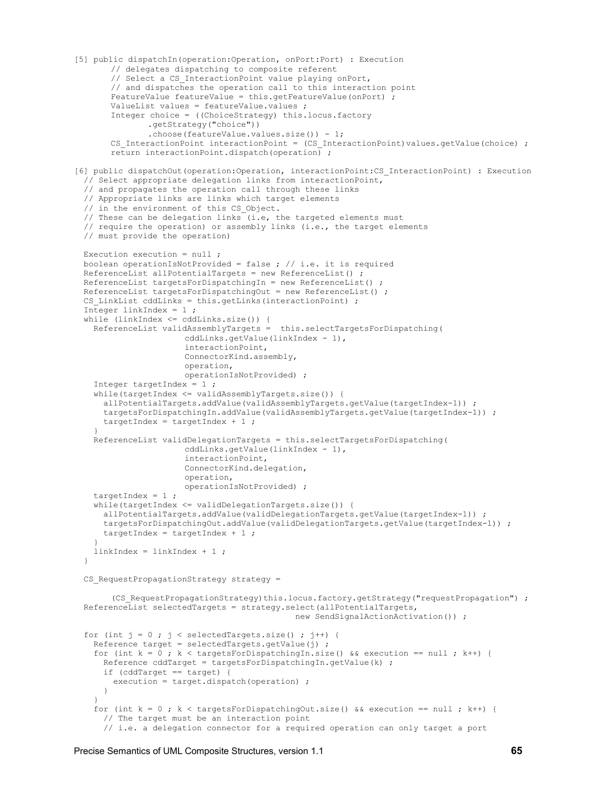```
[5] public dispatchIn(operation:Operation, onPort:Port) : Execution
       // delegates dispatching to composite referent
       // Select a CS_InteractionPoint value playing onPort,
       // and dispatches the operation call to this interaction point
       FeatureValue featureValue = this.getFeatureValue(onPort) ;
       ValueList values = featureValue.values ;
       Integer choice = ((ChoiceStrategy) this.locus.factory
              .getStrategy("choice"))
               .choose(featureValue.values.size()) - 1;
       CS InteractionPoint interactionPoint = (CS InteractionPoint)values.getValue(choice) ;
       return interactionPoint.dispatch(operation) ;
[6] public dispatchOut(operation:Operation, interactionPoint:CS_InteractionPoint) : Execution
   // Select appropriate delegation links from interactionPoint, 
  // and propagates the operation call through these links
  // Appropriate links are links which target elements
 // in the environment of this CS Object.
 // These can be delegation links (i.e, the targeted elements must
 // require the operation) or assembly links (i.e., the target elements
  // must provide the operation)
  Execution execution = null ;
 boolean operationIsNotProvided = false ; // i.e. it is required
 ReferenceList allPotentialTargets = new ReferenceList() ;
  ReferenceList targetsForDispatchingIn = new ReferenceList() ;
 ReferenceList targetsForDispatchingOut = new ReferenceList() ;
 CS LinkList cddLinks = this.getLinks(interactionPoint) ;
  Integer linkIndex = 1 ;
 while (linkIndex \leq cddLinks.size()) {
   ReferenceList validAssemblyTargets = this.selectTargetsForDispatching(
                      cddLinks.getValue(linkIndex - 1), 
                      interactionPoint,
                      ConnectorKind.assembly,
                      operation,
                      operationIsNotProvided) ;
    Integer targetIndex = 1 ;
    while(targetIndex <= validAssemblyTargets.size()) {
      allPotentialTargets.addValue(validAssemblyTargets.getValue(targetIndex-1)) ;
      targetsForDispatchingIn.addValue(validAssemblyTargets.getValue(targetIndex-1)) ;
     targetIndex = targetIndex + 1 ;
 }
    ReferenceList validDelegationTargets = this.selectTargetsForDispatching(
                      cddLinks.getValue(linkIndex - 1), 
                      interactionPoint,
                      ConnectorKind.delegation,
                      operation,
                      operationIsNotProvided) ;
   targetIndex = 1;
    while(targetIndex <= validDelegationTargets.size()) {
      allPotentialTargets.addValue(validDelegationTargets.getValue(targetIndex-1)) ;
      targetsForDispatchingOut.addValue(validDelegationTargets.getValue(targetIndex-1)) ;
     targetIndex = targetIndex + 1 ;
 }
    linkIndex = linkIndex + 1 ;
  }
 CS RequestPropagationStrategy strategy =
       (CS_RequestPropagationStrategy)this.locus.factory.getStrategy("requestPropagation") ;
  ReferenceList selectedTargets = strategy.select(allPotentialTargets,
                                             new SendSignalActionActivation()) ;
 for (int j = 0; j < selectedTargets.size(); j++) {
    Reference target = selectedTargets.getValue(j) ;
   for (int k = 0; k < targetsForDispatchingIn.size() && execution == null; k++) {
      Reference cddTarget = targetsForDispatchingIn.getValue(k) ;
      if (cddTarget == target) {
       execution = target.dispatch(operation) ;
      }
 }
   for (int k = 0; k < targetsForDispatchingOut.size() && execution == null; k++) {
      // The target must be an interaction point
      // i.e. a delegation connector for a required operation can only target a port
```

```
Precise Semantics of UML Composite Structures, version 1.1 65
```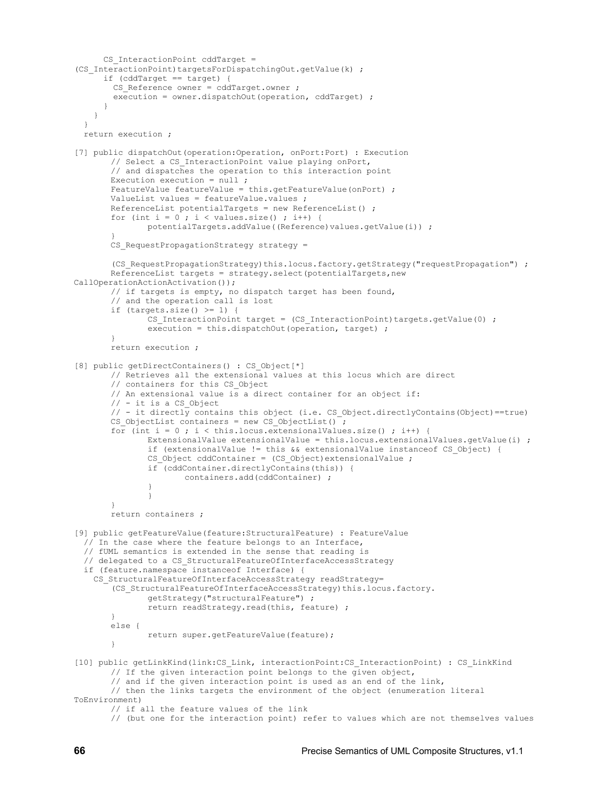```
CS InteractionPoint cddTarget =
(CS InteractionPoint)targetsForDispatchingOut.getValue(k) ;
       if (cddTarget == target) {
        CS_Reference owner = cddTarget.owner ;
         execution = owner.dispatchOut(operation, cddTarget) ;
      }
    }
 }
   return execution ;
[7] public dispatchOut(operation:Operation, onPort:Port) : Execution
       // Select a CS_InteractionPoint value playing onPort,
       // and dispatches the operation to this interaction point
       Execution execution = null ;
       FeatureValue featureValue = this.getFeatureValue(onPort) ;
       ValueList values = featureValue.values ;
       ReferenceList potentialTargets = new ReferenceList() ;
       for (int i = 0 ; i < values.size() ; i++) {
               potentialTargets.addValue((Reference)values.getValue(i)) ;
       }
       CS RequestPropagationStrategy strategy =
       (CS_RequestPropagationStrategy)this.locus.factory.getStrategy("requestPropagation") ;
       ReferenceList targets = strategy.select(potentialTargets,new 
CallOperationActionActivation());
       // if targets is empty, no dispatch target has been found,
       // and the operation call is lost
       if (targets.size() \geq 1) {
               CS InteractionPoint target = (CS InteractionPoint)targets.getValue(0) ;
               execution = this.dispatchOut(operation, target) ;
       }
       return execution ;
[8] public getDirectContainers() : CS_Object[*]
       // Retrieves all the extensional values at this locus which are direct
       // containers for this CS_Object
       // An extensional value is a direct container for an object if:
       // - it is a CS Object// - it directly contains this object (i.e. CS Object.directlyContains(Object)==true)
       CS ObjectList containers = new CS ObjectList();
       for (int i = 0; i < this.locus.extensionalValues.size(); i++) {
               ExtensionalValue extensionalValue = this.locus.extensionalValues.getValue(i) ;
               if (extensionalValue != this && extensionalValue instanceof CS_Object) {
               CS Object cddContainer = (CS_Object)extensionalValue ;
               if (cddContainer.directlyContains(this)) {
                      containers.add(cddContainer) ;
               }
               }
       }
       return containers ;
[9] public getFeatureValue(feature:StructuralFeature) : FeatureValue
   // In the case where the feature belongs to an Interface,
   // fUML semantics is extended in the sense that reading is 
  // delegated to a CS StructuralFeatureOfInterfaceAccessStrategy
   if (feature.namespace instanceof Interface) {
    CS StructuralFeatureOfInterfaceAccessStrategy readStrategy=
       (CS_StructuralFeatureOfInterfaceAccessStrategy)this.locus.factory.
                getStrategy("structuralFeature") ;
               return readStrategy.read(this, feature) ;
       }
       else {
               return super.getFeatureValue(feature);
       }
[10] public getLinkKind(link:CS_Link, interactionPoint:CS_InteractionPoint) : CS_LinkKind
       // If the given interaction point belongs to the given object,
       // and if the given interaction point is used as an end of the link, 
       // then the links targets the environment of the object (enumeration literal 
ToEnvironment)
       // if all the feature values of the link
```
// (but one for the interaction point) refer to values which are not themselves values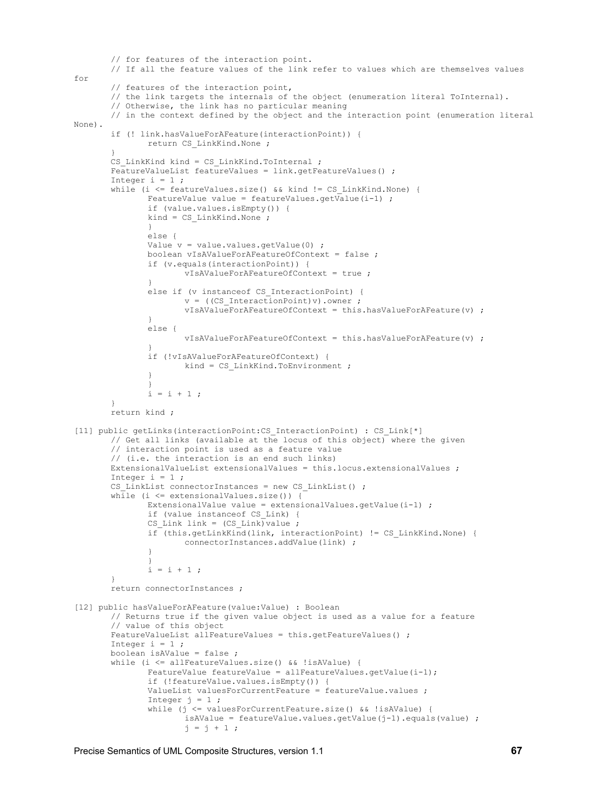```
// for features of the interaction point. 
       // If all the feature values of the link refer to values which are themselves values 
for
       // features of the interaction point, 
       // the link targets the internals of the object (enumeration literal ToInternal).
       // Otherwise, the link has no particular meaning 
       // in the context defined by the object and the interaction point (enumeration literal
None).
       if (! link.hasValueForAFeature(interactionPoint)) {
               return CS_LinkKind.None ;
       }
       CS LinkKind kind = CS LinkKind.ToInternal ;
       FeatureValueList featureValues = link.getFeatureValues() ;
       Integer i = 1;
       while (i \leq featureValues.size() && kind != CS LinkKind.None) {
               FeatureValue value = featureValues.getValue(i-1) ;
               if (value.values.isEmpty()) {
               kind = CS_LinkKind.None ;
               }
               else {
               Value v = value.values.getValue(0) ;
               boolean vIsAValueForAFeatureOfContext = false ;
               if (v.equals(interactionPoint)) {
                      vIsAValueForAFeatureOfContext = true ;
               }
               else if (v instanceof CS_InteractionPoint) {
                      v = ((CS InteractionPoint)v).owner ;
                      vIsAValueForAFeatureOfContext = this.hasValueForAFeature(v) ;
               }
               else {
                      vIsAValueForAFeatureOfContext = this.hasValueForAFeature(v) ;
               }
               if (!vIsAValueForAFeatureOfContext) {
                      kind = CS LinkKind.ToEnvironment ;
               }
               }
               i = i + 1;}
       return kind ;
[11] public getLinks(interactionPoint:CS_InteractionPoint) : CS_Link[*]
       // Get all links (available at the locus of this object) where the given
       // interaction point is used as a feature value
       // (i.e. the interaction is an end such links)
       ExtensionalValueList extensionalValues = this.locus.extensionalValues ;
       Integer i = 1;
       CS LinkList connectorInstances = new CS LinkList() ;
       while (i \leq extensionalValues.size()) {
               ExtensionalValue value = extensionalValues.getValue(i-1) ;
               if (value instanceof CS_Link) {
               CS Link link = (CS Link)value ;
               if (this.getLinkKind(link, interactionPoint) != CS_LinkKind.None) {
                      connectorInstances.addValue(link) ;
               }
               }
               i = i + 1;}
       return connectorInstances ;
[12] public hasValueForAFeature(value:Value) : Boolean
       // Returns true if the given value object is used as a value for a feature
       // value of this object
       FeatureValueList allFeatureValues = this.getFeatureValues() ;
       Integer i = 1;
       boolean isAValue = false ;
       while (i <= allFeatureValues.size() && !isAValue) {
               FeatureValue featureValue = allFeatureValues.getValue(i-1);
               if (!featureValue.values.isEmpty()) {
               ValueList valuesForCurrentFeature = featureValue.values ;
               Integer j = 1;
               while (j <= valuesForCurrentFeature.size() && !isAValue) {
                       isAValue = featureValue.values.getValue(j-1).equals(value) ;
                      j = j + 1;
```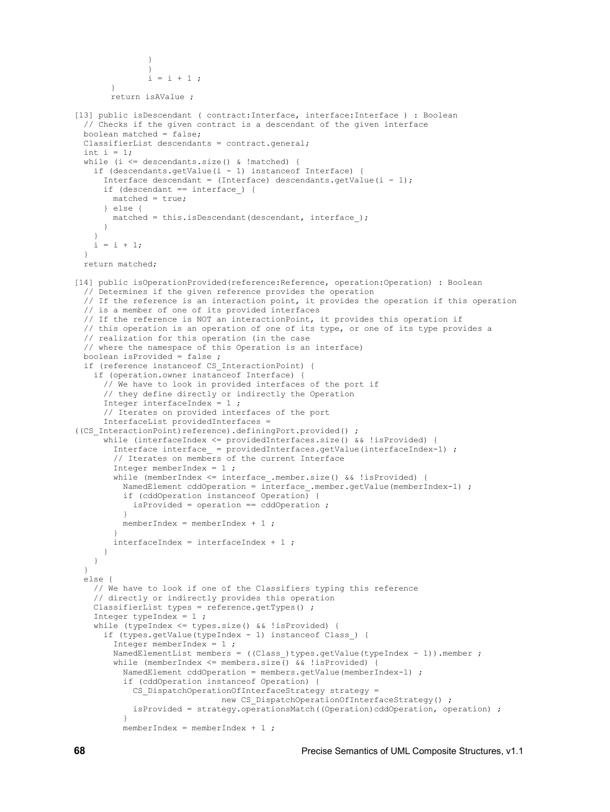```
}
               }
               i = i + 1;}
       return isAValue ;
[13] public isDescendant ( contract:Interface, interface:Interface ) : Boolean
   // Checks if the given contract is a descendant of the given interface
 boolean matched = false:
  ClassifierList descendants = contract.general;
 int i = 1;
  while (i <= descendants.size() & !matched) {
   if (descendants.getValue(i - 1) instanceof Interface) {
       Interface descendant = (Interface) descendants.getValue(i - 1);
      if (descendant == interface ) {
       matched = true; } else {
       matched = this.isDescendant(descendant, interface);
       }
 }
   i = i + 1; }
  return matched;
[14] public isOperationProvided(reference:Reference, operation:Operation) : Boolean
   // Determines if the given reference provides the operation
  // If the reference is an interaction point, it provides the operation if this operation
  // is a member of one of its provided interfaces
  // If the reference is NOT an interactionPoint, it provides this operation if
  // this operation is an operation of one of its type, or one of its type provides a
  // realization for this operation (in the case
   // where the namespace of this Operation is an interface)
  boolean isProvided = false ;
  if (reference instanceof CS_InteractionPoint) {
    if (operation.owner instanceof Interface) {
       // We have to look in provided interfaces of the port if 
       // they define directly or indirectly the Operation
       Integer interfaceIndex = 1 ;
       // Iterates on provided interfaces of the port
      InterfaceList providedInterfaces = 
((CS InteractionPoint)reference).definingPort.provided() ;
     while (interfaceIndex <= providedInterfaces.size() && !isProvided) {
        Interface interface = providedInterfaces.getValue(interfaceIndex-1) ;
         // Iterates on members of the current Interface
         Integer memberIndex = 1 ;
        while (memberIndex <= interface_.member.size() && !isProvided) {
          NamedElement cddOperation = interface .member.getValue(memberIndex-1) ;
           if (cddOperation instanceof Operation) {
            isProvided = operation == cddOperation ;
 }
         memberIndex = memberIndex + 1 ;
 }
       interfaceIndex = interfaceIndex + 1 ;
      }
    }
 }
  else {
    // We have to look if one of the Classifiers typing this reference 
     // directly or indirectly provides this operation
    ClassifierList types = reference.getTypes() ;
    Integer typeIndex = 1;
   while (typeIndex <= types.size() && !isProvided) {
       if (types.getValue(typeIndex - 1) instanceof Class_) {
         Integer memberIndex = 1 ;
       NamedElementList members = ((Class )types.getValue(typeIndex - 1)).member ;
        while (memberIndex <= members.size() && !isProvided) {
          NamedElement cddOperation = members.getValue(memberIndex-1) ;
           if (cddOperation instanceof Operation) {
            CS DispatchOperationOfInterfaceStrategy strategy =
                              new CS DispatchOperationOfInterfaceStrategy() ;
            isProvided = strategy.operationsMatch((Operation)cddOperation, operation) ;
 }
           memberIndex = memberIndex + 1 ;
```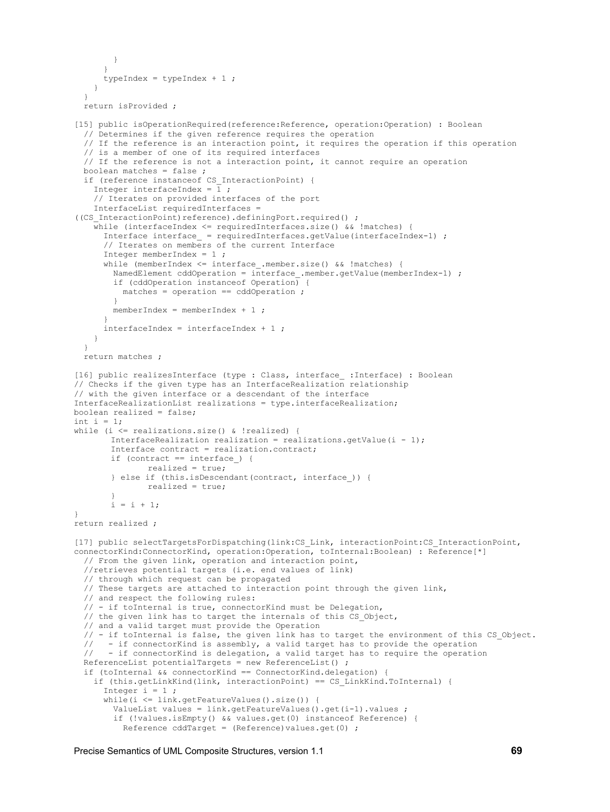```
 }
 }
       typeIndex = typeIndex + 1 ;
     }
   }
   return isProvided ;
[15] public isOperationRequired(reference:Reference, operation:Operation) : Boolean
   // Determines if the given reference requires the operation
   // If the reference is an interaction point, it requires the operation if this operation
   // is a member of one of its required interfaces
   // If the reference is not a interaction point, it cannot require an operation
   boolean matches = false ;
   if (reference instanceof CS_InteractionPoint) {
    Integer interfaceIndex = \overline{1};
     // Iterates on provided interfaces of the port
     InterfaceList requiredInterfaces = 
((CS_InteractionPoint)reference).definingPort.required() ;
     while (interfaceIndex <= requiredInterfaces.size() && !matches) {
      Interface interface = requiredInterfaces.getValue(interfaceIndex-1) ;
       // Iterates on members of the current Interface
       Integer memberIndex = 1 ;
      while (memberIndex \leq interface .member.size() && !matches) {
        NamedElement cddOperation = interface .member.getValue(memberIndex-1) ;
         if (cddOperation instanceof Operation) {
           matches = operation == cddOperation ;
 }
         memberIndex = memberIndex + 1 ;
 }
      interfaceIndex = interfaceIndex + 1 ;
     }
   }
   return matches ;
[16] public realizesInterface (type : Class, interface_ :Interface) : Boolean
// Checks if the given type has an InterfaceRealization relationship
// with the given interface or a descendant of the interface
InterfaceRealizationList realizations = type.interfaceRealization;
boolean realized = false;
int i = 1;
while (i <= realizations.size() & !realized) {
        InterfaceRealization realization = realizations.getValue(i - 1);
        Interface contract = realization.contract;
        if (contract == interface_) {
               realized = true;
        } else if (this.isDescendant(contract, interface_)) {
               realized = true;
        }
        i = i + 1;}
return realized ;
[17] public selectTargetsForDispatching(link:CS_Link, interactionPoint:CS_InteractionPoint, 
connectorKind:ConnectorKind, operation:Operation, toInternal:Boolean) : Reference[*]
   // From the given link, operation and interaction point,
   //retrieves potential targets (i.e. end values of link)
   // through which request can be propagated
   // These targets are attached to interaction point through the given link,
   // and respect the following rules:
   // - if toInternal is true, connectorKind must be Delegation,
   // the given link has to target the internals of this CS_Object,
   // and a valid target must provide the Operation
   // - if toInternal is false, the given link has to target the environment of this CS_Object.
  // - if connectorKind is assembly, a valid target has to provide the operation<br>// - if connectorKind is delegation, a valid target has to require the operation
      - if connectorKind is delegation, a valid target has to require the operation
   ReferenceList potentialTargets = new ReferenceList() ;
   if (toInternal && connectorKind == ConnectorKind.delegation) {
     if (this.getLinkKind(link, interactionPoint) == CS_LinkKind.ToInternal) {
      Integer i = 1;
       while(i <= link.getFeatureValues().size()) {
         ValueList values = link.getFeatureValues().get(i-1).values ;
         if (!values.isEmpty() && values.get(0) instanceof Reference) {
          Reference cddTarget = (Reference)values.get(0) ;
```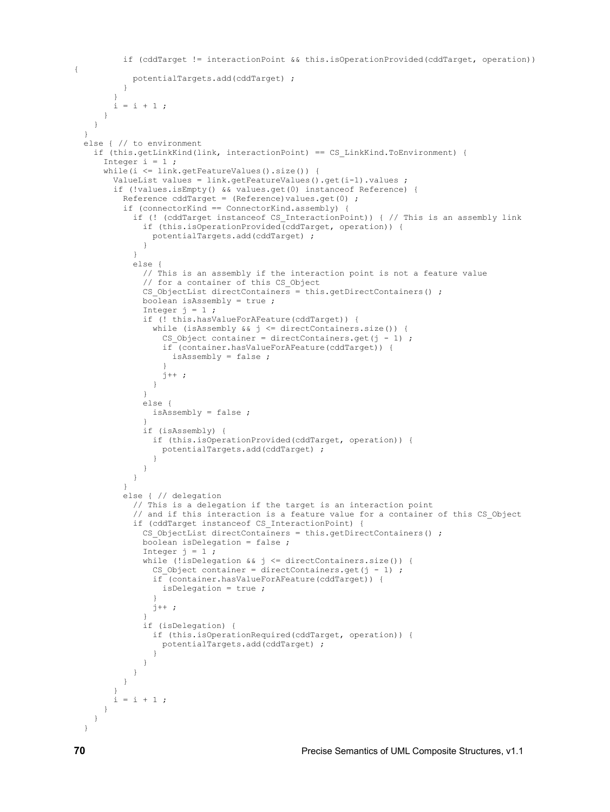```
 if (cddTarget != interactionPoint && this.isOperationProvided(cddTarget, operation))
{
            potentialTargets.add(cddTarget) ;
          }
 }
       i = i + 1; }
    }
 }
  else { // to environment
    if (this.getLinkKind(link, interactionPoint) == CS_LinkKind.ToEnvironment) {
     Integer i = 1;
      while(i <= link.getFeatureValues().size()) {
        ValueList values = link.getFeatureValues().get(i-1).values ;
        if (!values.isEmpty() && values.get(0) instanceof Reference) {
         Reference cddTarget = (Reference)values.get(0);
          if (connectorKind == ConnectorKind.assembly) {
            if (! (cddTarget instanceof CS_InteractionPoint)) { // This is an assembly link
              if (this.isOperationProvided(cddTarget, operation)) {
               potentialTargets.add(cddTarget) ;
 }
 }
            else {
             // This is an assembly if the interaction point is not a feature value
              // for a container of this CS_Object
             CS ObjectList directContainers = this.getDirectContainers() ;
             boolean isAssembly = true ;
             Integer j = 1;
              if (! this.hasValueForAFeature(cddTarget)) {
               while (isAssembly & 4 \leq j \leq 1 directContainers.size()) {
                CS Object container = directContainers.get(j - 1) ;
                 if (container.hasValueForAFeature(cddTarget)) {
                   isAssembly = false ;
 }
                j++ ;
 }
 }
              else {
               isAssembly = false ;
 }
              if (isAssembly) {
                if (this.isOperationProvided(cddTarget, operation)) {
                 potentialTargets.add(cddTarget) ;
 }
             }
            }
 }
          else { // delegation
            // This is a delegation if the target is an interaction point
            // and if this interaction is a feature value for a container of this CS_Object
            if (cddTarget instanceof CS_InteractionPoint) {
             CS ObjectList directContainers = this.getDirectContainers() ;
             boolean isDelegation = false ;
             Integer j = 1;
             while (!isDelegation & 5 \leq 1 directContainers.size()) {
               CS Object container = directContainers.get(j - 1) ;
                if (container.hasValueForAFeature(cddTarget)) {
                 isDelegation = true ; 
 }
               j++ ;
 }
              if (isDelegation) {
                if (this.isOperationRequired(cddTarget, operation)) {
                 potentialTargets.add(cddTarget) ;
 }
 }
            }
          }
        }
      i = i + 1; }
    }
  }
```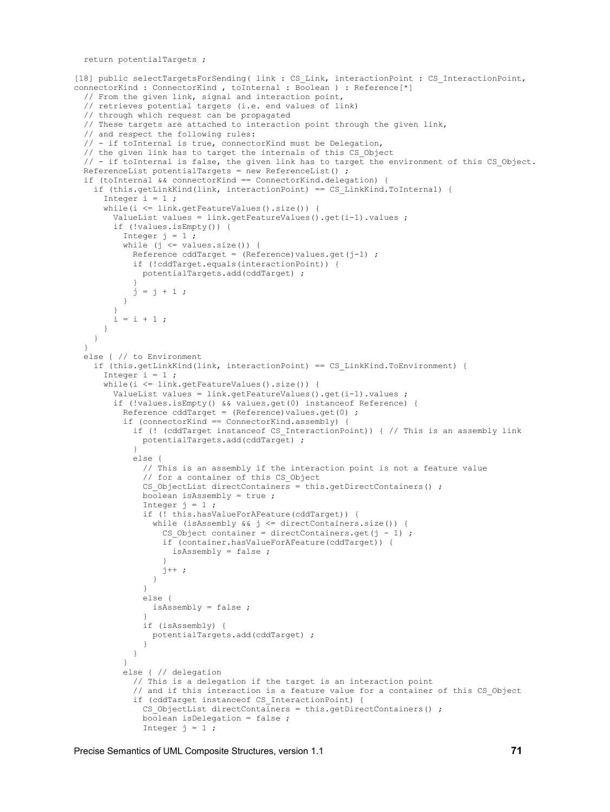return potentialTargets ;

```
[18] public selectTargetsForSending( link : CS Link, interactionPoint : CS InteractionPoint,
connectorKind : ConnectorKind , toInternal : Boolean ) : Reference[*]
   // From the given link, signal and interaction point,
   // retrieves potential targets (i.e. end values of link)
   // through which request can be propagated
   // These targets are attached to interaction point through the given link,
   // and respect the following rules:
   // - if toInternal is true, connectorKind must be Delegation,
  // the given link has to target the internals of this CS Object
   // - if toInternal is false, the given link has to target the environment of this CS_Object.
  ReferenceList potentialTargets = new ReferenceList() ;
   if (toInternal && connectorKind == ConnectorKind.delegation) {
     if (this.getLinkKind(link, interactionPoint) == CS_LinkKind.ToInternal) {
      Integer i = 1;
      while(i <= link.getFeatureValues().size()) {
       ValueList values = link.getFeatureValues().get(i-1).values ;
        if (!values.isEmpty()) {
         Integer j = 1;
         while (j \leq x \leq x) while (j \leq x \leq y)Reference cddTarget = (Reference) values.get(j-1) ;
            if (!cddTarget.equals(interactionPoint)) {
              potentialTargets.add(cddTarget) ;
 }
         j = j + 1 ; }
 }
       i = i + 1; }
    }
 }
   else { // to Environment
    if (this.getLinkKind(link, interactionPoint) == CS_LinkKind.ToEnvironment) {
     Integer i = 1;
      while(i <= link.getFeatureValues().size()) {
        ValueList values = link.getFeatureValues().get(i-1).values ;
        if (!values.isEmpty() && values.get(0) instanceof Reference) {
         Reference cddTarget = (Reference)values.get(0);
          if (connectorKind == ConnectorKind.assembly) {
            if (! (cddTarget instanceof CS_InteractionPoint)) { // This is an assembly link
              potentialTargets.add(cddTarget) ;
 }
            else {
              // This is an assembly if the interaction point is not a feature value
              // for a container of this CS_Object
             CS ObjectList directContainers = this.getDirectContainers() ;
             boolean isAssembly = true ;
             Integer j = 1;
              if (! this.hasValueForAFeature(cddTarget)) {
               while (isAssembly && j \leq directContainers.size()) {
                 CS Object container = directContainers.get(j - 1) ;
                  if (container.hasValueForAFeature(cddTarget)) {
                    isAssembly = false ;
 }
                j++ ;
 }
 }
              else {
                isAssembly = false ;
 }
              if (isAssembly) {
                potentialTargets.add(cddTarget) ;
 }
            }
 }
          else { // delegation
            // This is a delegation if the target is an interaction point
            // and if this interaction is a feature value for a container of this CS_Object
            if (cddTarget instanceof CS_InteractionPoint) {
             CS ObjectList directContainers = this.getDirectContainers() ;
              boolean isDelegation = false ;
             Integer j = 1;
```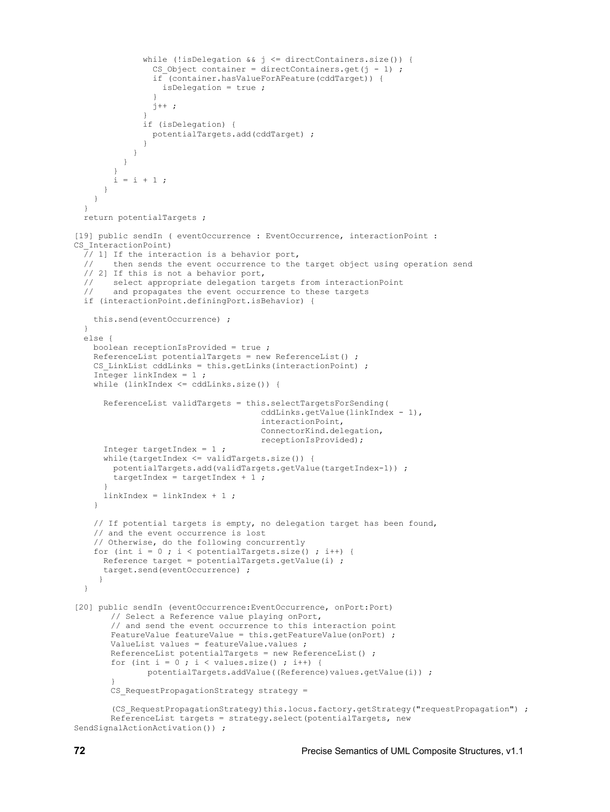```
while (!isDelegation & 4 \leq directContainers.size()) {
                CS Object container = directContainers.get(j - 1) ;
                 if (container.hasValueForAFeature(cddTarget)) {
                   isDelegation = true ;
 }
                 j++ ;
 }
               if (isDelegation) {
              potentialTargets.add(cddTarget) ;
 }
 }
           }
 }
        i = i + 1; }
    }
   }
   return potentialTargets ;
[19] public sendIn ( eventOccurrence : EventOccurrence, interactionPoint : 
CS_InteractionPoint)
  \frac{7}{1} 1] If the interaction is a behavior port,<br>\frac{7}{1} then sends the event occurrence to the
      then sends the event occurrence to the target object using operation send
 // 2] If this is not a behavior port,<br>// select appropriate delegation t
        select appropriate delegation targets from interactionPoint
   // and propagates the event occurrence to these targets
   if (interactionPoint.definingPort.isBehavior) {
     this.send(eventOccurrence) ;
 }
   else {
     boolean receptionIsProvided = true ;
     ReferenceList potentialTargets = new ReferenceList() ;
    CS LinkList cddLinks = this.getLinks(interactionPoint) ;
     Integer linkIndex = 1 ;
     while (linkIndex <= cddLinks.size()) {
       ReferenceList validTargets = this.selectTargetsForSending(
                                        cddLinks.getValue(linkIndex - 1), 
                                        interactionPoint, 
                                        ConnectorKind.delegation, 
                                        receptionIsProvided);
       Integer targetIndex = 1 ;
      while(targetIndex <= validTargets.size()) {
         potentialTargets.add(validTargets.getValue(targetIndex-1)) ;
         targetIndex = targetIndex + 1 ;
 }
       linkIndex = linkIndex + 1 ;
     }
     // If potential targets is empty, no delegation target has been found, 
     // and the event occurrence is lost
     // Otherwise, do the following concurrently
    for (int i = 0 ; i < potentialTargets.size() ; i++) {
     Reference target = potentialTargets.getValue(i) ;
       target.send(eventOccurrence) ;
      }
   }
[20] public sendIn (eventOccurrence:EventOccurrence, onPort:Port)
       // Select a Reference value playing onPort,
       // and send the event occurrence to this interaction point
       FeatureValue featureValue = this.getFeatureValue(onPort) ;
       ValueList values = featureValue.values ;
       ReferenceList potentialTargets = new ReferenceList() ;
       for (int i = 0 ; i < values.size() ; i++) {
               potentialTargets.addValue((Reference)values.getValue(i)) ;
        }
       CS RequestPropagationStrategy strategy =
        (CS_RequestPropagationStrategy)this.locus.factory.getStrategy("requestPropagation") ;
       ReferenceList targets = strategy.select(potentialTargets, new 
SendSignalActionActivation()) ;
```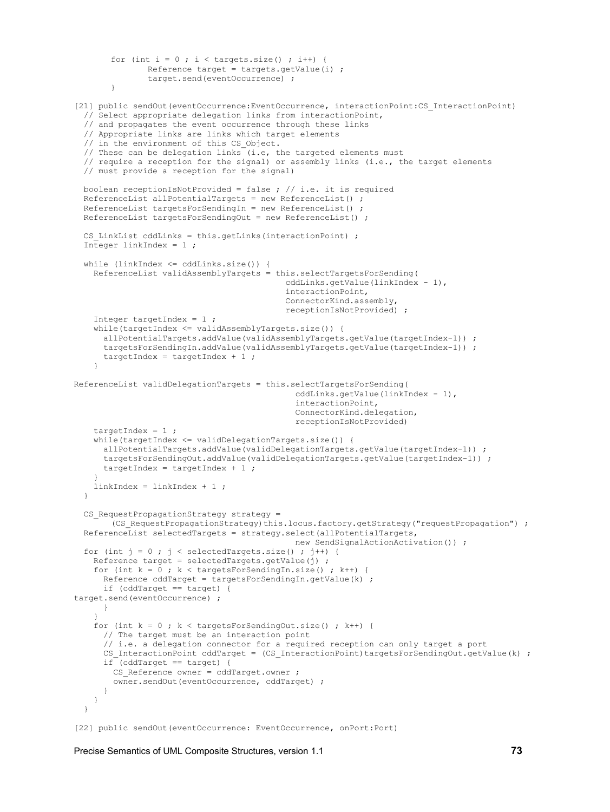```
for (int i = 0; i < targets.size(); i++) {
               Reference target = targets.getValue(i) ;
               target.send(eventOccurrence) ;
       }
[21] public sendOut(eventOccurrence:EventOccurrence, interactionPoint:CS InteractionPoint)
   // Select appropriate delegation links from interactionPoint, 
   // and propagates the event occurrence through these links
   // Appropriate links are links which target elements
   // in the environment of this CS_Object.
 // These can be delegation links (i.e, the targeted elements must
 // require a reception for the signal) or assembly links (i.e., the target elements
   // must provide a reception for the signal)
  boolean receptionIsNotProvided = false ; // i.e. it is required
   ReferenceList allPotentialTargets = new ReferenceList() ;
  ReferenceList targetsForSendingIn = new ReferenceList() ;
 ReferenceList targetsForSendingOut = new ReferenceList() ;
  CS LinkList cddLinks = this.getLinks(interactionPoint) ;
  Integer linkIndex = 1 ;
   while (linkIndex <= cddLinks.size()) {
    ReferenceList validAssemblyTargets = this.selectTargetsForSending(
                                            cddLinks.getValue(linkIndex - 1), 
                                             interactionPoint, 
                                            ConnectorKind.assembly, 
                                            receptionIsNotProvided) ;
    Integer targetIndex = 1;
     while(targetIndex <= validAssemblyTargets.size()) {
      allPotentialTargets.addValue(validAssemblyTargets.getValue(targetIndex-1)) ;
      targetsForSendingIn.addValue(validAssemblyTargets.getValue(targetIndex-1)) ;
      targetIndex = targetIndex + 1 ;
 }
ReferenceList validDelegationTargets = this.selectTargetsForSending( 
                                              cddLinks.getValue(linkIndex - 1), 
                                              interactionPoint, 
                                              ConnectorKind.delegation,
                                              receptionIsNotProvided) 
    targetIndex = 1;
     while(targetIndex <= validDelegationTargets.size()) {
      allPotentialTargets.addValue(validDelegationTargets.getValue(targetIndex-1)) ;
       targetsForSendingOut.addValue(validDelegationTargets.getValue(targetIndex-1)) ;
      targetIndex = targetIndex + 1 ;
 }
     linkIndex = linkIndex + 1 ;
   }
  CS RequestPropagationStrategy strategy =
       (CS_RequestPropagationStrategy)this.locus.factory.getStrategy("requestPropagation") ;
   ReferenceList selectedTargets = strategy.select(allPotentialTargets,
                                             new SendSignalActionActivation()) ;
  for (int j = 0; j < selectedTargets.size(); j++) {
    Reference target = selectedTargets.getValue(j) ;
    for (int k = 0; k < targetsForSendingIn.size(); k++) {
       Reference cddTarget = targetsForSendingIn.getValue(k) ;
      if (cddTarget == target) {
target.send(eventOccurrence) ;
      }
 }
    for (int k = 0; k < targetsForSendingOut.size(); k++) {
       // The target must be an interaction point
       // i.e. a delegation connector for a required reception can only target a port
     CS InteractionPoint cddTarget = (CS_InteractionPoint)targetsForSendingOut.getValue(k) ;
       if (cddTarget == target) {
       CS Reference owner = cddTarget.owner ;
        owner.sendOut(eventOccurrence, cddTarget) ;
      }
    }
   }
```
[22] public sendOut(eventOccurrence: EventOccurrence, onPort:Port)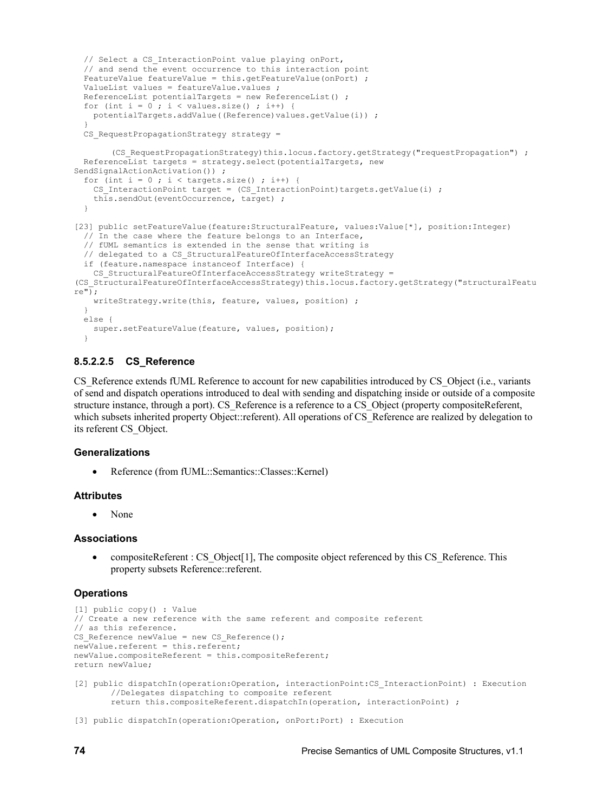```
 // Select a CS_InteractionPoint value playing onPort,
   // and send the event occurrence to this interaction point
  FeatureValue featureValue = this.getFeatureValue(onPort) ;
  ValueList values = featureValue.values ;
   ReferenceList potentialTargets = new ReferenceList() ;
  for (int i = 0; i < values.size(); i++) {
   potentialTargets.addValue((Reference)values.getValue(i)) ;
 }
  CS_RequestPropagationStrategy strategy =
       (CS_RequestPropagationStrategy)this.locus.factory.getStrategy("requestPropagation") ;
  ReferenceList targets = strategy.select(potentialTargets, new
SendSignalActionActivation()) ;
  for (int i = 0; i < targets.size(); i++) {
    CS InteractionPoint target = (CS InteractionPoint)targets.getValue(i) ;
     this.sendOut(eventOccurrence, target) ;
   }
[23] public setFeatureValue(feature:StructuralFeature, values:Value[*], position:Integer)
   // In the case where the feature belongs to an Interface,
   // fUML semantics is extended in the sense that writing is 
   // delegated to a CS_StructuralFeatureOfInterfaceAccessStrategy
   if (feature.namespace instanceof Interface) {
   CS StructuralFeatureOfInterfaceAccessStrategy writeStrategy =
(CS_StructuralFeatureOfInterfaceAccessStrategy)this.locus.factory.getStrategy("structuralFeatu
re");
    writeStrategy.write(this, feature, values, position) ;
 }
   else {
     super.setFeatureValue(feature, values, position);
 }
```
### **8.5.2.2.5 CS\_Reference**

CS Reference extends fUML Reference to account for new capabilities introduced by CS Object (i.e., variants of send and dispatch operations introduced to deal with sending and dispatching inside or outside of a composite structure instance, through a port). CS\_Reference is a reference to a CS\_Object (property compositeReferent, which subsets inherited property Object::referent). All operations of CS\_Reference are realized by delegation to its referent CS\_Object.

### **Generalizations**

• Reference (from fUML::Semantics::Classes::Kernel)

### **Attributes**

None

### **Associations**

 compositeReferent : CS\_Object[1], The composite object referenced by this CS\_Reference. This property subsets Reference::referent.

### **Operations**

```
[1] public copy() : Value
// Create a new reference with the same referent and composite referent 
// as this reference.
CS Reference newValue = new CS Reference();
newValue.referent = this.referent;
newValue.compositeReferent = this.compositeReferent;
return newValue;
[2] public dispatchIn(operation:Operation, interactionPoint:CS_InteractionPoint) : Execution
       //Delegates dispatching to composite referent
       return this.compositeReferent.dispatchIn(operation, interactionPoint) ;
```

```
[3] public dispatchIn(operation:Operation, onPort:Port) : Execution
```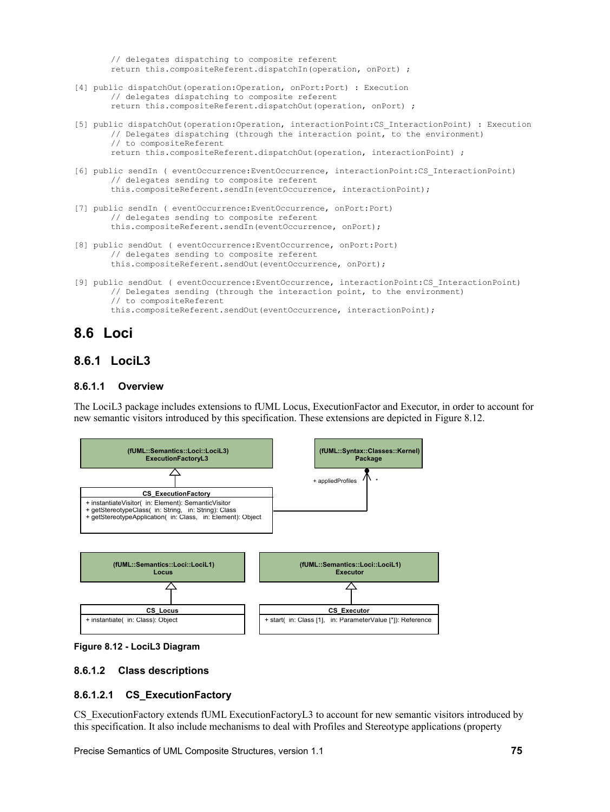// delegates dispatching to composite referent return this.compositeReferent.dispatchIn(operation, onPort) ;

- [4] public dispatchOut(operation:Operation, onPort:Port) : Execution // delegates dispatching to composite referent return this.compositeReferent.dispatchOut(operation, onPort) ;
- [5] public dispatchOut(operation:Operation, interactionPoint:CS\_InteractionPoint) : Execution // Delegates dispatching (through the interaction point, to the environment) // to compositeReferent return this.compositeReferent.dispatchOut(operation, interactionPoint) ;
- [6] public sendIn ( eventOccurrence:EventOccurrence, interactionPoint:CS InteractionPoint) // delegates sending to composite referent this.compositeReferent.sendIn(eventOccurrence, interactionPoint);
- [7] public sendIn ( eventOccurrence:EventOccurrence, onPort:Port) // delegates sending to composite referent this.compositeReferent.sendIn(eventOccurrence, onPort);
- [8] public sendOut ( eventOccurrence:EventOccurrence, onPort:Port) // delegates sending to composite referent this.compositeReferent.sendOut(eventOccurrence, onPort);
- [9] public sendOut ( eventOccurrence:EventOccurrence, interactionPoint:CS\_InteractionPoint) // Delegates sending (through the interaction point, to the environment) // to compositeReferent this.compositeReferent.sendOut(eventOccurrence, interactionPoint);

# **8.6 Loci**

# **8.6.1 LociL3**

### **8.6.1.1 Overview**

The LociL3 package includes extensions to fUML Locus, ExecutionFactor and Executor, in order to account for new semantic visitors introduced by this specification. These extensions are depicted in [Figure 8.12.](#page-86-0)



<span id="page-86-0"></span>

### **8.6.1.2 Class descriptions**

### **8.6.1.2.1 CS\_ExecutionFactory**

CS ExecutionFactory extends fUML ExecutionFactoryL3 to account for new semantic visitors introduced by this specification. It also include mechanisms to deal with Profiles and Stereotype applications (property

Precise Semantics of UML Composite Structures, version 1.1 **75**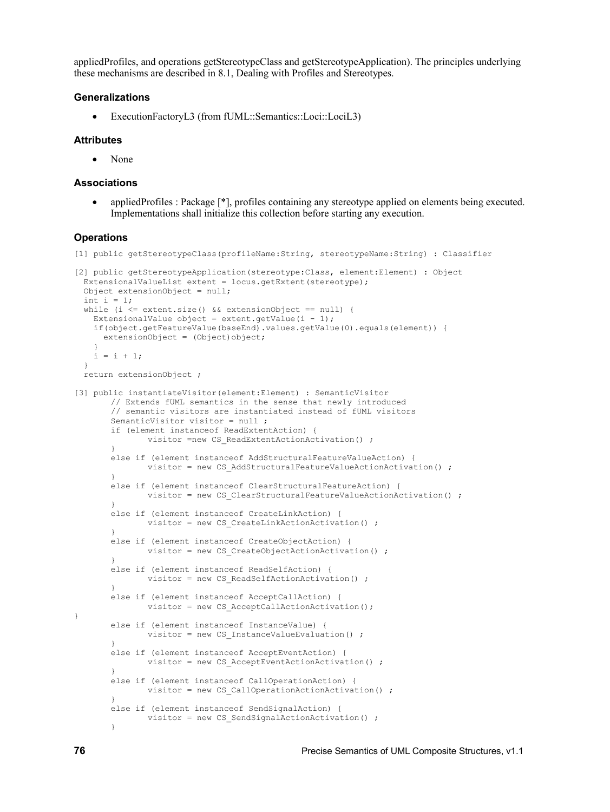appliedProfiles, and operations getStereotypeClass and getStereotypeApplication). The principles underlying these mechanisms are described in [8.1,](#page-34-0) Dealing with Profiles and Stereotypes.

### **Generalizations**

ExecutionFactoryL3 (from fUML::Semantics::Loci::LociL3)

### **Attributes**

None

### **Associations**

 appliedProfiles : Package [\*], profiles containing any stereotype applied on elements being executed. Implementations shall initialize this collection before starting any execution.

### **Operations**

```
[1] public getStereotypeClass(profileName:String, stereotypeName:String) : Classifier
[2] public getStereotypeApplication(stereotype:Class, element:Element) : Object
  ExtensionalValueList extent = locus.getExtent(stereotype);
  Object extensionObject = null;
 int i = 1;
  while (i <= extent.size() && extensionObject == null) {
   ExtensionalValue object = extent.getValue(i - 1);
    if(object.getFeatureValue(baseEnd).values.getValue(0).equals(element)) {
     extensionObject = (Object)object;
 }
   i = i + 1; }
  return extensionObject ;
[3] public instantiateVisitor(element:Element) : SemanticVisitor
       // Extends fUML semantics in the sense that newly introduced
       // semantic visitors are instantiated instead of fUML visitors
       SemanticVisitor visitor = null ;
       if (element instanceof ReadExtentAction) {
               visitor =new CS_ReadExtentActionActivation() ;
       }
       else if (element instanceof AddStructuralFeatureValueAction) {
               visitor = new CS AddStructuralFeatureValueActionActivation() ;
       }
       else if (element instanceof ClearStructuralFeatureAction) {
               visitor = new CS ClearStructuralFeatureValueActionActivation() ;
       }
       else if (element instanceof CreateLinkAction) {
               visitor = new CS CreateLinkActionActivation() ;
       }
       else if (element instanceof CreateObjectAction) {
               visitor = new CS CreateObjectActionActivation() ;
       }
       else if (element instanceof ReadSelfAction) {
               visitor = new CS ReadSelfActionActivation() ;
       }
       else if (element instanceof AcceptCallAction) {
               visitor = new CS AcceptCallActionActivation();
}
       else if (element instanceof InstanceValue) {
               visitor = new CS InstanceValueEvaluation() ;
       }
       else if (element instanceof AcceptEventAction) {
               visitor = new CS AcceptEventActionActivation() ;
       }
       else if (element instanceof CallOperationAction) {
               visitor = new CS CallOperationActionActivation() ;
       }
       else if (element instanceof SendSignalAction) {
               visitor = new CS SendSignalActionActivation() ;
       \lambda
```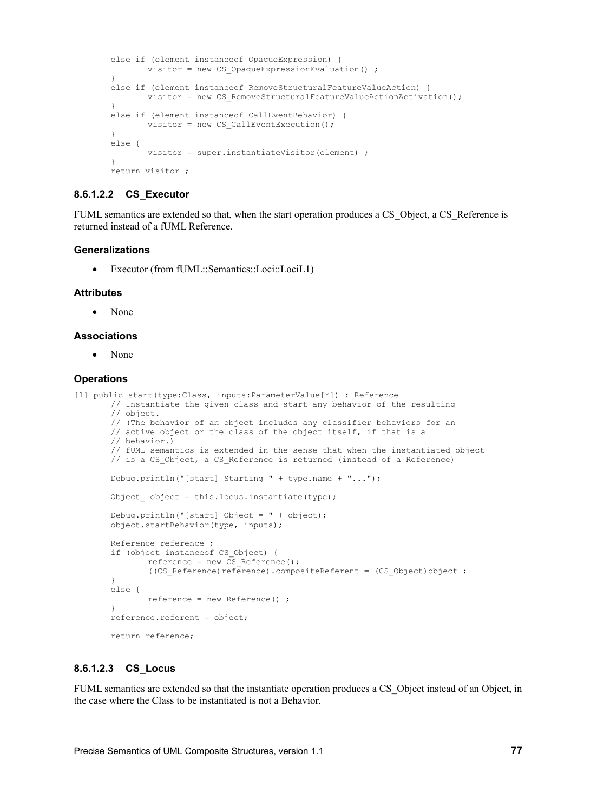```
else if (element instanceof OpaqueExpression) {
       visitor = new CS OpaqueExpressionEvaluation() ;
}
else if (element instanceof RemoveStructuralFeatureValueAction) {
       visitor = new CS_RemoveStructuralFeatureValueActionActivation();
}
else if (element instanceof CallEventBehavior) {
       visitor = new CS CallEventExecution();
}
else {
       visitor = super.instantiateVisitor(element) ;
}
return visitor ;
```
### **8.6.1.2.2 CS\_Executor**

FUML semantics are extended so that, when the start operation produces a CS\_Object, a CS\_Reference is returned instead of a fUML Reference.

### **Generalizations**

Executor (from fUML::Semantics::Loci::LociL1)

### **Attributes**

• None

### **Associations**

• None

### **Operations**

```
[1] public start(type:Class, inputs:ParameterValue[*]) : Reference
       // Instantiate the given class and start any behavior of the resulting
       // object.
       // (The behavior of an object includes any classifier behaviors for an
       // active object or the class of the object itself, if that is a
       // behavior.)
       // fUML semantics is extended in the sense that when the instantiated object
       // is a CS Object, a CS Reference is returned (instead of a Reference)
       Debug.println("[start] Starting " + type.name + "...");
       Object object = this.locus.instantiate(type);
       Debug.println("[start] Object = " + object);
       object.startBehavior(type, inputs);
       Reference reference ;
       if (object instanceof CS_Object) {
              reference = new CS_Reference();
               ((CS Reference) reference).compositeReferent = (CS Object)object ;
       }
       else {
              reference = new Reference() ;
       }
       reference.referent = object;
       return reference;
```
### **8.6.1.2.3 CS\_Locus**

FUML semantics are extended so that the instantiate operation produces a CS\_Object instead of an Object, in the case where the Class to be instantiated is not a Behavior.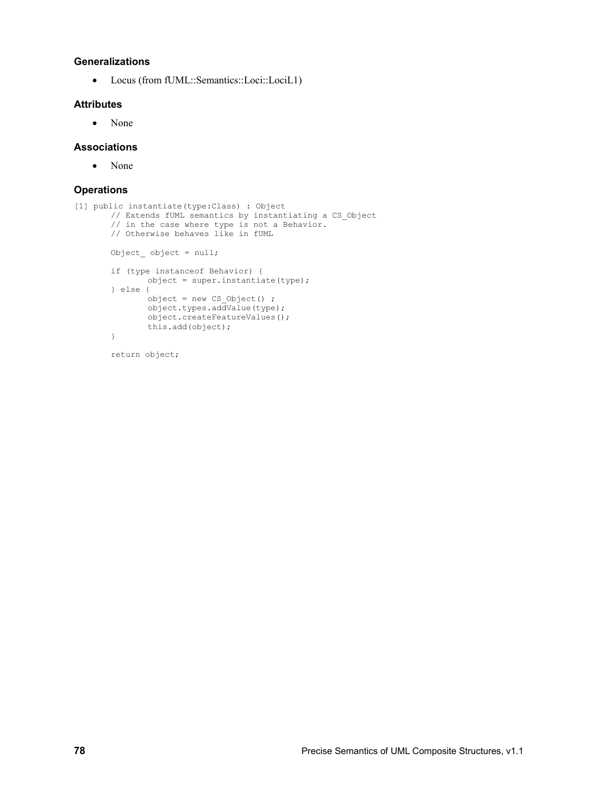### **Generalizations**

• Locus (from fUML::Semantics::Loci::LociL1)

### **Attributes**

• None

### **Associations**

• None

### **Operations**

```
[1] public instantiate(type:Class) : Object
       // Extends fUML semantics by instantiating a CS_Object
       // in the case where type is not a Behavior.
       // Otherwise behaves like in fUML
       Object_ object = null;if (type instanceof Behavior) {
              object = super.instantiate(type);
       } else {
              object = new CS\_Object() ;
              object.types.addValue(type);
              object.createFeatureValues();
              this.add(object);
       }
       return object;
```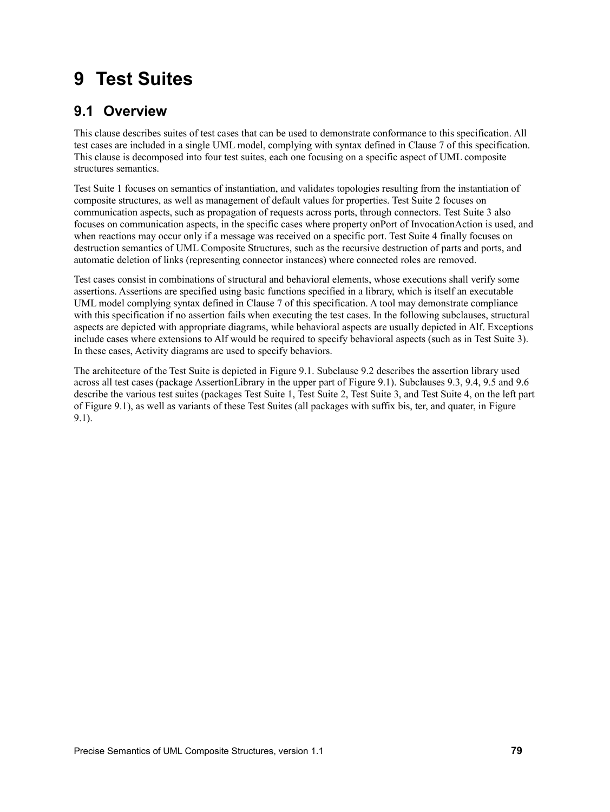# **9 Test Suites**

# **9.1 Overview**

This clause describes suites of test cases that can be used to demonstrate conformance to this specification. All test cases are included in a single UML model, complying with syntax defined in Clause [7](#page-16-0) of this specification. This clause is decomposed into four test suites, each one focusing on a specific aspect of UML composite structures semantics.

Test Suite 1 focuses on semantics of instantiation, and validates topologies resulting from the instantiation of composite structures, as well as management of default values for properties. Test Suite 2 focuses on communication aspects, such as propagation of requests across ports, through connectors. Test Suite 3 also focuses on communication aspects, in the specific cases where property onPort of InvocationAction is used, and when reactions may occur only if a message was received on a specific port. Test Suite 4 finally focuses on destruction semantics of UML Composite Structures, such as the recursive destruction of parts and ports, and automatic deletion of links (representing connector instances) where connected roles are removed.

Test cases consist in combinations of structural and behavioral elements, whose executions shall verify some assertions. Assertions are specified using basic functions specified in a library, which is itself an executable UML model complying syntax defined in Clause [7](#page-16-0) of this specification. A tool may demonstrate compliance with this specification if no assertion fails when executing the test cases. In the following subclauses, structural aspects are depicted with appropriate diagrams, while behavioral aspects are usually depicted in Alf. Exceptions include cases where extensions to Alf would be required to specify behavioral aspects (such as in Test Suite 3). In these cases, Activity diagrams are used to specify behaviors.

The architecture of the Test Suite is depicted in [Figure 9.1.](#page-91-0) Subclause [9.2](#page-91-1) describes the assertion library used across all test cases (package AssertionLibrary in the upper part of [Figure 9.1\)](#page-91-0). Subclauses [9.3,](#page-92-0) [9.4,](#page-101-0) [9.5](#page-115-0) and [9.6](#page-122-0) describe the various test suites (packages Test Suite 1, Test Suite 2, Test Suite 3, and Test Suite 4, on the left part of [Figure 9.1\)](#page-91-0), as well as variants of these Test Suites (all packages with suffix bis, ter, and quater, in [Figure](#page-91-0)  [9.1\)](#page-91-0).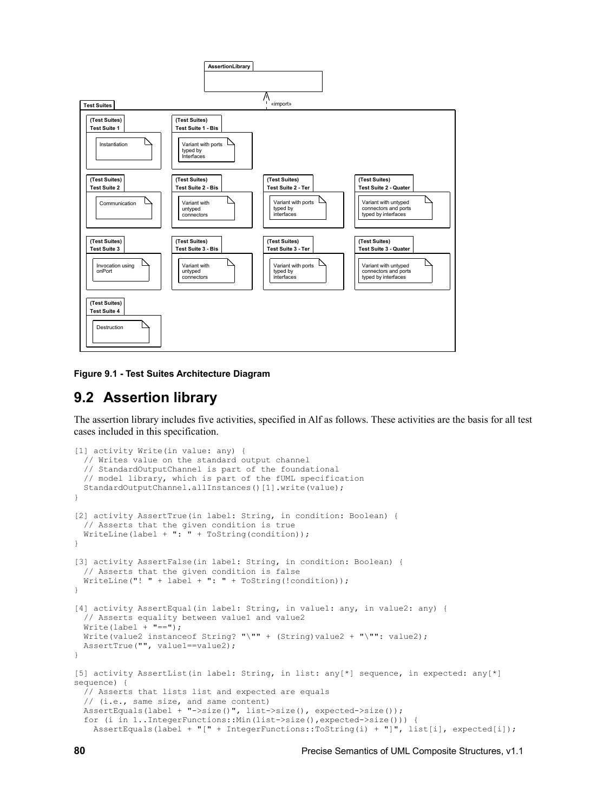

<span id="page-91-0"></span>**Figure 9.1 - Test Suites Architecture Diagram**

# <span id="page-91-1"></span>**9.2 Assertion library**

The assertion library includes five activities, specified in Alf as follows. These activities are the basis for all test cases included in this specification.

```
[1] activity Write(in value: any) {
   // Writes value on the standard output channel
   // StandardOutputChannel is part of the foundational
   // model library, which is part of the fUML specification
  StandardOutputChannel.allInstances()[1].write(value);
}
[2] activity AssertTrue(in label: String, in condition: Boolean) {
   // Asserts that the given condition is true
  WriteLine(label + ": " + ToString(condition));
}
[3] activity AssertFalse(in label: String, in condition: Boolean) {
   // Asserts that the given condition is false
  WriteLine("! " + label + ": " + ToString(!condition));
}
[4] activity AssertEqual(in label: String, in value1: any, in value2: any) {
   // Asserts equality between value1 and value2
  Write(label + "==");
  Write(value2 instanceof String? "\"" + (String)value2 + "\"": value2);
 AssertTrue("", value1==value2);
}
[5] activity AssertList(in label: String, in list: any[*] sequence, in expected: any[*]
sequence) {
   // Asserts that lists list and expected are equals
   // (i.e., same size, and same content)
   AssertEquals(label + "->size()", list->size(), expected->size());
  for (i in 1..IntegerFunctions::Min(list->size(),expected->size())) {
     AssertEquals(label + "[" + IntegerFunctions::ToString(i) + "]", list[i], expected[i]);
```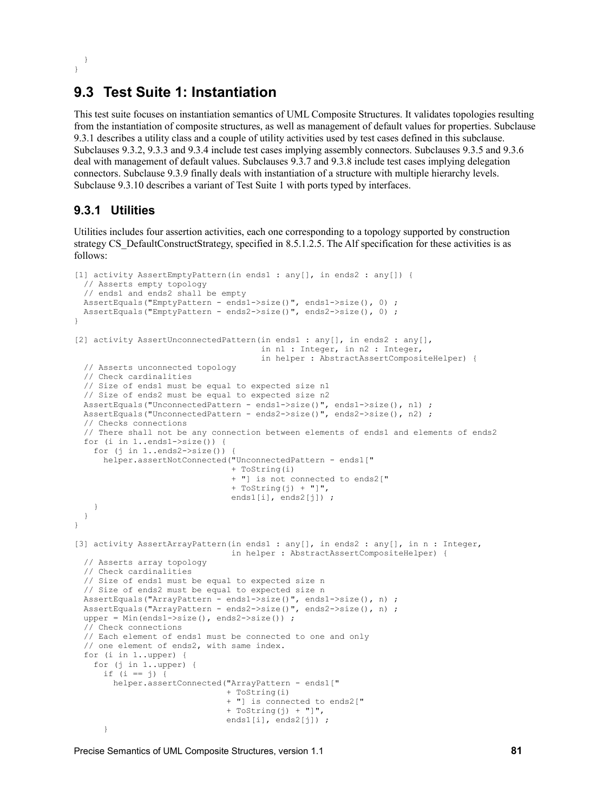# <span id="page-92-0"></span>**9.3 Test Suite 1: Instantiation**

This test suite focuses on instantiation semantics of UML Composite Structures. It validates topologies resulting from the instantiation of composite structures, as well as management of default values for properties. Subclause [9.3.1](#page-92-1) describes a utility class and a couple of utility activities used by test cases defined in this subclause. Subclauses [9.3.2,](#page-93-0) [9.3.3](#page-94-0) and [9.3.4](#page-95-0) include test cases implying assembly connectors. Subclauses [9.3.5](#page-97-1) and [9.3.6](#page-97-0) deal with management of default values. Subclauses [9.3.7](#page-98-0) and [9.3.8](#page-99-0) include test cases implying delegation connectors. Subclause [9.3.9](#page-100-0) finally deals with instantiation of a structure with multiple hierarchy levels. Subclause [9.3.10](#page-101-1) describes a variant of Test Suite 1 with ports typed by interfaces.

# <span id="page-92-1"></span>**9.3.1 Utilities**

 } }

Utilities includes four assertion activities, each one corresponding to a topology supported by construction strategy CS\_DefaultConstructStrategy, specified in [8.5.1.2.5.](#page-61-0) The Alf specification for these activities is as follows:

```
[1] activity AssertEmptyPattern(in ends1 : any[], in ends2 : any[]) {
  // Asserts empty topology
  // ends1 and ends2 shall be empty
 AssertEquals("EmptyPattern - ends1->size()", ends1->size(), 0) ;
  AssertEquals("EmptyPattern - ends2->size()", ends2->size(), 0) ;
}
[2] activity AssertUnconnectedPattern(in ends1 : any[], in ends2 : any[],
                                     in n1 : Integer, in n2 : Integer,
                                      in helper : AbstractAssertCompositeHelper) {
   // Asserts unconnected topology
  // Check cardinalities
  // Size of ends1 must be equal to expected size n1
  // Size of ends2 must be equal to expected size n2
  AssertEquals("UnconnectedPattern - ends1->size()", ends1->size(), n1) ;
  AssertEquals("UnconnectedPattern - ends2->size()", ends2->size(), n2) ;
  // Checks connections
   // There shall not be any connection between elements of ends1 and elements of ends2
  for (i in 1..ends1->size()) {
    for (j in 1..ends2->size() {
      helper.assertNotConnected("UnconnectedPattern - ends1["
                                 + ToString(i)
                                 + "] is not connected to ends2["
                                 + ToString(j) + "]",
                                ends1[i], ends2[j]) ;
     }
  }
}
[3] activity AssertArrayPattern(in ends1 : any[], in ends2 : any[], in n : Integer,
                                 in helper : AbstractAssertCompositeHelper) {
   // Asserts array topology
  // Check cardinalities
  // Size of ends1 must be equal to expected size n
  // Size of ends2 must be equal to expected size n
 AssertEquals("ArrayPattern - ends1->size()", ends1->size(), n) ;
  AssertEquals("ArrayPattern - ends2->size()", ends2->size(), n) ;
  upper = Min(ends1->size(), ends2->size()) ;
  // Check connections
  // Each element of ends1 must be connected to one and only
   // one element of ends2, with same index.
  for (i in 1..upper) {
     for (j in 1..upper) {
     if (i == j) {
       helper.assertConnected("ArrayPattern - ends1["
                                + ToString(i)
                                + "] is connected to ends2["
                                + ToString(j) + "]",
                               ends1[i], ends2[j]) ;
       }
```
Precise Semantics of UML Composite Structures, version 1.1 **81**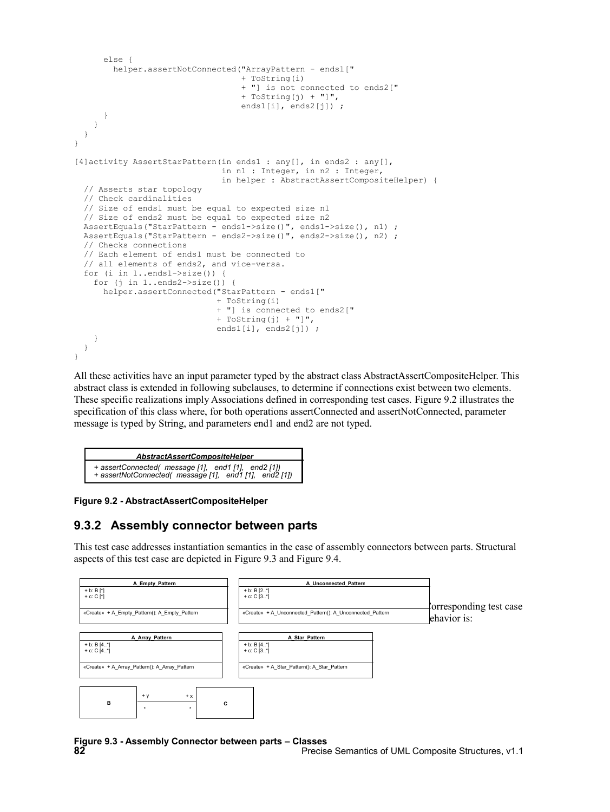```
 else {
        helper.assertNotConnected("ArrayPattern - ends1["
                                    + ToString(i)
                                    + "] is not connected to ends2["
                                    + ToString(j) + "]",
                                   ends1[i], ends2[j]) ;
      }
    }
  }
}
[4]activity AssertStarPattern(in ends1 : any[], in ends2 : any[],
                               in n1 : Integer, in n2 : Integer,
                                in helper : AbstractAssertCompositeHelper) {
  // Asserts star topology
  // Check cardinalities
  // Size of ends1 must be equal to expected size n1
  // Size of ends2 must be equal to expected size n2
 AssertEquals("StarPattern - ends1->size()", ends1->size(), n1) ;
 AssertEquals("StarPattern - ends2->size()", ends2->size(), n2) ;
  // Checks connections
  // Each element of ends1 must be connected to
  // all elements of ends2, and vice-versa.
 for (i in 1..ends1->size()) {
    for (j in 1..ends2->size()) {
      helper.assertConnected("StarPattern - ends1["
                              + ToString(i)
                              + "] is connected to ends2["
                              + ToString(j) + "]",
                              ends1[i], ends2[j]) ;
    }
  }
}
```
All these activities have an input parameter typed by the abstract class AbstractAssertCompositeHelper. This abstract class is extended in following subclauses, to determine if connections exist between two elements. These specific realizations imply Associations defined in corresponding test cases. [Figure 9.2](#page-93-2) illustrates the specification of this class where, for both operations assertConnected and assertNotConnected, parameter message is typed by String, and parameters end1 and end2 are not typed.



### <span id="page-93-2"></span>**Figure 9.2 - AbstractAssertCompositeHelper**

### <span id="page-93-0"></span>**9.3.2 Assembly connector between parts**

This test case addresses instantiation semantics in the case of assembly connectors between parts. Structural aspects of this test case are depicted in [Figure 9.3](#page-93-1) and [Figure 9.4.](#page-94-1)



<span id="page-93-1"></span>**82 Precise Semantics of UML Composite Structures, v1.1 Figure 9.3 - Assembly Connector between parts – Classes**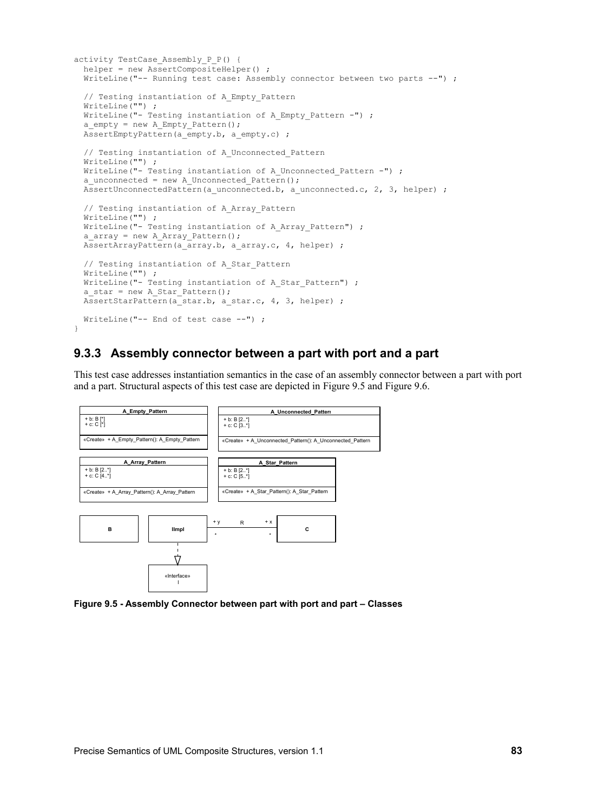```
activity TestCase_Assembly_P_P() {
 helper = new AssertCompositeHelper() ;
  WriteLine("-- Running test case: Assembly connector between two parts --") ;
   // Testing instantiation of A_Empty_Pattern
  WriteLine("") ;
 WriteLine("- Testing instantiation of A Empty Pattern -") ;
  a empty = new A Empty Pattern();
 AssertEmptyPattern(a empty.b, a empty.c) ;
   // Testing instantiation of A_Unconnected_Pattern
   WriteLine("") ;
 WriteLine("- Testing instantiation of A_Unconnected_Pattern -") ;
   a_unconnected = new A_Unconnected_Pattern();
 AssertUnconnectedPattern(a unconnected.b, a unconnected.c, 2, 3, helper) ;
   // Testing instantiation of A_Array_Pattern
   WriteLine("") ;
   WriteLine("- Testing instantiation of A_Array_Pattern") ;
  a array = new A Array Pattern();
 AssertArrayPattern(a array.b, a array.c, 4, helper) ;
  // Testing instantiation of A_Star_Pattern
  WriteLine("") ;
  WriteLine("- Testing instantiation of A_Star_Pattern") ;
  a star = new A Star Pattern();
 AssertStarPattern(a_star.b, a_star.c, 4, 3, helper) ;
 WriteLine("-- End of test case --") ;
}
```
## <span id="page-94-0"></span>**9.3.3 Assembly connector between a part with port and a part**

This test case addresses instantiation semantics in the case of an assembly connector between a part with port and a part. Structural aspects of this test case are depicted in [Figure 9.5](#page-94-2) and [Figure 9.6.](#page-95-1)



<span id="page-94-2"></span>**Figure 9.5 - Assembly Connector between part with port and part – Classes**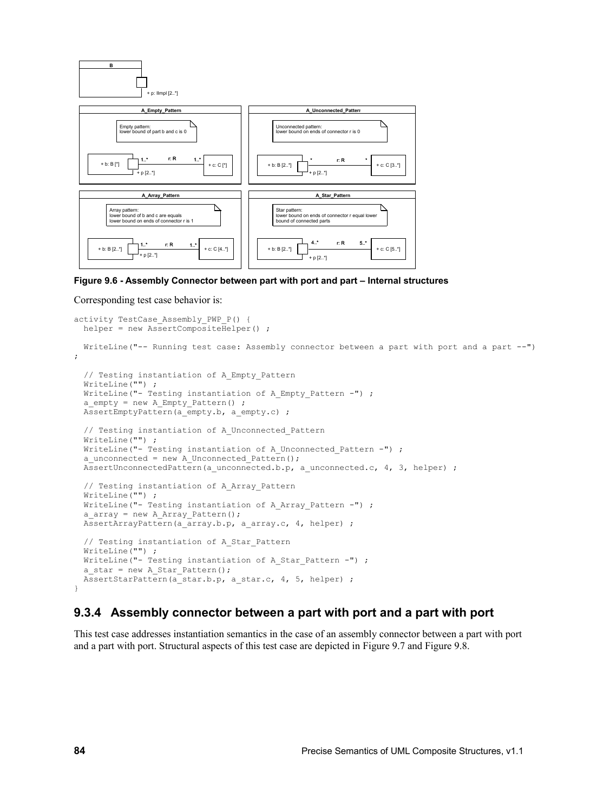

<span id="page-95-1"></span>**Figure 9.6 - Assembly Connector between part with port and part – Internal structures**

Corresponding test case behavior is:

```
activity TestCase_Assembly_PWP_P() {
 helper = new AssertCompositeHelper() ;
  WriteLine("-- Running test case: Assembly connector between a part with port and a part --")
;
   // Testing instantiation of A_Empty_Pattern
  WriteLine("");
 WriteLine("- Testing instantiation of A Empty Pattern -") ;
  a empty = new A Empty Pattern() ;
  AssertEmptyPattern(a_empty.b, a_empty.c) ;
   // Testing instantiation of A_Unconnected_Pattern
   WriteLine("") ;
  WriteLine("- Testing instantiation of A Unconnected Pattern -") ;
  a unconnected = new A Unconnected Pattern();
  AssertUnconnectedPattern(a unconnected.b.p, a unconnected.c, 4, 3, helper) ;
   // Testing instantiation of A_Array_Pattern
  WriteLine("") ;
 WriteLine("- Testing instantiation of A Array Pattern -") ;
  a array = new A Array Pattern();
  AssertArrayPattern(a_array.b.p, a_array.c, 4, helper) ;
   // Testing instantiation of A_Star_Pattern
  WriteLine("") ;
 WriteLine("- Testing instantiation of A Star Pattern -") ;
   a_star = new A_Star_Pattern();
 AssertStarPattern(a star.b.p, a star.c, 4, 5, helper) ;
}
```
# <span id="page-95-0"></span>**9.3.4 Assembly connector between a part with port and a part with port**

This test case addresses instantiation semantics in the case of an assembly connector between a part with port and a part with port. Structural aspects of this test case are depicted in [Figure 9.7](#page-96-1) and [Figure 9.8.](#page-96-0)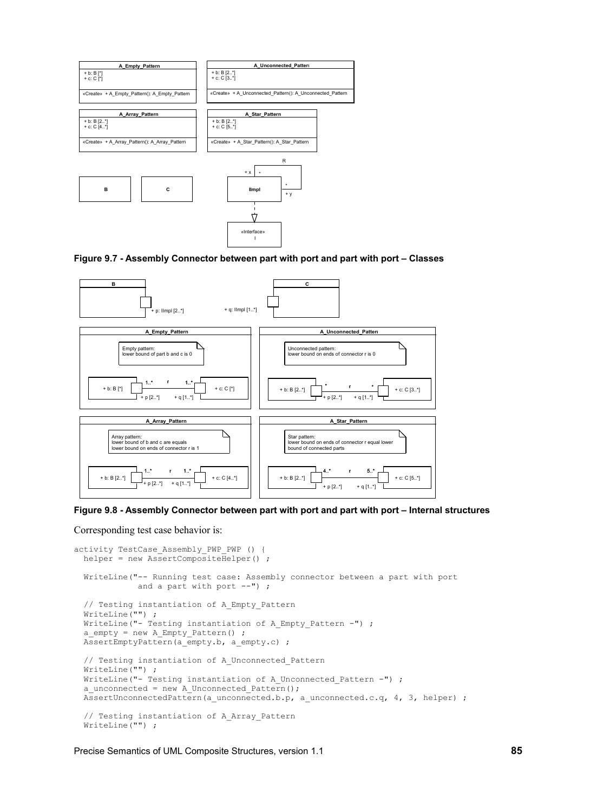

### <span id="page-96-1"></span>**Figure 9.7 - Assembly Connector between part with port and part with port – Classes**



### <span id="page-96-0"></span>**Figure 9.8 - Assembly Connector between part with port and part with port – Internal structures**

Corresponding test case behavior is:

```
activity TestCase_Assembly_PWP_PWP () {
 helper = new AssertCompositeHelper() ;
   WriteLine("-- Running test case: Assembly connector between a part with port
             and a part with port --") ;
   // Testing instantiation of A_Empty_Pattern
   WriteLine("") ;
  WriteLine("- Testing instantiation of A Empty Pattern -") ;
  a empty = new A Empty Pattern() ;
  AssertEmptyPattern(a_empty.b, a_empty.c) ;
   // Testing instantiation of A_Unconnected_Pattern
   WriteLine("") ;
  WriteLine("- Testing instantiation of A Unconnected Pattern -") ;
  a unconnected = new A Unconnected Pattern();
  AssertUnconnectedPattern(a unconnected.b.p, a unconnected.c.q, 4, 3, helper) ;
   // Testing instantiation of A_Array_Pattern
   WriteLine("") ;
```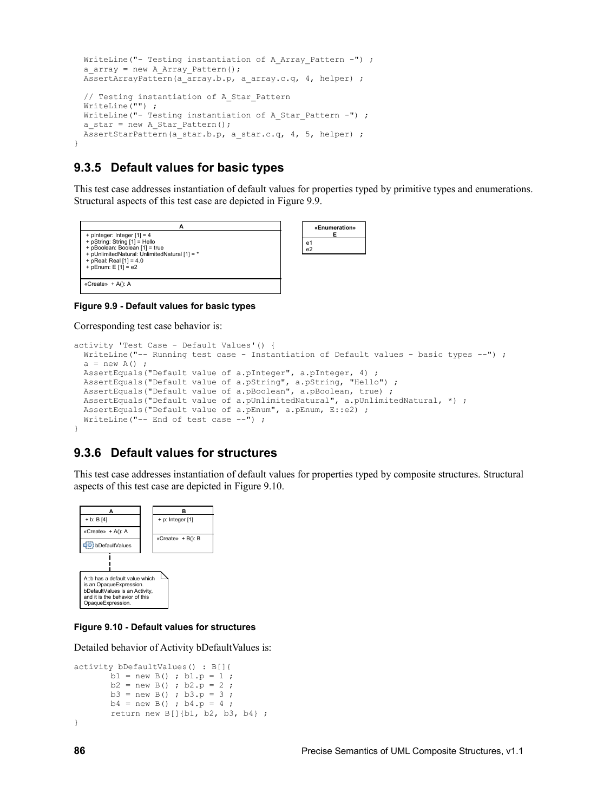```
WriteLine("- Testing instantiation of A Array Pattern -") ;
 a array = new A Array Pattern();
 AssertArrayPattern(a array.b.p, a array.c.q, 4, helper) ;
  // Testing instantiation of A Star Pattern
  WriteLine("") ;
 WriteLine("- Testing instantiation of A Star Pattern -") ;
 a star = new A Star Pattern();
 AssertStarPattern(a star.b.p, a star.c.q, 4, 5, helper) ;
}
```
# <span id="page-97-1"></span>**9.3.5 Default values for basic types**

This test case addresses instantiation of default values for properties typed by primitive types and enumerations. Structural aspects of this test case are depicted in [Figure 9.9.](#page-97-3)



<span id="page-97-3"></span>**Figure 9.9 - Default values for basic types**

Corresponding test case behavior is:

```
activity 'Test Case - Default Values'() {
 WriteLine("-- Running test case - Instantiation of Default values - basic types --") ;
  a = new A();
   AssertEquals("Default value of a.pInteger", a.pInteger, 4) ;
  AssertEquals("Default value of a.pString", a.pString, "Hello") ;
  AssertEquals("Default value of a.pBoolean", a.pBoolean, true) ;
   AssertEquals("Default value of a.pUnlimitedNatural", a.pUnlimitedNatural, *) ;
  AssertEquals("Default value of a.pEnum", a.pEnum, E::e2) ;
   WriteLine("-- End of test case --") ;
}
```
# <span id="page-97-0"></span>**9.3.6 Default values for structures**

This test case addresses instantiation of default values for properties typed by composite structures. Structural aspects of this test case are depicted in [Figure 9.10.](#page-97-2)



### <span id="page-97-2"></span>**Figure 9.10 - Default values for structures**

Detailed behavior of Activity bDefaultValues is:

```
activity bDefaultValues() : B[]{
       b1 = new B(); b1.p = 1;
       b2 = new B(); b2.p = 2;b3 = new B(); b3.p = 3;
       b4 = new B(); b4.p = 4;
       return new B[]{b1, b2, b3, b4} ;
}
```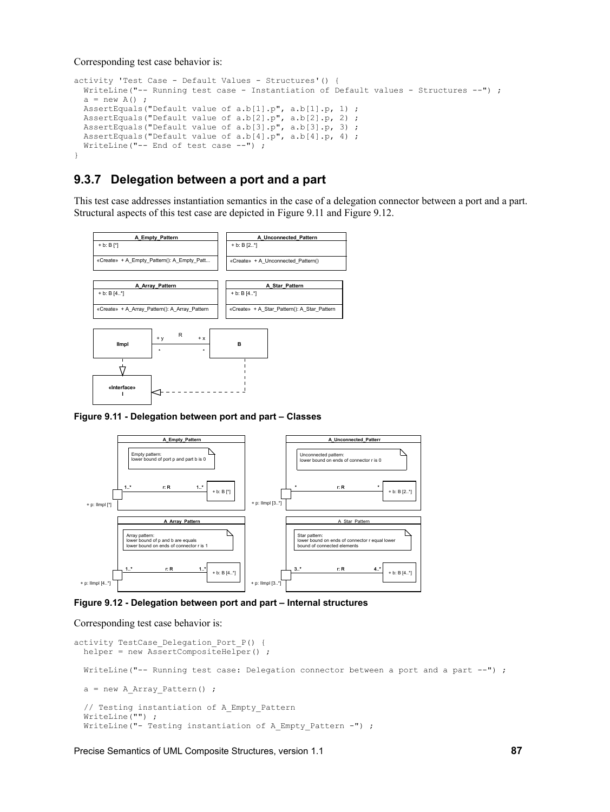Corresponding test case behavior is:

```
activity 'Test Case - Default Values - Structures'() {
 WriteLine("-- Running test case - Instantiation of Default values - Structures --") ;
  a = new A();
   AssertEquals("Default value of a.b[1].p", a.b[1].p, 1) ;
 AssertEquals("Default value of a.b[2].p", a.b[2].p, 2) ;
 AssertEquals("Default value of a.b[3].p", a.b[3].p, 3) ;
  AssertEquals("Default value of a.b[4].p", a.b[4].p, 4) ;
  WriteLine("-- End of test case --") ;
}
```
## <span id="page-98-0"></span>**9.3.7 Delegation between a port and a part**

This test case addresses instantiation semantics in the case of a delegation connector between a port and a part. Structural aspects of this test case are depicted in [Figure 9.11](#page-98-2) and [Figure 9.12.](#page-98-1)



<span id="page-98-2"></span>**Figure 9.11 - Delegation between port and part – Classes**



<span id="page-98-1"></span>**Figure 9.12 - Delegation between port and part – Internal structures**

Corresponding test case behavior is:

```
activity TestCase_Delegation_Port_P() {
 helper = new AssertCompositeHelper() ;
  WriteLine("-- Running test case: Delegation connector between a port and a part --") ;
   a = new A_Array_Pattern() ;
   // Testing instantiation of A_Empty_Pattern
   WriteLine("") ;
  WriteLine("- Testing instantiation of A Empty Pattern -") ;
```
Precise Semantics of UML Composite Structures, version 1.1 **87**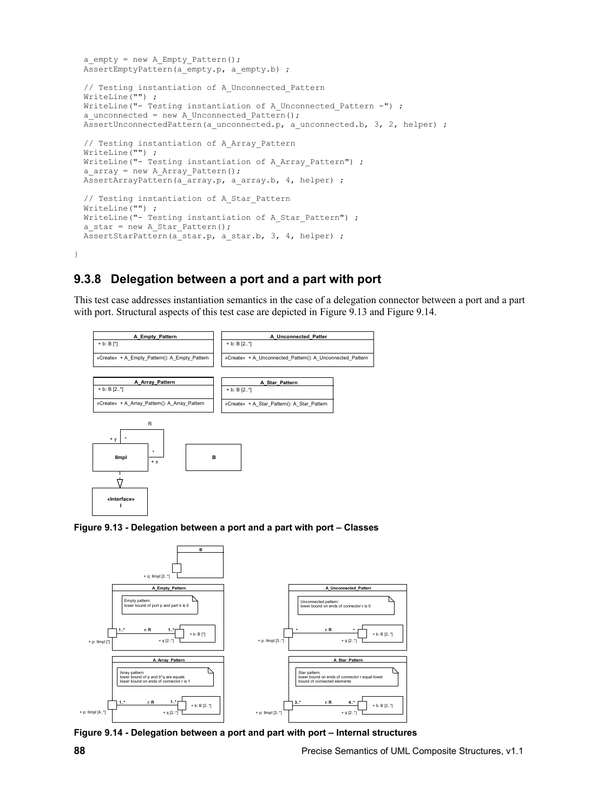```
a empty = new A Empty Pattern();
AssertEmptyPattern(a empty.p, a empty.b) ;
 // Testing instantiation of A_Unconnected_Pattern
 WriteLine("") ;
 WriteLine("- Testing instantiation of A_Unconnected_Pattern -") ;
a unconnected = new A Unconnected Pattern();
AssertUnconnectedPattern(a unconnected.p, a unconnected.b, 3, 2, helper) ;
 // Testing instantiation of A_Array_Pattern
 WriteLine("") ;
WriteLine("- Testing instantiation of A Array Pattern") ;
 a_array = new A_Array_Pattern();
 AssertArrayPattern(a_array.p, a_array.b, 4, helper) ;
 // Testing instantiation of A_Star_Pattern
 WriteLine("") ;
WriteLine("- Testing instantiation of A_Star_Pattern") ;
a star = new A Star Pattern();
 AssertStarPattern(a_star.p, a_star.b, 3, 4, helper) ;
```
# <span id="page-99-0"></span>**9.3.8 Delegation between a port and a part with port**

This test case addresses instantiation semantics in the case of a delegation connector between a port and a part with port. Structural aspects of this test case are depicted in [Figure 9.13](#page-99-2) and [Figure 9.14.](#page-99-1)



<span id="page-99-2"></span>



<span id="page-99-1"></span>**Figure 9.14 - Delegation between a port and part with port – Internal structures**

}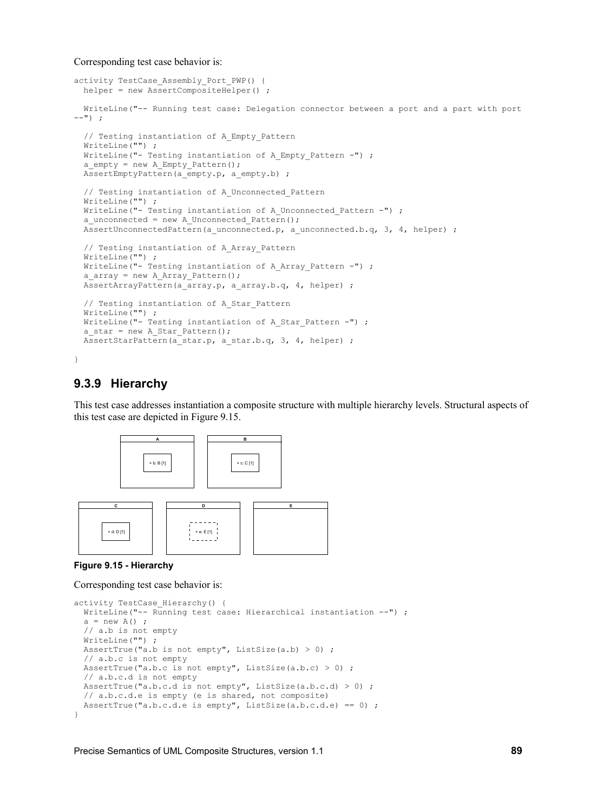Corresponding test case behavior is:

```
activity TestCase_Assembly_Port_PWP() {
 helper = new AssertCompositeHelper() ;
  WriteLine("-- Running test case: Delegation connector between a port and a part with port 
---");
   // Testing instantiation of A_Empty_Pattern
   WriteLine("") ;
 WriteLine("- Testing instantiation of A Empty Pattern -") ;
   a_empty = new A_Empty_Pattern();
  AssertEmptyPattern(a_empty.p, a_empty.b) ;
   // Testing instantiation of A_Unconnected_Pattern
   WriteLine("") ;
 WriteLine("- Testing instantiation of A_Unconnected_Pattern -") ;
  a unconnected = new A Unconnected Pattern();
 AssertUnconnectedPattern(a unconnected.p, a unconnected.b.q, 3, 4, helper) ;
   // Testing instantiation of A_Array_Pattern
  WriteLine("") ;
 WriteLine("- Testing instantiation of A Array Pattern -") ;
  a array = new A Array Pattern();
  AssertArrayPattern(a_array.p, a_array.b.q, 4, helper) ;
   // Testing instantiation of A_Star_Pattern
 WriteLine("") ;
 WriteLine("- Testing instantiation of A Star Pattern -") ;
 a star = new A_Kstar_PPattern();
 AssertStarPattern(a star.p, a star.b.q, 3, 4, helper) ;
}
```
## <span id="page-100-0"></span>**9.3.9 Hierarchy**

This test case addresses instantiation a composite structure with multiple hierarchy levels. Structural aspects of this test case are depicted in [Figure 9.15.](#page-100-1)



### <span id="page-100-1"></span>**Figure 9.15 - Hierarchy**

### Corresponding test case behavior is:

```
activity TestCase_Hierarchy() {
 WriteLine("-- \overline{\text{Running}} test case: Hierarchical instantiation --");
  a = new A();
  // a.b is not empty
 WriteLine("") ;
 AssertTrue("a.b is not empty", ListSize(a.b) > 0) ;
   // a.b.c is not empty
 AssertTrue("a.b.c is not empty", ListSize(a.b.c) > 0) ;
   // a.b.c.d is not empty
 AssertTrue("a.b.c.d is not empty", ListSize(a.b.c.d) > 0) ;
  // a.b.c.d.e is empty (e is shared, not composite)
  AssertTrue("a.b.c.d.e is empty", ListSize(a.b.c.d.e) == 0) ;
}
```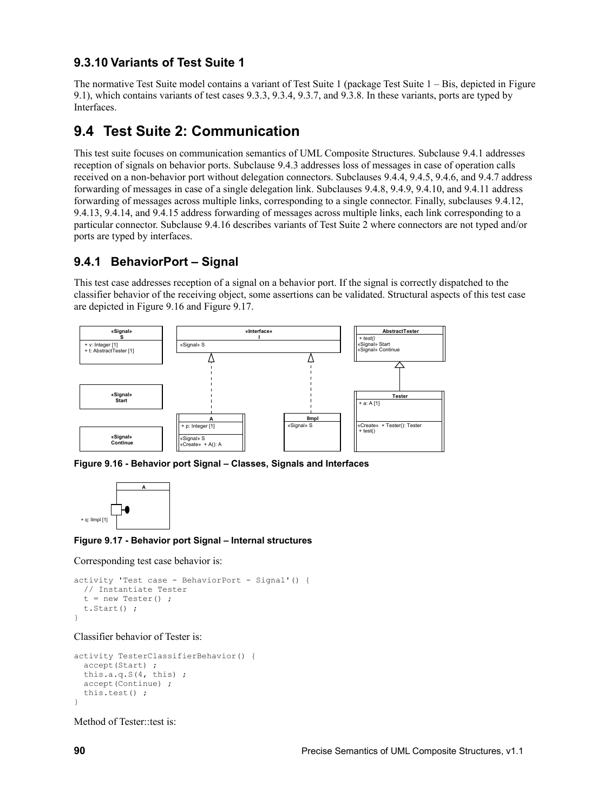# <span id="page-101-1"></span>**9.3.10 Variants of Test Suite 1**

The normative Test Suite model contains a variant of Test Suite 1 (package Test Suite 1 – Bis, depicted in [Figure](#page-91-0) [9.1\)](#page-91-0), which contains variants of test cases [9.3.3,](#page-94-0) [9.3.4,](#page-95-0) [9.3.7,](#page-98-0) and [9.3.8.](#page-99-0) In these variants, ports are typed by Interfaces.

# <span id="page-101-0"></span>**9.4 Test Suite 2: Communication**

This test suite focuses on communication semantics of UML Composite Structures. Subclause [9.4.1](#page-101-4) addresses reception of signals on behavior ports. Subclause [9.4.3](#page-103-0) addresses loss of messages in case of operation calls received on a non-behavior port without delegation connectors. Subclauses [9.4.4,](#page-104-0) [9.4.5,](#page-105-0) [9.4.6,](#page-106-0) and [9.4.7](#page-107-0) address forwarding of messages in case of a single delegation link. Subclauses [9.4.8,](#page-108-1) [9.4.9,](#page-108-0) [9.4.10,](#page-109-0) and [9.4.11](#page-110-1) address forwarding of messages across multiple links, corresponding to a single connector. Finally, subclauses [9.4.12,](#page-110-0) [9.4.13,](#page-111-0) [9.4.14,](#page-113-1) and [9.4.15](#page-113-0) address forwarding of messages across multiple links, each link corresponding to a particular connector. Subclause [9.4.16](#page-114-0) describes variants of Test Suite 2 where connectors are not typed and/or ports are typed by interfaces.

# <span id="page-101-4"></span>**9.4.1 BehaviorPort – Signal**

This test case addresses reception of a signal on a behavior port. If the signal is correctly dispatched to the classifier behavior of the receiving object, some assertions can be validated. Structural aspects of this test case are depicted in [Figure 9.16](#page-101-3) and [Figure 9.17.](#page-101-2)



<span id="page-101-3"></span>**Figure 9.16 - Behavior port Signal – Classes, Signals and Interfaces**



### <span id="page-101-2"></span>**Figure 9.17 - Behavior port Signal – Internal structures**

Corresponding test case behavior is:

```
activity 'Test case - BehaviorPort - Signal'() {
   // Instantiate Tester
  t = new Tester();
   t.Start() ;
}
```
Classifier behavior of Tester is:

```
activity TesterClassifierBehavior() {
   accept(Start) ;
   this.a.q.S(4, this) ;
   accept(Continue) ;
   this.test() ;
}
```
Method of Tester::test is: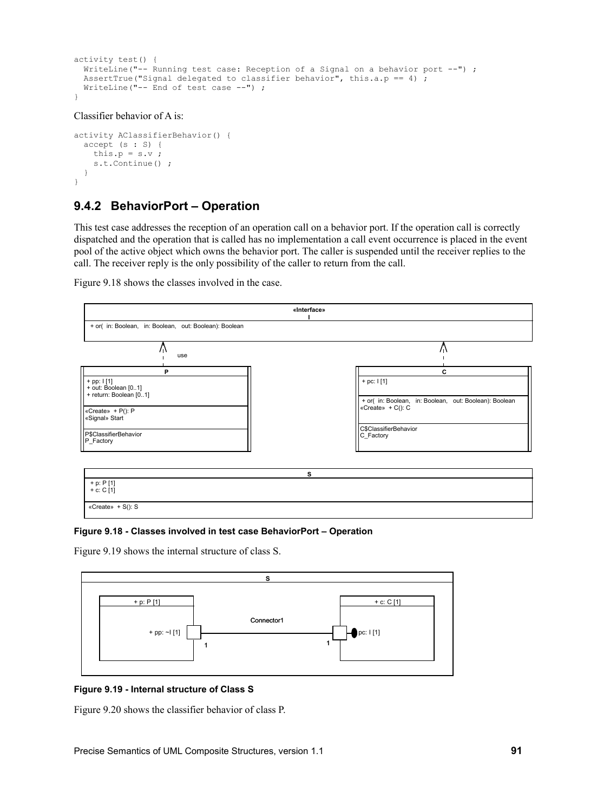```
activity test() {
 WriteLine("-- Running test case: Reception of a Signal on a behavior port --") ;
  AssertTrue("Signal delegated to classifier behavior", this.a.p == 4) ;
  WriteLine("-- End of test case --") ;
}
```
Classifier behavior of A is:

```
activity AClassifierBehavior() {
   accept (s : S) {
    this.p = s.v;
     s.t.Continue() ;
   }
}
```
# **9.4.2 BehaviorPort – Operation**

This test case addresses the reception of an operation call on a behavior port. If the operation call is correctly dispatched and the operation that is called has no implementation a call event occurrence is placed in the event pool of the active object which owns the behavior port. The caller is suspended until the receiver replies to the call. The receiver reply is the only possibility of the caller to return from the call.

[Figure 9.18](#page-102-1) shows the classes involved in the case.



<span id="page-102-1"></span> $\overline{\text{wCreate} + S}$ (): S

### **Figure 9.18 - Classes involved in test case BehaviorPort – Operation**

[Figure 9.19](#page-102-0) shows the internal structure of class S.



### <span id="page-102-0"></span>**Figure 9.19 - Internal structure of Class S**

[Figure 9.20](#page-103-1) shows the classifier behavior of class P.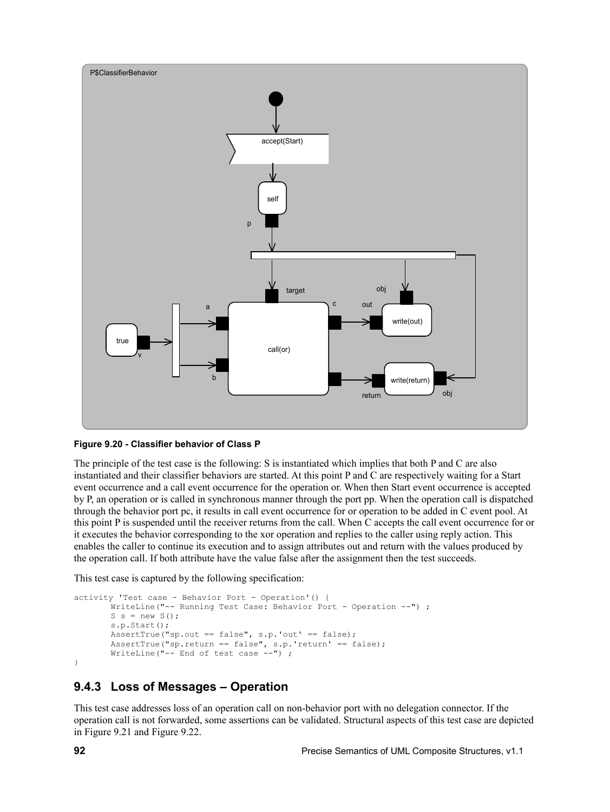

<span id="page-103-1"></span>**Figure 9.20 - Classifier behavior of Class P**

The principle of the test case is the following: S is instantiated which implies that both P and C are also instantiated and their classifier behaviors are started. At this point P and C are respectively waiting for a Start event occurrence and a call event occurrence for the operation or. When then Start event occurrence is accepted by P, an operation or is called in synchronous manner through the port pp. When the operation call is dispatched through the behavior port pc, it results in call event occurrence for or operation to be added in C event pool. At this point P is suspended until the receiver returns from the call. When C accepts the call event occurrence for or it executes the behavior corresponding to the xor operation and replies to the caller using reply action. This enables the caller to continue its execution and to assign attributes out and return with the values produced by the operation call. If both attribute have the value false after the assignment then the test succeeds.

This test case is captured by the following specification:

```
activity 'Test case - Behavior Port - Operation'() {
       WriteLine("-- Running Test Case: Behavior Port - Operation --") ;
       S s = new S();
       s.p.Start();
       AssertTrue("sp.out == false", s.p.'out' == false);
       AssertTrue("sp.return == false", s.p.'return' == false);
       WriteLine("-- End of test case --") ;
}
```
# <span id="page-103-0"></span>**9.4.3 Loss of Messages – Operation**

This test case addresses loss of an operation call on non-behavior port with no delegation connector. If the operation call is not forwarded, some assertions can be validated. Structural aspects of this test case are depicted in [Figure 9.21](#page-104-2) and [Figure 9.22.](#page-104-1)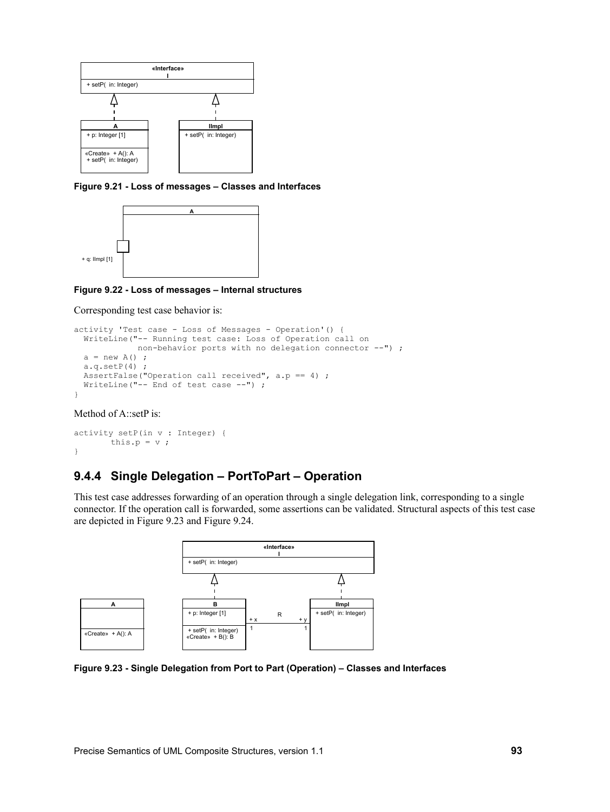

<span id="page-104-2"></span>**Figure 9.21 - Loss of messages – Classes and Interfaces**



<span id="page-104-1"></span>**Figure 9.22 - Loss of messages – Internal structures**

Corresponding test case behavior is:

```
activity 'Test case - Loss of Messages - Operation'() {
  WriteLine("-- Running test case: Loss of Operation call on
             non-behavior ports with no delegation connector --") ;
  a = new A();
   a.q.setP(4) ;
  AssertFalse("Operation call received", a.p == 4) ;
  WriteLine("-- End of test case --") ;
}
```
### Method of A::setP is:

```
activity setP(in v : Integer) {
       this.p = v ;
}
```
# <span id="page-104-0"></span>**9.4.4 Single Delegation – PortToPart – Operation**

This test case addresses forwarding of an operation through a single delegation link, corresponding to a single connector. If the operation call is forwarded, some assertions can be validated. Structural aspects of this test case are depicted in [Figure 9.23](#page-104-3) and [Figure 9.24.](#page-105-1)



<span id="page-104-3"></span>**Figure 9.23 - Single Delegation from Port to Part (Operation) – Classes and Interfaces**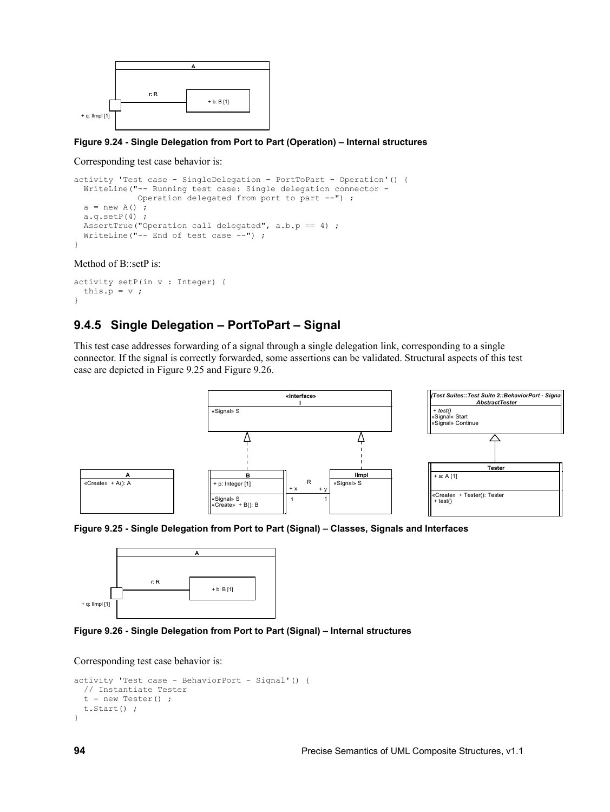

<span id="page-105-1"></span>**Figure 9.24 - Single Delegation from Port to Part (Operation) – Internal structures**

Corresponding test case behavior is:

```
activity 'Test case - SingleDelegation - PortToPart - Operation'() {
   WriteLine("-- Running test case: Single delegation connector -
              Operation delegated from port to part --") ;
  a = new A();
  a.q.setP(4);
  AssertTrue("Operation call delegated", a.b.p == 4) ;
  WriteLine("-- End of test case --") ;
}
```
Method of B::setP is:

```
activity setP(in v : Integer) {
   this.p = v ;
}
```
# <span id="page-105-0"></span>**9.4.5 Single Delegation – PortToPart – Signal**

This test case addresses forwarding of a signal through a single delegation link, corresponding to a single connector. If the signal is correctly forwarded, some assertions can be validated. Structural aspects of this test case are depicted in [Figure 9.25](#page-105-3) and [Figure 9.26.](#page-105-2)



<span id="page-105-3"></span>**Figure 9.25 - Single Delegation from Port to Part (Signal) – Classes, Signals and Interfaces**



<span id="page-105-2"></span>

Corresponding test case behavior is:

```
activity 'Test case - BehaviorPort - Signal'() {
   // Instantiate Tester
  t = new Tester();
   t.Start() ;
}
```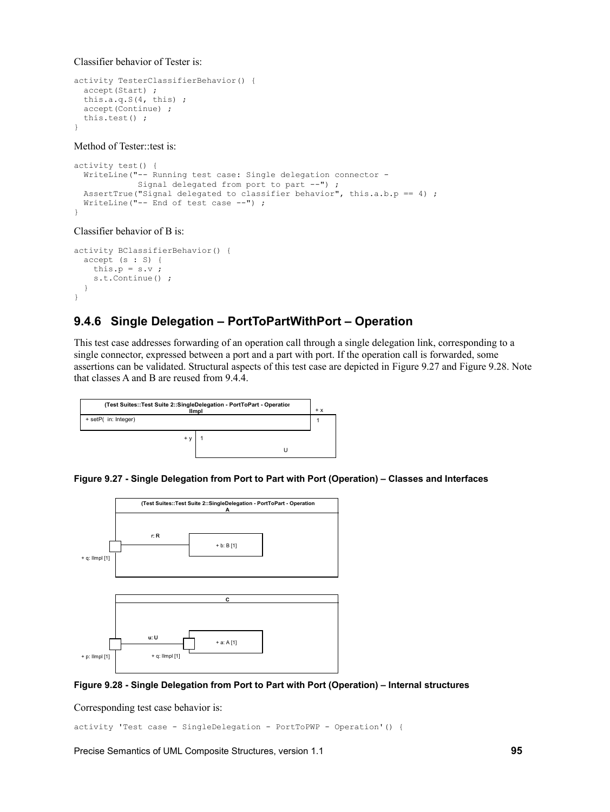Classifier behavior of Tester is:

```
activity TesterClassifierBehavior() {
   accept(Start) ;
   this.a.q.S(4, this) ;
   accept(Continue) ;
   this.test() ;
}
```
Method of Tester::test is:

```
activity test() {
   WriteLine("-- Running test case: Single delegation connector -
              Signal delegated from port to part --") ;
  AssertTrue("Signal delegated to classifier behavior", this.a.b.p == 4) ;
  WriteLine("-- End of test case --") ;
}
```
### Classifier behavior of B is:

```
activity BClassifierBehavior() {
   accept (s : S) {
   this.p = s.v;
     s.t.Continue() ;
   }
}
```
## <span id="page-106-0"></span>**9.4.6 Single Delegation – PortToPartWithPort – Operation**

This test case addresses forwarding of an operation call through a single delegation link, corresponding to a single connector, expressed between a port and a part with port. If the operation call is forwarded, some assertions can be validated. Structural aspects of this test case are depicted in [Figure 9.27](#page-106-2) and [Figure 9.28.](#page-106-1) Note that classes A and B are reused from [9.4.4.](#page-104-0)



<span id="page-106-2"></span>**Figure 9.27 - Single Delegation from Port to Part with Port (Operation) – Classes and Interfaces**



<span id="page-106-1"></span>

Corresponding test case behavior is:

activity 'Test case - SingleDelegation - PortToPWP - Operation'() {

Precise Semantics of UML Composite Structures, version 1.1 **95**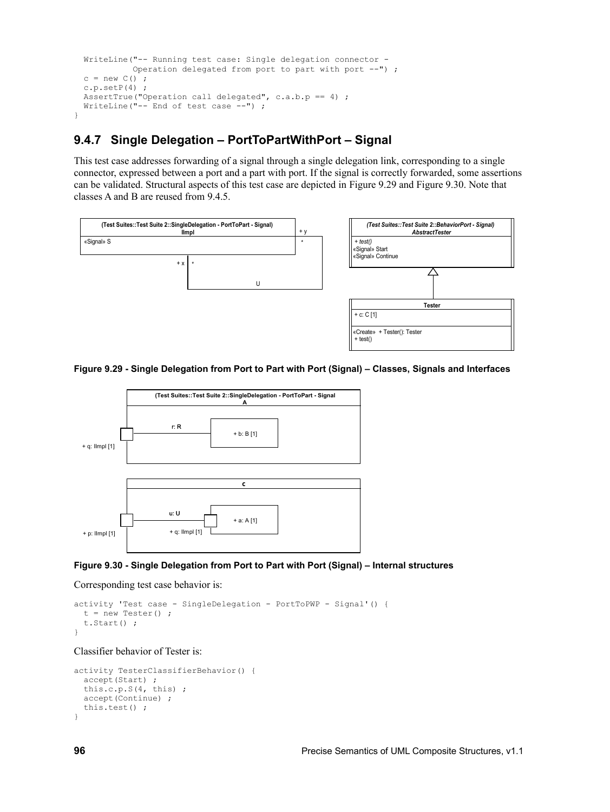```
 WriteLine("-- Running test case: Single delegation connector -
           Operation delegated from port to part with port --") ;
 c = new C();
 c.p.setP(4) ;
  AssertTrue("Operation call delegated", c.a.b.p == 4) ;
 WriteLine("-- End of test case --") ;
}
```
# <span id="page-107-0"></span>**9.4.7 Single Delegation – PortToPartWithPort – Signal**

This test case addresses forwarding of a signal through a single delegation link, corresponding to a single connector, expressed between a port and a part with port. If the signal is correctly forwarded, some assertions can be validated. Structural aspects of this test case are depicted in [Figure 9.29](#page-107-2) and [Figure 9.30.](#page-107-1) Note that classes A and B are reused from [9.4.5.](#page-105-0)



<span id="page-107-2"></span>**Figure 9.29 - Single Delegation from Port to Part with Port (Signal) – Classes, Signals and Interfaces**



<span id="page-107-1"></span>

Corresponding test case behavior is:

```
activity 'Test case - SingleDelegation - PortToPWP - Signal'() {
  t = new Tester();
   t.Start() ;
}
```
Classifier behavior of Tester is:

```
activity TesterClassifierBehavior() {
  accept(Start) ;
   this.c.p.S(4, this) ;
   accept(Continue) ;
   this.test() ;
}
```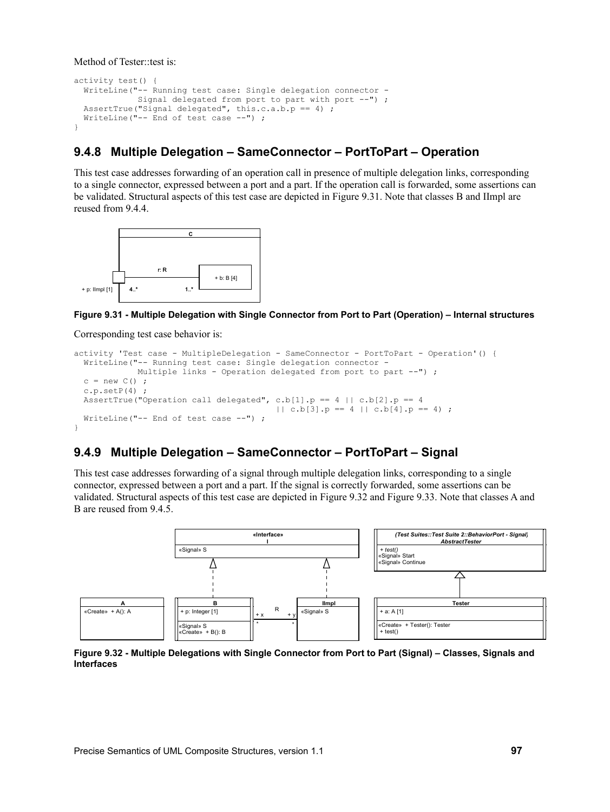Method of Tester::test is:

```
activity test() {
  WriteLine("-- Running test case: Single delegation connector -
              Signal delegated from port to part with port --") ;
  AssertTrue("Signal delegated", this.c.a.b.p == 4) ;
   WriteLine("-- End of test case --") ;
}
```
## **9.4.8 Multiple Delegation – SameConnector – PortToPart – Operation**

This test case addresses forwarding of an operation call in presence of multiple delegation links, corresponding to a single connector, expressed between a port and a part. If the operation call is forwarded, some assertions can be validated. Structural aspects of this test case are depicted in [Figure 9.31.](#page-108-1) Note that classes B and IImpl are reused from [9.4.4.](#page-104-0)



<span id="page-108-1"></span>**Figure 9.31 - Multiple Delegation with Single Connector from Port to Part (Operation) – Internal structures**

Corresponding test case behavior is:

```
activity 'Test case - MultipleDelegation - SameConnector - PortToPart - Operation'() {
   WriteLine("-- Running test case: Single delegation connector -
              Multiple links - Operation delegated from port to part --") ;
  c = new C();
  c.p.setP(4) ;
  AssertTrue("Operation call delegated", c.b[1].p == 4 || c.b[2].p == 4
                                            | \cdot | \cdot c.b[3], p == 4 | \cdot | \cdot c.b[4], p == 4);
   WriteLine("-- End of test case --") ;
}
```
## **9.4.9 Multiple Delegation – SameConnector – PortToPart – Signal**

This test case addresses forwarding of a signal through multiple delegation links, corresponding to a single connector, expressed between a port and a part. If the signal is correctly forwarded, some assertions can be validated. Structural aspects of this test case are depicted in [Figure 9.32](#page-108-0) and [Figure 9.33.](#page-109-0) Note that classes A and B are reused from [9.4.5.](#page-105-0)



<span id="page-108-0"></span>**Figure 9.32 - Multiple Delegations with Single Connector from Port to Part (Signal) – Classes, Signals and Interfaces**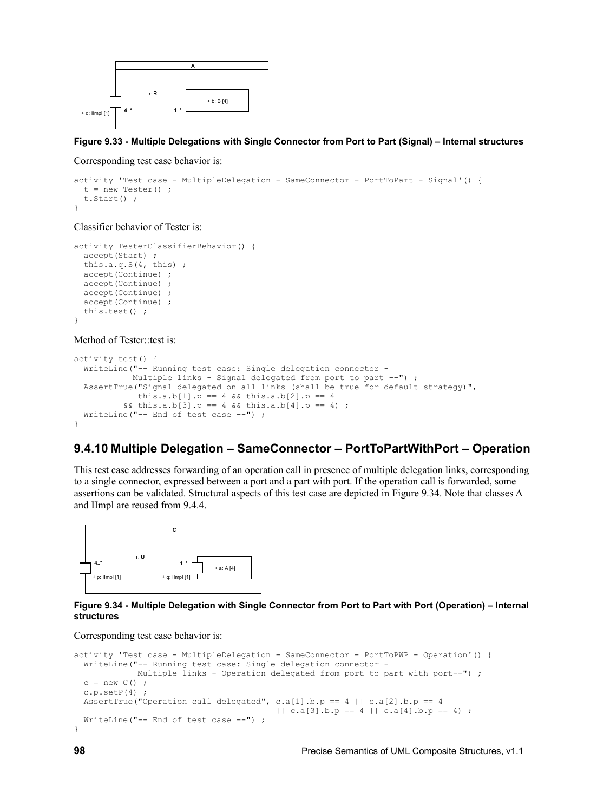

<span id="page-109-0"></span>

```
activity 'Test case - MultipleDelegation - SameConnector - PortToPart - Signal'() { 
  t = new Tester();
   t.Start() ;
}
```
Classifier behavior of Tester is:

```
activity TesterClassifierBehavior() {
   accept(Start) ;
   this.a.q.S(4, this) ;
   accept(Continue) ;
   accept(Continue) ;
   accept(Continue) ;
   accept(Continue) ;
   this.test() ;
}
```
Method of Tester::test is:

```
activity test() {
   WriteLine("-- Running test case: Single delegation connector -
            Multiple links - Signal delegated from port to part --") ;
  AssertTrue("Signal delegated on all links (shall be true for default strategy)",
             this.a.b[1].p == 4 && this.a.b[2].p == 4
          &\& this.a.b[3].p == 4 && this.a.b[4].p == 4) ;
   WriteLine("-- End of test case --") ;
}
```
#### **9.4.10 Multiple Delegation – SameConnector – PortToPartWithPort – Operation**

This test case addresses forwarding of an operation call in presence of multiple delegation links, corresponding to a single connector, expressed between a port and a part with port. If the operation call is forwarded, some assertions can be validated. Structural aspects of this test case are depicted in [Figure 9.34.](#page-109-1) Note that classes A and IImpl are reused from [9.4.4.](#page-104-0)



<span id="page-109-1"></span>**Figure 9.34 - Multiple Delegation with Single Connector from Port to Part with Port (Operation) – Internal structures**

Corresponding test case behavior is:

```
activity 'Test case - MultipleDelegation - SameConnector - PortToPWP - Operation'() {
 WriteLine("-- Running test case: Single delegation connector -
              Multiple links - Operation delegated from port to part with port--") ;
  c = new C();
   c.p.setP(4) ;
 AssertTrue("Operation call delegated", c.a[1], b.p == 4 \mid | c.a[2], b.p == 4| \cdot | c.a[3].b.p = 4 || c.a[4].b.p = 4) ;
  WriteLine("-- End of test case --") ;
}
```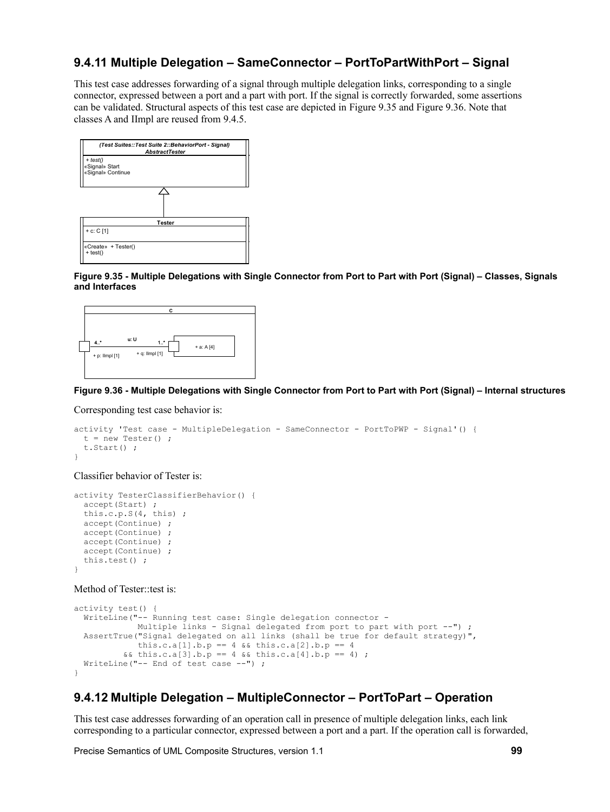## **9.4.11 Multiple Delegation – SameConnector – PortToPartWithPort – Signal**

This test case addresses forwarding of a signal through multiple delegation links, corresponding to a single connector, expressed between a port and a part with port. If the signal is correctly forwarded, some assertions can be validated. Structural aspects of this test case are depicted in [Figure 9.35](#page-110-1) and [Figure 9.36.](#page-110-0) Note that classes A and IImpl are reused from [9.4.5.](#page-105-0)



<span id="page-110-1"></span>



#### <span id="page-110-0"></span>**Figure 9.36 - Multiple Delegations with Single Connector from Port to Part with Port (Signal) – Internal structures**

Corresponding test case behavior is:

```
activity 'Test case - MultipleDelegation - SameConnector - PortToPWP - Signal'() {
  t = new Tester();
   t.Start() ;
}
```
Classifier behavior of Tester is:

```
activity TesterClassifierBehavior() {
  accept(Start) ;
   this.c.p.S(4, this) ;
   accept(Continue) ;
   accept(Continue) ;
   accept(Continue) ;
   accept(Continue) ;
   this.test() ;
}
```
Method of Tester::test is:

```
activity test() {
   WriteLine("-- Running test case: Single delegation connector -
               Multiple links - Signal delegated from port to part with port --") ;
   AssertTrue("Signal delegated on all links (shall be true for default strategy)",
              this.c.a[1].b.p == 4 &\& this.c.a[2].b.p == 4
           & \text{this.c.a[3].b.p} = 4 & & \text{with } \text{this.c.a[4].b.p} = 4 \text{;}WriteLine("-- End of test case --") ;
}
```
## **9.4.12 Multiple Delegation – MultipleConnector – PortToPart – Operation**

This test case addresses forwarding of an operation call in presence of multiple delegation links, each link corresponding to a particular connector, expressed between a port and a part. If the operation call is forwarded,

Precise Semantics of UML Composite Structures, version 1.1 **99**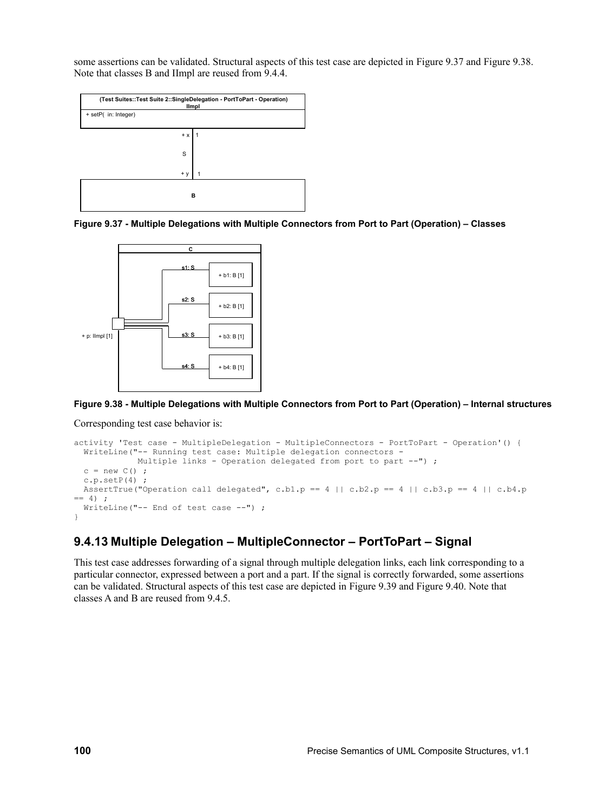some assertions can be validated. Structural aspects of this test case are depicted in [Figure 9.37](#page-111-1) and [Figure 9.38.](#page-111-0) Note that classes B and IImpl are reused from [9.4.4.](#page-104-0)



<span id="page-111-1"></span>**Figure 9.37 - Multiple Delegations with Multiple Connectors from Port to Part (Operation) – Classes**



#### <span id="page-111-0"></span>**Figure 9.38 - Multiple Delegations with Multiple Connectors from Port to Part (Operation) – Internal structures**

Corresponding test case behavior is:

```
activity 'Test case - MultipleDelegation - MultipleConnectors - PortToPart - Operation'() {
  WriteLine("-- Running test case: Multiple delegation connectors -
             Multiple links - Operation delegated from port to part --") ;
  c = new C();
 c.p.setP(4) ;
 AssertTrue("Operation call delegated", c.b1.p == 4 || c.b2.p == 4 || c.b3.p == 4 || c.b4.p
= 4);
   WriteLine("-- End of test case --") ;
}
```
## **9.4.13 Multiple Delegation – MultipleConnector – PortToPart – Signal**

This test case addresses forwarding of a signal through multiple delegation links, each link corresponding to a particular connector, expressed between a port and a part. If the signal is correctly forwarded, some assertions can be validated. Structural aspects of this test case are depicted in [Figure 9.39](#page-112-1) and [Figure 9.40.](#page-112-0) Note that classes A and B are reused from [9.4.5.](#page-105-0)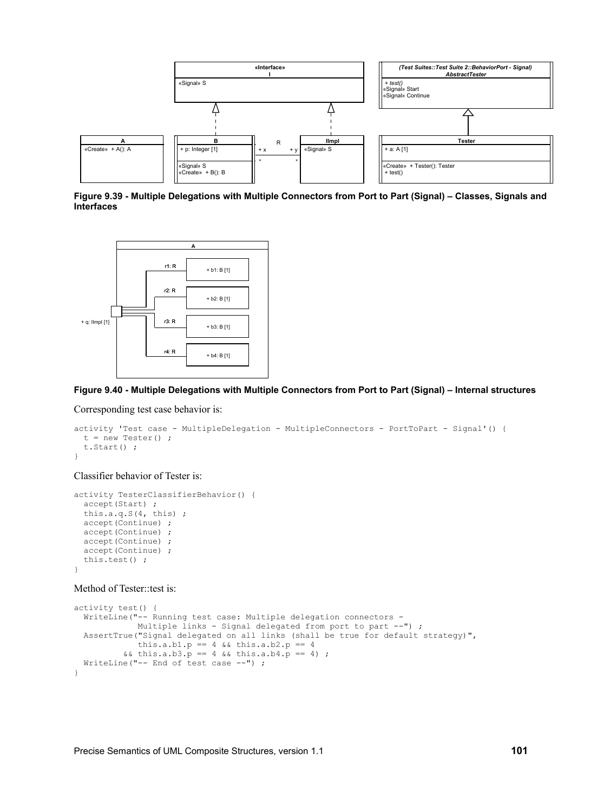

<span id="page-112-1"></span>**Figure 9.39 - Multiple Delegations with Multiple Connectors from Port to Part (Signal) – Classes, Signals and Interfaces**



#### <span id="page-112-0"></span>**Figure 9.40 - Multiple Delegations with Multiple Connectors from Port to Part (Signal) – Internal structures**

Corresponding test case behavior is:

```
activity 'Test case - MultipleDelegation - MultipleConnectors - PortToPart - Signal'() {
   t = new Tester() ;
   t.Start() ;
}
```
Classifier behavior of Tester is:

```
activity TesterClassifierBehavior() {
 accept(Start) ;
   this.a.q.S(4, this) ;
  accept(Continue) ;
   accept(Continue) ;
   accept(Continue) ;
   accept(Continue) ;
   this.test() ;
}
```
#### Method of Tester::test is:

```
activity test() {
  WriteLine("-- Running test case: Multiple delegation connectors -
             Multiple links - Signal delegated from port to part --") ;
  AssertTrue("Signal delegated on all links (shall be true for default strategy)",
this.a.b1.p == 4 \& this.a.b2.p == 4&\&\text{ this.a.b3.p} = 4 &\&\text{ this.a.b4.p} = 4; WriteLine("-- End of test case --") ;
}
```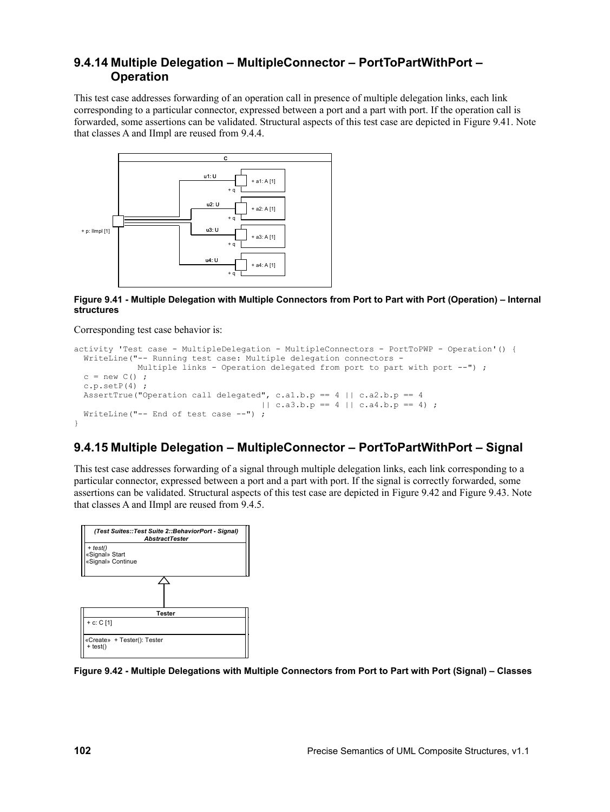## **9.4.14 Multiple Delegation – MultipleConnector – PortToPartWithPort – Operation**

This test case addresses forwarding of an operation call in presence of multiple delegation links, each link corresponding to a particular connector, expressed between a port and a part with port. If the operation call is forwarded, some assertions can be validated. Structural aspects of this test case are depicted in [Figure 9.41.](#page-113-1) Note that classes A and IImpl are reused from [9.4.4.](#page-104-0)



<span id="page-113-1"></span>**Figure 9.41 - Multiple Delegation with Multiple Connectors from Port to Part with Port (Operation) – Internal structures**

Corresponding test case behavior is:

```
activity 'Test case - MultipleDelegation - MultipleConnectors - PortToPWP - Operation'() {
  WriteLine("-- Running test case: Multiple delegation connectors -
            Multiple links - Operation delegated from port to part with port --") ;
  c = new C();
  c.p.setP(4);
  AssertTrue("Operation call delegated", c.al.b.p == 4 || c.a2.b.p == 4
                                     | \cdot | c.a3.b.p == 4 || c.a4.b.p == 4) ;
  WriteLine("-- End of test case --") ;
}
```
## **9.4.15 Multiple Delegation – MultipleConnector – PortToPartWithPort – Signal**

This test case addresses forwarding of a signal through multiple delegation links, each link corresponding to a particular connector, expressed between a port and a part with port. If the signal is correctly forwarded, some assertions can be validated. Structural aspects of this test case are depicted in [Figure 9.42](#page-113-0) and [Figure 9.43.](#page-114-0) Note that classes A and IImpl are reused from [9.4.5.](#page-105-0)



<span id="page-113-0"></span>**Figure 9.42 - Multiple Delegations with Multiple Connectors from Port to Part with Port (Signal) – Classes**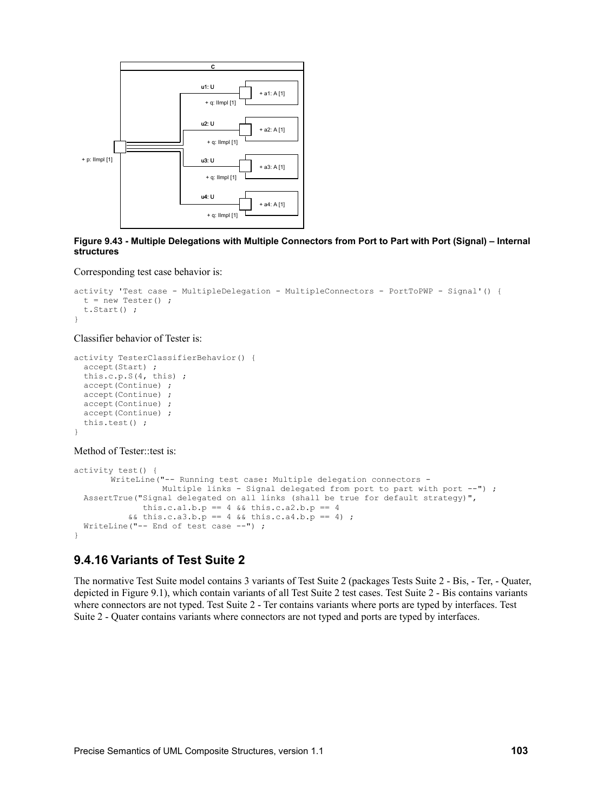

<span id="page-114-0"></span>**Figure 9.43 - Multiple Delegations with Multiple Connectors from Port to Part with Port (Signal) – Internal structures**

```
activity 'Test case - MultipleDelegation - MultipleConnectors - PortToPWP - Signal'() {
  t = new Tester();
   t.Start() ;
}
```
Classifier behavior of Tester is:

```
activity TesterClassifierBehavior() {
   accept(Start) ;
   this.c.p.S(4, this) ;
   accept(Continue) ;
   accept(Continue) ;
   accept(Continue) ;
   accept(Continue) ;
   this.test() ;
}
```
Method of Tester::test is:

```
activity test() {
       WriteLine("-- Running test case: Multiple delegation connectors -
                   Multiple links - Signal delegated from port to part with port --") ;
  AssertTrue("Signal delegated on all links (shall be true for default strategy)",
              this.c.a1.b.p == 4 \& k this.c.a2.b.p == 4&\& this.c.a3.b.p == 4 && this.c.a4.b.p == 4) ;
  WriteLine("-- End of test case --") ;
}
```
## **9.4.16 Variants of Test Suite 2**

The normative Test Suite model contains 3 variants of Test Suite 2 (packages Tests Suite 2 - Bis, - Ter, - Quater, depicted in [Figure 9.1\)](#page-91-0), which contain variants of all Test Suite 2 test cases. Test Suite 2 - Bis contains variants where connectors are not typed. Test Suite 2 - Ter contains variants where ports are typed by interfaces. Test Suite 2 - Quater contains variants where connectors are not typed and ports are typed by interfaces.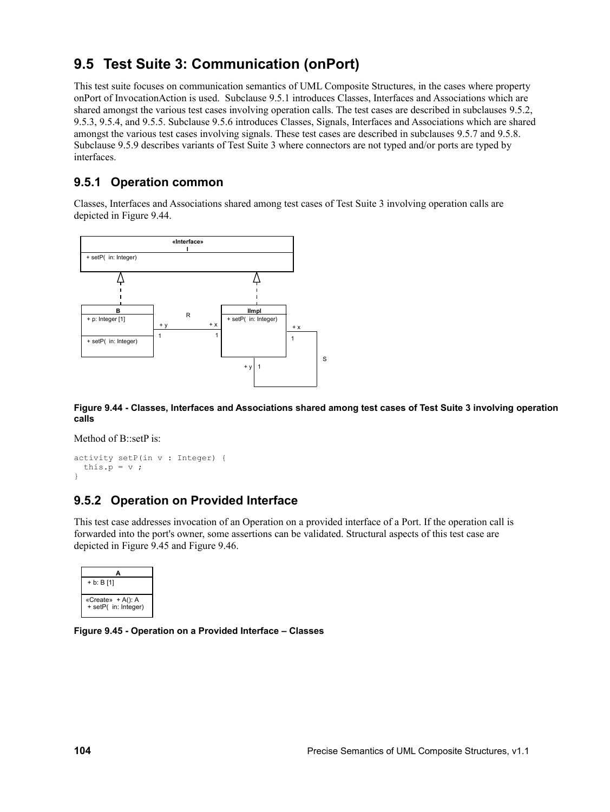## **9.5 Test Suite 3: Communication (onPort)**

This test suite focuses on communication semantics of UML Composite Structures, in the cases where property onPort of InvocationAction is used. Subclause [9.5.1](#page-115-3) introduces Classes, Interfaces and Associations which are shared amongst the various test cases involving operation calls. The test cases are described in subclauses [9.5.2,](#page-115-2) [9.5.3,](#page-116-1) [9.5.4,](#page-117-0) and [9.5.5.](#page-118-0) Subclause [9.5.6](#page-119-0) introduces Classes, Signals, Interfaces and Associations which are shared amongst the various test cases involving signals. These test cases are described in subclauses [9.5.7](#page-120-0) and [9.5.8.](#page-121-0) Subclause [9.5.9](#page-122-0) describes variants of Test Suite 3 where connectors are not typed and/or ports are typed by interfaces.

## <span id="page-115-3"></span>**9.5.1 Operation common**

Classes, Interfaces and Associations shared among test cases of Test Suite 3 involving operation calls are depicted in [Figure 9.44.](#page-115-1)



<span id="page-115-1"></span>**Figure 9.44 - Classes, Interfaces and Associations shared among test cases of Test Suite 3 involving operation calls**

Method of B::setP is:

```
activity setP(in v : Integer) {
   this.p = v ;
}
```
## <span id="page-115-2"></span>**9.5.2 Operation on Provided Interface**

This test case addresses invocation of an Operation on a provided interface of a Port. If the operation call is forwarded into the port's owner, some assertions can be validated. Structural aspects of this test case are depicted in [Figure 9.45](#page-115-0) and [Figure 9.46.](#page-116-0)

| $+ b: B[1]$                               |
|-------------------------------------------|
| «Create» + A(): A<br>+ setP( in: Integer) |

<span id="page-115-0"></span>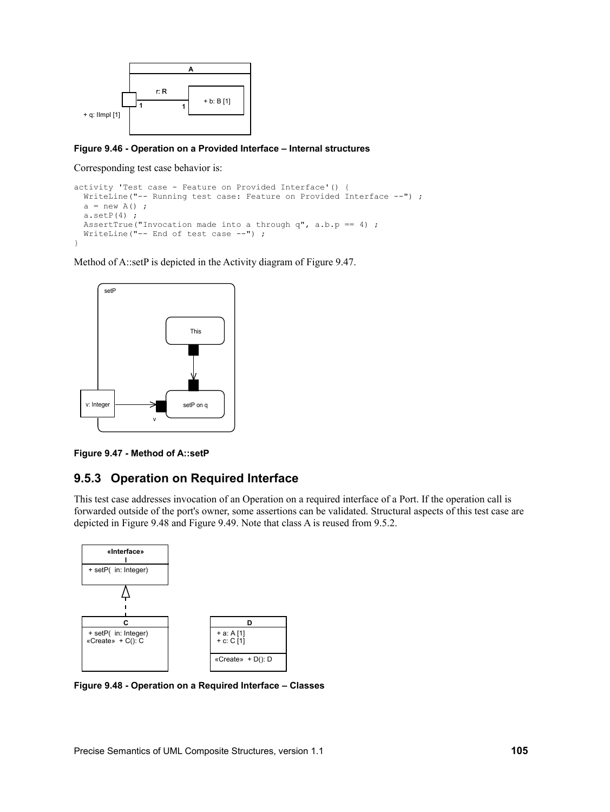

<span id="page-116-0"></span>

```
activity 'Test case - Feature on Provided Interface'() {
  WriteLine("-- Running test case: Feature on Provided Interface --") ;
  a = new A();
  a.setP(4) ;
  AssertTrue("Invocation made into a through q'', a.b.p == 4) ;
  WriteLine("-- End of test case --") ;
}
```
Method of A::setP is depicted in the Activity diagram of [Figure 9.47.](#page-116-3)



<span id="page-116-3"></span>**Figure 9.47 - Method of A::setP**

## <span id="page-116-1"></span>**9.5.3 Operation on Required Interface**

This test case addresses invocation of an Operation on a required interface of a Port. If the operation call is forwarded outside of the port's owner, some assertions can be validated. Structural aspects of this test case are depicted in [Figure 9.48](#page-116-2) and [Figure 9.49.](#page-117-1) Note that class A is reused from [9.5.2.](#page-115-2)



<span id="page-116-2"></span>**Figure 9.48 - Operation on a Required Interface – Classes**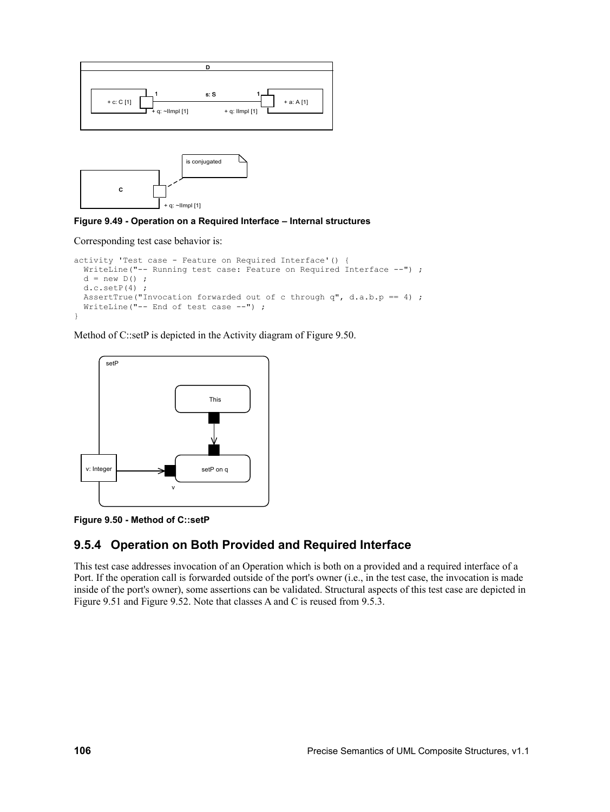



<span id="page-117-1"></span>

```
activity 'Test case - Feature on Required Interface'() {
  WriteLine("-- Running test case: Feature on Required Interface --") ;
  d = new D();
  d.c.setP(4) ;
  AssertTrue("Invocation forwarded out of c through q", d.a.b.p == 4) ;
  WriteLine("-- End of test case --") ;
}
```
Method of C::setP is depicted in the Activity diagram of [Figure 9.50.](#page-117-2)



<span id="page-117-2"></span>

## <span id="page-117-0"></span>**9.5.4 Operation on Both Provided and Required Interface**

This test case addresses invocation of an Operation which is both on a provided and a required interface of a Port. If the operation call is forwarded outside of the port's owner (i.e., in the test case, the invocation is made inside of the port's owner), some assertions can be validated. Structural aspects of this test case are depicted i[n](#page-118-2) [Figure 9.51](#page-118-2) and [Figure 9.52.](#page-118-1) Note that classes A and C is reused from [9.5.3.](#page-116-1)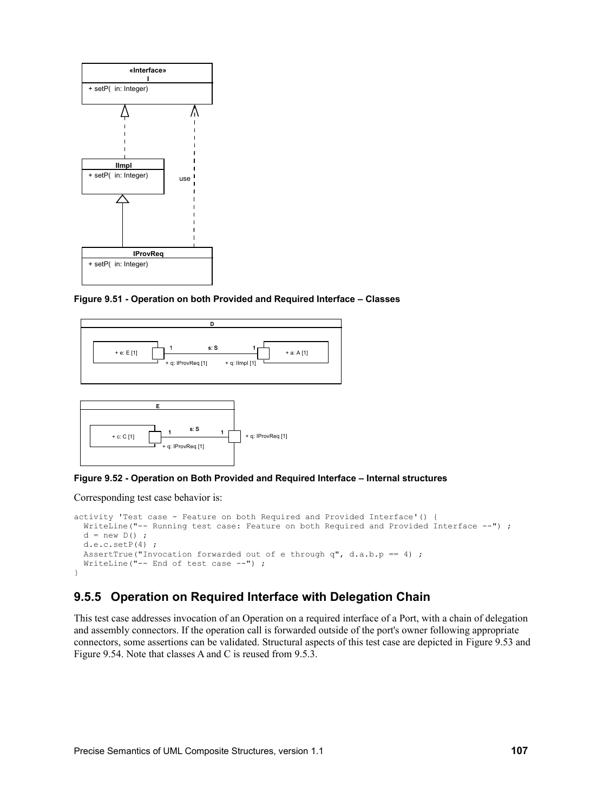

<span id="page-118-2"></span>**Figure 9.51 - Operation on both Provided and Required Interface – Classes**



<span id="page-118-1"></span>**Figure 9.52 - Operation on Both Provided and Required Interface – Internal structures**

```
activity 'Test case - Feature on both Required and Provided Interface'() {
 WriteLine("-- Running test case: Feature on both Required and Provided Interface --");
   d = new D() ;
  d.e.c.setP(4) ;
  AssertTrue("Invocation forwarded out of e through q", d.a.b.p == 4) ;
  WriteLine("-- End of test case --") ;
}
```
### <span id="page-118-0"></span>**9.5.5 Operation on Required Interface with Delegation Chain**

This test case addresses invocation of an Operation on a required interface of a Port, with a chain of delegation and assembly connectors. If the operation call is forwarded outside of the port's owner following appropriate connectors, some assertions can be validated. Structural aspects of this test case are depicted in [Figure 9.53](#page-119-2) an[d](#page-119-1) [Figure 9.54.](#page-119-1) Note that classes A and C is reused from [9.5.3.](#page-116-1)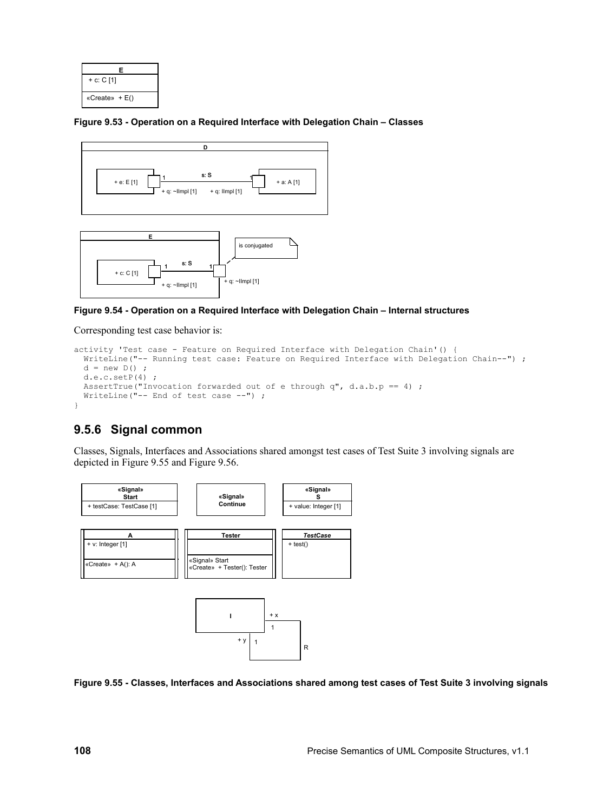| Е                |
|------------------|
| $+ c: C [1]$     |
| «Create» $+ E()$ |

<span id="page-119-2"></span>**Figure 9.53 - Operation on a Required Interface with Delegation Chain – Classes**





<span id="page-119-1"></span>**Figure 9.54 - Operation on a Required Interface with Delegation Chain – Internal structures**

```
activity 'Test case - Feature on Required Interface with Delegation Chain'() {
  WriteLine("-- Running test case: Feature on Required Interface with Delegation Chain--") ;
  d = new D();
  d.e.c.setP(4) ;
  AssertTrue("Invocation forwarded out of e through q'', d.a.b.p == 4) ;
  WriteLine("-- End of test case --") ;
\overline{1}
```
## <span id="page-119-0"></span>**9.5.6 Signal common**

Classes, Signals, Interfaces and Associations shared amongst test cases of Test Suite 3 involving signals are depicted in [Figure 9.55](#page-119-3) and [Figure 9.56.](#page-120-1)



<span id="page-119-3"></span>**Figure 9.55 - Classes, Interfaces and Associations shared among test cases of Test Suite 3 involving signals**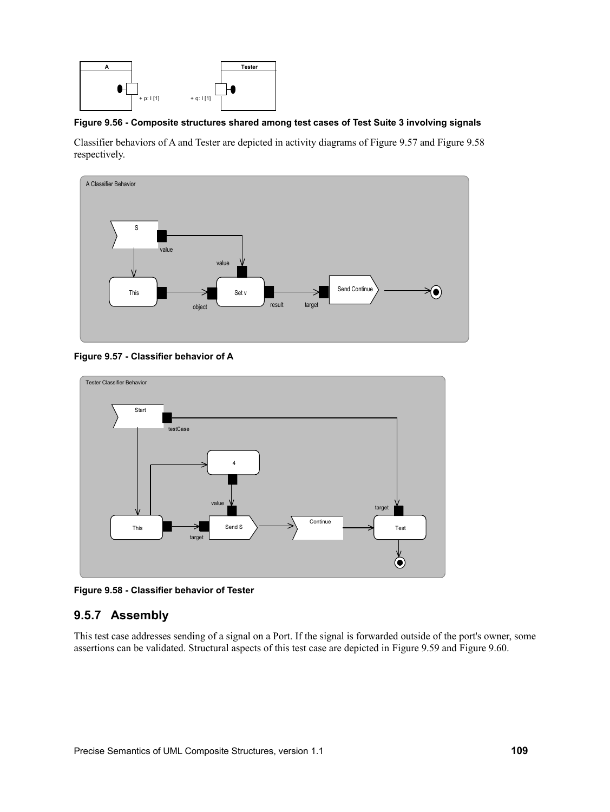

<span id="page-120-1"></span>**Figure 9.56 - Composite structures shared among test cases of Test Suite 3 involving signals**

Classifier behaviors of A and Tester are depicted in activity diagrams of [Figure 9.57](#page-120-3) and [Figure 9.58](#page-120-2) respectively.



<span id="page-120-3"></span>**Figure 9.57 - Classifier behavior of A**



<span id="page-120-2"></span>**Figure 9.58 - Classifier behavior of Tester**

## <span id="page-120-0"></span>**9.5.7 Assembly**

This test case addresses sending of a signal on a Port. If the signal is forwarded outside of the port's owner, some assertions can be validated. Structural aspects of this test case are depicted in [Figure 9.59](#page-121-2) and [Figure 9.60.](#page-121-1)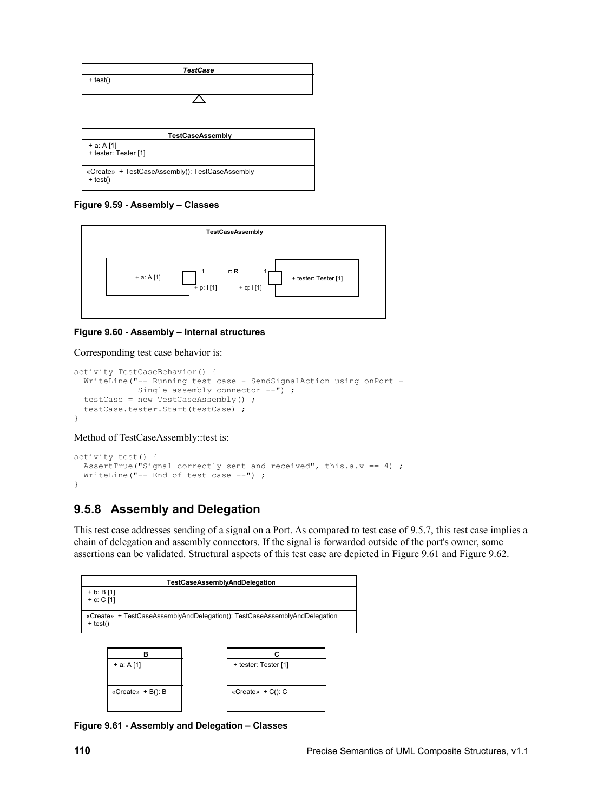

<span id="page-121-2"></span>**Figure 9.59 - Assembly – Classes**



<span id="page-121-1"></span>**Figure 9.60 - Assembly – Internal structures**

```
activity TestCaseBehavior() {
   WriteLine("-- Running test case - SendSignalAction using onPort -
             Single assembly connector --") ;
   testCase = new TestCaseAssembly() ;
   testCase.tester.Start(testCase) ;
}
```
Method of TestCaseAssembly::test is:

```
activity test() {
 AssertTrue("Signal correctly sent and received", this.a.v == 4) ;
  WriteLine("-- End of test case --") ;
}
```
## <span id="page-121-0"></span>**9.5.8 Assembly and Delegation**

This test case addresses sending of a signal on a Port. As compared to test case of [9.5.7,](#page-120-0) this test case implies a chain of delegation and assembly connectors. If the signal is forwarded outside of the port's owner, some assertions can be validated. Structural aspects of this test case are depicted in [Figure 9.61](#page-121-3) and [Figure 9.62.](#page-122-1)

| <b>TestCaseAssemblyAndDelegation</b>                                                    |
|-----------------------------------------------------------------------------------------|
| $+ b: B[1]$<br>$+ c: C[1]$                                                              |
| «Create» + TestCaseAssemblyAndDelegation(): TestCaseAssemblyAndDelegation<br>$+ test()$ |



<span id="page-121-3"></span>**Figure 9.61 - Assembly and Delegation – Classes**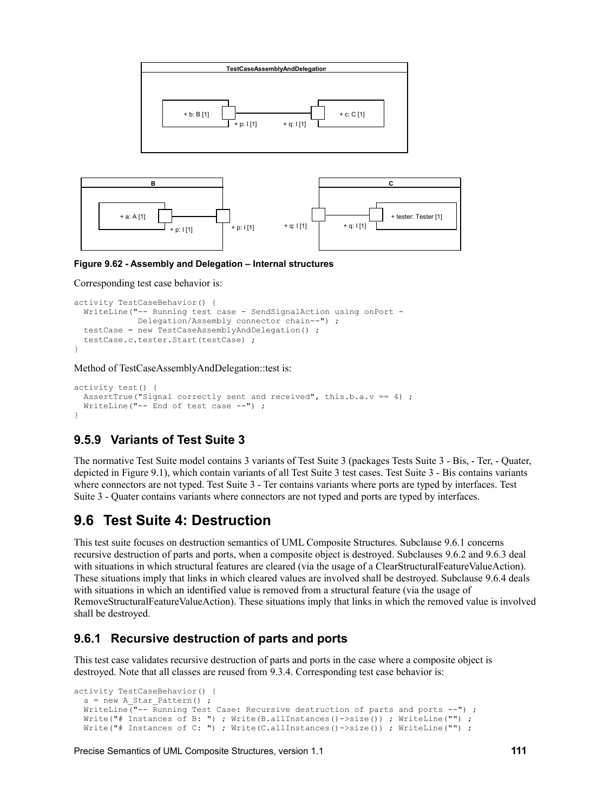



#### <span id="page-122-1"></span>**Figure 9.62 - Assembly and Delegation – Internal structures**

Corresponding test case behavior is:

```
activity TestCaseBehavior() {
 WriteLine("-- Running test case - SendSignalAction using onPort -
              Delegation/Assembly connector chain--") ;
   testCase = new TestCaseAssemblyAndDelegation() ;
   testCase.c.tester.Start(testCase) ;
}
```
Method of TestCaseAssemblyAndDelegation::test is:

```
activity test() {
 AssertTrue("Signal correctly sent and received", this.b.a.v == 4) ;
  WriteLine("-- End of test case --") ;
}
```
## <span id="page-122-0"></span>**9.5.9 Variants of Test Suite 3**

The normative Test Suite model contains 3 variants of Test Suite 3 (packages Tests Suite 3 - Bis, - Ter, - Quater, depicted in [Figure 9.1\)](#page-91-0), which contain variants of all Test Suite 3 test cases. Test Suite 3 - Bis contains variants where connectors are not typed. Test Suite 3 - Ter contains variants where ports are typed by interfaces. Test Suite 3 - Quater contains variants where connectors are not typed and ports are typed by interfaces.

## **9.6 Test Suite 4: Destruction**

This test suite focuses on destruction semantics of UML Composite Structures. Subclause [9.6.1](#page-122-2) concerns recursive destruction of parts and ports, when a composite object is destroyed. Subclauses [9.6.2](#page-123-2) and [9.6.3](#page-123-1) deal with situations in which structural features are cleared (via the usage of a ClearStructuralFeatureValueAction). These situations imply that links in which cleared values are involved shall be destroyed. Subclause [9.6.4](#page-123-0) deals with situations in which an identified value is removed from a structural feature (via the usage of RemoveStructuralFeatureValueAction). These situations imply that links in which the removed value is involved shall be destroyed.

## <span id="page-122-2"></span>**9.6.1 Recursive destruction of parts and ports**

This test case validates recursive destruction of parts and ports in the case where a composite object is destroyed. Note that all classes are reused from [9.3.4.](#page-95-0) Corresponding test case behavior is:

```
activity TestCaseBehavior() {
  a = new A Star Pattern();
  WriteLine<sup>("--</sup> Running Test Case: Recursive destruction of parts and ports --") ;
  Write("# Instances of B: ") ; Write(B.allInstances()->size()) ; WriteLine("");
  Write("# Instances of C: ") ; Write(C.allInstances()->size()) ; WriteLine("") ;
```
Precise Semantics of UML Composite Structures, version 1.1 **111**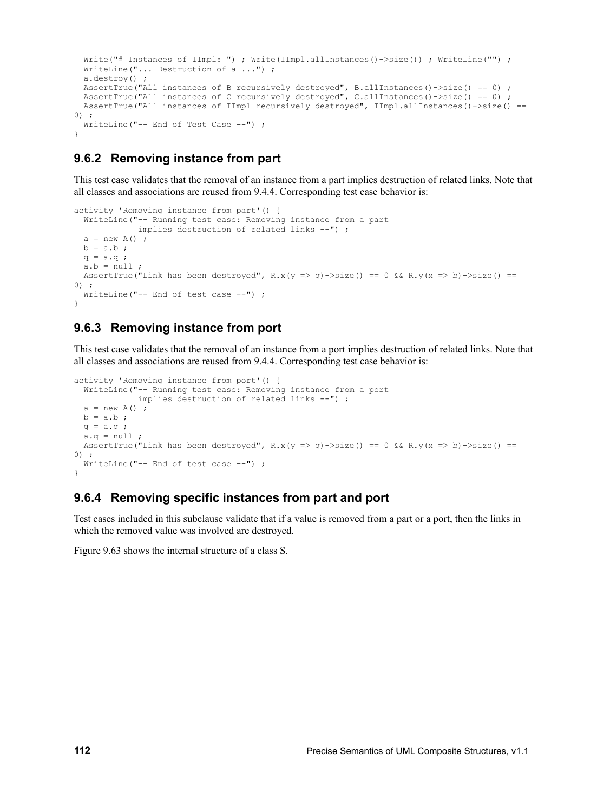```
Write("# Instances of IImpl: ") ; Write(IImpl.allInstances()->size()) ; WriteLine("") ;
 WriteLine("... Destruction of a ...") ;
   a.destroy() ;
AssertTrue("All instances of B recursively destroyed", B.allInstances()->size() == 0);
AssertTrue("All instances of C recursively destroyed", C.allInstances()->size() == 0);
  AssertTrue("All instances of IImpl recursively destroyed", IImpl.allInstances()->size() == 
0);
  WriteLine("-- End of Test Case --") ;
\lambda
```
## <span id="page-123-2"></span>**9.6.2 Removing instance from part**

This test case validates that the removal of an instance from a part implies destruction of related links. Note that all classes and associations are reused from [9.4.4.](#page-104-0) Corresponding test case behavior is:

```
activity 'Removing instance from part'() {
 WriteLine("-- Running test case: Removing instance from a part
             implies destruction of related links --") ;
 a = new A();
 b = a.b;
 q = a.q;a.b = null;AssertTrue("Link has been destroyed", R.x(y => q)->size() == 0 && R.y(x => b)->size() ==
0) ;
   WriteLine("-- End of test case --") ;
}
```
## <span id="page-123-1"></span>**9.6.3 Removing instance from port**

This test case validates that the removal of an instance from a port implies destruction of related links. Note that all classes and associations are reused from [9.4.4.](#page-104-0) Corresponding test case behavior is:

```
activity 'Removing instance from port'() {
  WriteLine("-- Running test case: Removing instance from a port
             implies destruction of related links --") ;
  a = new A();
 b = a.b;q = a.q;
 a.q = null;AssertTrue("Link has been destroyed", R.x(y => q)->size() == 0 && R.y(x => b)->size() ==
0);
  WriteLine("-- End of test case --") ;
}
```
## <span id="page-123-0"></span>**9.6.4 Removing specific instances from part and port**

Test cases included in this subclause validate that if a value is removed from a part or a port, then the links in which the removed value was involved are destroyed.

[Figure 9.63](#page-124-0) shows the internal structure of a class S.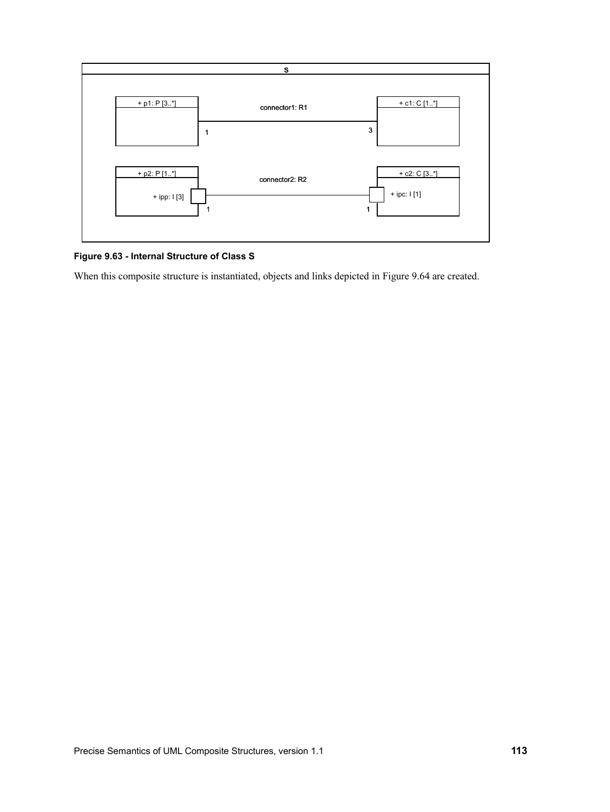

#### <span id="page-124-0"></span>**Figure 9.63 - Internal Structure of Class S**

When this composite structure is instantiated, objects and links depicted in [Figure 9.64](#page-125-0) are created.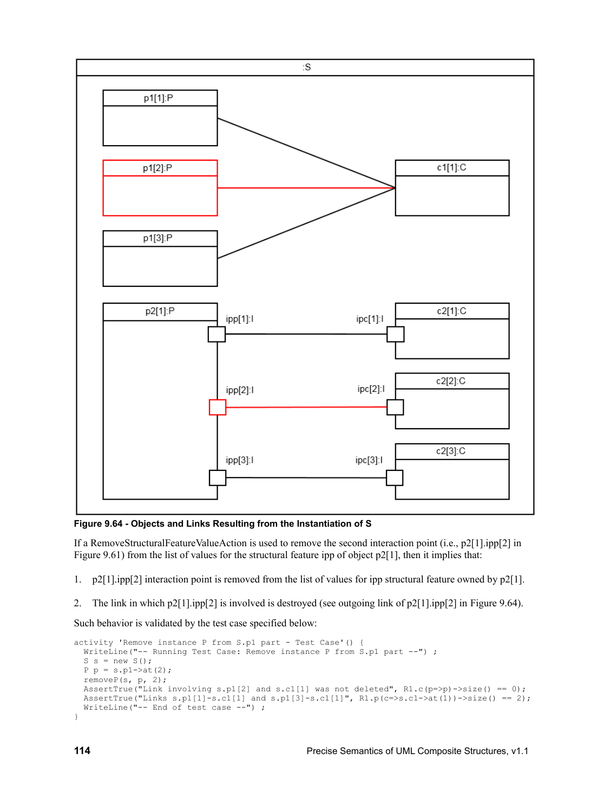

<span id="page-125-0"></span>**Figure 9.64 - Objects and Links Resulting from the Instantiation of S**

If a RemoveStructuralFeatureValueAction is used to remove the second interaction point (i.e., p2[1].ipp[2] in Figure 9.61) from the list of values for the structural feature ipp of object p2[1], then it implies that:

1. p2[1].ipp[2] interaction point is removed from the list of values for ipp structural feature owned by p2[1].

2. The link in which p2[1].ipp[2] is involved is destroyed (see outgoing link of p2[1].ipp[2] in [Figure 9.64\)](#page-125-0).

Such behavior is validated by the test case specified below:

```
activity 'Remove instance P from S.p1 part - Test Case'() {
  WriteLine("-- Running Test Case: Remove instance P from S.p1 part --") ;
  S s = new S();
   P p = s.p1->at(2);
  removeP(s, p, 2);
 AssertTrue("Link involving s.p1[2] and s.c1[1] was not deleted", R1.c(p=>p)->size() == 0);
  AssertTrue("Links s.p1[1]-s.c1[1] and s.p1[3]-s.c1[1]", R1.p(c=>s.c1->at(1))->size() == 2);WriteLine("-- End of test case --") ;
}
```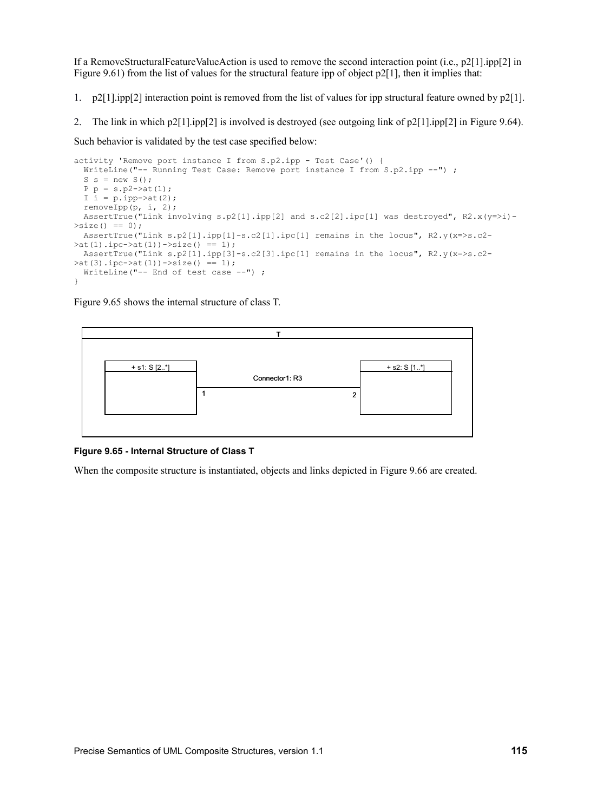If a RemoveStructuralFeatureValueAction is used to remove the second interaction point (i.e., p2[1].ipp[2] in Figure 9.61) from the list of values for the structural feature ipp of object p2[1], then it implies that:

- 1. p2[1].ipp[2] interaction point is removed from the list of values for ipp structural feature owned by p2[1].
- 2. The link in which p2[1].ipp[2] is involved is destroyed (see outgoing link of p2[1].ipp[2] in [Figure 9.64\)](#page-125-0).

Such behavior is validated by the test case specified below:

```
activity 'Remove port instance I from S.p2.ipp - Test Case'() {
  WriteLine("-- Running Test Case: Remove port instance I from S.p2.ipp --") ;
  S s = new S();
  P p = s.p2->at(1);I = p. ipp->at(2);
   removeIpp(p, i, 2);
  AssertTrue("Link involving s.p2[1].ipp[2] and s.c2[2].ipc[1] was destroyed", R2.x(y=>i)-
>>size() == 0); AssertTrue("Link s.p2[1].ipp[1]-s.c2[1].ipc[1] remains in the locus", R2.y(x=>s.c2-
>\atop{\text{at}(1).ipc->}at(1))->size() == 1; AssertTrue("Link s.p2[1].ipp[3]-s.c2[3].ipc[1] remains in the locus", R2.y(x=>s.c2-
\text{Cat}(3) \text{.} \text{ipc-} > \text{at}(1)) -\text{isize}() == 1;
   WriteLine("-- End of test case --") ;
}
```
[Figure 9.65](#page-126-0) shows the internal structure of class T.



#### <span id="page-126-0"></span>**Figure 9.65 - Internal Structure of Class T**

When the composite structure is instantiated, objects and links depicted in [Figure 9.66](#page-127-0) are created.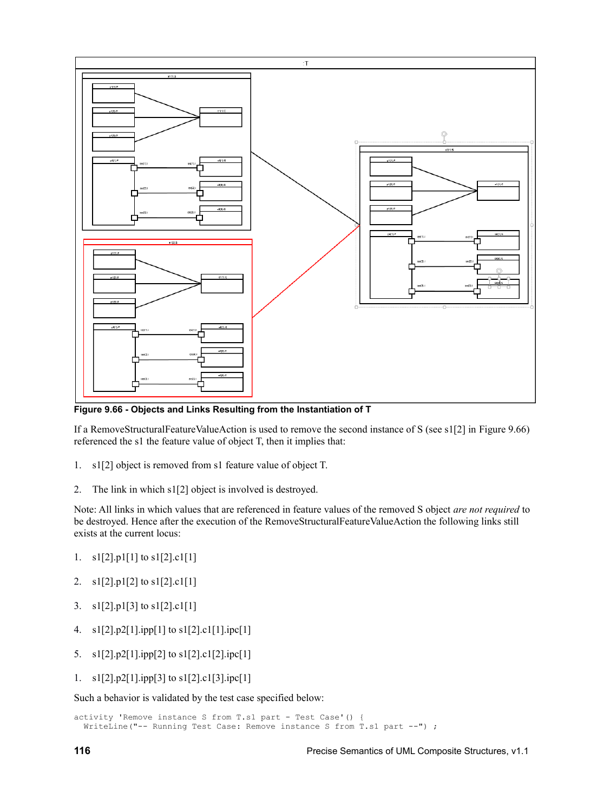

<span id="page-127-0"></span>**Figure 9.66 - Objects and Links Resulting from the Instantiation of T**

If a RemoveStructuralFeatureValueAction is used to remove the second instance of S (see s1[2] in [Figure 9.66\)](#page-127-0) referenced the s1 the feature value of object T, then it implies that:

- 1. s1[2] object is removed from s1 feature value of object T.
- 2. The link in which s1[2] object is involved is destroyed.

Note: All links in which values that are referenced in feature values of the removed S object *are not required* to be destroyed. Hence after the execution of the RemoveStructuralFeatureValueAction the following links still exists at the current locus:

- 1. s1[2].p1[1] to s1[2].c1[1]
- 2. s1[2].p1[2] to s1[2].c1[1]
- 3. s1[2].p1[3] to s1[2].c1[1]
- 4. s1[2].p2[1].ipp[1] to s1[2].c1[1].ipc[1]
- 5. s1[2].p2[1].ipp[2] to s1[2].c1[2].ipc[1]
- 1. s1[2].p2[1].ipp[3] to s1[2].c1[3].ipc[1]

Such a behavior is validated by the test case specified below:

```
activity 'Remove instance S from T.s1 part - Test Case'() {
  WriteLine("-- Running Test Case: Remove instance S from T.s1 part --") ;
```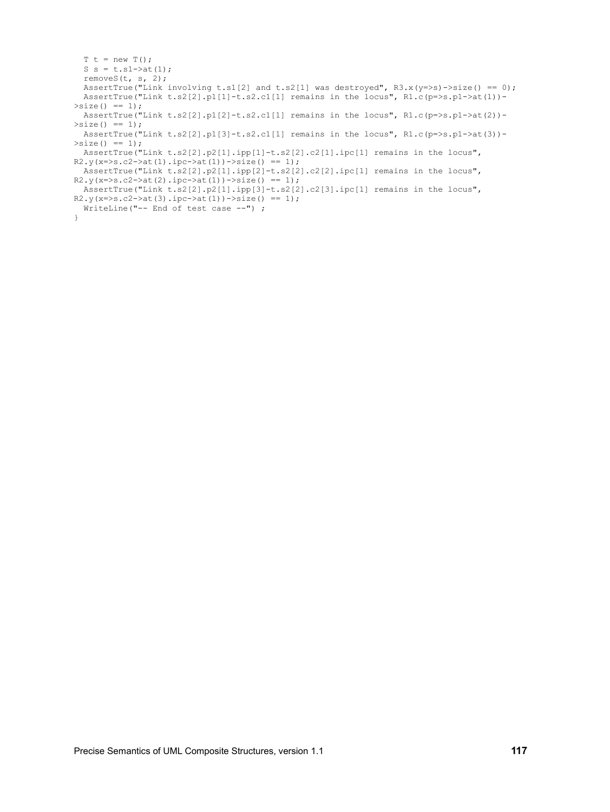```
T t = new T();
  S s = t.s1->at(1); removeS(t, s, 2);
 AssertTrue("Link involving t.s1[2] and t.s2[1] was destroyed", R3.x(y=>s)->size() == 0); AssertTrue("Link t.s2[2].p1[1]-t.s2.c1[1] remains in the locus", R1.c(p=>s.p1->at(1))-
>size() == 1);AssertTrue("Link t.s2[2].p1[2]-t.s2.c1[1] remains in the locus", R1.c(p=>s.p1->at(2))-
>size() == 1); AssertTrue("Link t.s2[2].p1[3]-t.s2.c1[1] remains in the locus", R1.c(p=>s.p1->at(3))-
>size() == 1); AssertTrue("Link t.s2[2].p2[1].ipp[1]-t.s2[2].c2[1].ipc[1] remains in the locus", 
R2.y(x=>s.c2->at(1).ipc->at(1))->size() == 1); AssertTrue("Link t.s2[2].p2[1].ipp[2]-t.s2[2].c2[2].ipc[1] remains in the locus", 
R2.y(x=>s.c2->at(2).ipc->at(1))->size() == 1); AssertTrue("Link t.s2[2].p2[1].ipp[3]-t.s2[2].c2[3].ipc[1] remains in the locus", 
R2.y(x=>s.c2->at(3).ipc->at(1))->size() == 1);WriteLine("-- End of test case --") ;
}
```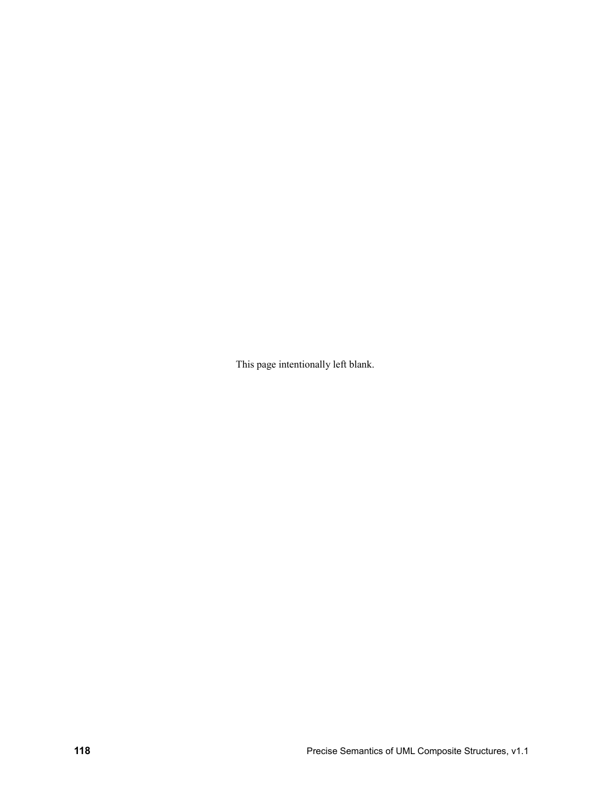This page intentionally left blank.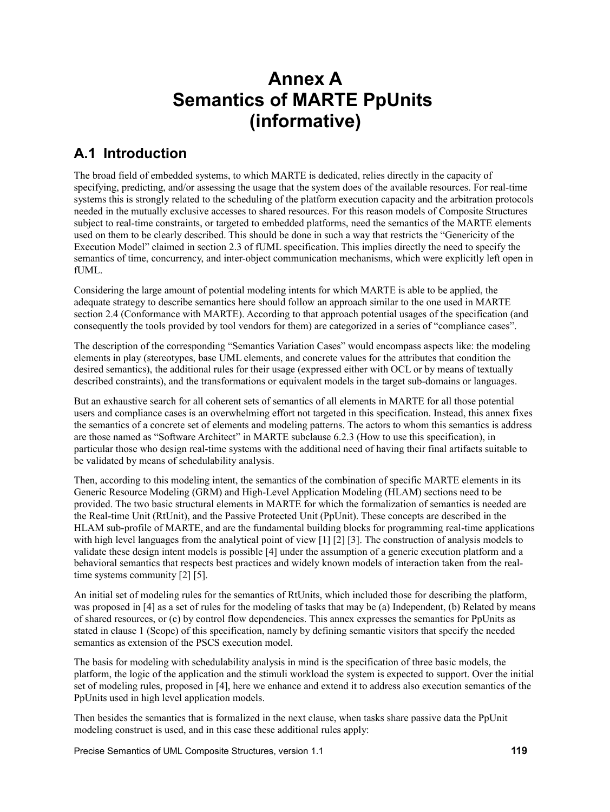# **Annex A Semantics of MARTE PpUnits (informative)**

## **A.1 Introduction**

The broad field of embedded systems, to which MARTE is dedicated, relies directly in the capacity of specifying, predicting, and/or assessing the usage that the system does of the available resources. For real-time systems this is strongly related to the scheduling of the platform execution capacity and the arbitration protocols needed in the mutually exclusive accesses to shared resources. For this reason models of Composite Structures subject to real-time constraints, or targeted to embedded platforms, need the semantics of the MARTE elements used on them to be clearly described. This should be done in such a way that restricts the "Genericity of the Execution Model" claimed in section 2.3 of fUML specification. This implies directly the need to specify the semantics of time, concurrency, and inter-object communication mechanisms, which were explicitly left open in fUML.

Considering the large amount of potential modeling intents for which MARTE is able to be applied, the adequate strategy to describe semantics here should follow an approach similar to the one used in MARTE section 2.4 (Conformance with MARTE). According to that approach potential usages of the specification (and consequently the tools provided by tool vendors for them) are categorized in a series of "compliance cases".

The description of the corresponding "Semantics Variation Cases" would encompass aspects like: the modeling elements in play (stereotypes, base UML elements, and concrete values for the attributes that condition the desired semantics), the additional rules for their usage (expressed either with OCL or by means of textually described constraints), and the transformations or equivalent models in the target sub-domains or languages.

But an exhaustive search for all coherent sets of semantics of all elements in MARTE for all those potential users and compliance cases is an overwhelming effort not targeted in this specification. Instead, this annex fixes the semantics of a concrete set of elements and modeling patterns. The actors to whom this semantics is address are those named as "Software Architect" in MARTE subclause 6.2.3 (How to use this specification), in particular those who design real-time systems with the additional need of having their final artifacts suitable to be validated by means of schedulability analysis.

Then, according to this modeling intent, the semantics of the combination of specific MARTE elements in its Generic Resource Modeling (GRM) and High-Level Application Modeling (HLAM) sections need to be provided. The two basic structural elements in MARTE for which the formalization of semantics is needed are the Real-time Unit (RtUnit), and the Passive Protected Unit (PpUnit). These concepts are described in the HLAM sub-profile of MARTE, and are the fundamental building blocks for programming real-time applications with high level languages from the analytical point of view [1] [2] [3]. The construction of analysis models to validate these design intent models is possible [4] under the assumption of a generic execution platform and a behavioral semantics that respects best practices and widely known models of interaction taken from the realtime systems community [2] [5].

An initial set of modeling rules for the semantics of RtUnits, which included those for describing the platform, was proposed in [4] as a set of rules for the modeling of tasks that may be (a) Independent, (b) Related by means of shared resources, or (c) by control flow dependencies. This annex expresses the semantics for PpUnits as stated in clause 1 (Scope) of this specification, namely by defining semantic visitors that specify the needed semantics as extension of the PSCS execution model.

The basis for modeling with schedulability analysis in mind is the specification of three basic models, the platform, the logic of the application and the stimuli workload the system is expected to support. Over the initial set of modeling rules, proposed in [4], here we enhance and extend it to address also execution semantics of the PpUnits used in high level application models.

Then besides the semantics that is formalized in the next clause, when tasks share passive data the PpUnit modeling construct is used, and in this case these additional rules apply:

Precise Semantics of UML Composite Structures, version 1.1 **119**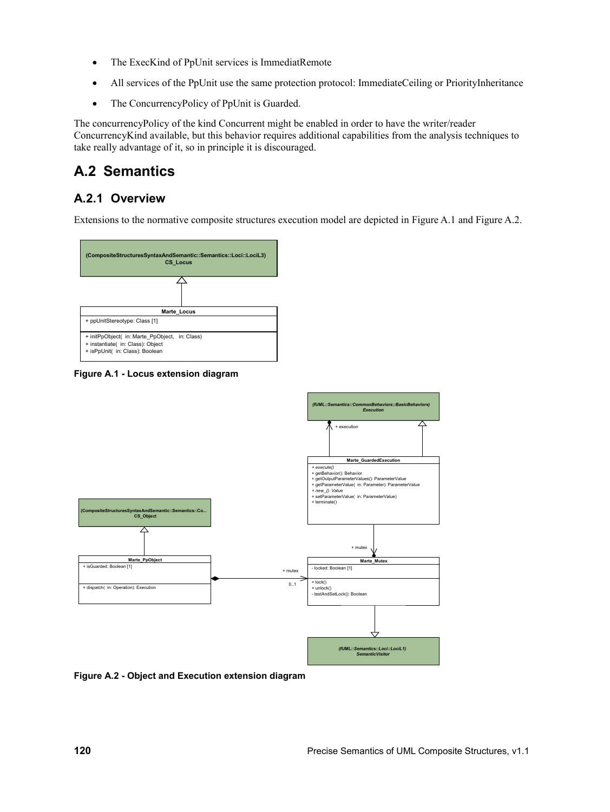- The ExecKind of PpUnit services is ImmediatRemote
- All services of the PpUnit use the same protection protocol: ImmediateCeiling or PriorityInheritance
- The ConcurrencyPolicy of PpUnit is Guarded.

The concurrencyPolicy of the kind Concurrent might be enabled in order to have the writer/reader ConcurrencyKind available, but this behavior requires additional capabilities from the analysis techniques to take really advantage of it, so in principle it is discouraged.

## **A.2 Semantics**

## **A.2.1 Overview**

Extensions to the normative composite structures execution model are depicted in [Figure A.1](#page-131-1) and [Figure A.2.](#page-131-0)



<span id="page-131-1"></span>**Figure A.1 - Locus extension diagram**



<span id="page-131-0"></span>**Figure A.2 - Object and Execution extension diagram**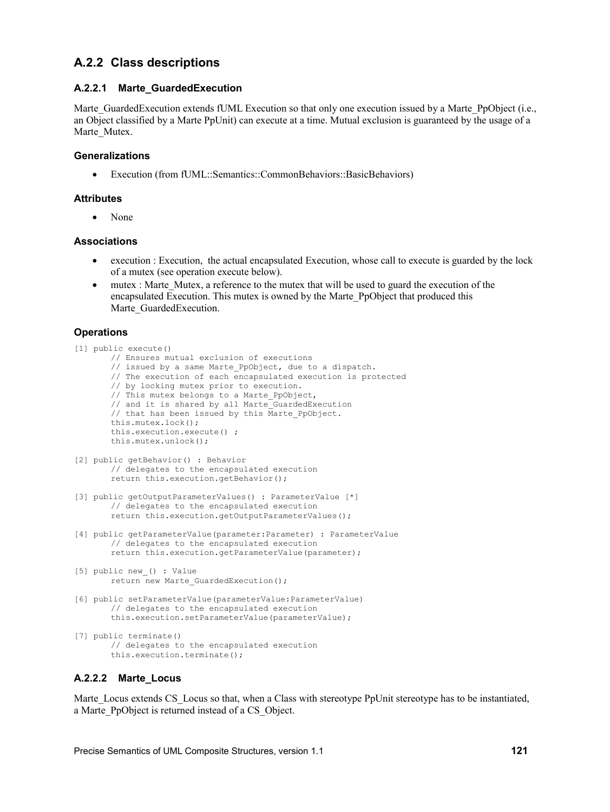## **A.2.2 Class descriptions**

#### <span id="page-132-0"></span>**A.2.2.1 Marte\_GuardedExecution**

Marte GuardedExecution extends fUML Execution so that only one execution issued by a Marte PpObject (i.e., an Object classified by a Marte PpUnit) can execute at a time. Mutual exclusion is guaranteed by the usage of [a](#page-133-0) Marte Mutex.

#### **Generalizations**

Execution (from fUML::Semantics::CommonBehaviors::BasicBehaviors)

#### **Attributes**

None

#### **Associations**

- execution : Execution, the actual encapsulated Execution, whose call to execute is guarded by the lock of a mutex (see operation execute below).
- mutex : [Marte\\_Mutex,](#page-133-0) a reference to the mutex that will be used to guard the execution of the encapsulated Execution. This mutex is owned by the [Marte\\_PpObject](#page-134-0) that produced this Marte GuardedExecution.

#### **Operations**

```
[1] public execute()
       // Ensures mutual exclusion of executions
       // issued by a same Marte_PpObject, due to a dispatch.
       // The execution of each encapsulated execution is protected
       // by locking mutex prior to execution.
       // This mutex belongs to a Marte PpObject,
       // and it is shared by all Marte_GuardedExecution
       // that has been issued by this Marte_PpObject.
       this.mutex.lock();
       this.execution.execute() ;
       this.mutex.unlock();
[2] public getBehavior() : Behavior
       // delegates to the encapsulated execution
       return this.execution.getBehavior();
[3] public getOutputParameterValues() : ParameterValue [*]
       // delegates to the encapsulated execution
       return this.execution.getOutputParameterValues();
```
- [4] public getParameterValue(parameter:Parameter) : ParameterValue // delegates to the encapsulated execution return this.execution.getParameterValue(parameter);
- [5] public new () : Value return new Marte GuardedExecution();
- [6] public setParameterValue(parameterValue:ParameterValue) // delegates to the encapsulated execution this.execution.setParameterValue(parameterValue);

```
[7] public terminate()
       // delegates to the encapsulated execution
       this.execution.terminate();
```
#### **A.2.2.2 Marte\_Locus**

Marte\_Locus extends [CS\\_Locus](#page-88-0) so that, when a Class with stereotype PpUnit stereotype has to be instantiated, a [Marte\\_PpObject](#page-134-0) is returned instead of a [CS\\_Object.](#page-73-0)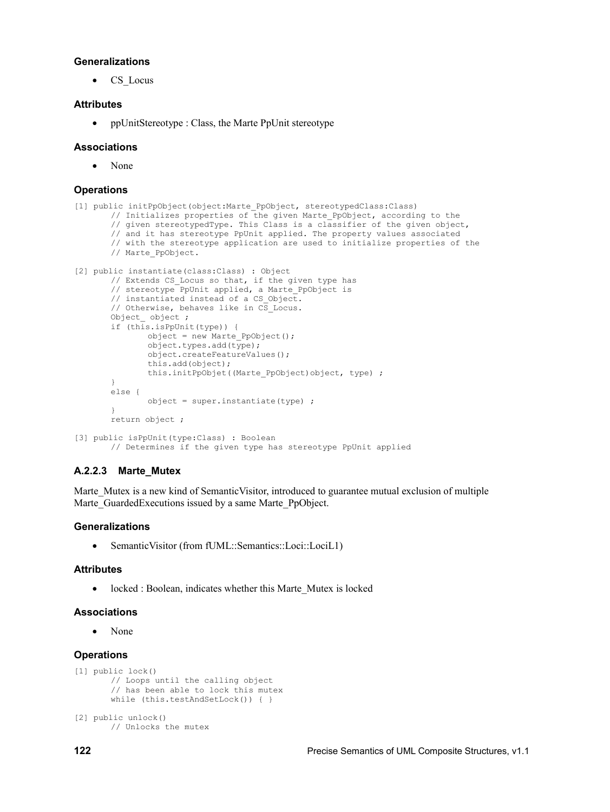#### **Generalizations**

• CS Locus

#### **Attributes**

ppUnitStereotype : Class, the Marte PpUnit stereotype

#### **Associations**

None

#### **Operations**

```
[1] public initPpObject(object:Marte_PpObject, stereotypedClass:Class)
       // Initializes properties of the given Marte_PpObject, according to the
       // given stereotypedType. This Class is a classifier of the given object,
       // and it has stereotype PpUnit applied. The property values associated
       // with the stereotype application are used to initialize properties of the
       // Marte_PpObject.
[2] public instantiate(class:Class) : Object
       // Extends CS_Locus so that, if the given type has
       // stereotype PpUnit applied, a Marte_PpObject is
       // instantiated instead of a CS_Object.
       // Otherwise, behaves like in CS_Locus.
       Object object ;
       if (this.isPpUnit(type)) {
              object = new Marte PpObject();
              object.types.add(type);
              object.createFeatureValues();
              this.add(object);
              this.initPpObjet((Marte_PpObject)object, type) ;
       }
       else {
              object = super.instantiate(type) ;
       }
       return object ;
[3] public isPpUnit(type:Class) : Boolean
       // Determines if the given type has stereotype PpUnit applied
```
#### <span id="page-133-0"></span>**A.2.2.3 Marte\_Mutex**

Mart[e](#page-132-0) Mutex is a new kind of SemanticVisitor, introduced to guarantee mutual exclusion of multiple Marte GuardedExecutions issued by a same Marte PpObject.

#### **Generalizations**

• Semantic Visitor (from fUML::Semantics::Loci::LociL1)

#### **Attributes**

locked : Boolean, indicates whether this Marte\_Mutex is locked

#### **Associations**

None

#### **Operations**

```
[1] public lock()
       // Loops until the calling object
       // has been able to lock this mutex
       while (this.testAndSetLock()) { }
[2] public unlock()
       // Unlocks the mutex
```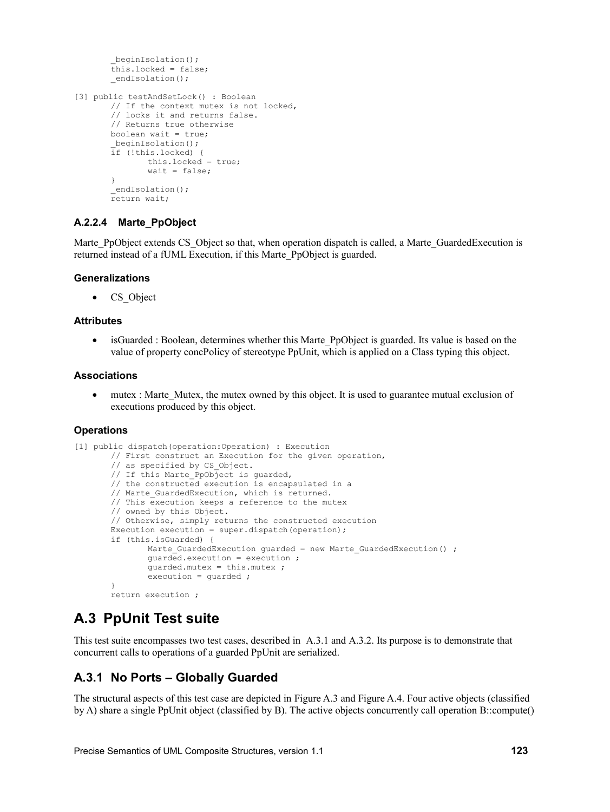```
_beginIsolation();
       \frac{1}{2}this.locked = false;
       endIsolation();
[3] public testAndSetLock() : Boolean
       // If the context mutex is not locked,
       // locks it and returns false.
       // Returns true otherwise
       boolean wait = true;
        _beginIsolation();
       if (!this.locked) {
               this.locked = true;
               wait = false;
       }
        endIsolation();
       return wait;
```
### <span id="page-134-0"></span>**A.2.2.4 Marte\_PpObject**

Marte\_PpObject extends [CS\\_Object](#page-73-0) so that, when operation dispatch is called, a [Marte\\_GuardedExecution](#page-132-0) is returned instead of a fUML Execution, if this Marte\_PpObject is guarded.

#### **Generalizations**

• CS Object

#### **Attributes**

• isGuarded : Boolean, determines whether this Marte PpObject is guarded. Its value is based on the value of property concPolicy of stereotype PpUnit, which is applied on a Class typing this object.

#### **Associations**

mutex : [Marte\\_Mutex,](#page-133-0) the mutex owned by this object. It is used to guarantee mutual exclusion of executions produced by this object.

#### **Operations**

```
[1] public dispatch(operation:Operation) : Execution
       // First construct an Execution for the given operation,
       // as specified by CS_Object.
       // If this Marte PpObject is guarded,
       // the constructed execution is encapsulated in a
       // Marte GuardedExecution, which is returned.
       // This execution keeps a reference to the mutex
       // owned by this Object.
       // Otherwise, simply returns the constructed execution
       Execution execution = super.dispatch(operation);
       if (this.isGuarded) {
              Marte GuardedExecution quarded = new Marte GuardedExecution() ;
              guarded.execution = execution ;
              guarded.mutex = this.mutex ;
              execution = guarded ;
       }
       return execution ;
```
## **A.3 PpUnit Test suite**

This test suite encompasses two test cases, described in [A.3.1](#page-134-1) and [A.3.2.](#page-136-0) Its purpose is to demonstrate that concurrent calls to operations of a guarded PpUnit are serialized.

## <span id="page-134-1"></span>**A.3.1 No Ports – Globally Guarded**

The structural aspects of this test case are depicted in [Figure A.3](#page-135-1) and [Figure A.4.](#page-135-0) Four active objects (classified by A) share a single PpUnit object (classified by B). The active objects concurrently call operation B::compute()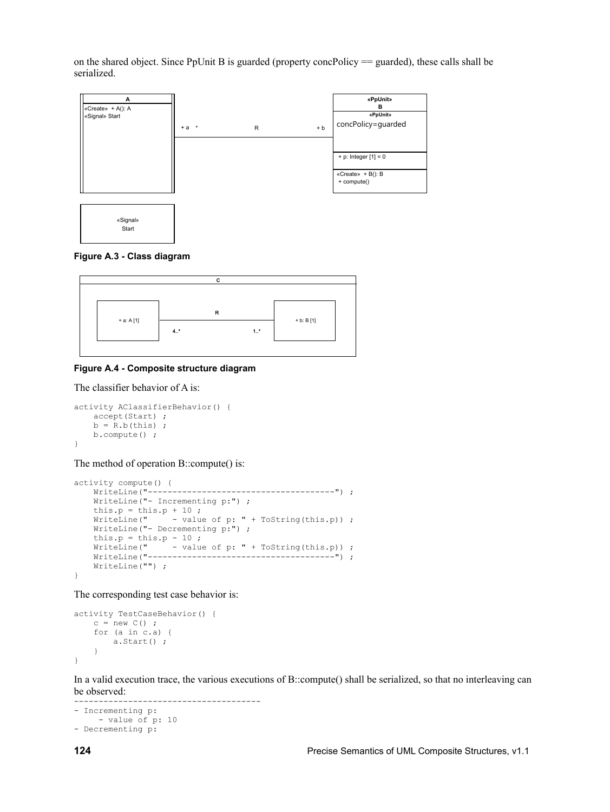on the shared object. Since PpUnit B is guarded (property concPolicy == guarded), these calls shall be serialized.



<span id="page-135-1"></span>



#### <span id="page-135-0"></span>**Figure A.4 - Composite structure diagram**

The classifier behavior of A is:

```
activity AClassifierBehavior() {
     accept(Start) ;
   b = R.b(this);
    b.compute() ;
}
```
The method of operation B::compute() is:

```
activity compute() {
     WriteLine("--------------------------------------") ;
     WriteLine("- Incrementing p:") ;
    this.p = this.p + 10 ;
    WriteLine(" - value of p: " + ToString(this.p)) ;
    WriteLine("- Decrementing p:") ;
    this.p = this.p - 10 ;<br>WriteLine(" - value
                   - value of p: " + ToString(this.p)) ;
     WriteLine("--------------------------------------") ;
    WriteLine("");
}
```
--------------------------------------

The corresponding test case behavior is:

```
activity TestCaseBehavior() {
    c = new C();
     for (a in c.a) {
         a.Start() ;
     }
}
```
In a valid execution trace, the various executions of B::compute() shall be serialized, so that no interleaving can be observed:

```
- Incrementing p:
      - value of p: 10
- Decrementing p:
```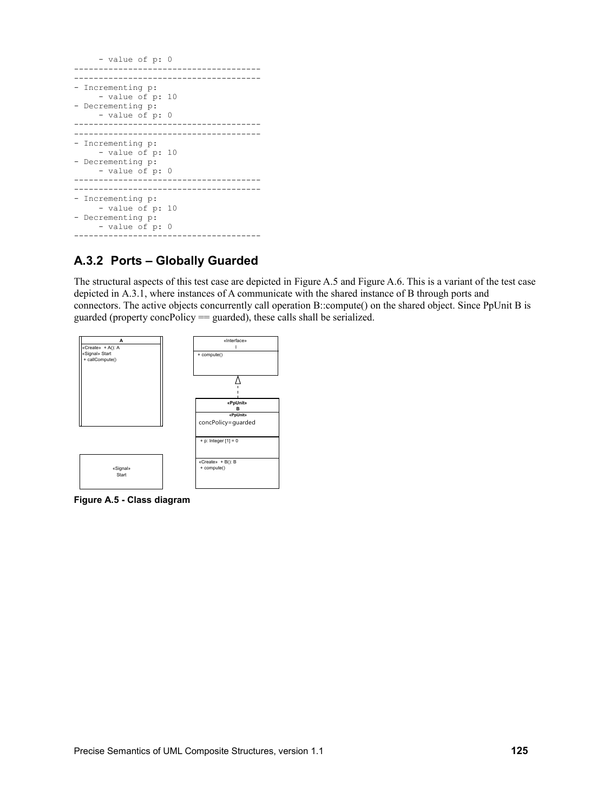```
 - value of p: 0
--------------------------------------
--------------------------------------
- Incrementing p:
     - value of p: 10
- Decrementing p:
     - value of p: 0
--------------------------------------
--------------------------------------
- Incrementing p:
     - value of p: 10
- Decrementing p:
     - value of p: 0
--------------------------------------
--------------------------------------
- Incrementing p:
     - value of p: 10
- Decrementing p:
     - value of p: 0
                       --------------------------------------
```
## <span id="page-136-0"></span>**A.3.2 Ports – Globally Guarded**

The structural aspects of this test case are depicted in [Figure A.5](#page-136-1) and [Figure A.6.](#page-137-0) This is a variant of the test case depicted in [A.3.1,](#page-134-1) where instances of A communicate with the shared instance of B through ports and connectors. The active objects concurrently call operation B::compute() on the shared object. Since PpUnit B is guarded (property concPolicy == guarded), these calls shall be serialized.



<span id="page-136-1"></span>**Figure A.5 - Class diagram**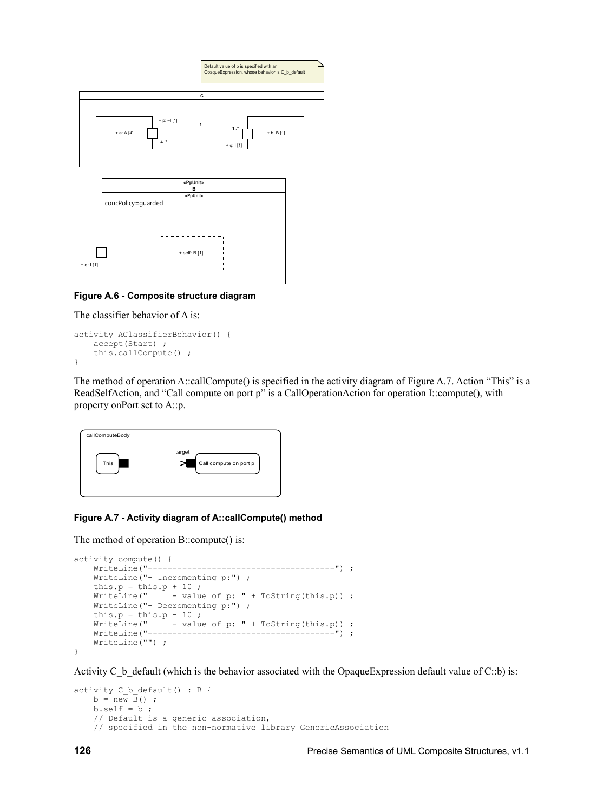

<span id="page-137-0"></span>**Figure A.6 - Composite structure diagram**

The classifier behavior of A is:

```
activity AClassifierBehavior() {
     accept(Start) ;
     this.callCompute() ;
}
```
The method of operation A::callCompute() is specified in the activity diagram of [Figure A.7.](#page-137-1) Action "This" is a ReadSelfAction, and "Call compute on port p" is a CallOperationAction for operation I::compute(), with property onPort set to A::p.



#### <span id="page-137-1"></span>**Figure A.7 - Activity diagram of A::callCompute() method**

The method of operation B::compute() is:

```
activity compute() {
     WriteLine("--------------------------------------") ;
    WriteLine("- Incrementing p:") ;
    this.p = this.p + 10 ;<br>WriteLine(" - value
                   - value of p: " + ToString(this.p)) ;
     WriteLine("- Decrementing p:") ;
    this.p = this.p - 10 ;<br>WriteLine (" - value
                     - value of p: " + Tostring(this.p) ;
     WriteLine("--------------------------------------") ;
    WriteLine("");
```
}

Activity C\_b\_default (which is the behavior associated with the OpaqueExpression default value of C::b) is:

```
activity C b default() : B {
    b = new \overline{B}(x);
    b.setf = b;
     // Default is a generic association,
     // specified in the non-normative library GenericAssociation
```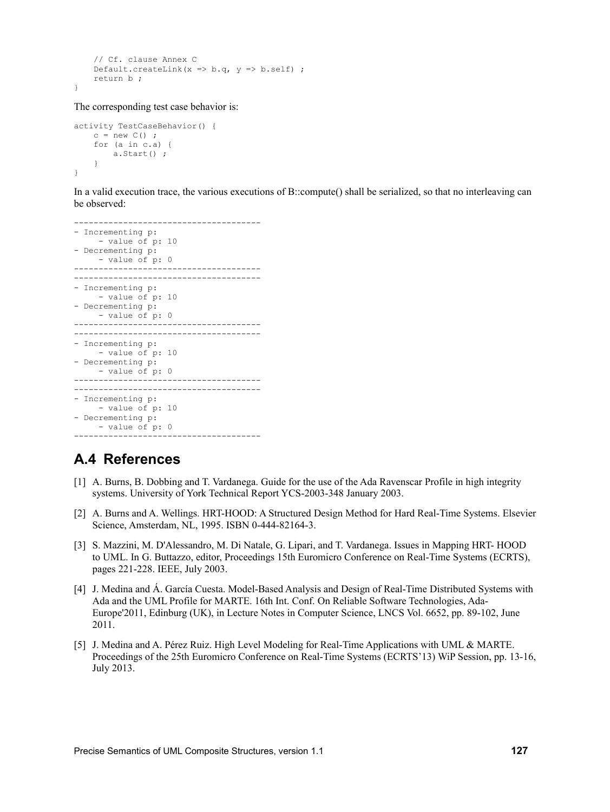```
 // Cf. clause Annex C
Default.createLink(x => b.q, y => b.self) ;
 return b ;
```

```
activity TestCaseBehavior() {
    c = new C();
     for (a in c.a) {
        a.Start() ;
     }
}
```
}

In a valid execution trace, the various executions of B::compute() shall be serialized, so that no interleaving can be observed:

```
--------------------------------------
- Incrementing p:
     - value of p: 10
- Decrementing p:
     - value of p: 0
    --------------------------------------
--------------------------------------
- Incrementing p:
      - value of p: 10
- Decrementing p:
      - value of p: 0
--------------------------------------
--------------------------------------
- Incrementing p:
     - value of p: 10
- Decrementing p:
    - value of p: 0
--------------------------------------
--------------------------------------
- Incrementing p:
      - value of p: 10
- Decrementing p:
     - value of p: 0
--------------------------------------
```
## **A.4 References**

- [1] A. Burns, B. Dobbing and T. Vardanega. Guide for the use of the Ada Ravenscar Profile in high integrity systems. University of York Technical Report YCS-2003-348 January 2003.
- [2] A. Burns and A. Wellings. HRT-HOOD: A Structured Design Method for Hard Real-Time Systems. Elsevier Science, Amsterdam, NL, 1995. ISBN 0-444-82164-3.
- [3] S. Mazzini, M. D'Alessandro, M. Di Natale, G. Lipari, and T. Vardanega. Issues in Mapping HRT- HOOD to UML. In G. Buttazzo, editor, Proceedings 15th Euromicro Conference on Real-Time Systems (ECRTS), pages 221-228. IEEE, July 2003.
- [4] J. Medina and Á. García Cuesta. Model-Based Analysis and Design of Real-Time Distributed Systems with Ada and the UML Profile for MARTE. 16th Int. Conf. On Reliable Software Technologies, Ada-Europe'2011, Edinburg (UK), in Lecture Notes in Computer Science, LNCS Vol. 6652, pp. 89-102, June 2011.
- [5] J. Medina and A. Pérez Ruiz. High Level Modeling for Real-Time Applications with UML & MARTE. Proceedings of the 25th Euromicro Conference on Real-Time Systems (ECRTS'13) WiP Session, pp. 13-16, July 2013.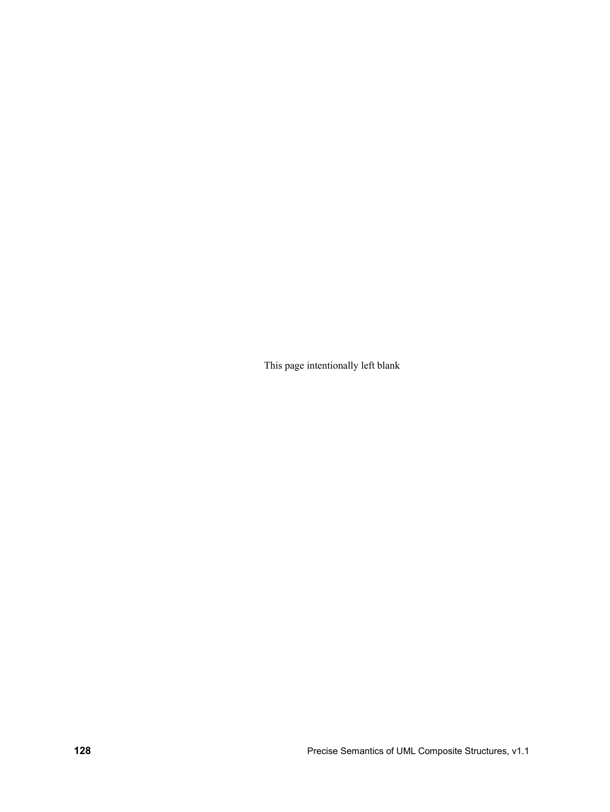This page intentionally left blank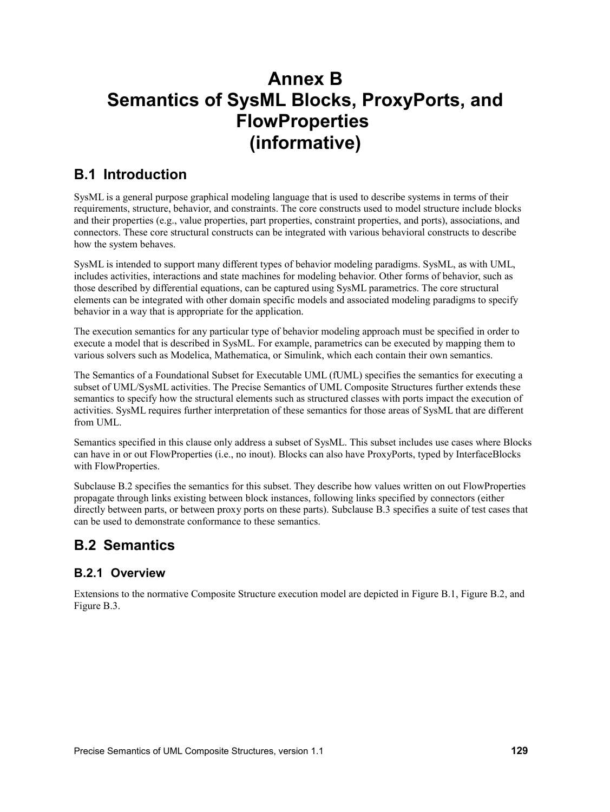# **Annex B Semantics of SysML Blocks, ProxyPorts, and FlowProperties (informative)**

## **B.1 Introduction**

SysML is a general purpose graphical modeling language that is used to describe systems in terms of their requirements, structure, behavior, and constraints. The core constructs used to model structure include blocks and their properties (e.g., value properties, part properties, constraint properties, and ports), associations, and connectors. These core structural constructs can be integrated with various behavioral constructs to describe how the system behaves.

SysML is intended to support many different types of behavior modeling paradigms. SysML, as with UML, includes activities, interactions and state machines for modeling behavior. Other forms of behavior, such as those described by differential equations, can be captured using SysML parametrics. The core structural elements can be integrated with other domain specific models and associated modeling paradigms to specify behavior in a way that is appropriate for the application.

The execution semantics for any particular type of behavior modeling approach must be specified in order to execute a model that is described in SysML. For example, parametrics can be executed by mapping them to various solvers such as Modelica, Mathematica, or Simulink, which each contain their own semantics.

The Semantics of a Foundational Subset for Executable UML (fUML) specifies the semantics for executing a subset of UML/SysML activities. The Precise Semantics of UML Composite Structures further extends these semantics to specify how the structural elements such as structured classes with ports impact the execution of activities. SysML requires further interpretation of these semantics for those areas of SysML that are different from UML.

Semantics specified in this clause only address a subset of SysML. This subset includes use cases where Blocks can have in or out FlowProperties (i.e., no inout). Blocks can also have ProxyPorts, typed by InterfaceBlocks with FlowProperties.

Subclause [B.2](#page-140-0) specifies the semantics for this subset. They describe how values written on out FlowProperties propagate through links existing between block instances, following links specified by connectors (either directly between parts, or between proxy ports on these parts). Subclause [B.3](#page-149-0) specifies a suite of test cases that can be used to demonstrate conformance to these semantics.

## <span id="page-140-0"></span>**B.2 Semantics**

## **B.2.1 Overview**

Extensions to the normative Composite Structure execution model are depicted in [Figure B.1,](#page-141-2) [Figure B.2,](#page-141-1) an[d](#page-141-0) [Figure B.3.](#page-141-0)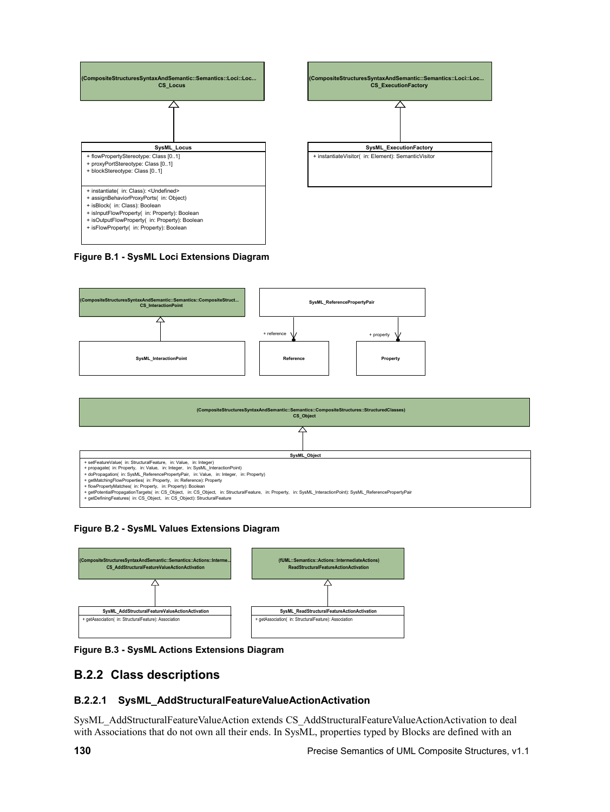

<span id="page-141-2"></span>**Figure B.1 - SysML Loci Extensions Diagram**





<span id="page-141-1"></span>**Figure B.2 - SysML Values Extensions Diagram**



<span id="page-141-0"></span>**Figure B.3 - SysML Actions Extensions Diagram**

## **B.2.2 Class descriptions**

## **B.2.2.1 SysML\_AddStructuralFeatureValueActionActivation**

SysML\_AddStructuralFeatureValueAction extends [CS\\_AddStructuralFeatureValueActionActivation](#page-37-0) to deal with Associations that do not own all their ends. In SysML, properties typed by Blocks are defined with an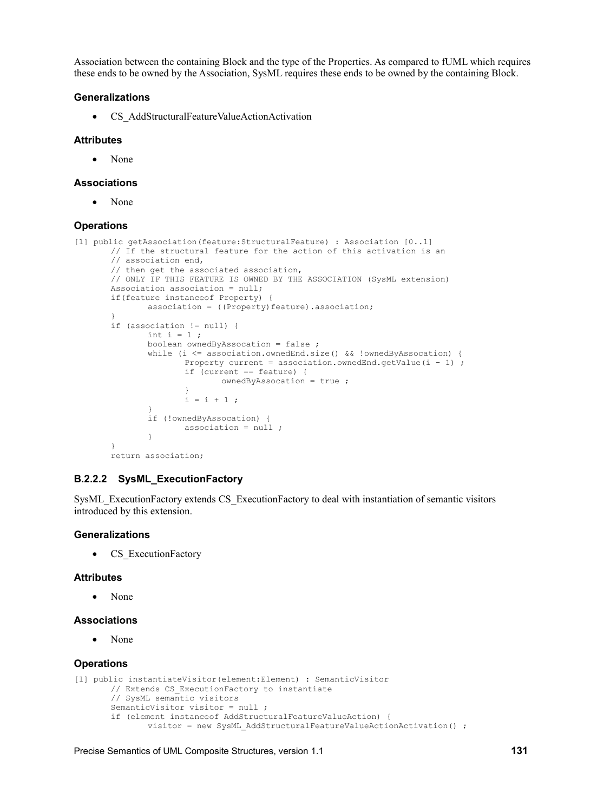Association between the containing Block and the type of the Properties. As compared to fUML which requires these ends to be owned by the Association, SysML requires these ends to be owned by the containing Block.

#### **Generalizations**

[CS\\_AddStructuralFeatureValueActionActivation](#page-37-0)

#### **Attributes**

• None

#### **Associations**

• None

#### **Operations**

```
[1] public getAssociation(feature:StructuralFeature) : Association [0..1]
       // If the structural feature for the action of this activation is an
       // association end,
       // then get the associated association,
       // ONLY IF THIS FEATURE IS OWNED BY THE ASSOCIATION (SysML extension)
       Association association = null;
       if(feature instanceof Property) {
              association = ((Property)feature).association;
       }
       if (association != null) {
               int i = 1;
              boolean ownedByAssocation = false ;
              while (i <= association.ownedEnd.size() && !ownedByAssocation) {
                      Property current = association.ownedEnd.getValue(i - 1) ;
                      if (current == feature) {
                              ownedByAssocation = true ;
                       }
                      i = i + 1;}
               if (!ownedByAssocation) {
                      association = null;
               }
       }
       return association;
```
#### **B.2.2.2 SysML\_ExecutionFactory**

SysML\_ExecutionFactory extends [CS\\_ExecutionFactory](#page-86-0) to deal with instantiation of semantic visitors introduced by this extension.

#### **Generalizations**

• CS ExecutionFactory

#### **Attributes**

• None

#### **Associations**

• None

#### **Operations**

```
[1] public instantiateVisitor(element:Element) : SemanticVisitor
       // Extends CS_ExecutionFactory to instantiate
       // SysML semantic visitors
       SemanticVisitor visitor = null ;
       if (element instanceof AddStructuralFeatureValueAction) {
              visitor = new SysML AddStructuralFeatureValueActionActivation() ;
```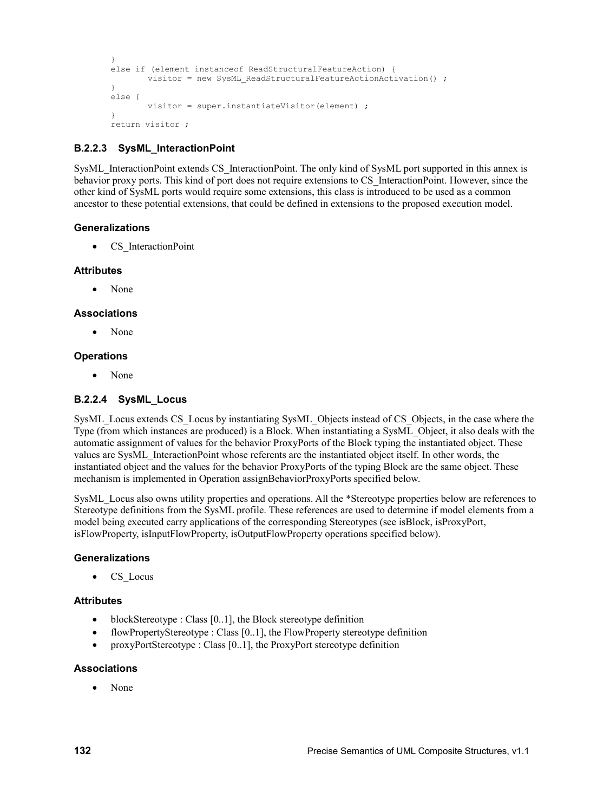```
}
else if (element instanceof ReadStructuralFeatureAction) {
       visitor = new SysML ReadStructuralFeatureActionActivation() ;
}
else {
       visitor = super.instantiateVisitor(element) ;
}
return visitor ;
```
#### <span id="page-143-0"></span>**B.2.2.3 SysML\_InteractionPoint**

SysML\_InteractionPoint extends CS\_InteractionPoint. The only kind of SysML port supported in this annex is behavior proxy ports. This kind of port does not require extensions to CS\_InteractionPoint. However, since the other kind of SysML ports would require some extensions, this class is introduced to be used as a common ancestor to these potential extensions, that could be defined in extensions to the proposed execution model.

#### **Generalizations**

[CS\\_InteractionPoint](#page-71-0)

#### **Attributes**

None

#### **Associations**

• None

#### **Operations**

• None

### **B.2.2.4 SysML\_Locus**

SysML\_Locus extends [CS\\_Locus](#page-88-0) by instantiating [SysML\\_Objects](#page-144-0) instead of [CS\\_Objects](#page-73-0), in the case where the Type (from which instances are produced) is a Block. When instantiating a SysML\_Object, it also deals with the automatic assignment of values for the behavior ProxyPorts of the Block typing the instantiated object. These values are [SysML\\_InteractionPoint](#page-143-0) whose referents are the instantiated object itself. In other words, the instantiated object and the values for the behavior ProxyPorts of the typing Block are the same object. These mechanism is implemented in Operation assignBehaviorProxyPorts specified below.

SysML\_Locus also owns utility properties and operations. All the \*Stereotype properties below are references to Stereotype definitions from the SysML profile. These references are used to determine if model elements from a model being executed carry applications of the corresponding Stereotypes (see isBlock, isProxyPort, isFlowProperty, isInputFlowProperty, isOutputFlowProperty operations specified below).

#### **Generalizations**

• CS Locus

#### **Attributes**

- blockStereotype : Class [0..1], the Block stereotype definition
- flowPropertyStereotype : Class  $[0..1]$ , the FlowProperty stereotype definition
- proxyPortStereotype : Class  $[0..1]$ , the ProxyPort stereotype definition

#### **Associations**

None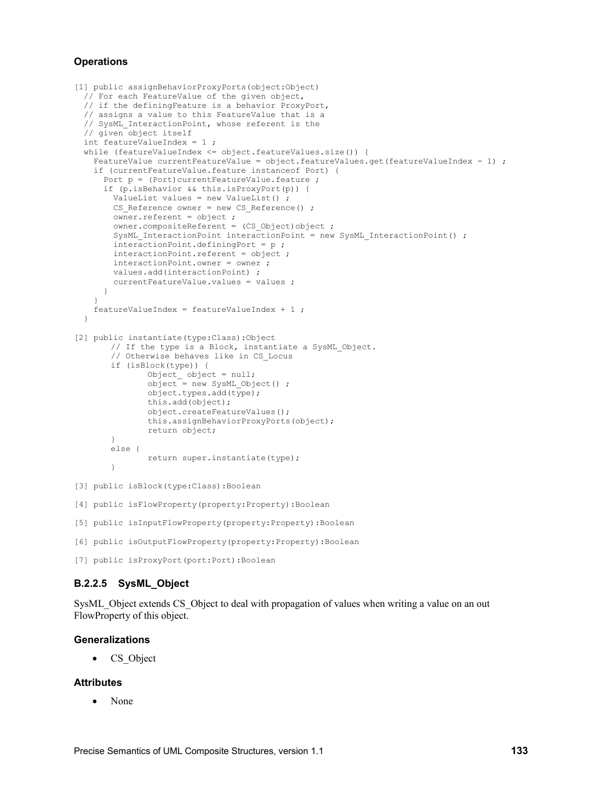# **Operations**

```
[1] public assignBehaviorProxyPorts(object:Object)
   // For each FeatureValue of the given object,
  // if the definingFeature is a behavior ProxyPort,
  // assigns a value to this FeatureValue that is a
   // SysML_InteractionPoint, whose referent is the
  // given object itself
  int featureValueIndex = 1 ;
  while (featureValueIndex <= object.featureValues.size()) {
   FeatureValue currentFeatureValue = object.featureValues.get(featureValueIndex - 1) ;
    if (currentFeatureValue.feature instanceof Port) {
     Port p = (Port)currentFeatureValue.feature ;
      if (p.isBehavior && this.isProxyPort(p)) {
       ValueList values = new ValueList() ;
       CS Reference owner = new CS Reference() ;
       over = object;
       owner.compositeReferent = (CS Object)object ;
       SysML InteractionPoint interactionPoint = new SysML InteractionPoint() ;
        interactionPoint.definingPort = p ;
        interactionPoint.referent = object ;
        interactionPoint.owner = owner ;
        values.add(interactionPoint) ;
        currentFeatureValue.values = values ;
      }
 }
    featureValueIndex = featureValueIndex + 1 ;
 }
[2] public instantiate(type:Class):Object
       // If the type is a Block, instantiate a SysML_Object.
       // Otherwise behaves like in CS_Locus
       if (isBlock(type)) {
               Object object = null;
               object = new SysML_Object() ;
               object.types.add(type);
               this.add(object);
               object.createFeatureValues();
               this.assignBehaviorProxyPorts(object);
               return object;
       }
       else {
               return super.instantiate(type);
       \lambda[3] public isBlock(type:Class):Boolean
[4] public isFlowProperty(property:Property):Boolean
```
- 
- [5] public isInputFlowProperty(property:Property):Boolean
- [6] public isOutputFlowProperty(property:Property):Boolean

```
[7] public isProxyPort(port:Port):Boolean
```
## <span id="page-144-0"></span>**B.2.2.5 SysML\_Object**

SysML\_Object extends [CS\\_Object](#page-73-0) to deal with propagation of values when writing a value on an out FlowProperty of this object.

#### **Generalizations**

• [CS\\_Object](#page-73-0)

#### **Attributes**

None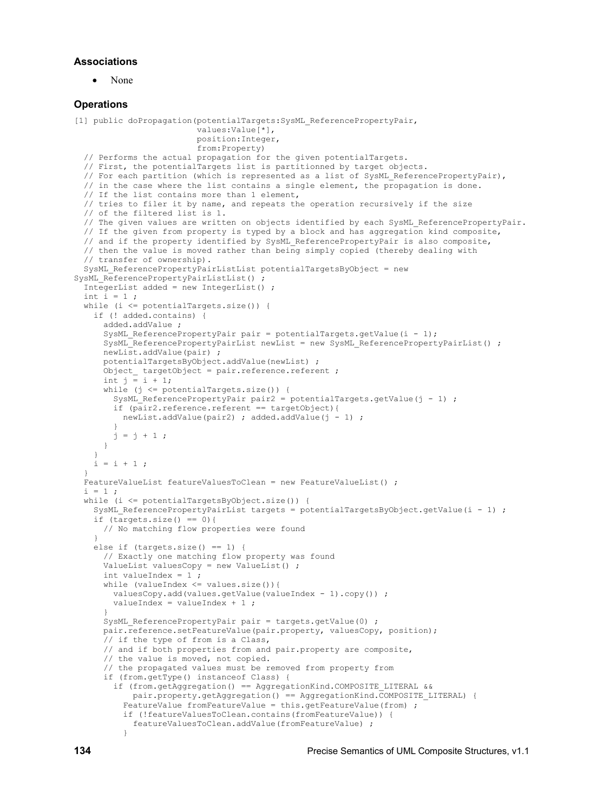#### **Associations**

• None

#### **Operations**

```
[1] public doPropagation(potentialTargets:SysML_ReferencePropertyPair,
                          values:Value[*],
                          position:Integer,
                          from:Property)
   // Performs the actual propagation for the given potentialTargets.
   // First, the potentialTargets list is partitionned by target objects.
   // For each partition (which is represented as a list of SysML_ReferencePropertyPair), 
   // in the case where the list contains a single element, the propagation is done.
   // If the list contains more than 1 element,
   // tries to filer it by name, and repeats the operation recursively if the size
   // of the filtered list is 1.
   // The given values are written on objects identified by each SysML_ReferencePropertyPair.
   // If the given from property is typed by a block and has aggregation kind composite,
   // and if the property identified by SysML_ReferencePropertyPair is also composite,
   // then the value is moved rather than being simply copied (thereby dealing with
   // transfer of ownership).
   SysML_ReferencePropertyPairListList potentialTargetsByObject = new 
SysML ReferencePropertyPairListList() ;
  IntegerList added = new IntegerList() ;
  int i = 1;
   while (i <= potentialTargets.size()) {
    if (! added.contains) {
       added.addValue ;
      SysML ReferencePropertyPair pair = potentialTargets.getValue(i - 1);
       SysML_ReferencePropertyPairList newList = new SysML_ReferencePropertyPairList() ;
      newList.addValue(pair) ;
       potentialTargetsByObject.addValue(newList) ;
     Object_ targetObject = pair.reference.referent ;
      int j = i + 1;
       while (j <= potentialTargets.size()) {
       SysML_ReferencePropertyPair pair2 = potentialTargets.getValue(j - 1) ;
         if (pair2.reference.referent == targetObject){ 
         newList.addValue(pair2) ; added.addValue(j - 1) ;
 }
       j = j + 1; }
 }
    i = i + 1; }
   FeatureValueList featureValuesToClean = new FeatureValueList() ;
  i = 1; while (i <= potentialTargetsByObject.size()) {
    SysML ReferencePropertyPairList targets = potentialTargetsByObject.getValue(i - 1) ;
    if (targets.size() == 0) // No matching flow properties were found 
 }
    else if (targets.size() == 1) // Exactly one matching flow property was found
       ValueList valuesCopy = new ValueList() ;
       int valueIndex = 1 ;
      while (valueIndex \le values.size()){
        valuesCopy.add(values.getValue(valueIndex - 1).copy()) ; 
        valueIndex = valueIndex + 1 ; 
 }
     SysML ReferencePropertyPair pair = targets.getValue(0) ;
      pair.reference.setFeatureValue(pair.property, valuesCopy, position);
       // if the type of from is a Class,
       // and if both properties from and pair.property are composite,
       // the value is moved, not copied.
       // the propagated values must be removed from property from
       if (from.getType() instanceof Class) {
         if (from.getAggregation() == AggregationKind.COMPOSITE_LITERAL &&
            pair.property.getAggregation() == AggregationKind.COMPOSITE_LITERAL) {
          FeatureValue fromFeatureValue = this.getFeatureValue(from) ;
           if (!featureValuesToClean.contains(fromFeatureValue)) {
           featureValuesToClean.addValue(fromFeatureValue) ;
 }
```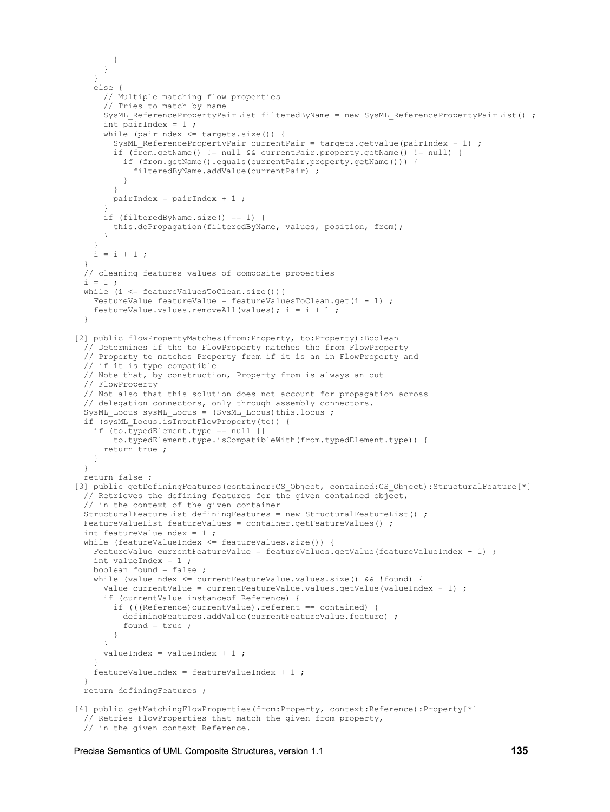```
 }
      }
     }
    else {
      // Multiple matching flow properties
      // Tries to match by name
     SysML ReferencePropertyPairList filteredByName = new SysML ReferencePropertyPairList() ;
     int pairIndex = 1 ;
     while (pairIndex \leq targets.size()) {
        SysML ReferencePropertyPair currentPair = targets.getValue(pairIndex - 1) ;
        if (from.getName() != null && currentPair.property.getName() != null) {
           if (from.getName().equals(currentPair.property.getName())) {
            filteredByName.addValue(currentPair) ; 
 }
 }
        pairIndex = pairIndex + 1 ;
 }
      if (filteredByName.size() == 1) { 
        this.doPropagation(filteredByName, values, position, from); 
       }
 }
    i = i + 1; }
  // cleaning features values of composite properties
 i = 1; while (i <= featureValuesToClean.size()){ 
   FeatureValue featureValue = featureValuesToClean.get(i - 1) ;
   featureValue.values.removeAll(values); i = i + 1;
 }
[2] public flowPropertyMatches(from:Property, to:Property):Boolean
   // Determines if the to FlowProperty matches the from FlowProperty
   // Property to matches Property from if it is an in FlowProperty and
  // if it is type compatible
   // Note that, by construction, Property from is always an out
   // FlowProperty
  // Not also that this solution does not account for propagation across
   // delegation connectors, only through assembly connectors.
 SysML Locus sysML Locus = (SysML Locus)this.locus ;
 if (sysML Locus.isInputFlowProperty(to)) {
    if (to.typedElement.type == null ||
         to.typedElement.type.isCompatibleWith(from.typedElement.type)) {
      return true ;
    }
  }
  return false ;
[3] public getDefiningFeatures(container:CS_Object, contained:CS_Object):StructuralFeature[*]
  // Retrieves the defining features for the given contained object,
  // in the context of the given container
  StructuralFeatureList definingFeatures = new StructuralFeatureList() ;
 FeatureValueList featureValues = container.getFeatureValues() ;
 int featureValueIndex = 1;
  while (featureValueIndex <= featureValues.size()) {
   FeatureValue currentFeatureValue = featureValues.getValue(featureValueIndex - 1) ;
   int valueIndex = 1;
    boolean found = false ;
   while (valueIndex <= currentFeatureValue.values.size() && !found) {
     Value currentValue = currentFeatureValue.values.getValue(valueIndex - 1) ;
      if (currentValue instanceof Reference) {
       if (((Reference)currentValue).referent == contained) {
           definingFeatures.addValue(currentFeatureValue.feature) ;
          found = true;
        }
 }
     valueIndex = valueIndex + 1 ;
 }
   featureValueIndex = featureValueIndex + 1 ;
 }
  return definingFeatures ;
[4] public getMatchingFlowProperties(from:Property, context:Reference):Property[*]
   // Retries FlowProperties that match the given from property,
  // in the given context Reference.
```
Precise Semantics of UML Composite Structures, version 1.1 **135**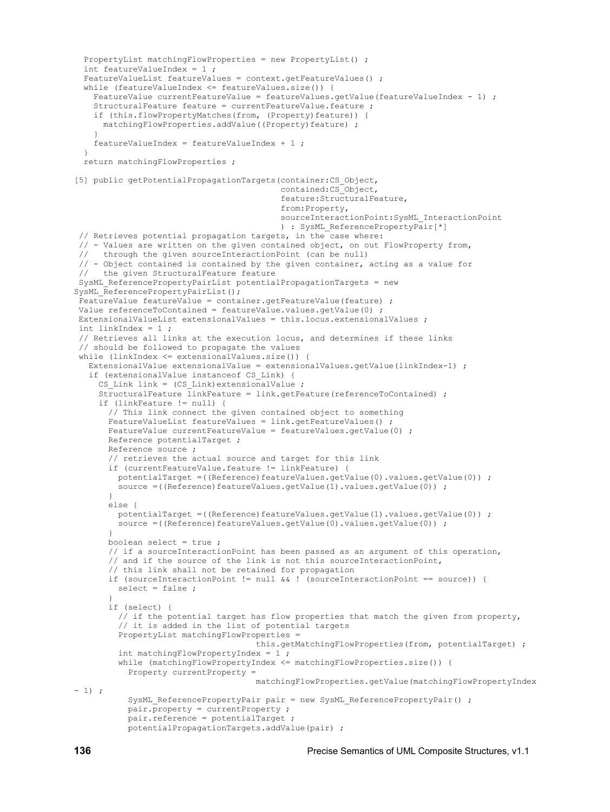```
 PropertyList matchingFlowProperties = new PropertyList() ;
  int featureValueIndex = 1 ;
 FeatureValueList featureValues = context.getFeatureValues() ;
  while (featureValueIndex <= featureValues.size()) {
   FeatureValue currentFeatureValue = featureValues.getValue(featureValueIndex - 1) ;
   StructuralFeature feature = currentFeatureValue.feature ;
   if (this.flowPropertyMatches(from, (Property)feature)) {
      matchingFlowProperties.addValue((Property)feature) ;
 }
    featureValueIndex = featureValueIndex + 1 ;
 }
  return matchingFlowProperties ;
[5] public getPotentialPropagationTargets(container:CS_Object,
                                            contained:CS_Object,
                                            feature:StructuralFeature,
                                            from:Property,
                                            sourceInteractionPoint:SysML_InteractionPoint
                                            ) : SysML_ReferencePropertyPair[*]
 // Retrieves potential propagation targets, in the case where:
// - Values are written on the given contained object, on out FlowProperty from,<br>// through the given sourceInteractionPoint (can be null)
    through the given sourceInteractionPoint (can be null)
 // - Object contained is contained by the given container, acting as a value for
 // the given StructuralFeature feature
 SysML_ReferencePropertyPairList potentialPropagationTargets = new 
SysML ReferencePropertyPairList();
FeatureValue featureValue = container.getFeatureValue(feature) ;
 Value referenceToContained = featureValue.values.getValue(0) ;
 ExtensionalValueList extensionalValues = this.locus.extensionalValues ;
 int linkIndex = 1 ;
 // Retrieves all links at the execution locus, and determines if these links
  // should be followed to propagate the values
 while (linkIndex <= extensionalValues.size()) {
  ExtensionalValue extensionalValue = extensionalValues.getValue(linkIndex-1) ;
    if (extensionalValue instanceof CS_Link) {
     CS Link link = (CS Link)extensionalValue ;
     StructuralFeature \overline{1}inkFeature = link.getFeature(referenceToContained) ;
      if (linkFeature != null) {
        // This link connect the given contained object to something
        FeatureValueList featureValues = link.getFeatureValues() ;
      FeatureValue currentFeatureValue = featureValues.getValue(0) ;
        Reference potentialTarget ;
        Reference source ;
        // retrieves the actual source and target for this link
        if (currentFeatureValue.feature != linkFeature) {
        potentialTarget =((Reference)featureValues.getValue(0).values.getValue(0)) ;
         source =((Reference)featureValues.getValue(1).values.getValue(0)) ;
 }
        else {
        potentialTarget =((Reference)featureValues.getValue(1).values.getValue(0)) ;
         source =((Reference)featureValues.getValue(0).values.getValue(0)) ;
 }
       boolean select = true ;
        // if a sourceInteractionPoint has been passed as an argument of this operation,
        // and if the source of the link is not this sourceInteractionPoint,
        // this link shall not be retained for propagation
        if (sourceInteractionPoint != null && ! (sourceInteractionPoint == source)) {
          select = false ;
 }
        if (select) {
          // if the potential target has flow properties that match the given from property,
          // it is added in the list of potential targets
         PropertyList matchingFlowProperties =
                                       this.getMatchingFlowProperties(from, potentialTarget) ;
          int matchingFlowPropertyIndex = 1 ;
          while (matchingFlowPropertyIndex <= matchingFlowProperties.size()) {
            Property currentProperty =
                                       matchingFlowProperties.getValue(matchingFlowPropertyIndex
-1) ;
           SysML ReferencePropertyPair pair = new SysML ReferencePropertyPair() ;
            pair.property = currentProperty ;
           pair.reference = potentialTarget ;
            potentialPropagationTargets.addValue(pair) ;
```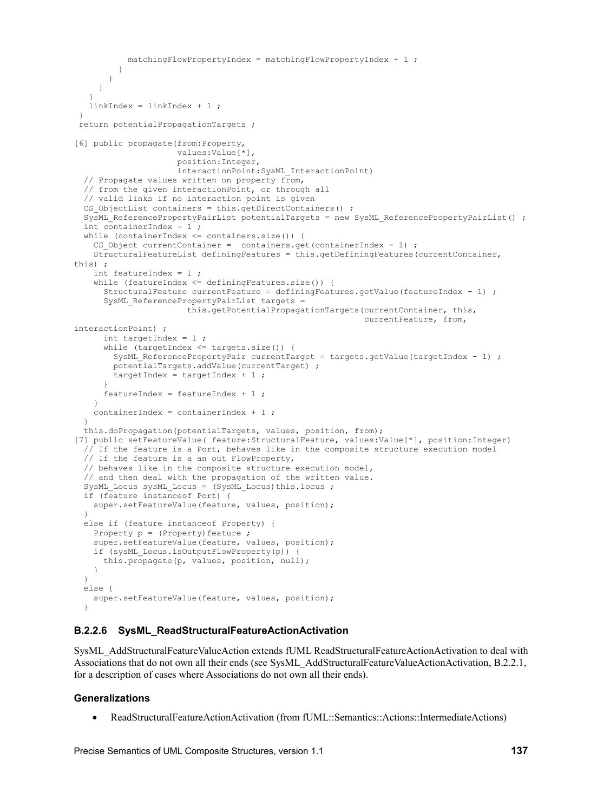```
 matchingFlowPropertyIndex = matchingFlowPropertyIndex + 1 ;
 }
       }
     }
 }
    linkIndex = linkIndex + 1 ;
  }
  return potentialPropagationTargets ;
[6] public propagate(from:Property,
                      values:Value[*],
                      position:Integer,
                      interactionPoint:SysML_InteractionPoint)
   // Propagate values written on property from,
   // from the given interactionPoint, or through all
   // valid links if no interaction point is given
  CS ObjectList containers = this.getDirectContainers() ;
  SysML ReferencePropertyPairList potentialTargets = new SysML ReferencePropertyPairList() ;
   int containerIndex = 1 ;
  while (containerIndex \leq containers.size()) {
    CS Object currentContainer = containers.get(containerIndex - 1) ;
     StructuralFeatureList definingFeatures = this.getDefiningFeatures(currentContainer, 
this) ;
     int featureIndex = 1 ;
     while (featureIndex <= definingFeatures.size()) {
       StructuralFeature currentFeature = definingFeatures.getValue(featureIndex - 1) ;
       SysML_ReferencePropertyPairList targets =
                        this.getPotentialPropagationTargets(currentContainer, this,
                                                             currentFeature, from, 
interactionPoint) ;
      int targetIndex = 1;
       while (targetIndex <= targets.size()) {
        SysML ReferencePropertyPair currentTarget = targets.getValue(targetIndex - 1) ;
        potentialTargets.addValue(currentTarget) ;
         targetIndex = targetIndex + 1 ;
 }
     featureIndex = featureIndex + 1 ;
     }
    containerIndex = containerIndex + 1 ;
 }
   this.doPropagation(potentialTargets, values, position, from);
[7] public setFeatureValue( feature:StructuralFeature, values:Value[*], position:Integer)
    If the feature is a Port, behaves like in the composite structure execution model
   // If the feature is a an out FlowProperty,
   // behaves like in the composite structure execution model,
   // and then deal with the propagation of the written value.
  SysML Locus sysML Locus = (SysML Locus)this.locus ;
   if (feature instanceof Port) {
     super.setFeatureValue(feature, values, position);
 }
   else if (feature instanceof Property) {
    Property p = (Property) feature;
     super.setFeatureValue(feature, values, position);
     if (sysML_Locus.isOutputFlowProperty(p)) {
      this.propagate(p, values, position, null);
     }
 }
   else {
     super.setFeatureValue(feature, values, position);
   }
```
#### **B.2.2.6 SysML\_ReadStructuralFeatureActionActivation**

SysML\_AddStructuralFeatureValueAction extends fUML ReadStructuralFeatureActionActivation to deal with Associations that do not own all their ends (see [SysML\\_AddStructuralFeatureValueActionActivation, B.2.2.1,](#page-141-0) for a description of cases where Associations do not own all their ends).

#### **Generalizations**

ReadStructuralFeatureActionActivation (from fUML::Semantics::Actions::IntermediateActions)

Precise Semantics of UML Composite Structures, version 1.1 **137**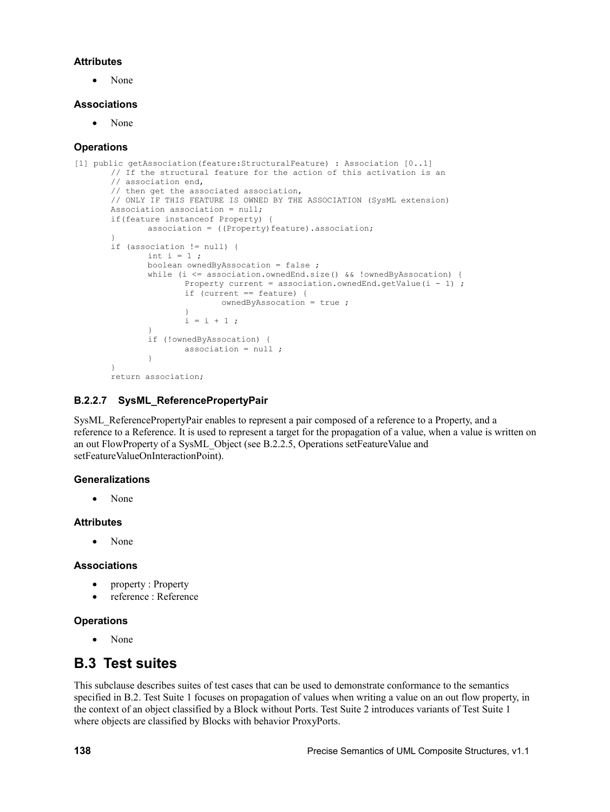## **Attributes**

• None

## **Associations**

None

# **Operations**

```
[1] public getAssociation(feature:StructuralFeature) : Association [0..1]
       // If the structural feature for the action of this activation is an
       // association end,
       // then get the associated association,
       // ONLY IF THIS FEATURE IS OWNED BY THE ASSOCIATION (SysML extension)
       Association association = null;
       if(feature instanceof Property) {
              association = ((Property) feature) .association;
       }
       if (association != null) {
              int i = 1;
              boolean ownedByAssocation = false ;
              while (i \leq association.ownedEnd.size() && !ownedByAssocation) {
                      Property current = association.ownedEnd.getValue(i - 1) ;
                      if (current == feature) {
                              ownedByAssocation = true ;
                       }
                      i = i + 1;}
               if (!ownedByAssocation) {
                      association = null ;
               }
       }
       return association;
```
# **B.2.2.7 SysML\_ReferencePropertyPair**

SysML\_ReferencePropertyPair enables to represent a pair composed of a reference to a Property, and a reference to a Reference. It is used to represent a target for the propagation of a value, when a value is written on an out FlowProperty of a [SysML\\_Object](#page-144-0) (see [B.2.2.5,](#page-144-0) Operations setFeatureValue and setFeatureValueOnInteractionPoint).

# **Generalizations**

None

## **Attributes**

None

## **Associations**

- property : Property
- reference : Reference

# **Operations**

<span id="page-149-0"></span>• None

# **B.3 Test suites**

This subclause describes suites of test cases that can be used to demonstrate conformance to the semantics specified in [B.2.](#page-140-0) Test Suite 1 focuses on propagation of values when writing a value on an out flow property, in the context of an object classified by a Block without Ports. Test Suite 2 introduces variants of Test Suite 1 where objects are classified by Blocks with behavior ProxyPorts.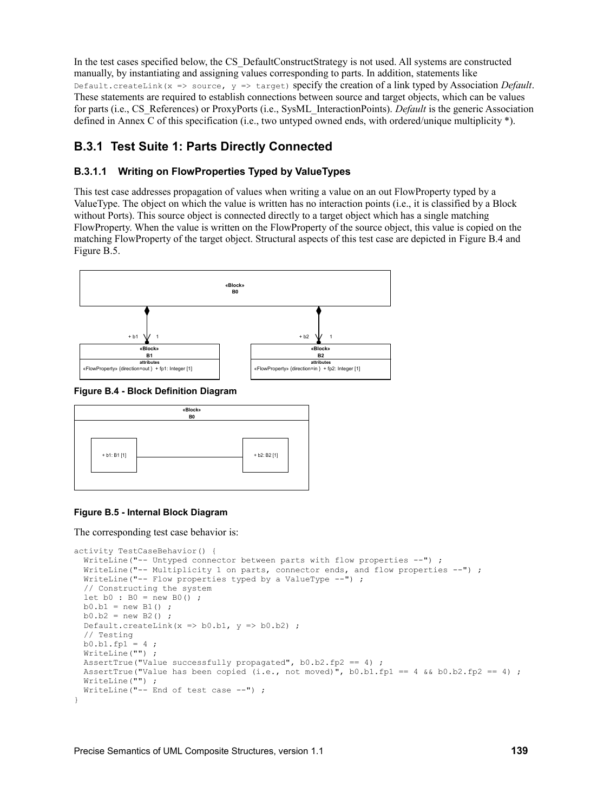In the test cases specified below, the [CS\\_DefaultConstructStrategy](#page-61-0) is not used. All systems are constructed manually, by instantiating and assigning values corresponding to parts. In addition, statements like Default.createLink(x => source,  $y =$  target) specify the creation of a link typed by Association *Default*. These statements are required to establish connections between source and target objects, which can be values for parts (i.e., CS\_References) or ProxyPorts (i.e., SysML\_InteractionPoints). *Default* is the generic Association defined in [Annex C](#page-156-0) of this specification (i.e., two untyped owned ends, with ordered/unique multiplicity \*).

# **B.3.1 Test Suite 1: Parts Directly Connected**

# **B.3.1.1 Writing on FlowProperties Typed by ValueTypes**

This test case addresses propagation of values when writing a value on an out FlowProperty typed by a ValueType. The object on which the value is written has no interaction points (i.e., it is classified by a Block without Ports). This source object is connected directly to a target object which has a single matching FlowProperty. When the value is written on the FlowProperty of the source object, this value is copied on the matching FlowProperty of the target object. Structural aspects of this test case are depicted in [Figure B.4](#page-150-1) an[d](#page-150-0) [Figure B.5.](#page-150-0)



<span id="page-150-1"></span>**Figure B.4 - Block Definition Diagram**



## <span id="page-150-0"></span>**Figure B.5 - Internal Block Diagram**

```
activity TestCaseBehavior() {
 WriteLine("-- Untyped connector between parts with flow properties --") ;
  WriteLine("-- Multiplicity 1 on parts, connector ends, and flow properties --");
  WriteLine("-- Flow properties typed by a ValueType --") ;
   // Constructing the system
  let b0 : B0 = new B0();
  b0.b1 = new B1();
  b0.b2 = new B2()Default.createLink(x \Rightarrow b0.b1, y \Rightarrow b0.b2) ;
   // Testing
  b0.b1.fp1 = 4; WriteLine("") ;
  AssertTrue("Value successfully propagated", b0.b2.fp2 == 4) ;
  AssertTrue("Value has been copied (i.e., not moved)", b0.b1.fp1 == 4 && b0.b2.fp2 == 4) ;
  WriteLine("") ;
  WriteLine("-- End of test case --") ;
}
```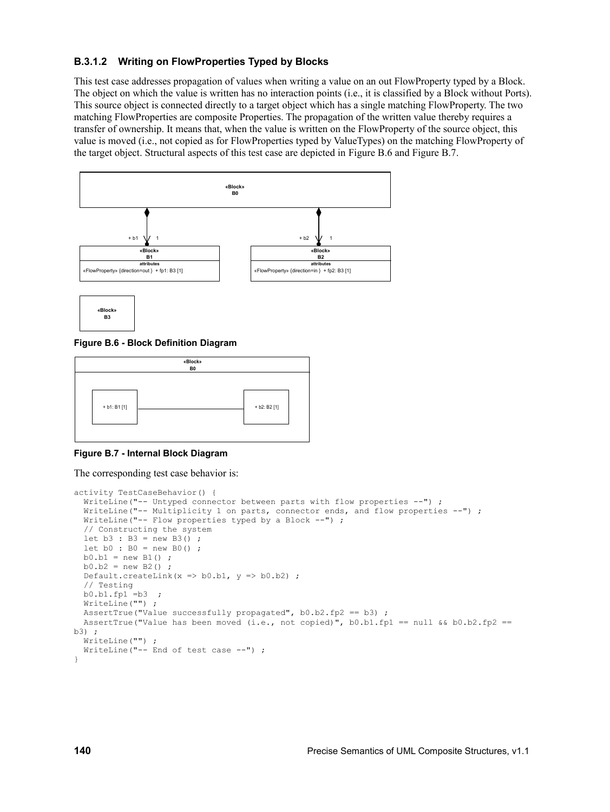# **B.3.1.2 Writing on FlowProperties Typed by Blocks**

This test case addresses propagation of values when writing a value on an out FlowProperty typed by a Block. The object on which the value is written has no interaction points (i.e., it is classified by a Block without Ports). This source object is connected directly to a target object which has a single matching FlowProperty. The two matching FlowProperties are composite Properties. The propagation of the written value thereby requires a transfer of ownership. It means that, when the value is written on the FlowProperty of the source object, this value is moved (i.e., not copied as for FlowProperties typed by ValueTypes) on the matching FlowProperty of the target object. Structural aspects of this test case are depicted in [Figure B.6](#page-151-1) and [Figure B.7.](#page-151-0)



<span id="page-151-1"></span>**Figure B.6 - Block Definition Diagram**



<span id="page-151-0"></span>**Figure B.7 - Internal Block Diagram**

```
activity TestCaseBehavior() {
  WriteLine("-- Untyped connector between parts with flow properties --") ;
  WriteLine("-- Multiplicity 1 on parts, connector ends, and flow properties --") ;
   WriteLine("-- Flow properties typed by a Block --") ;
   // Constructing the system
  let b3 : B3 = new B3();
  let b0 : B0 = new B0();
  b0.b1 = new B1();
  b0.b2 = new B2();
  Default.createLink(x \Rightarrow b0.b1, y \Rightarrow b0.b2) ;
   // Testing
  b0.b1.fp1 =b3 ;
  WriteLine("") ;
 AssertTrue("Value successfully propagated", b0.b2.fp2 == b3) ;
 AssertTrue("Value has been moved (i.e., not copied)", b0.b1.fp1 == null &b0.b2.fp2 ==
b3) ;
   WriteLine("") ;
  WriteLine("-- End of test case --") ;
}
```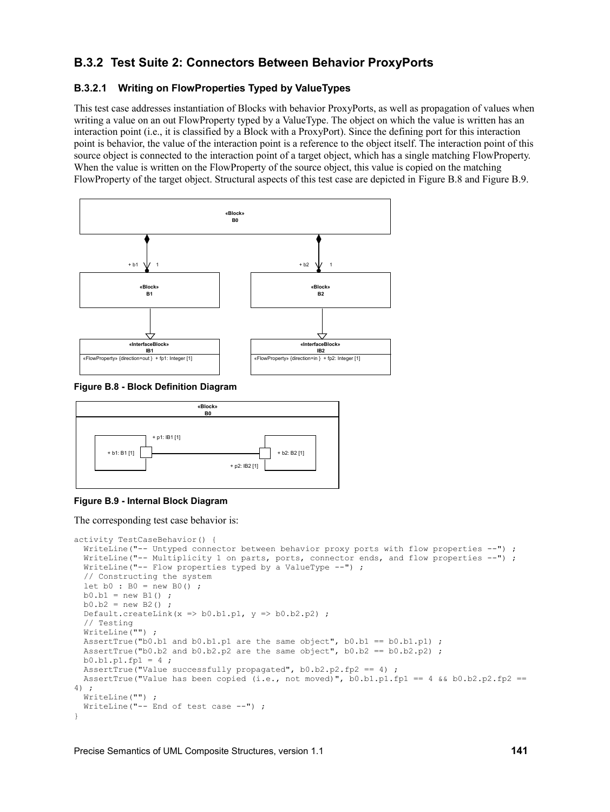# **B.3.2 Test Suite 2: Connectors Between Behavior ProxyPorts**

# **B.3.2.1 Writing on FlowProperties Typed by ValueTypes**

This test case addresses instantiation of Blocks with behavior ProxyPorts, as well as propagation of values when writing a value on an out FlowProperty typed by a ValueType. The object on which the value is written has an interaction point (i.e., it is classified by a Block with a ProxyPort). Since the defining port for this interaction point is behavior, the value of the interaction point is a reference to the object itself. The interaction point of this source object is connected to the interaction point of a target object, which has a single matching FlowProperty. When the value is written on the FlowProperty of the source object, this value is copied on the matching FlowProperty of the target object. Structural aspects of this test case are depicted in [Figure B.8](#page-152-1) and [Figure B.9.](#page-152-0)



<span id="page-152-1"></span>**Figure B.8 - Block Definition Diagram**



## <span id="page-152-0"></span>**Figure B.9 - Internal Block Diagram**

```
activity TestCaseBehavior() {
  WriteLine("-- Untyped connector between behavior proxy ports with flow properties --") ;
  WriteLine("-- Multiplicity 1 on parts, ports, connector ends, and flow properties --") ;
  WriteLine("-- Flow properties typed by a ValueType --") ;
   // Constructing the system
  let b0 : B0 = new B0();
  b0.b1 = new B1();
 b0.b2 = new B2();
  Default.createLink(x => b0.b1.p1, y => b0.b2.p2) ;
   // Testing
   WriteLine("") ;
 AssertTrue("b0.b1 and b0.b1.p1 are the same object", b0.b1 == b0.b1.p1) ;
  AssertTrue("b0.b2 and b0.b2.p2 are the same object", b0.b2 == b0.b2.p2) ;
  b0.b1.p1.fp1 = 4;AssertTrue("Value successfully propagated", b0.b2.p2.fp2 == 4) ;
 AssertTrue("Value has been copied (i.e., not moved)", b0.b1.p1.fp1 == 4 && b0.b2.p2.fp2 ==
4) ;
  WriteLine("") ;
  WriteLine("-- End of test case --") ;
}
```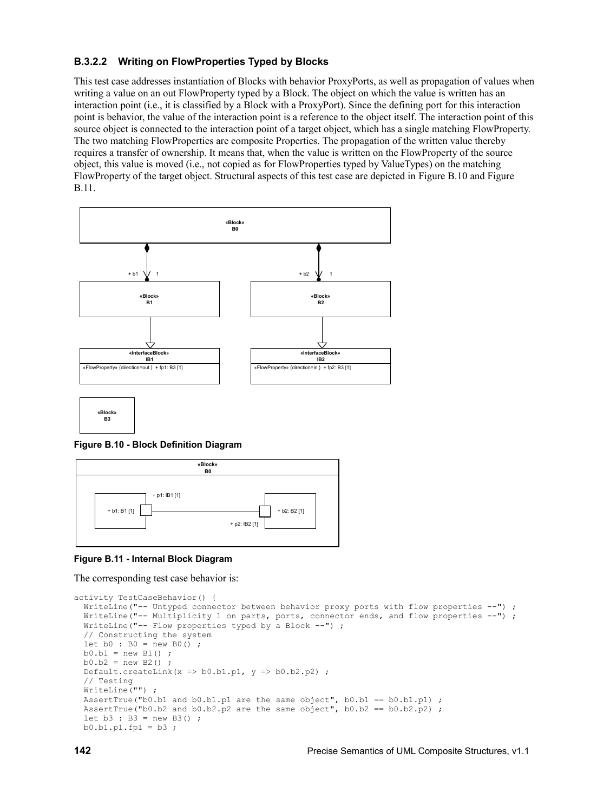# **B.3.2.2 Writing on FlowProperties Typed by Blocks**

This test case addresses instantiation of Blocks with behavior ProxyPorts, as well as propagation of values when writing a value on an out FlowProperty typed by a Block. The object on which the value is written has an interaction point (i.e., it is classified by a Block with a ProxyPort). Since the defining port for this interaction point is behavior, the value of the interaction point is a reference to the object itself. The interaction point of this source object is connected to the interaction point of a target object, which has a single matching FlowProperty. The two matching FlowProperties are composite Properties. The propagation of the written value thereby requires a transfer of ownership. It means that, when the value is written on the FlowProperty of the source object, this value is moved (i.e., not copied as for FlowProperties typed by ValueTypes) on the matching FlowProperty of the target object. Structural aspects of this test case are depicted in [Figure B.10](#page-153-1) and [Figure](#page-153-0)  [B.11.](#page-153-0)



<span id="page-153-1"></span>**Figure B.10 - Block Definition Diagram**



## <span id="page-153-0"></span>**Figure B.11 - Internal Block Diagram**

```
activity TestCaseBehavior() {
  WriteLine("-- Untyped connector between behavior proxy ports with flow properties --") ;
  WriteLine("-- Multiplicity 1 on parts, ports, connector ends, and flow properties --") ;
   WriteLine("-- Flow properties typed by a Block --") ;
   // Constructing the system
  let b0 : B0 = new B0();
  b0.b1 = new B1();
  b0.b2 = new B2();
  Default.createLink(x => b0.b1.p1, y => b0.b2.p2) ;
   // Testing
  WriteLine("")
  AssertTrue("b0.b1 and b0.b1.p1 are the same object", b0.b1 == b0.b1.p1) ;
  AssertTrue("b0.b2 and b0.b2.p2 are the same object", b0.b2 == b0.b2.p2);
  let b3 : B3 = new B3();
 b0.b1.p1.fp1 = b3;
```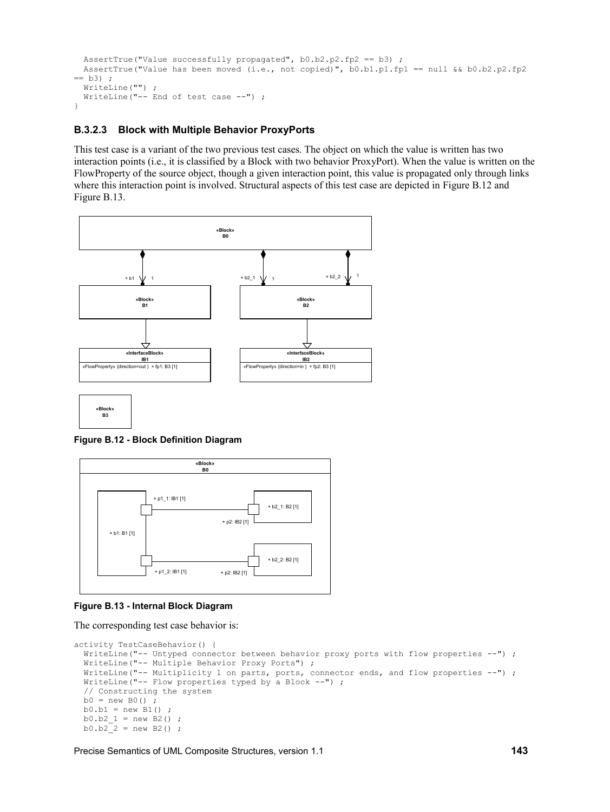```
AssertTrue("Value successfully propagated", b0.b2.p2.fp2 == b3) ;
  AssertTrue("Value has been moved (i.e., not copied)", b0.b1.p1.fp1 == null && b0.b2.p2.fp2 
== b3) ;
  WriteLine("") ;
  WriteLine("-- End of test case --") ;
}
```
# **B.3.2.3 Block with Multiple Behavior ProxyPorts**

This test case is a variant of the two previous test cases. The object on which the value is written has two interaction points (i.e., it is classified by a Block with two behavior ProxyPort). When the value is written on the FlowProperty of the source object, though a given interaction point, this value is propagated only through links where this interaction point is involved. Structural aspects of this test case are depicted in [Figure B.12](#page-154-1) an[d](#page-154-0) [Figure B.13.](#page-154-0)



<span id="page-154-1"></span>**Figure B.12 - Block Definition Diagram**



<span id="page-154-0"></span>**Figure B.13 - Internal Block Diagram**

The corresponding test case behavior is:

```
activity TestCaseBehavior() {
  WriteLine("-- Untyped connector between behavior proxy ports with flow properties --") ;
  WriteLine("-- Multiple Behavior Proxy Ports") ;
  WriteLine("-- Multiplicity 1 on parts, ports, connector ends, and flow properties --") ;
  WriteLine("-- Flow properties typed by a Block --") ;
   // Constructing the system
 b0 = new BO();
  b0.b1 = new B1();
  b0.b2 1 = new B2() ;
  b0.b2^2 = new B2();
```
Precise Semantics of UML Composite Structures, version 1.1 **143**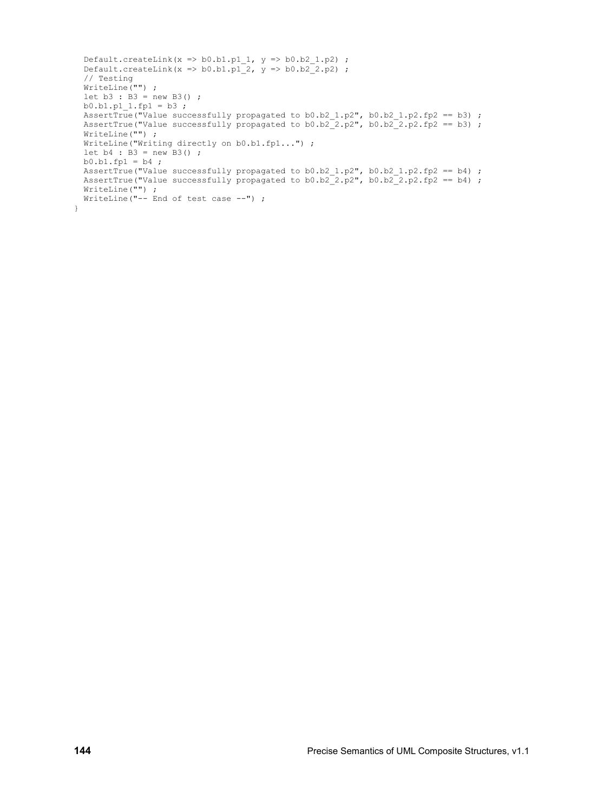```
Default.createLink(x => b0.b1.p1 1, y => b0.b2 1.p2) ;
Default.createLink(x => b0.b1.p1 2, y => b0.b2 2.p2) ;
  // Testing
 WriteLine("") ;
 let b3 : B3 = new B3();
 b0.b1.p1 1.fp1 = b3 ;AssertTrue("Value successfully propagated to b0.b2 1.p2", b0.b2 1.p2.fp2 == b3) ;
AssertTrue("Value successfully propagated to b0.b2 2.p2", b0.b2 2.p2.fp2 == b3) ;
 WriteLine("") ;
 WriteLine("Writing directly on b0.b1.fp1...") ;
 let b4 : B3 = new B3();
 b0.b1.fp1 = b4;
 AssertTrue("Value successfully propagated to b0.b2_1.p2", b0.b2_1.p2.fp2 == b4);
AssertTrue("Value successfully propagated to b0.b2_2.p2", b0.b2_2.p2.fp2 == b4) ;
 WriteLine("") ;
 WriteLine("-- End of test case --") ;
```
}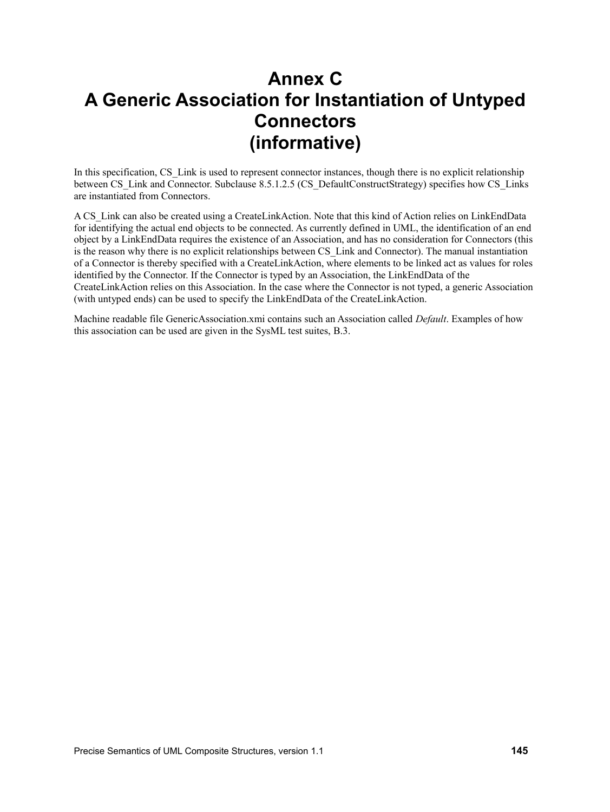# <span id="page-156-0"></span>**Annex C A Generic Association for Instantiation of Untyped Connectors (informative)**

In this specification, CS Link is used to represent connector instances, though there is no explicit relationship between CS\_Link and Connector. Subclause [8.5.1.2.5](#page-61-0) (CS\_DefaultConstructStrategy) specifies how CS\_Links are instantiated from Connectors.

A CS\_Link can also be created using a CreateLinkAction. Note that this kind of Action relies on LinkEndData for identifying the actual end objects to be connected. As currently defined in UML, the identification of an end object by a LinkEndData requires the existence of an Association, and has no consideration for Connectors (this is the reason why there is no explicit relationships between CS\_Link and Connector). The manual instantiation of a Connector is thereby specified with a CreateLinkAction, where elements to be linked act as values for roles identified by the Connector. If the Connector is typed by an Association, the LinkEndData of the CreateLinkAction relies on this Association. In the case where the Connector is not typed, a generic Association (with untyped ends) can be used to specify the LinkEndData of the CreateLinkAction.

Machine readable file GenericAssociation.xmi contains such an Association called *Default*. Examples of how this association can be used are given in the SysML test suites, [B.3.](#page-149-0)